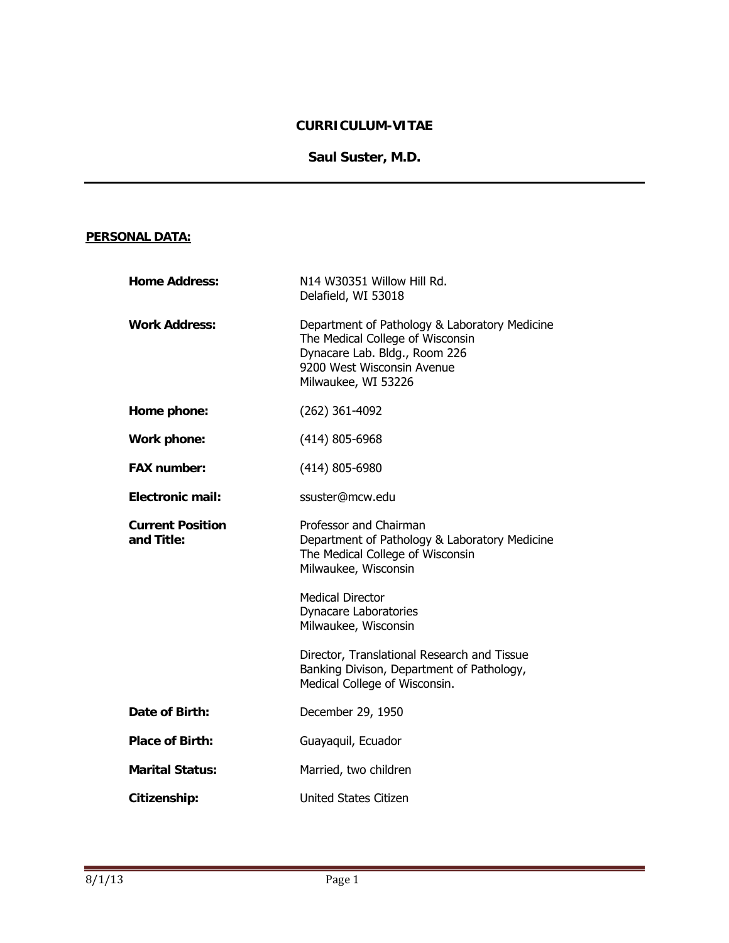# **CURRICULUM-VITAE**

## **Saul Suster, M.D.**

## **PERSONAL DATA:**

| <b>Home Address:</b>                  | N14 W30351 Willow Hill Rd.<br>Delafield, WI 53018                                                                                                                       |
|---------------------------------------|-------------------------------------------------------------------------------------------------------------------------------------------------------------------------|
| <b>Work Address:</b>                  | Department of Pathology & Laboratory Medicine<br>The Medical College of Wisconsin<br>Dynacare Lab. Bldg., Room 226<br>9200 West Wisconsin Avenue<br>Milwaukee, WI 53226 |
| Home phone:                           | $(262)$ 361-4092                                                                                                                                                        |
| Work phone:                           | (414) 805-6968                                                                                                                                                          |
| <b>FAX number:</b>                    | $(414)$ 805-6980                                                                                                                                                        |
| Electronic mail:                      | ssuster@mcw.edu                                                                                                                                                         |
| <b>Current Position</b><br>and Title: | Professor and Chairman<br>Department of Pathology & Laboratory Medicine<br>The Medical College of Wisconsin<br>Milwaukee, Wisconsin                                     |
|                                       | <b>Medical Director</b><br><b>Dynacare Laboratories</b><br>Milwaukee, Wisconsin                                                                                         |
|                                       | Director, Translational Research and Tissue<br>Banking Divison, Department of Pathology,<br>Medical College of Wisconsin.                                               |
| Date of Birth:                        | December 29, 1950                                                                                                                                                       |
| <b>Place of Birth:</b>                | Guayaquil, Ecuador                                                                                                                                                      |
| <b>Marital Status:</b>                | Married, two children                                                                                                                                                   |
| Citizenship:                          | <b>United States Citizen</b>                                                                                                                                            |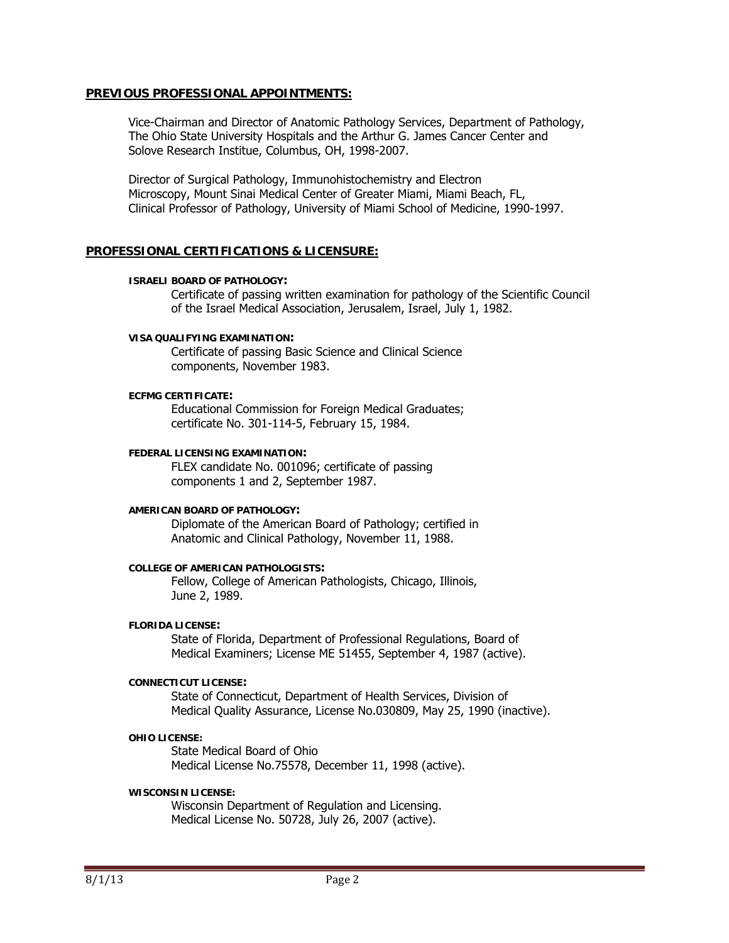#### **PREVIOUS PROFESSIONAL APPOINTMENTS:**

Vice-Chairman and Director of Anatomic Pathology Services, Department of Pathology, The Ohio State University Hospitals and the Arthur G. James Cancer Center and Solove Research Institue, Columbus, OH, 1998-2007.

 Director of Surgical Pathology, Immunohistochemistry and Electron Microscopy, Mount Sinai Medical Center of Greater Miami, Miami Beach, FL, Clinical Professor of Pathology, University of Miami School of Medicine, 1990-1997.

### **PROFESSIONAL CERTIFICATIONS & LICENSURE:**

#### **ISRAELI BOARD OF PATHOLOGY:**

 Certificate of passing written examination for pathology of the Scientific Council of the Israel Medical Association, Jerusalem, Israel, July 1, 1982.

#### **VISA QUALIFYING EXAMINATION:**

 Certificate of passing Basic Science and Clinical Science components, November 1983.

#### **ECFMG CERTIFICATE:**

 Educational Commission for Foreign Medical Graduates; certificate No. 301-114-5, February 15, 1984.

#### **FEDERAL LICENSING EXAMINATION:**

FLEX candidate No. 001096; certificate of passing components 1 and 2, September 1987.

#### **AMERICAN BOARD OF PATHOLOGY:**

 Diplomate of the American Board of Pathology; certified in Anatomic and Clinical Pathology, November 11, 1988.

#### **COLLEGE OF AMERICAN PATHOLOGISTS:**

 Fellow, College of American Pathologists, Chicago, Illinois, June 2, 1989.

#### **FLORIDA LICENSE:**

 State of Florida, Department of Professional Regulations, Board of Medical Examiners; License ME 51455, September 4, 1987 (active).

#### **CONNECTICUT LICENSE:**

 State of Connecticut, Department of Health Services, Division of Medical Quality Assurance, License No.030809, May 25, 1990 (inactive).

#### **OHIO LICENSE:**

 State Medical Board of Ohio Medical License No.75578, December 11, 1998 (active).

#### **WISCONSIN LICENSE:**

Wisconsin Department of Regulation and Licensing. Medical License No. 50728, July 26, 2007 (active).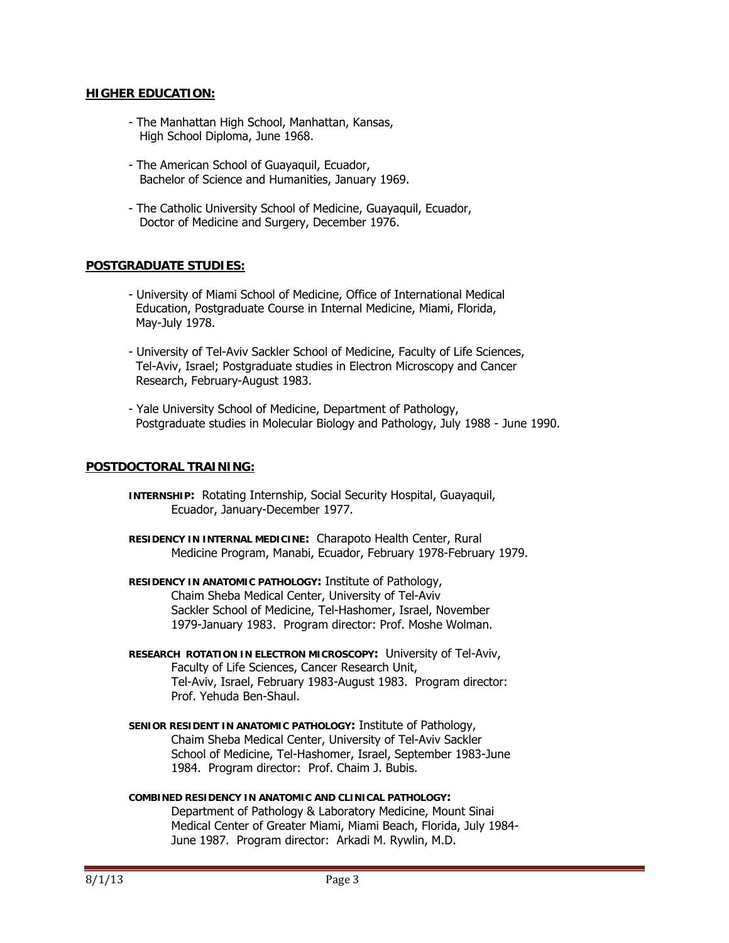### **HIGHER EDUCATION:**

- The Manhattan High School, Manhattan, Kansas, High School Diploma, June 1968.
- The American School of Guayaquil, Ecuador, Bachelor of Science and Humanities, January 1969.
- The Catholic University School of Medicine, Guayaquil, Ecuador, Doctor of Medicine and Surgery, December 1976.

### **POSTGRADUATE STUDIES:**

- University of Miami School of Medicine, Office of International Medical Education, Postgraduate Course in Internal Medicine, Miami, Florida, May-July 1978.
- University of Tel-Aviv Sackler School of Medicine, Faculty of Life Sciences, Tel-Aviv, Israel; Postgraduate studies in Electron Microscopy and Cancer Research, February-August 1983.
- Yale University School of Medicine, Department of Pathology, Postgraduate studies in Molecular Biology and Pathology, July 1988 - June 1990.

### **POSTDOCTORAL TRAINING:**

- **INTERNSHIP:** Rotating Internship, Social Security Hospital, Guayaquil, Ecuador, January-December 1977.
- **RESIDENCY IN INTERNAL MEDICINE:** Charapoto Health Center, Rural Medicine Program, Manabi, Ecuador, February 1978-February 1979.
- **RESIDENCY IN ANATOMIC PATHOLOGY:** Institute of Pathology, Chaim Sheba Medical Center, University of Tel-Aviv Sackler School of Medicine, Tel-Hashomer, Israel, November 1979-January 1983. Program director: Prof. Moshe Wolman.
- **RESEARCH ROTATION IN ELECTRON MICROSCOPY:** University of Tel-Aviv, Faculty of Life Sciences, Cancer Research Unit, Tel-Aviv, Israel, February 1983-August 1983. Program director: Prof. Yehuda Ben-Shaul.
- **SENIOR RESIDENT IN ANATOMIC PATHOLOGY:** Institute of Pathology, Chaim Sheba Medical Center, University of Tel-Aviv Sackler School of Medicine, Tel-Hashomer, Israel, September 1983-June 1984. Program director: Prof. Chaim J. Bubis.
- **COMBINED RESIDENCY IN ANATOMIC AND CLINICAL PATHOLOGY:** Department of Pathology & Laboratory Medicine, Mount Sinai Medical Center of Greater Miami, Miami Beach, Florida, July 1984- June 1987. Program director: Arkadi M. Rywlin, M.D.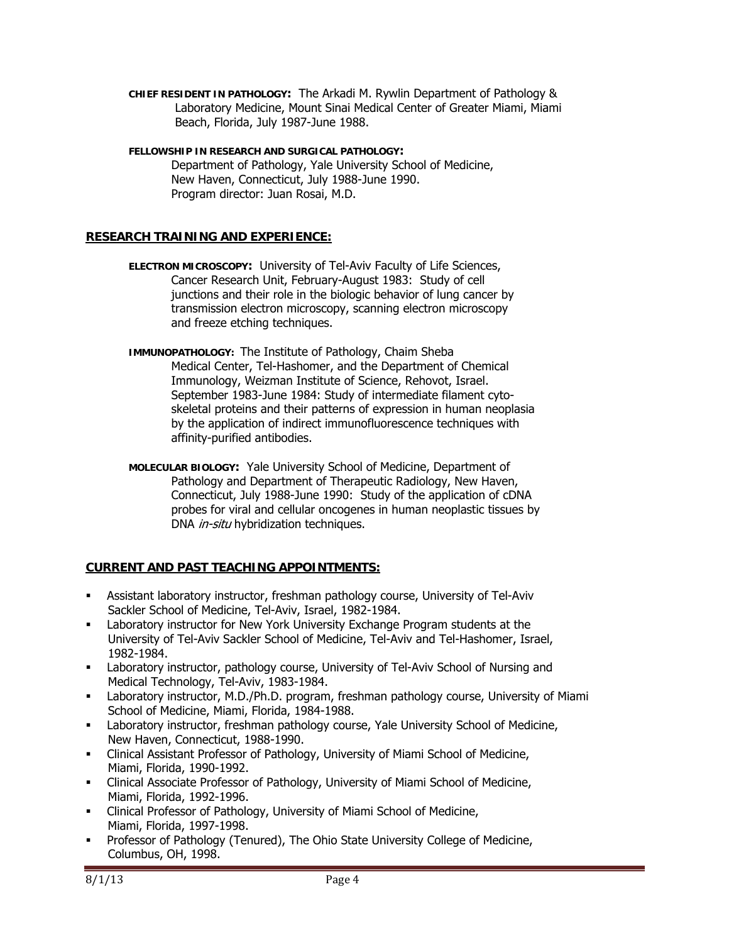- **CHIEF RESIDENT IN PATHOLOGY:** The Arkadi M. Rywlin Department of Pathology & Laboratory Medicine, Mount Sinai Medical Center of Greater Miami, Miami Beach, Florida, July 1987-June 1988.
- **FELLOWSHIP IN RESEARCH AND SURGICAL PATHOLOGY:** Department of Pathology, Yale University School of Medicine, New Haven, Connecticut, July 1988-June 1990. Program director: Juan Rosai, M.D.

## **RESEARCH TRAINING AND EXPERIENCE:**

- **ELECTRON MICROSCOPY:** University of Tel-Aviv Faculty of Life Sciences, Cancer Research Unit, February-August 1983: Study of cell junctions and their role in the biologic behavior of lung cancer by transmission electron microscopy, scanning electron microscopy and freeze etching techniques.
- **IMMUNOPATHOLOGY:** The Institute of Pathology, Chaim Sheba Medical Center, Tel-Hashomer, and the Department of Chemical Immunology, Weizman Institute of Science, Rehovot, Israel. September 1983-June 1984: Study of intermediate filament cyto skeletal proteins and their patterns of expression in human neoplasia by the application of indirect immunofluorescence techniques with affinity-purified antibodies.
- **MOLECULAR BIOLOGY:** Yale University School of Medicine, Department of Pathology and Department of Therapeutic Radiology, New Haven, Connecticut, July 1988-June 1990: Study of the application of cDNA probes for viral and cellular oncogenes in human neoplastic tissues by DNA *in-situ* hybridization techniques.

# **CURRENT AND PAST TEACHING APPOINTMENTS:**

- Assistant laboratory instructor, freshman pathology course, University of Tel-Aviv Sackler School of Medicine, Tel-Aviv, Israel, 1982-1984.
- Laboratory instructor for New York University Exchange Program students at the University of Tel-Aviv Sackler School of Medicine, Tel-Aviv and Tel-Hashomer, Israel, 1982-1984.
- Laboratory instructor, pathology course, University of Tel-Aviv School of Nursing and Medical Technology, Tel-Aviv, 1983-1984.
- Laboratory instructor, M.D./Ph.D. program, freshman pathology course, University of Miami School of Medicine, Miami, Florida, 1984-1988.
- Laboratory instructor, freshman pathology course, Yale University School of Medicine, New Haven, Connecticut, 1988-1990.
- Clinical Assistant Professor of Pathology, University of Miami School of Medicine, Miami, Florida, 1990-1992.
- Clinical Associate Professor of Pathology, University of Miami School of Medicine, Miami, Florida, 1992-1996.
- Clinical Professor of Pathology, University of Miami School of Medicine, Miami, Florida, 1997-1998.
- Professor of Pathology (Tenured), The Ohio State University College of Medicine, Columbus, OH, 1998.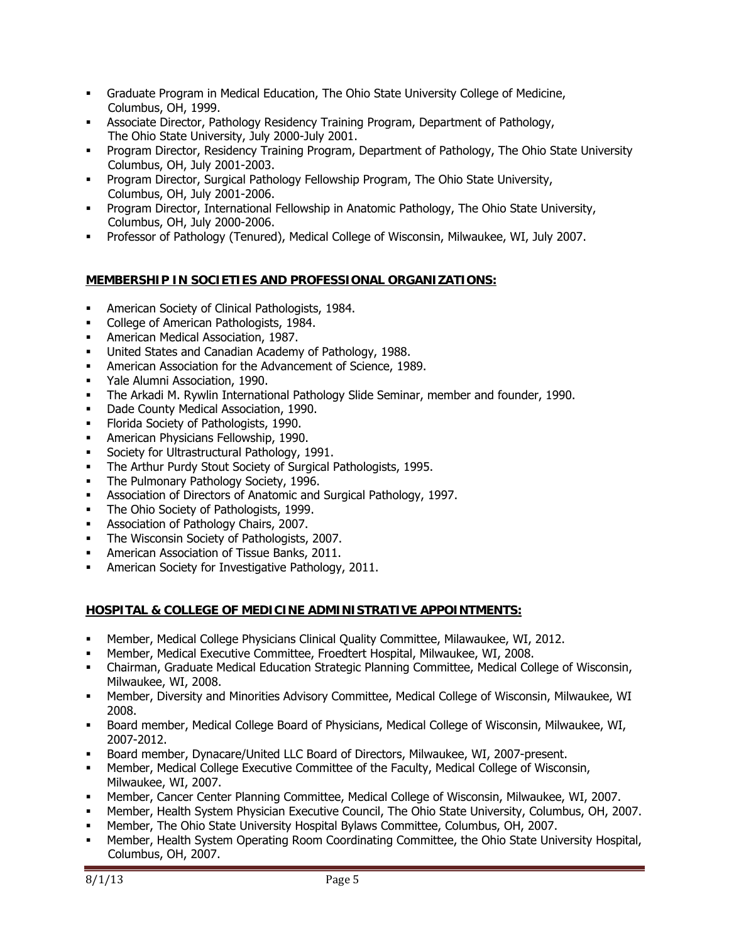- Graduate Program in Medical Education, The Ohio State University College of Medicine, Columbus, OH, 1999.
- Associate Director, Pathology Residency Training Program, Department of Pathology, The Ohio State University, July 2000-July 2001.
- Program Director, Residency Training Program, Department of Pathology, The Ohio State University Columbus, OH, July 2001-2003.
- Program Director, Surgical Pathology Fellowship Program, The Ohio State University, Columbus, OH, July 2001-2006.
- **Program Director, International Fellowship in Anatomic Pathology, The Ohio State University,** Columbus, OH, July 2000-2006.
- Professor of Pathology (Tenured), Medical College of Wisconsin, Milwaukee, WI, July 2007.

# **MEMBERSHIP IN SOCIETIES AND PROFESSIONAL ORGANIZATIONS:**

- **American Society of Clinical Pathologists, 1984.**
- College of American Pathologists, 1984.
- American Medical Association, 1987.
- United States and Canadian Academy of Pathology, 1988.
- American Association for the Advancement of Science, 1989.
- Yale Alumni Association, 1990.
- The Arkadi M. Rywlin International Pathology Slide Seminar, member and founder, 1990.
- Dade County Medical Association, 1990.
- **Florida Society of Pathologists, 1990.**
- American Physicians Fellowship, 1990.
- **Society for Ultrastructural Pathology, 1991.**
- The Arthur Purdy Stout Society of Surgical Pathologists, 1995.
- The Pulmonary Pathology Society, 1996.
- Association of Directors of Anatomic and Surgical Pathology, 1997.
- The Ohio Society of Pathologists, 1999.
- **Association of Pathology Chairs, 2007.**
- The Wisconsin Society of Pathologists, 2007.
- American Association of Tissue Banks, 2011.
- **American Society for Investigative Pathology, 2011.**

## **HOSPITAL & COLLEGE OF MEDICINE ADMINISTRATIVE APPOINTMENTS:**

- Member, Medical College Physicians Clinical Quality Committee, Milawaukee, WI, 2012.
- Member, Medical Executive Committee, Froedtert Hospital, Milwaukee, WI, 2008.
- Chairman, Graduate Medical Education Strategic Planning Committee, Medical College of Wisconsin, Milwaukee, WI, 2008.
- Member, Diversity and Minorities Advisory Committee, Medical College of Wisconsin, Milwaukee, WI 2008.
- Board member, Medical College Board of Physicians, Medical College of Wisconsin, Milwaukee, WI, 2007-2012.
- Board member, Dynacare/United LLC Board of Directors, Milwaukee, WI, 2007-present.
- Member, Medical College Executive Committee of the Faculty, Medical College of Wisconsin, Milwaukee, WI, 2007.
- Member, Cancer Center Planning Committee, Medical College of Wisconsin, Milwaukee, WI, 2007.
- Member, Health System Physician Executive Council, The Ohio State University, Columbus, OH, 2007.
- Member, The Ohio State University Hospital Bylaws Committee, Columbus, OH, 2007.
- Member, Health System Operating Room Coordinating Committee, the Ohio State University Hospital, Columbus, OH, 2007.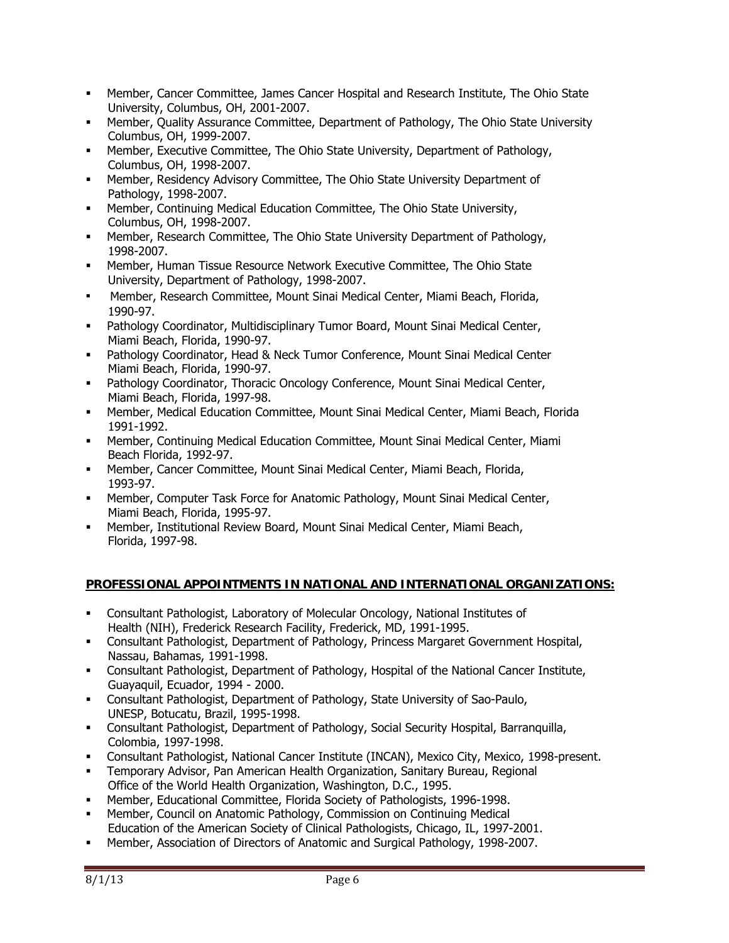- Member, Cancer Committee, James Cancer Hospital and Research Institute, The Ohio State University, Columbus, OH, 2001-2007.
- Member, Quality Assurance Committee, Department of Pathology, The Ohio State University Columbus, OH, 1999-2007.
- Member, Executive Committee, The Ohio State University, Department of Pathology, Columbus, OH, 1998-2007.
- Member, Residency Advisory Committee, The Ohio State University Department of Pathology, 1998-2007.
- Member, Continuing Medical Education Committee, The Ohio State University, Columbus, OH, 1998-2007.
- Member, Research Committee, The Ohio State University Department of Pathology, 1998-2007.
- Member, Human Tissue Resource Network Executive Committee, The Ohio State University, Department of Pathology, 1998-2007.
- Member, Research Committee, Mount Sinai Medical Center, Miami Beach, Florida, 1990-97.
- Pathology Coordinator, Multidisciplinary Tumor Board, Mount Sinai Medical Center, Miami Beach, Florida, 1990-97.
- Pathology Coordinator, Head & Neck Tumor Conference, Mount Sinai Medical Center Miami Beach, Florida, 1990-97.
- Pathology Coordinator, Thoracic Oncology Conference, Mount Sinai Medical Center, Miami Beach, Florida, 1997-98.
- Member, Medical Education Committee, Mount Sinai Medical Center, Miami Beach, Florida 1991-1992.
- Member, Continuing Medical Education Committee, Mount Sinai Medical Center, Miami Beach Florida, 1992-97.
- Member, Cancer Committee, Mount Sinai Medical Center, Miami Beach, Florida, 1993-97.
- Member, Computer Task Force for Anatomic Pathology, Mount Sinai Medical Center, Miami Beach, Florida, 1995-97.
- Member, Institutional Review Board, Mount Sinai Medical Center, Miami Beach, Florida, 1997-98.

# **PROFESSIONAL APPOINTMENTS IN NATIONAL AND INTERNATIONAL ORGANIZATIONS:**

- Consultant Pathologist, Laboratory of Molecular Oncology, National Institutes of Health (NIH), Frederick Research Facility, Frederick, MD, 1991-1995.
- Consultant Pathologist, Department of Pathology, Princess Margaret Government Hospital, Nassau, Bahamas, 1991-1998.
- Consultant Pathologist, Department of Pathology, Hospital of the National Cancer Institute, Guayaquil, Ecuador, 1994 - 2000.
- Consultant Pathologist, Department of Pathology, State University of Sao-Paulo, UNESP, Botucatu, Brazil, 1995-1998.
- Consultant Pathologist, Department of Pathology, Social Security Hospital, Barranquilla, Colombia, 1997-1998.
- Consultant Pathologist, National Cancer Institute (INCAN), Mexico City, Mexico, 1998-present.
- Temporary Advisor, Pan American Health Organization, Sanitary Bureau, Regional Office of the World Health Organization, Washington, D.C., 1995.
- Member, Educational Committee, Florida Society of Pathologists, 1996-1998.
- Member, Council on Anatomic Pathology, Commission on Continuing Medical Education of the American Society of Clinical Pathologists, Chicago, IL, 1997-2001.
- Member, Association of Directors of Anatomic and Surgical Pathology, 1998-2007.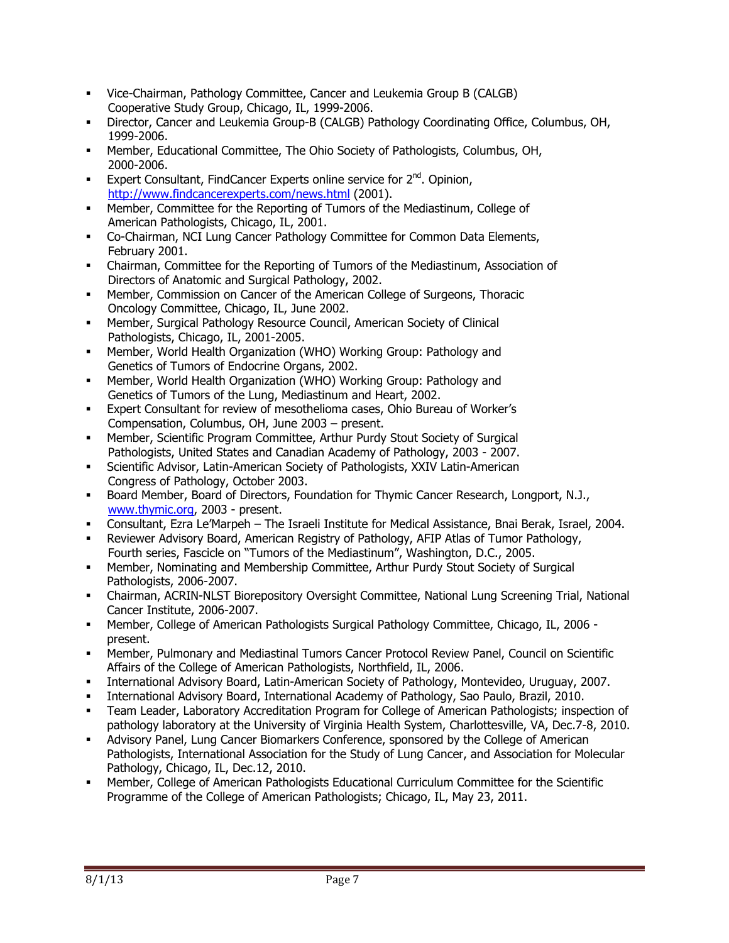- Vice-Chairman, Pathology Committee, Cancer and Leukemia Group B (CALGB) Cooperative Study Group, Chicago, IL, 1999-2006.
- Director, Cancer and Leukemia Group-B (CALGB) Pathology Coordinating Office, Columbus, OH, 1999-2006.
- Member, Educational Committee, The Ohio Society of Pathologists, Columbus, OH, 2000-2006.
- Expert Consultant, FindCancer Experts online service for  $2^{nd}$ , Opinion, http://www.findcancerexperts.com/news.html (2001).
- Member, Committee for the Reporting of Tumors of the Mediastinum, College of American Pathologists, Chicago, IL, 2001.
- Co-Chairman, NCI Lung Cancer Pathology Committee for Common Data Elements, February 2001.
- Chairman, Committee for the Reporting of Tumors of the Mediastinum, Association of Directors of Anatomic and Surgical Pathology, 2002.
- Member, Commission on Cancer of the American College of Surgeons, Thoracic Oncology Committee, Chicago, IL, June 2002.
- Member, Surgical Pathology Resource Council, American Society of Clinical Pathologists, Chicago, IL, 2001-2005.
- Member, World Health Organization (WHO) Working Group: Pathology and Genetics of Tumors of Endocrine Organs, 2002.
- Member, World Health Organization (WHO) Working Group: Pathology and Genetics of Tumors of the Lung, Mediastinum and Heart, 2002.
- Expert Consultant for review of mesothelioma cases, Ohio Bureau of Worker's Compensation, Columbus, OH, June 2003 – present.
- Member, Scientific Program Committee, Arthur Purdy Stout Society of Surgical Pathologists, United States and Canadian Academy of Pathology, 2003 - 2007.
- Scientific Advisor, Latin-American Society of Pathologists, XXIV Latin-American Congress of Pathology, October 2003.
- Board Member, Board of Directors, Foundation for Thymic Cancer Research, Longport, N.J., www.thymic.org, 2003 - present.
- Consultant, Ezra Le'Marpeh The Israeli Institute for Medical Assistance, Bnai Berak, Israel, 2004.
- Reviewer Advisory Board, American Registry of Pathology, AFIP Atlas of Tumor Pathology, Fourth series, Fascicle on "Tumors of the Mediastinum", Washington, D.C., 2005.
- Member, Nominating and Membership Committee, Arthur Purdy Stout Society of Surgical Pathologists, 2006-2007.
- Chairman, ACRIN-NLST Biorepository Oversight Committee, National Lung Screening Trial, National Cancer Institute, 2006-2007.
- Member, College of American Pathologists Surgical Pathology Committee, Chicago, IL, 2006 present.
- Member, Pulmonary and Mediastinal Tumors Cancer Protocol Review Panel, Council on Scientific Affairs of the College of American Pathologists, Northfield, IL, 2006.
- International Advisory Board, Latin-American Society of Pathology, Montevideo, Uruguay, 2007.
- International Advisory Board, International Academy of Pathology, Sao Paulo, Brazil, 2010.
- Team Leader, Laboratory Accreditation Program for College of American Pathologists; inspection of pathology laboratory at the University of Virginia Health System, Charlottesville, VA, Dec.7-8, 2010.
- Advisory Panel, Lung Cancer Biomarkers Conference, sponsored by the College of American Pathologists, International Association for the Study of Lung Cancer, and Association for Molecular Pathology, Chicago, IL, Dec.12, 2010.
- Member, College of American Pathologists Educational Curriculum Committee for the Scientific Programme of the College of American Pathologists; Chicago, IL, May 23, 2011.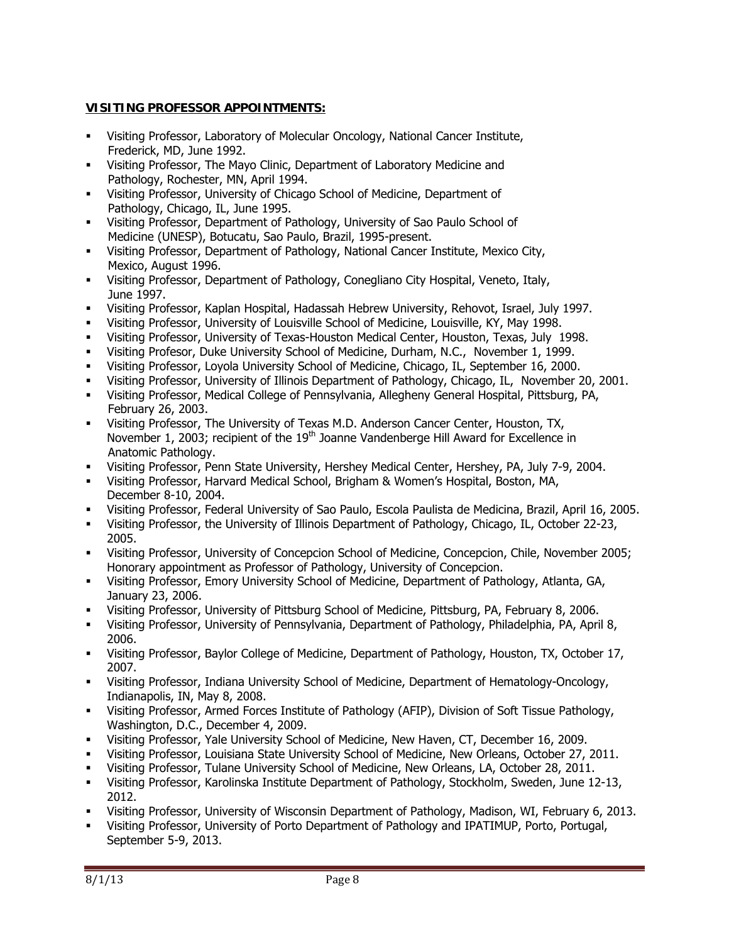# **VISITING PROFESSOR APPOINTMENTS:**

- Visiting Professor, Laboratory of Molecular Oncology, National Cancer Institute, Frederick, MD, June 1992.
- Visiting Professor, The Mayo Clinic, Department of Laboratory Medicine and Pathology, Rochester, MN, April 1994.
- Visiting Professor, University of Chicago School of Medicine, Department of Pathology, Chicago, IL, June 1995.
- Visiting Professor, Department of Pathology, University of Sao Paulo School of Medicine (UNESP), Botucatu, Sao Paulo, Brazil, 1995-present.
- Visiting Professor, Department of Pathology, National Cancer Institute, Mexico City, Mexico, August 1996.
- Visiting Professor, Department of Pathology, Conegliano City Hospital, Veneto, Italy, June 1997.
- Visiting Professor, Kaplan Hospital, Hadassah Hebrew University, Rehovot, Israel, July 1997.
- Visiting Professor, University of Louisville School of Medicine, Louisville, KY, May 1998.
- Visiting Professor, University of Texas-Houston Medical Center, Houston, Texas, July 1998.
- Visiting Profesor, Duke University School of Medicine, Durham, N.C., November 1, 1999.
- Visiting Professor, Loyola University School of Medicine, Chicago, IL, September 16, 2000.
- Visiting Professor, University of Illinois Department of Pathology, Chicago, IL, November 20, 2001.
- Visiting Professor, Medical College of Pennsylvania, Allegheny General Hospital, Pittsburg, PA, February 26, 2003.
- Visiting Professor, The University of Texas M.D. Anderson Cancer Center, Houston, TX, November 1, 2003; recipient of the 19<sup>th</sup> Joanne Vandenberge Hill Award for Excellence in Anatomic Pathology.
- Visiting Professor, Penn State University, Hershey Medical Center, Hershey, PA, July 7-9, 2004.
- Visiting Professor, Harvard Medical School, Brigham & Women's Hospital, Boston, MA, December 8-10, 2004.
- Visiting Professor, Federal University of Sao Paulo, Escola Paulista de Medicina, Brazil, April 16, 2005.
- Visiting Professor, the University of Illinois Department of Pathology, Chicago, IL, October 22-23, 2005.
- Visiting Professor, University of Concepcion School of Medicine, Concepcion, Chile, November 2005; Honorary appointment as Professor of Pathology, University of Concepcion.
- Visiting Professor, Emory University School of Medicine, Department of Pathology, Atlanta, GA, January 23, 2006.
- Visiting Professor, University of Pittsburg School of Medicine, Pittsburg, PA, February 8, 2006.
- Visiting Professor, University of Pennsylvania, Department of Pathology, Philadelphia, PA, April 8, 2006.
- Visiting Professor, Baylor College of Medicine, Department of Pathology, Houston, TX, October 17, 2007.
- Visiting Professor, Indiana University School of Medicine, Department of Hematology-Oncology, Indianapolis, IN, May 8, 2008.
- Visiting Professor, Armed Forces Institute of Pathology (AFIP), Division of Soft Tissue Pathology, Washington, D.C., December 4, 2009.
- Visiting Professor, Yale University School of Medicine, New Haven, CT, December 16, 2009.
- Visiting Professor, Louisiana State University School of Medicine, New Orleans, October 27, 2011.
- Visiting Professor, Tulane University School of Medicine, New Orleans, LA, October 28, 2011.
- Visiting Professor, Karolinska Institute Department of Pathology, Stockholm, Sweden, June 12-13, 2012.
- Visiting Professor, University of Wisconsin Department of Pathology, Madison, WI, February 6, 2013.
- Visiting Professor, University of Porto Department of Pathology and IPATIMUP, Porto, Portugal, September 5-9, 2013.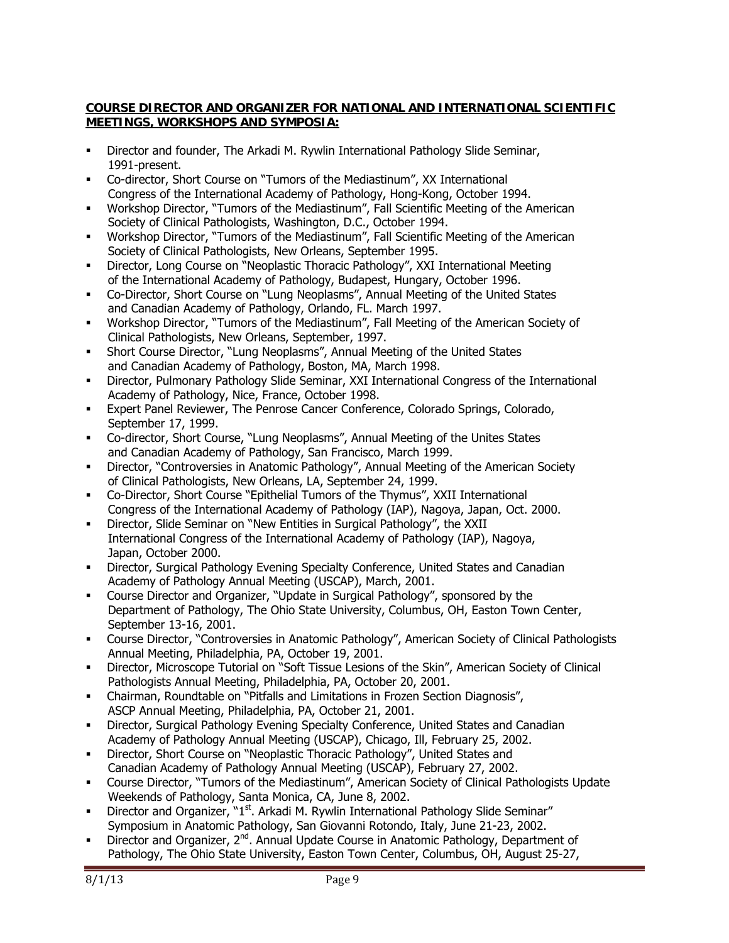## **COURSE DIRECTOR AND ORGANIZER FOR NATIONAL AND INTERNATIONAL SCIENTIFIC MEETINGS, WORKSHOPS AND SYMPOSIA:**

- Director and founder, The Arkadi M. Rywlin International Pathology Slide Seminar, 1991-present.
- Co-director, Short Course on "Tumors of the Mediastinum", XX International Congress of the International Academy of Pathology, Hong-Kong, October 1994.
- Workshop Director, "Tumors of the Mediastinum", Fall Scientific Meeting of the American Society of Clinical Pathologists, Washington, D.C., October 1994.
- Workshop Director, "Tumors of the Mediastinum", Fall Scientific Meeting of the American Society of Clinical Pathologists, New Orleans, September 1995.
- Director, Long Course on "Neoplastic Thoracic Pathology", XXI International Meeting of the International Academy of Pathology, Budapest, Hungary, October 1996.
- Co-Director, Short Course on "Lung Neoplasms", Annual Meeting of the United States and Canadian Academy of Pathology, Orlando, FL. March 1997.
- Workshop Director, "Tumors of the Mediastinum", Fall Meeting of the American Society of Clinical Pathologists, New Orleans, September, 1997.
- Short Course Director, "Lung Neoplasms", Annual Meeting of the United States and Canadian Academy of Pathology, Boston, MA, March 1998.
- Director, Pulmonary Pathology Slide Seminar, XXI International Congress of the International Academy of Pathology, Nice, France, October 1998.
- Expert Panel Reviewer, The Penrose Cancer Conference, Colorado Springs, Colorado, September 17, 1999.
- Co-director, Short Course, "Lung Neoplasms", Annual Meeting of the Unites States and Canadian Academy of Pathology, San Francisco, March 1999.
- Director, "Controversies in Anatomic Pathology", Annual Meeting of the American Society of Clinical Pathologists, New Orleans, LA, September 24, 1999.
- Co-Director, Short Course "Epithelial Tumors of the Thymus", XXII International Congress of the International Academy of Pathology (IAP), Nagoya, Japan, Oct. 2000.
- Director, Slide Seminar on "New Entities in Surgical Pathology", the XXII International Congress of the International Academy of Pathology (IAP), Nagoya, Japan, October 2000.
- Director, Surgical Pathology Evening Specialty Conference, United States and Canadian Academy of Pathology Annual Meeting (USCAP), March, 2001.
- Course Director and Organizer, "Update in Surgical Pathology", sponsored by the Department of Pathology, The Ohio State University, Columbus, OH, Easton Town Center, September 13-16, 2001.
- Course Director, "Controversies in Anatomic Pathology", American Society of Clinical Pathologists Annual Meeting, Philadelphia, PA, October 19, 2001.
- Director, Microscope Tutorial on "Soft Tissue Lesions of the Skin", American Society of Clinical Pathologists Annual Meeting, Philadelphia, PA, October 20, 2001.
- Chairman, Roundtable on "Pitfalls and Limitations in Frozen Section Diagnosis", ASCP Annual Meeting, Philadelphia, PA, October 21, 2001.
- Director, Surgical Pathology Evening Specialty Conference, United States and Canadian Academy of Pathology Annual Meeting (USCAP), Chicago, Ill, February 25, 2002.
- **-** Director, Short Course on "Neoplastic Thoracic Pathology", United States and Canadian Academy of Pathology Annual Meeting (USCAP), February 27, 2002.
- Course Director, "Tumors of the Mediastinum", American Society of Clinical Pathologists Update Weekends of Pathology, Santa Monica, CA, June 8, 2002.
- Director and Organizer, "1<sup>st</sup>. Arkadi M. Rywlin International Pathology Slide Seminar" Symposium in Anatomic Pathology, San Giovanni Rotondo, Italy, June 21-23, 2002.
- **Director and Organizer, 2<sup>nd</sup>. Annual Update Course in Anatomic Pathology, Department of** Pathology, The Ohio State University, Easton Town Center, Columbus, OH, August 25-27,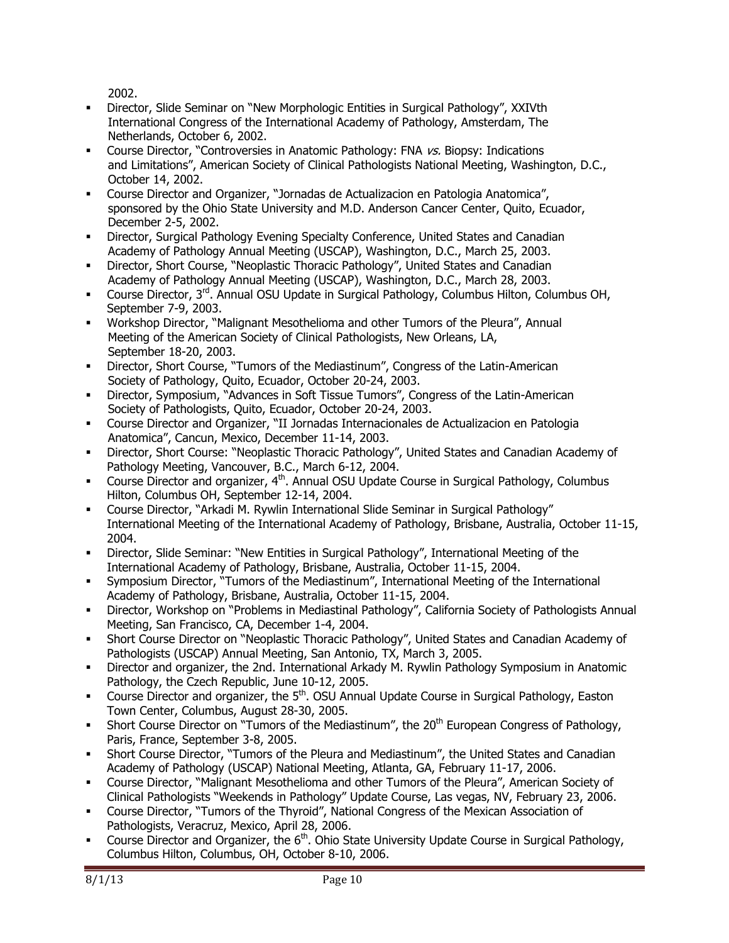2002.

- Director, Slide Seminar on "New Morphologic Entities in Surgical Pathology", XXIVth International Congress of the International Academy of Pathology, Amsterdam, The Netherlands, October 6, 2002.
- Course Director, "Controversies in Anatomic Pathology: FNA vs. Biopsy: Indications and Limitations", American Society of Clinical Pathologists National Meeting, Washington, D.C., October 14, 2002.
- Course Director and Organizer, "Jornadas de Actualizacion en Patologia Anatomica", sponsored by the Ohio State University and M.D. Anderson Cancer Center, Quito, Ecuador, December 2-5, 2002.
- Director, Surgical Pathology Evening Specialty Conference, United States and Canadian Academy of Pathology Annual Meeting (USCAP), Washington, D.C., March 25, 2003.
- Director, Short Course, "Neoplastic Thoracic Pathology", United States and Canadian Academy of Pathology Annual Meeting (USCAP), Washington, D.C., March 28, 2003.
- Course Director,  $3^{rd}$ . Annual OSU Update in Surgical Pathology, Columbus Hilton, Columbus OH, September 7-9, 2003.
- Workshop Director, "Malignant Mesothelioma and other Tumors of the Pleura", Annual Meeting of the American Society of Clinical Pathologists, New Orleans, LA, September 18-20, 2003.
- Director, Short Course, "Tumors of the Mediastinum", Congress of the Latin-American Society of Pathology, Quito, Ecuador, October 20-24, 2003.
- Director, Symposium, "Advances in Soft Tissue Tumors", Congress of the Latin-American Society of Pathologists, Quito, Ecuador, October 20-24, 2003.
- Course Director and Organizer, "II Jornadas Internacionales de Actualizacion en Patologia Anatomica", Cancun, Mexico, December 11-14, 2003.
- Director, Short Course: "Neoplastic Thoracic Pathology", United States and Canadian Academy of Pathology Meeting, Vancouver, B.C., March 6-12, 2004.
- Course Director and organizer,  $4<sup>th</sup>$ . Annual OSU Update Course in Surgical Pathology, Columbus Hilton, Columbus OH, September 12-14, 2004.
- Course Director, "Arkadi M. Rywlin International Slide Seminar in Surgical Pathology" International Meeting of the International Academy of Pathology, Brisbane, Australia, October 11-15, 2004.
- Director, Slide Seminar: "New Entities in Surgical Pathology", International Meeting of the International Academy of Pathology, Brisbane, Australia, October 11-15, 2004.
- Symposium Director, "Tumors of the Mediastinum", International Meeting of the International Academy of Pathology, Brisbane, Australia, October 11-15, 2004.
- Director, Workshop on "Problems in Mediastinal Pathology", California Society of Pathologists Annual Meeting, San Francisco, CA, December 1-4, 2004.
- Short Course Director on "Neoplastic Thoracic Pathology", United States and Canadian Academy of Pathologists (USCAP) Annual Meeting, San Antonio, TX, March 3, 2005.
- Director and organizer, the 2nd. International Arkady M. Rywlin Pathology Symposium in Anatomic Pathology, the Czech Republic, June 10-12, 2005.
- Course Director and organizer, the  $5<sup>th</sup>$ . OSU Annual Update Course in Surgical Pathology, Easton Town Center, Columbus, August 28-30, 2005.
- Short Course Director on "Tumors of the Mediastinum", the  $20<sup>th</sup>$  European Congress of Pathology, Paris, France, September 3-8, 2005.
- Short Course Director, "Tumors of the Pleura and Mediastinum", the United States and Canadian Academy of Pathology (USCAP) National Meeting, Atlanta, GA, February 11-17, 2006.
- Course Director, "Malignant Mesothelioma and other Tumors of the Pleura", American Society of Clinical Pathologists "Weekends in Pathology" Update Course, Las vegas, NV, February 23, 2006.
- Course Director, "Tumors of the Thyroid", National Congress of the Mexican Association of Pathologists, Veracruz, Mexico, April 28, 2006.
- Course Director and Organizer, the  $6<sup>th</sup>$ . Ohio State University Update Course in Surgical Pathology, Columbus Hilton, Columbus, OH, October 8-10, 2006.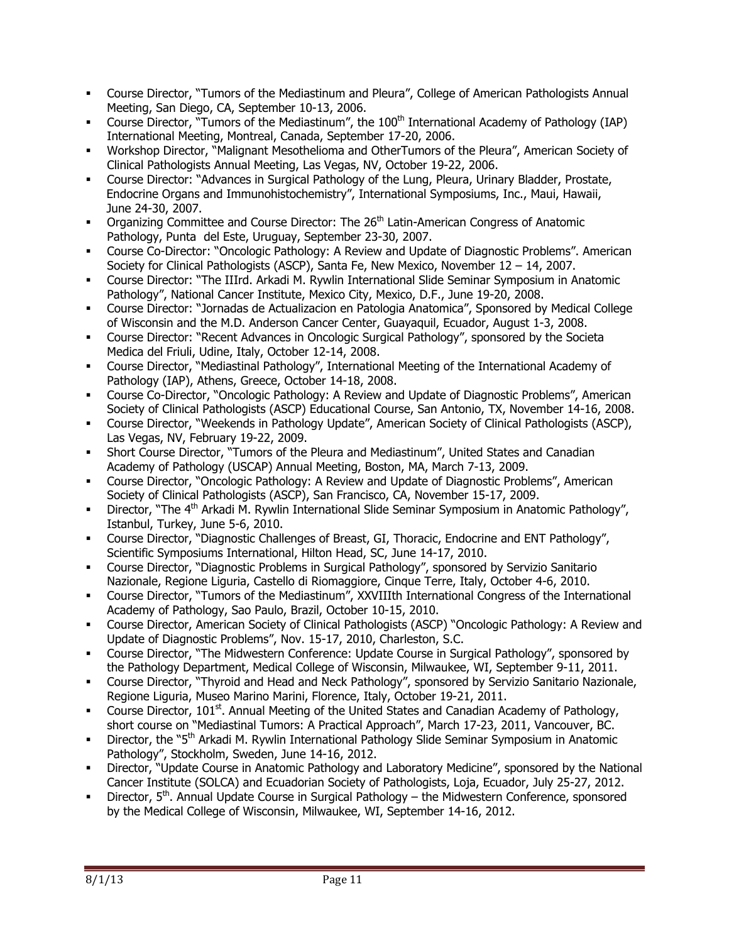- Course Director, "Tumors of the Mediastinum and Pleura", College of American Pathologists Annual Meeting, San Diego, CA, September 10-13, 2006.
- Course Director, "Tumors of the Mediastinum", the 100<sup>th</sup> International Academy of Pathology (IAP) International Meeting, Montreal, Canada, September 17-20, 2006.
- Workshop Director, "Malignant Mesothelioma and OtherTumors of the Pleura", American Society of Clinical Pathologists Annual Meeting, Las Vegas, NV, October 19-22, 2006.
- Course Director: "Advances in Surgical Pathology of the Lung, Pleura, Urinary Bladder, Prostate, Endocrine Organs and Immunohistochemistry", International Symposiums, Inc., Maui, Hawaii, June 24-30, 2007.
- Organizing Committee and Course Director: The  $26<sup>th</sup>$  Latin-American Congress of Anatomic Pathology, Punta del Este, Uruguay, September 23-30, 2007.
- Course Co-Director: "Oncologic Pathology: A Review and Update of Diagnostic Problems". American Society for Clinical Pathologists (ASCP), Santa Fe, New Mexico, November 12 – 14, 2007.
- Course Director: "The IIIrd. Arkadi M. Rywlin International Slide Seminar Symposium in Anatomic Pathology", National Cancer Institute, Mexico City, Mexico, D.F., June 19-20, 2008.
- Course Director: "Jornadas de Actualizacion en Patologia Anatomica", Sponsored by Medical College of Wisconsin and the M.D. Anderson Cancer Center, Guayaquil, Ecuador, August 1-3, 2008.
- Course Director: "Recent Advances in Oncologic Surgical Pathology", sponsored by the Societa Medica del Friuli, Udine, Italy, October 12-14, 2008.
- Course Director, "Mediastinal Pathology", International Meeting of the International Academy of Pathology (IAP), Athens, Greece, October 14-18, 2008.
- Course Co-Director, "Oncologic Pathology: A Review and Update of Diagnostic Problems", American Society of Clinical Pathologists (ASCP) Educational Course, San Antonio, TX, November 14-16, 2008.
- Course Director, "Weekends in Pathology Update", American Society of Clinical Pathologists (ASCP), Las Vegas, NV, February 19-22, 2009.
- Short Course Director, "Tumors of the Pleura and Mediastinum", United States and Canadian Academy of Pathology (USCAP) Annual Meeting, Boston, MA, March 7-13, 2009.
- Course Director, "Oncologic Pathology: A Review and Update of Diagnostic Problems", American Society of Clinical Pathologists (ASCP), San Francisco, CA, November 15-17, 2009.
- Director, "The 4<sup>th</sup> Arkadi M. Rywlin International Slide Seminar Symposium in Anatomic Pathology", Istanbul, Turkey, June 5-6, 2010.
- Course Director, "Diagnostic Challenges of Breast, GI, Thoracic, Endocrine and ENT Pathology", Scientific Symposiums International, Hilton Head, SC, June 14-17, 2010.
- Course Director, "Diagnostic Problems in Surgical Pathology", sponsored by Servizio Sanitario Nazionale, Regione Liguria, Castello di Riomaggiore, Cinque Terre, Italy, October 4-6, 2010.
- Course Director, "Tumors of the Mediastinum", XXVIIIth International Congress of the International Academy of Pathology, Sao Paulo, Brazil, October 10-15, 2010.
- Course Director, American Society of Clinical Pathologists (ASCP) "Oncologic Pathology: A Review and Update of Diagnostic Problems", Nov. 15-17, 2010, Charleston, S.C.
- Course Director, "The Midwestern Conference: Update Course in Surgical Pathology", sponsored by the Pathology Department, Medical College of Wisconsin, Milwaukee, WI, September 9-11, 2011.
- Course Director, "Thyroid and Head and Neck Pathology", sponsored by Servizio Sanitario Nazionale, Regione Liguria, Museo Marino Marini, Florence, Italy, October 19-21, 2011.
- Course Director, 101<sup>st</sup>. Annual Meeting of the United States and Canadian Academy of Pathology, short course on "Mediastinal Tumors: A Practical Approach", March 17-23, 2011, Vancouver, BC.
- Director, the "5<sup>th</sup> Arkadi M. Rywlin International Pathology Slide Seminar Symposium in Anatomic Pathology", Stockholm, Sweden, June 14-16, 2012.
- Director, "Update Course in Anatomic Pathology and Laboratory Medicine", sponsored by the National Cancer Institute (SOLCA) and Ecuadorian Society of Pathologists, Loja, Ecuador, July 25-27, 2012.
- Director,  $5<sup>th</sup>$ . Annual Update Course in Surgical Pathology the Midwestern Conference, sponsored by the Medical College of Wisconsin, Milwaukee, WI, September 14-16, 2012.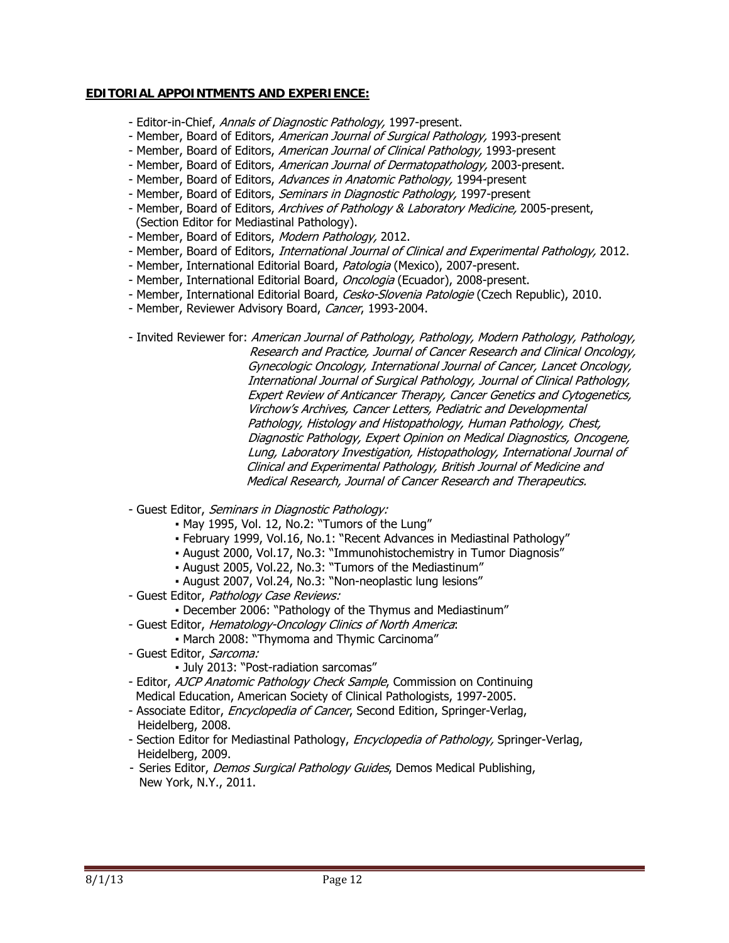### **EDITORIAL APPOINTMENTS AND EXPERIENCE:**

- Editor-in-Chief, *Annals of Diagnostic Pathology*, 1997-present.
- Member, Board of Editors, American Journal of Surgical Pathology, 1993-present
- Member, Board of Editors, American Journal of Clinical Pathology, 1993-present
- Member, Board of Editors, American Journal of Dermatopathology, 2003-present.
- Member, Board of Editors, Advances in Anatomic Pathology, 1994-present
- Member, Board of Editors, Seminars in Diagnostic Pathology, 1997-present
- Member, Board of Editors, Archives of Pathology & Laboratory Medicine, 2005-present, (Section Editor for Mediastinal Pathology).
- Member, Board of Editors, Modern Pathology, 2012.
- Member, Board of Editors, International Journal of Clinical and Experimental Pathology, 2012.
- Member, International Editorial Board, Patologia (Mexico), 2007-present.
- Member, International Editorial Board, Oncologia (Ecuador), 2008-present.
- Member, International Editorial Board, Cesko-Slovenia Patologie (Czech Republic), 2010.
- Member, Reviewer Advisory Board, Cancer, 1993-2004.
- Invited Reviewer for: American Journal of Pathology, Pathology, Modern Pathology, Pathology, Research and Practice, Journal of Cancer Research and Clinical Oncology, Gynecologic Oncology, International Journal of Cancer, Lancet Oncology, International Journal of Surgical Pathology, Journal of Clinical Pathology, Expert Review of Anticancer Therapy, Cancer Genetics and Cytogenetics, Virchow's Archives, Cancer Letters, Pediatric and Developmental Pathology, Histology and Histopathology, Human Pathology, Chest, Diagnostic Pathology, Expert Opinion on Medical Diagnostics, Oncogene, Lung, Laboratory Investigation, Histopathology, International Journal of Clinical and Experimental Pathology, British Journal of Medicine and Medical Research, Journal of Cancer Research and Therapeutics.
- Guest Editor, Seminars in Diagnostic Pathology:
	- May 1995, Vol. 12, No.2: "Tumors of the Lung"
	- February 1999, Vol.16, No.1: "Recent Advances in Mediastinal Pathology"
	- August 2000, Vol.17, No.3: "Immunohistochemistry in Tumor Diagnosis"
	- August 2005, Vol.22, No.3: "Tumors of the Mediastinum"
	- August 2007, Vol.24, No.3: "Non-neoplastic lung lesions"
- Guest Editor, Pathology Case Reviews:
	- December 2006: "Pathology of the Thymus and Mediastinum"
- Guest Editor, Hematology-Oncology Clinics of North America:
	- March 2008: "Thymoma and Thymic Carcinoma"
- Guest Editor, Sarcoma:
	- July 2013: "Post-radiation sarcomas"
- Editor, AJCP Anatomic Pathology Check Sample, Commission on Continuing Medical Education, American Society of Clinical Pathologists, 1997-2005.
- Associate Editor, *Encyclopedia of Cancer*, Second Edition, Springer-Verlag, Heidelberg, 2008.
- Section Editor for Mediastinal Pathology, Encyclopedia of Pathology, Springer-Verlag, Heidelberg, 2009.
- Series Editor, *Demos Surgical Pathology Guides*, Demos Medical Publishing, New York, N.Y., 2011.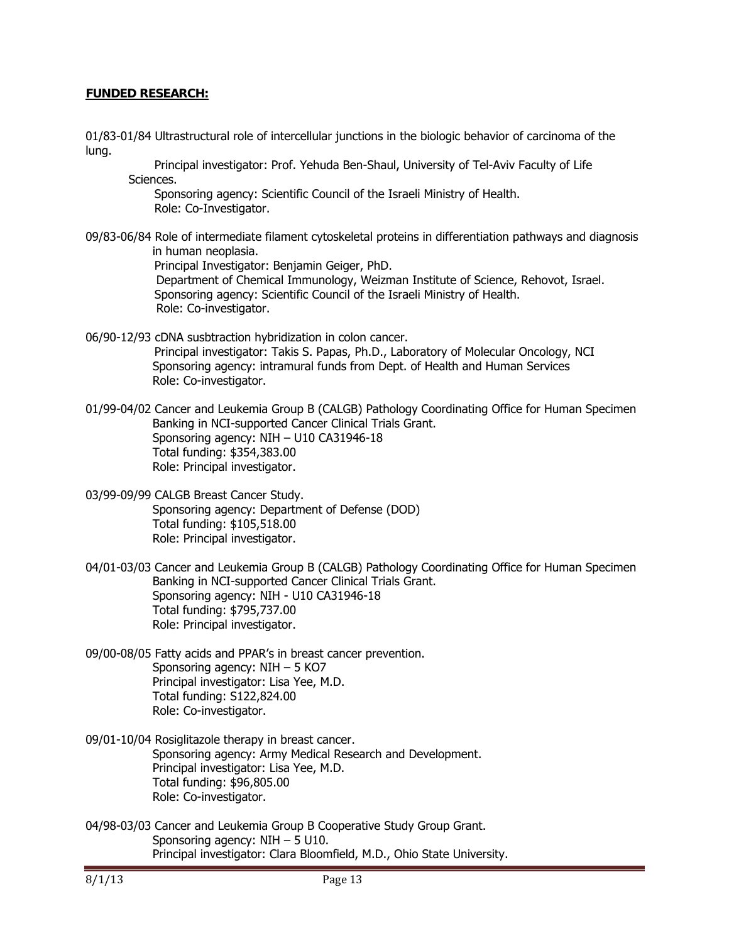### **FUNDED RESEARCH:**

- 01/83-01/84 Ultrastructural role of intercellular junctions in the biologic behavior of carcinoma of the lung.
	- Principal investigator: Prof. Yehuda Ben-Shaul, University of Tel-Aviv Faculty of Life Sciences.

Sponsoring agency: Scientific Council of the Israeli Ministry of Health. Role: Co-Investigator.

09/83-06/84 Role of intermediate filament cytoskeletal proteins in differentiation pathways and diagnosis in human neoplasia. Principal Investigator: Benjamin Geiger, PhD. Department of Chemical Immunology, Weizman Institute of Science, Rehovot, Israel.

 Sponsoring agency: Scientific Council of the Israeli Ministry of Health. Role: Co-investigator.

- 06/90-12/93 cDNA susbtraction hybridization in colon cancer. Principal investigator: Takis S. Papas, Ph.D., Laboratory of Molecular Oncology, NCI Sponsoring agency: intramural funds from Dept. of Health and Human Services Role: Co-investigator.
- 01/99-04/02 Cancer and Leukemia Group B (CALGB) Pathology Coordinating Office for Human Specimen Banking in NCI-supported Cancer Clinical Trials Grant. Sponsoring agency: NIH – U10 CA31946-18 Total funding: \$354,383.00 Role: Principal investigator.
- 03/99-09/99 CALGB Breast Cancer Study. Sponsoring agency: Department of Defense (DOD) Total funding: \$105,518.00 Role: Principal investigator.
- 04/01-03/03 Cancer and Leukemia Group B (CALGB) Pathology Coordinating Office for Human Specimen Banking in NCI-supported Cancer Clinical Trials Grant. Sponsoring agency: NIH - U10 CA31946-18 Total funding: \$795,737.00 Role: Principal investigator.
- 09/00-08/05 Fatty acids and PPAR's in breast cancer prevention. Sponsoring agency: NIH – 5 KO7 Principal investigator: Lisa Yee, M.D. Total funding: S122,824.00 Role: Co-investigator.
- 09/01-10/04 Rosiglitazole therapy in breast cancer. Sponsoring agency: Army Medical Research and Development. Principal investigator: Lisa Yee, M.D. Total funding: \$96,805.00 Role: Co-investigator.
- 04/98-03/03 Cancer and Leukemia Group B Cooperative Study Group Grant. Sponsoring agency: NIH – 5 U10. Principal investigator: Clara Bloomfield, M.D., Ohio State University.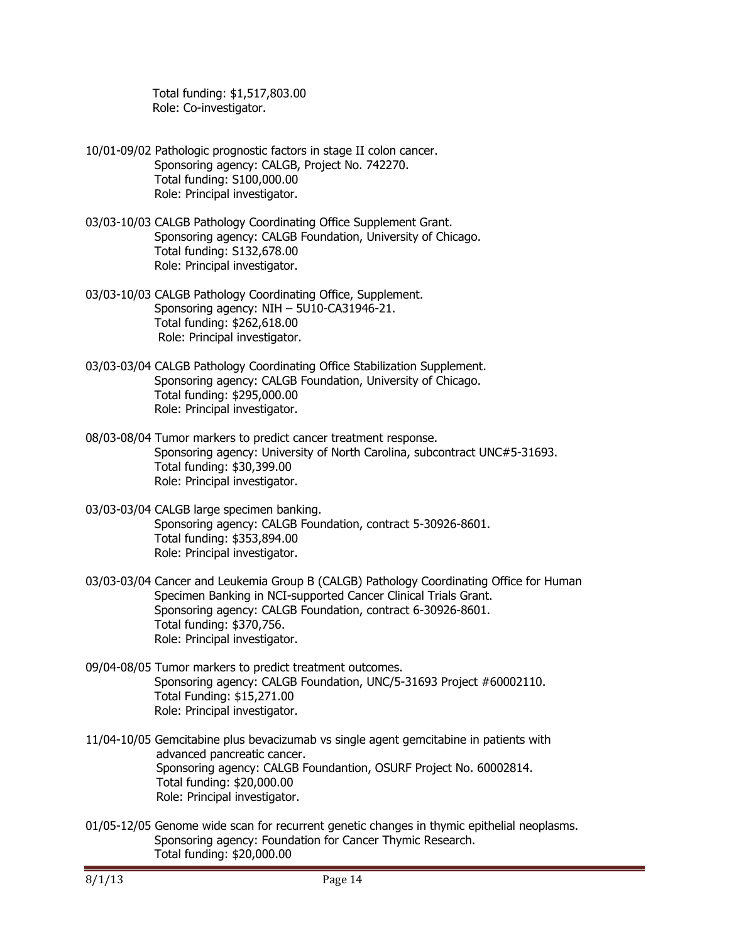Total funding: \$1,517,803.00 Role: Co-investigator.

- 10/01-09/02 Pathologic prognostic factors in stage II colon cancer. Sponsoring agency: CALGB, Project No. 742270. Total funding: S100,000.00 Role: Principal investigator.
- 03/03-10/03 CALGB Pathology Coordinating Office Supplement Grant. Sponsoring agency: CALGB Foundation, University of Chicago. Total funding: S132,678.00 Role: Principal investigator.
- 03/03-10/03 CALGB Pathology Coordinating Office, Supplement. Sponsoring agency: NIH – 5U10-CA31946-21. Total funding: \$262,618.00 Role: Principal investigator.
- 03/03-03/04 CALGB Pathology Coordinating Office Stabilization Supplement. Sponsoring agency: CALGB Foundation, University of Chicago. Total funding: \$295,000.00 Role: Principal investigator.
- 08/03-08/04 Tumor markers to predict cancer treatment response. Sponsoring agency: University of North Carolina, subcontract UNC#5-31693. Total funding: \$30,399.00 Role: Principal investigator.
- 03/03-03/04 CALGB large specimen banking. Sponsoring agency: CALGB Foundation, contract 5-30926-8601. Total funding: \$353,894.00 Role: Principal investigator.
- 03/03-03/04 Cancer and Leukemia Group B (CALGB) Pathology Coordinating Office for Human Specimen Banking in NCI-supported Cancer Clinical Trials Grant. Sponsoring agency: CALGB Foundation, contract 6-30926-8601. Total funding: \$370,756. Role: Principal investigator.
- 09/04-08/05 Tumor markers to predict treatment outcomes. Sponsoring agency: CALGB Foundation, UNC/5-31693 Project #60002110. Total Funding: \$15,271.00 Role: Principal investigator.
- 11/04-10/05 Gemcitabine plus bevacizumab vs single agent gemcitabine in patients with advanced pancreatic cancer. Sponsoring agency: CALGB Foundantion, OSURF Project No. 60002814. Total funding: \$20,000.00 Role: Principal investigator.
- 01/05-12/05 Genome wide scan for recurrent genetic changes in thymic epithelial neoplasms. Sponsoring agency: Foundation for Cancer Thymic Research. Total funding: \$20,000.00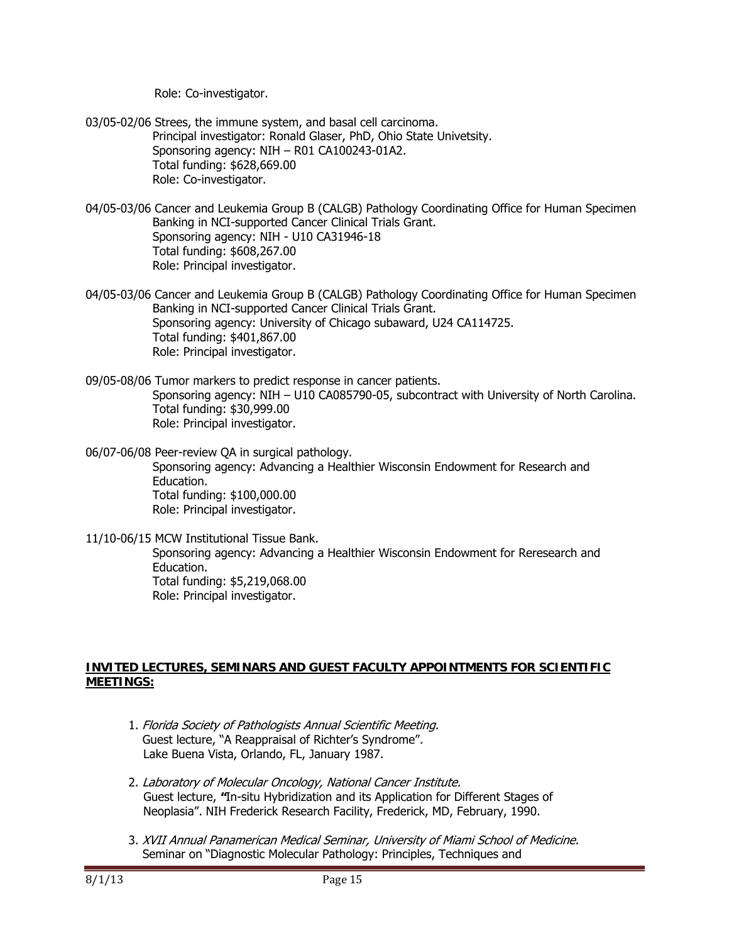Role: Co-investigator.

- 03/05-02/06 Strees, the immune system, and basal cell carcinoma. Principal investigator: Ronald Glaser, PhD, Ohio State Univetsity. Sponsoring agency: NIH – R01 CA100243-01A2. Total funding: \$628,669.00 Role: Co-investigator.
- 04/05-03/06 Cancer and Leukemia Group B (CALGB) Pathology Coordinating Office for Human Specimen Banking in NCI-supported Cancer Clinical Trials Grant. Sponsoring agency: NIH - U10 CA31946-18 Total funding: \$608,267.00 Role: Principal investigator.
- 04/05-03/06 Cancer and Leukemia Group B (CALGB) Pathology Coordinating Office for Human Specimen Banking in NCI-supported Cancer Clinical Trials Grant. Sponsoring agency: University of Chicago subaward, U24 CA114725. Total funding: \$401,867.00 Role: Principal investigator.
- 09/05-08/06 Tumor markers to predict response in cancer patients. Sponsoring agency: NIH – U10 CA085790-05, subcontract with University of North Carolina. Total funding: \$30,999.00 Role: Principal investigator.

06/07-06/08 Peer-review QA in surgical pathology. Sponsoring agency: Advancing a Healthier Wisconsin Endowment for Research and Education. Total funding: \$100,000.00 Role: Principal investigator.

11/10-06/15 MCW Institutional Tissue Bank. Sponsoring agency: Advancing a Healthier Wisconsin Endowment for Reresearch and Education. Total funding: \$5,219,068.00 Role: Principal investigator.

### **INVITED LECTURES, SEMINARS AND GUEST FACULTY APPOINTMENTS FOR SCIENTIFIC MEETINGS:**

- 1. Florida Society of Pathologists Annual Scientific Meeting. Guest lecture, "A Reappraisal of Richter's Syndrome". Lake Buena Vista, Orlando, FL, January 1987.
- 2. Laboratory of Molecular Oncology, National Cancer Institute. Guest lecture, **"**In-situ Hybridization and its Application for Different Stages of Neoplasia". NIH Frederick Research Facility, Frederick, MD, February, 1990.
- 3. XVII Annual Panamerican Medical Seminar, University of Miami School of Medicine. Seminar on "Diagnostic Molecular Pathology: Principles, Techniques and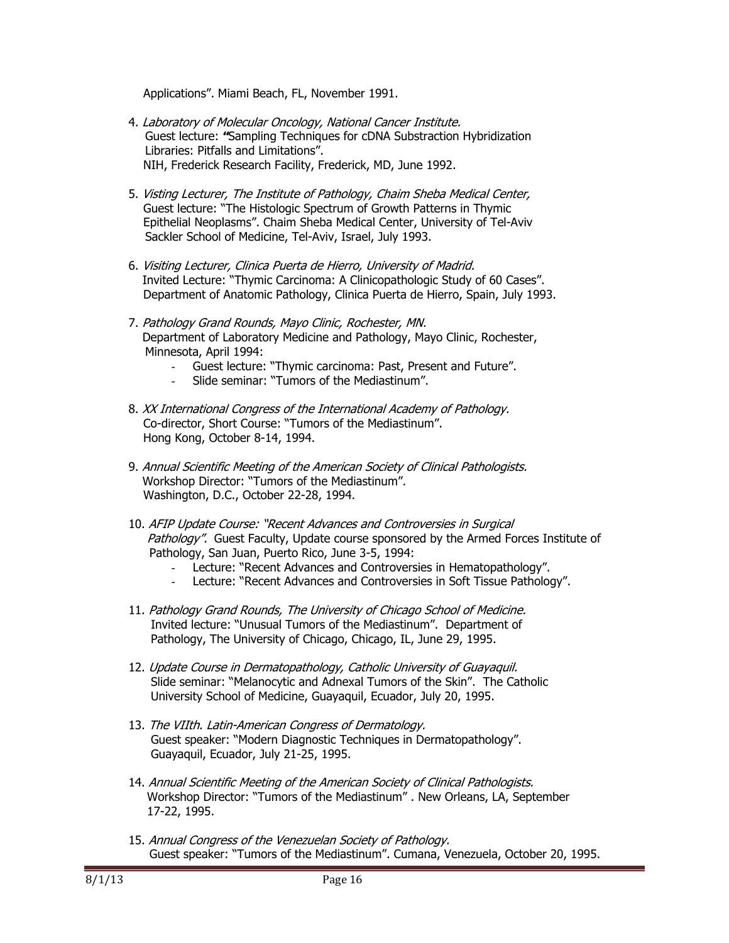Applications". Miami Beach, FL, November 1991.

- 4. Laboratory of Molecular Oncology, National Cancer Institute. Guest lecture: **"**Sampling Techniques for cDNA Substraction Hybridization Libraries: Pitfalls and Limitations". NIH, Frederick Research Facility, Frederick, MD, June 1992.
- 5. Visting Lecturer, The Institute of Pathology, Chaim Sheba Medical Center, Guest lecture: "The Histologic Spectrum of Growth Patterns in Thymic Epithelial Neoplasms". Chaim Sheba Medical Center, University of Tel-Aviv Sackler School of Medicine, Tel-Aviv, Israel, July 1993.
- 6. Visiting Lecturer, Clinica Puerta de Hierro, University of Madrid. Invited Lecture: "Thymic Carcinoma: A Clinicopathologic Study of 60 Cases". Department of Anatomic Pathology, Clinica Puerta de Hierro, Spain, July 1993.
- 7. Pathology Grand Rounds, Mayo Clinic, Rochester, MN. Department of Laboratory Medicine and Pathology, Mayo Clinic, Rochester, Minnesota, April 1994:
	- Guest lecture: "Thymic carcinoma: Past, Present and Future".
	- Slide seminar: "Tumors of the Mediastinum".
- 8. XX International Congress of the International Academy of Pathology. Co-director, Short Course: "Tumors of the Mediastinum". Hong Kong, October 8-14, 1994.
- 9. Annual Scientific Meeting of the American Society of Clinical Pathologists. Workshop Director: "Tumors of the Mediastinum". Washington, D.C., October 22-28, 1994.
- 10. AFIP Update Course: "Recent Advances and Controversies in Surgical Pathology".Guest Faculty, Update course sponsored by the Armed Forces Institute of Pathology, San Juan, Puerto Rico, June 3-5, 1994:
	- Lecture: "Recent Advances and Controversies in Hematopathology".
	- Lecture: "Recent Advances and Controversies in Soft Tissue Pathology".
- 11. Pathology Grand Rounds, The University of Chicago School of Medicine. Invited lecture: "Unusual Tumors of the Mediastinum". Department of Pathology, The University of Chicago, Chicago, IL, June 29, 1995.
- 12. Update Course in Dermatopathology, Catholic University of Guayaquil. Slide seminar: "Melanocytic and Adnexal Tumors of the Skin". The Catholic University School of Medicine, Guayaquil, Ecuador, July 20, 1995.
- 13. The VIIth. Latin-American Congress of Dermatology. Guest speaker: "Modern Diagnostic Techniques in Dermatopathology". Guayaquil, Ecuador, July 21-25, 1995.
- 14. Annual Scientific Meeting of the American Society of Clinical Pathologists. Workshop Director: "Tumors of the Mediastinum" . New Orleans, LA, September 17-22, 1995.
- 15. Annual Congress of the Venezuelan Society of Pathology. Guest speaker: "Tumors of the Mediastinum". Cumana, Venezuela, October 20, 1995.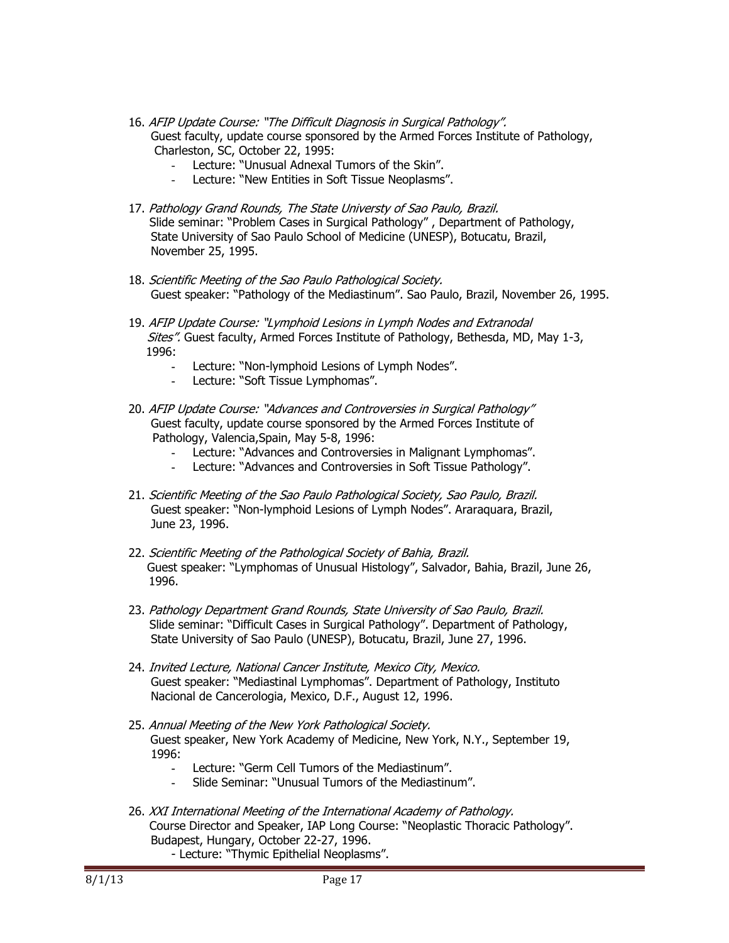- 16. AFIP Update Course: "The Difficult Diagnosis in Surgical Pathology". Guest faculty, update course sponsored by the Armed Forces Institute of Pathology, Charleston, SC, October 22, 1995:
	- Lecture: "Unusual Adnexal Tumors of the Skin".
	- Lecture: "New Entities in Soft Tissue Neoplasms".
- 17. Pathology Grand Rounds, The State Universty of Sao Paulo, Brazil. Slide seminar: "Problem Cases in Surgical Pathology" , Department of Pathology, State University of Sao Paulo School of Medicine (UNESP), Botucatu, Brazil, November 25, 1995.
- 18. Scientific Meeting of the Sao Paulo Pathological Society. Guest speaker: "Pathology of the Mediastinum". Sao Paulo, Brazil, November 26, 1995.
- 19. AFIP Update Course: "Lymphoid Lesions in Lymph Nodes and Extranodal Sites". Guest faculty, Armed Forces Institute of Pathology, Bethesda, MD, May 1-3, 1996:
	- **-** Lecture: "Non-lymphoid Lesions of Lymph Nodes".
	- Lecture: "Soft Tissue Lymphomas".
- 20. AFIP Update Course: "Advances and Controversies in Surgical Pathology" Guest faculty, update course sponsored by the Armed Forces Institute of Pathology, Valencia,Spain, May 5-8, 1996:
	- **-** Lecture: "Advances and Controversies in Malignant Lymphomas".
	- **-** Lecture: "Advances and Controversies in Soft Tissue Pathology".
- 21. Scientific Meeting of the Sao Paulo Pathological Society, Sao Paulo, Brazil. Guest speaker: "Non-lymphoid Lesions of Lymph Nodes". Araraquara, Brazil, June 23, 1996.
- 22. Scientific Meeting of the Pathological Society of Bahia, Brazil. Guest speaker: "Lymphomas of Unusual Histology", Salvador, Bahia, Brazil, June 26, 1996.
- 23. Pathology Department Grand Rounds, State University of Sao Paulo, Brazil. Slide seminar: "Difficult Cases in Surgical Pathology". Department of Pathology, State University of Sao Paulo (UNESP), Botucatu, Brazil, June 27, 1996.
- 24. Invited Lecture, National Cancer Institute, Mexico City, Mexico. Guest speaker: "Mediastinal Lymphomas". Department of Pathology, Instituto Nacional de Cancerologia, Mexico, D.F., August 12, 1996.
- 25. Annual Meeting of the New York Pathological Society. Guest speaker, New York Academy of Medicine, New York, N.Y., September 19, 1996:
	- **-** Lecture: "Germ Cell Tumors of the Mediastinum".
		- **-** Slide Seminar: "Unusual Tumors of the Mediastinum".
- 26. XXI International Meeting of the International Academy of Pathology. Course Director and Speaker, IAP Long Course: "Neoplastic Thoracic Pathology". Budapest, Hungary, October 22-27, 1996.
	- Lecture: "Thymic Epithelial Neoplasms".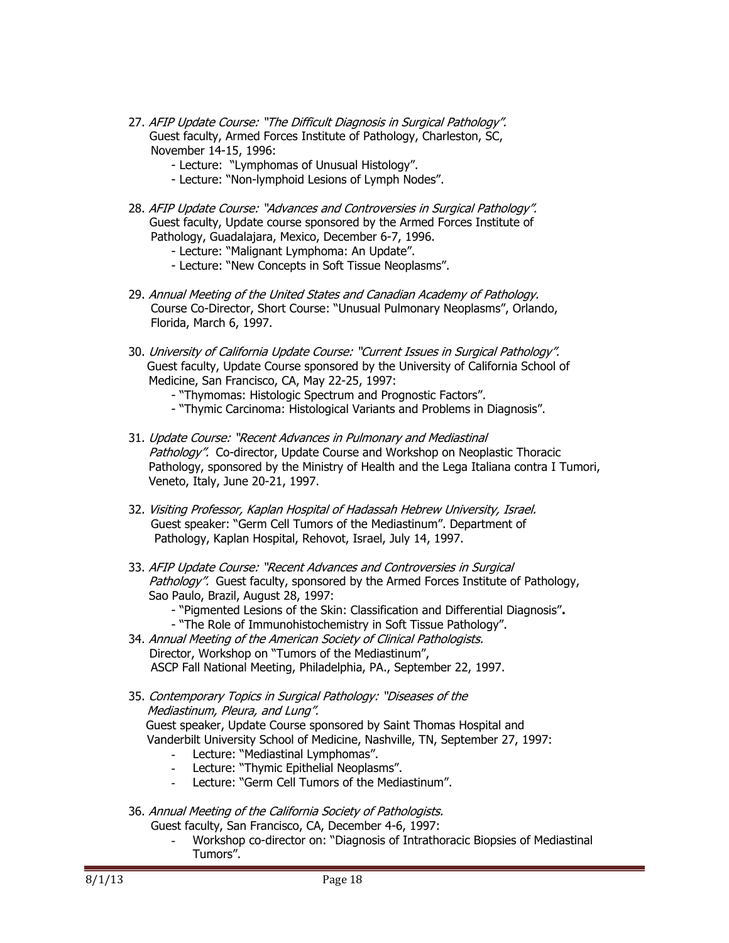- 27. AFIP Update Course: "The Difficult Diagnosis in Surgical Pathology". Guest faculty, Armed Forces Institute of Pathology, Charleston, SC, November 14-15, 1996:
	- Lecture: "Lymphomas of Unusual Histology".
	- Lecture: "Non-lymphoid Lesions of Lymph Nodes".
- 28. AFIP Update Course: "Advances and Controversies in Surgical Pathology". Guest faculty, Update course sponsored by the Armed Forces Institute of Pathology, Guadalajara, Mexico, December 6-7, 1996.
	- Lecture: "Malignant Lymphoma: An Update".
	- Lecture: "New Concepts in Soft Tissue Neoplasms".
- 29. Annual Meeting of the United States and Canadian Academy of Pathology. Course Co-Director, Short Course: "Unusual Pulmonary Neoplasms", Orlando, Florida, March 6, 1997.
- 30. University of California Update Course: "Current Issues in Surgical Pathology". Guest faculty, Update Course sponsored by the University of California School of Medicine, San Francisco, CA, May 22-25, 1997:
	- "Thymomas: Histologic Spectrum and Prognostic Factors".
	- "Thymic Carcinoma: Histological Variants and Problems in Diagnosis".
- 31. Update Course: "Recent Advances in Pulmonary and Mediastinal Pathology".Co-director, Update Course and Workshop on Neoplastic Thoracic Pathology, sponsored by the Ministry of Health and the Lega Italiana contra I Tumori, Veneto, Italy, June 20-21, 1997.
- 32. Visiting Professor, Kaplan Hospital of Hadassah Hebrew University, Israel. Guest speaker: "Germ Cell Tumors of the Mediastinum". Department of Pathology, Kaplan Hospital, Rehovot, Israel, July 14, 1997.
- 33. AFIP Update Course: "Recent Advances and Controversies in Surgical Pathology". Guest faculty, sponsored by the Armed Forces Institute of Pathology, Sao Paulo, Brazil, August 28, 1997:
	- "Pigmented Lesions of the Skin: Classification and Differential Diagnosis"**.**
	- "The Role of Immunohistochemistry in Soft Tissue Pathology".
- 34. Annual Meeting of the American Society of Clinical Pathologists. Director, Workshop on "Tumors of the Mediastinum", ASCP Fall National Meeting, Philadelphia, PA., September 22, 1997.
- 35. Contemporary Topics in Surgical Pathology: "Diseases of the Mediastinum, Pleura, and Lung". Guest speaker, Update Course sponsored by Saint Thomas Hospital and Vanderbilt University School of Medicine, Nashville, TN, September 27, 1997:
	- **-** Lecture: "Mediastinal Lymphomas".
	- **-** Lecture: "Thymic Epithelial Neoplasms".
	- **-** Lecture: "Germ Cell Tumors of the Mediastinum".
- 36. Annual Meeting of the California Society of Pathologists. Guest faculty, San Francisco, CA, December 4-6, 1997:
	- **-** Workshop co-director on: "Diagnosis of Intrathoracic Biopsies of Mediastinal Tumors".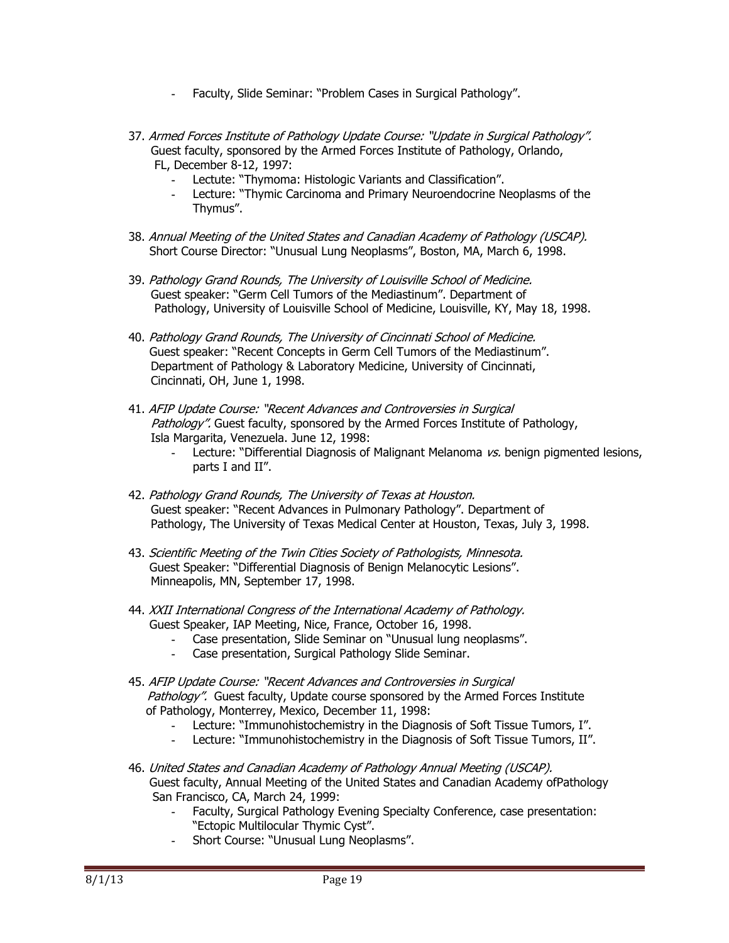- **-** Faculty, Slide Seminar: "Problem Cases in Surgical Pathology".
- 37. Armed Forces Institute of Pathology Update Course: "Update in Surgical Pathology". Guest faculty, sponsored by the Armed Forces Institute of Pathology, Orlando, FL, December 8-12, 1997:
	- **-** Lectute: "Thymoma: Histologic Variants and Classification".
	- **-** Lecture: "Thymic Carcinoma and Primary Neuroendocrine Neoplasms of the Thymus".
- 38. Annual Meeting of the United States and Canadian Academy of Pathology (USCAP). Short Course Director: "Unusual Lung Neoplasms", Boston, MA, March 6, 1998.
- 39. Pathology Grand Rounds, The University of Louisville School of Medicine. Guest speaker: "Germ Cell Tumors of the Mediastinum". Department of Pathology, University of Louisville School of Medicine, Louisville, KY, May 18, 1998.
- 40. Pathology Grand Rounds, The University of Cincinnati School of Medicine. Guest speaker: "Recent Concepts in Germ Cell Tumors of the Mediastinum". Department of Pathology & Laboratory Medicine, University of Cincinnati, Cincinnati, OH, June 1, 1998.
- 41. AFIP Update Course: "Recent Advances and Controversies in Surgical Pathology". Guest faculty, sponsored by the Armed Forces Institute of Pathology, Isla Margarita, Venezuela. June 12, 1998:
	- **-** Lecture: "Differential Diagnosis of Malignant Melanoma vs. benign pigmented lesions, parts I and II".
- 42. Pathology Grand Rounds, The University of Texas at Houston. Guest speaker: "Recent Advances in Pulmonary Pathology". Department of Pathology, The University of Texas Medical Center at Houston, Texas, July 3, 1998.
- 43. Scientific Meeting of the Twin Cities Society of Pathologists, Minnesota. Guest Speaker: "Differential Diagnosis of Benign Melanocytic Lesions". Minneapolis, MN, September 17, 1998.
- 44. XXII International Congress of the International Academy of Pathology. Guest Speaker, IAP Meeting, Nice, France, October 16, 1998.
	- **-** Case presentation, Slide Seminar on "Unusual lung neoplasms".
	- **-** Case presentation, Surgical Pathology Slide Seminar.
- 45. AFIP Update Course: "Recent Advances and Controversies in Surgical Pathology". Guest faculty, Update course sponsored by the Armed Forces Institute of Pathology, Monterrey, Mexico, December 11, 1998:
	- **-** Lecture: "Immunohistochemistry in the Diagnosis of Soft Tissue Tumors, I".
	- **-** Lecture: "Immunohistochemistry in the Diagnosis of Soft Tissue Tumors, II".
- 46. United States and Canadian Academy of Pathology Annual Meeting (USCAP). Guest faculty, Annual Meeting of the United States and Canadian Academy ofPathology San Francisco, CA, March 24, 1999:
	- **-** Faculty, Surgical Pathology Evening Specialty Conference, case presentation: "Ectopic Multilocular Thymic Cyst".
	- **-** Short Course: "Unusual Lung Neoplasms".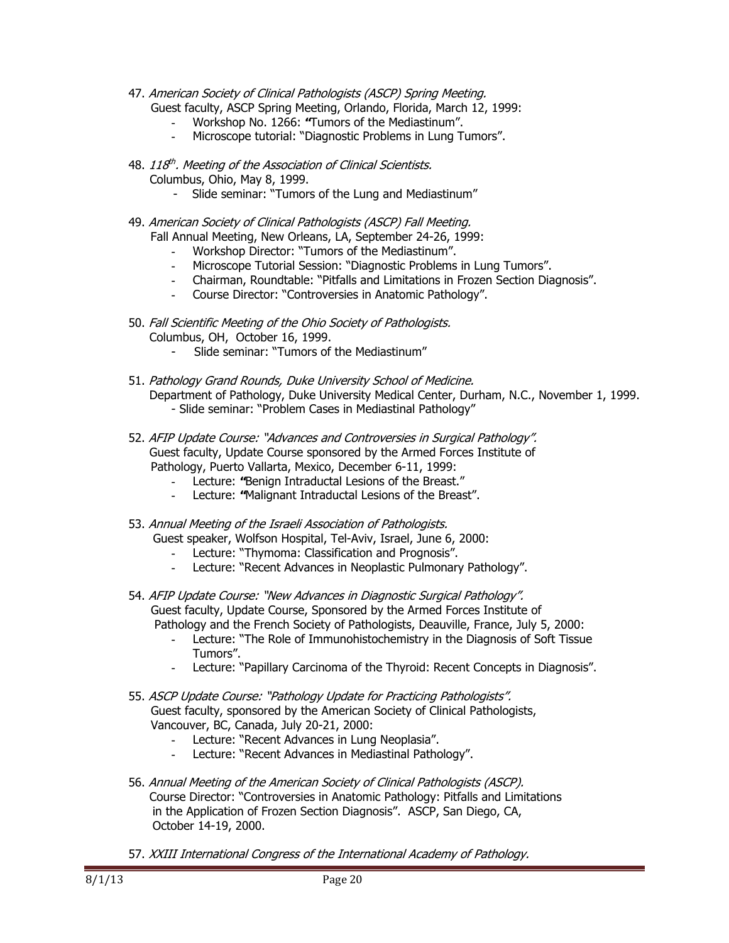- 47. American Society of Clinical Pathologists (ASCP) Spring Meeting. Guest faculty, ASCP Spring Meeting, Orlando, Florida, March 12, 1999:
	- **-** Workshop No. 1266: **"**Tumors of the Mediastinum".
	- **-** Microscope tutorial: "Diagnostic Problems in Lung Tumors".
- 48. 118<sup>th</sup>. Meeting of the Association of Clinical Scientists. Columbus, Ohio, May 8, 1999.
	- Slide seminar: "Tumors of the Lung and Mediastinum"
- 49. American Society of Clinical Pathologists (ASCP) Fall Meeting. Fall Annual Meeting, New Orleans, LA, September 24-26, 1999:
	- **-** Workshop Director: "Tumors of the Mediastinum".
	- **-** Microscope Tutorial Session: "Diagnostic Problems in Lung Tumors".
	- **-** Chairman, Roundtable: "Pitfalls and Limitations in Frozen Section Diagnosis".
	- **-** Course Director: "Controversies in Anatomic Pathology".
- 50. Fall Scientific Meeting of the Ohio Society of Pathologists. Columbus, OH, October 16, 1999.
	- Slide seminar: "Tumors of the Mediastinum"
- 51. Pathology Grand Rounds, Duke University School of Medicine. Department of Pathology, Duke University Medical Center, Durham, N.C., November 1, 1999. - Slide seminar: "Problem Cases in Mediastinal Pathology"
- 52. AFIP Update Course: "Advances and Controversies in Surgical Pathology". Guest faculty, Update Course sponsored by the Armed Forces Institute of Pathology, Puerto Vallarta, Mexico, December 6-11, 1999:
	- **-** Lecture: **"**Benign Intraductal Lesions of the Breast."
	- **-** Lecture: **"**Malignant Intraductal Lesions of the Breast".
- 53. Annual Meeting of the Israeli Association of Pathologists. Guest speaker, Wolfson Hospital, Tel-Aviv, Israel, June 6, 2000:
	- **-** Lecture: "Thymoma: Classification and Prognosis".
	- **-** Lecture: "Recent Advances in Neoplastic Pulmonary Pathology".
- 54. AFIP Update Course: "New Advances in Diagnostic Surgical Pathology". Guest faculty, Update Course, Sponsored by the Armed Forces Institute of Pathology and the French Society of Pathologists, Deauville, France, July 5, 2000:
	- **-** Lecture: "The Role of Immunohistochemistry in the Diagnosis of Soft Tissue Tumors".
	- Lecture: "Papillary Carcinoma of the Thyroid: Recent Concepts in Diagnosis".
- 55. ASCP Update Course: "Pathology Update for Practicing Pathologists". Guest faculty, sponsored by the American Society of Clinical Pathologists, Vancouver, BC, Canada, July 20-21, 2000:
	- **-** Lecture: "Recent Advances in Lung Neoplasia".
	- Lecture: "Recent Advances in Mediastinal Pathology".
- 56. Annual Meeting of the American Society of Clinical Pathologists (ASCP). Course Director: "Controversies in Anatomic Pathology: Pitfalls and Limitations in the Application of Frozen Section Diagnosis". ASCP, San Diego, CA, October 14-19, 2000.
- 57. XXIII International Congress of the International Academy of Pathology.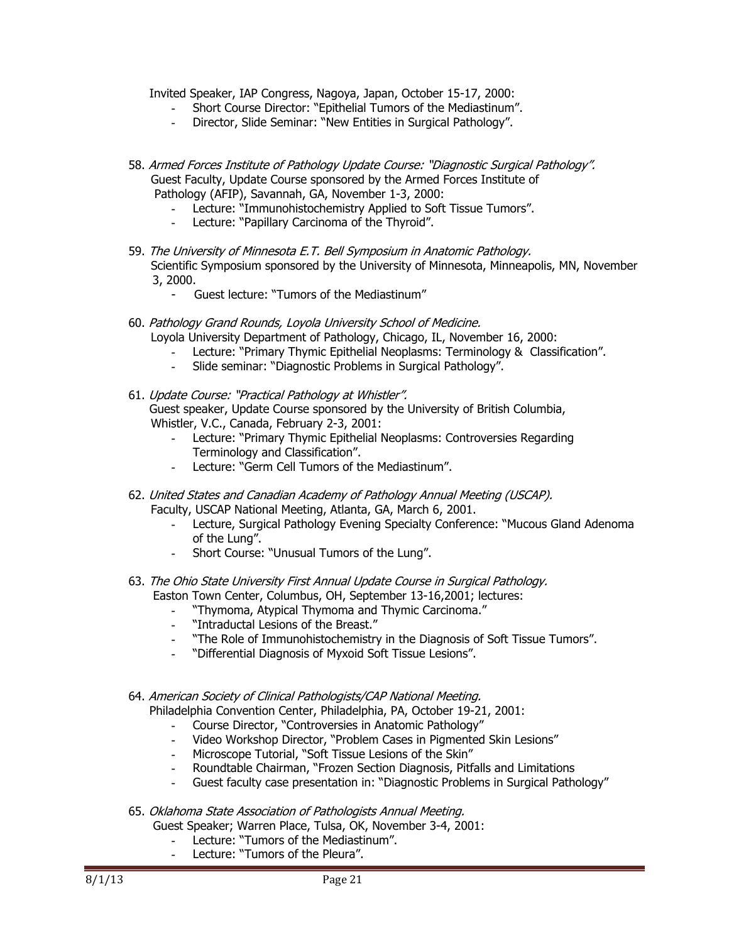Invited Speaker, IAP Congress, Nagoya, Japan, October 15-17, 2000:

- **-** Short Course Director: "Epithelial Tumors of the Mediastinum".
- **-** Director, Slide Seminar: "New Entities in Surgical Pathology".
- 58. Armed Forces Institute of Pathology Update Course: "Diagnostic Surgical Pathology". Guest Faculty, Update Course sponsored by the Armed Forces Institute of Pathology (AFIP), Savannah, GA, November 1-3, 2000:
	- **-** Lecture: "Immunohistochemistry Applied to Soft Tissue Tumors".
	- **-** Lecture: "Papillary Carcinoma of the Thyroid".
- 59. The University of Minnesota E.T. Bell Symposium in Anatomic Pathology. Scientific Symposium sponsored by the University of Minnesota, Minneapolis, MN, November 3, 2000.
	- Guest lecture: "Tumors of the Mediastinum"
- 60. Pathology Grand Rounds, Loyola University School of Medicine.

Loyola University Department of Pathology, Chicago, IL, November 16, 2000:

- **-** Lecture: "Primary Thymic Epithelial Neoplasms: Terminology & Classification".
- **-** Slide seminar: "Diagnostic Problems in Surgical Pathology".

### 61. Update Course: "Practical Pathology at Whistler". Guest speaker, Update Course sponsored by the University of British Columbia, Whistler, V.C., Canada, February 2-3, 2001:

- **-** Lecture: "Primary Thymic Epithelial Neoplasms: Controversies Regarding Terminology and Classification".
- **-** Lecture: "Germ Cell Tumors of the Mediastinum".
- 62. United States and Canadian Academy of Pathology Annual Meeting (USCAP). Faculty, USCAP National Meeting, Atlanta, GA, March 6, 2001.
	- **-** Lecture, Surgical Pathology Evening Specialty Conference: "Mucous Gland Adenoma of the Lung".
	- **-** Short Course: "Unusual Tumors of the Lung".
- 63. The Ohio State University First Annual Update Course in Surgical Pathology. Easton Town Center, Columbus, OH, September 13-16,2001; lectures:
	- **-** "Thymoma, Atypical Thymoma and Thymic Carcinoma."
	- **-** "Intraductal Lesions of the Breast."
	- **-** "The Role of Immunohistochemistry in the Diagnosis of Soft Tissue Tumors".
	- **-** "Differential Diagnosis of Myxoid Soft Tissue Lesions".
- 64. American Society of Clinical Pathologists/CAP National Meeting. Philadelphia Convention Center, Philadelphia, PA, October 19-21, 2001:
	- **-** Course Director, "Controversies in Anatomic Pathology"
	- **-** Video Workshop Director, "Problem Cases in Pigmented Skin Lesions"
	- **-** Microscope Tutorial, "Soft Tissue Lesions of the Skin"
	- **-** Roundtable Chairman, "Frozen Section Diagnosis, Pitfalls and Limitations
	- **-** Guest faculty case presentation in: "Diagnostic Problems in Surgical Pathology"
- 65. Oklahoma State Association of Pathologists Annual Meeting.

Guest Speaker; Warren Place, Tulsa, OK, November 3-4, 2001:

- **-** Lecture: "Tumors of the Mediastinum".
- **-** Lecture: "Tumors of the Pleura".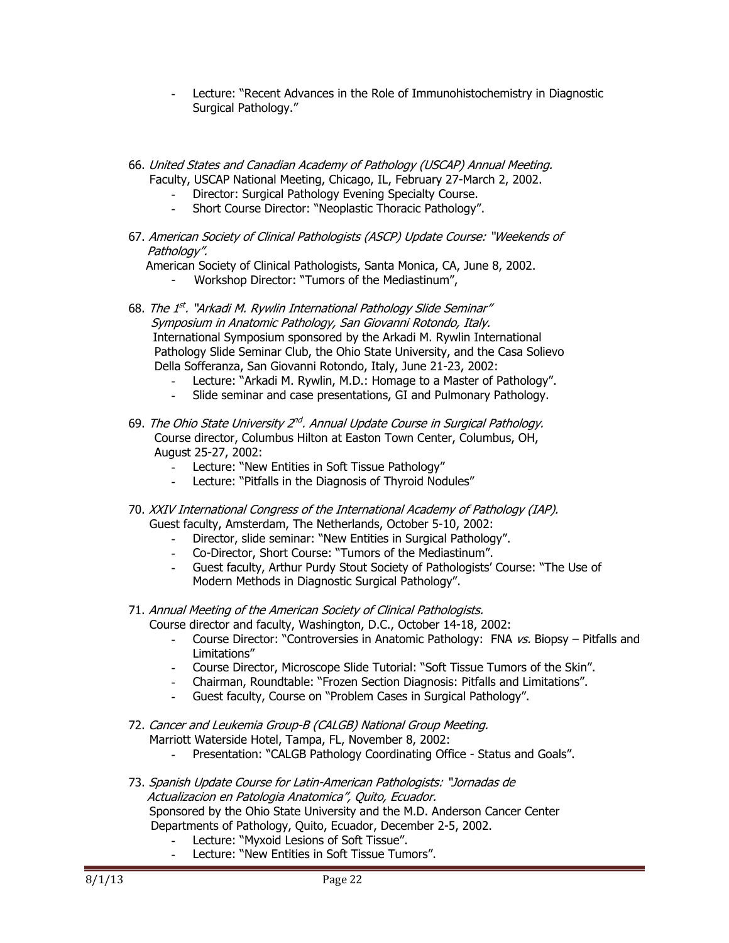- **-** Lecture: "Recent Advances in the Role of Immunohistochemistry in Diagnostic Surgical Pathology."
- 66. United States and Canadian Academy of Pathology (USCAP) Annual Meeting. Faculty, USCAP National Meeting, Chicago, IL, February 27-March 2, 2002.
	- **-** Director: Surgical Pathology Evening Specialty Course.
	- **-** Short Course Director: "Neoplastic Thoracic Pathology".
- 67. American Society of Clinical Pathologists (ASCP) Update Course: "Weekends of Pathology".

American Society of Clinical Pathologists, Santa Monica, CA, June 8, 2002.

- Workshop Director: "Tumors of the Mediastinum",
- 68. The 1<sup>st</sup>. "Arkadi M. Rywlin International Pathology Slide Seminar" Symposium in Anatomic Pathology, San Giovanni Rotondo, Italy. International Symposium sponsored by the Arkadi M. Rywlin International Pathology Slide Seminar Club, the Ohio State University, and the Casa Solievo Della Sofferanza, San Giovanni Rotondo, Italy, June 21-23, 2002:
	- **-** Lecture: "Arkadi M. Rywlin, M.D.: Homage to a Master of Pathology".
	- **-** Slide seminar and case presentations, GI and Pulmonary Pathology.
- 69. The Ohio State University  $2^{nd}$ . Annual Update Course in Surgical Pathology. Course director, Columbus Hilton at Easton Town Center, Columbus, OH, August 25-27, 2002:
	- **-** Lecture: "New Entities in Soft Tissue Pathology"
	- **-** Lecture: "Pitfalls in the Diagnosis of Thyroid Nodules"
- 70. XXIV International Congress of the International Academy of Pathology (IAP). Guest faculty, Amsterdam, The Netherlands, October 5-10, 2002:
	- **-** Director, slide seminar: "New Entities in Surgical Pathology".
	- **-** Co-Director, Short Course: "Tumors of the Mediastinum".
	- **-** Guest faculty, Arthur Purdy Stout Society of Pathologists' Course: "The Use of Modern Methods in Diagnostic Surgical Pathology".
- 71. Annual Meeting of the American Society of Clinical Pathologists.
	- Course director and faculty, Washington, D.C., October 14-18, 2002:
		- **-** Course Director: "Controversies in Anatomic Pathology: FNA vs. Biopsy Pitfalls and Limitations"
		- **-** Course Director, Microscope Slide Tutorial: "Soft Tissue Tumors of the Skin".
		- **-** Chairman, Roundtable: "Frozen Section Diagnosis: Pitfalls and Limitations".
		- **-** Guest faculty, Course on "Problem Cases in Surgical Pathology".
- 72. Cancer and Leukemia Group-B (CALGB) National Group Meeting. Marriott Waterside Hotel, Tampa, FL, November 8, 2002:
	- **-** Presentation: "CALGB Pathology Coordinating Office Status and Goals".
- 73. Spanish Update Course for Latin-American Pathologists: "Jornadas de Actualizacion en Patologia Anatomica", Quito, Ecuador. Sponsored by the Ohio State University and the M.D. Anderson Cancer Center Departments of Pathology, Quito, Ecuador, December 2-5, 2002.
	- **-** Lecture: "Myxoid Lesions of Soft Tissue".
	- **-** Lecture: "New Entities in Soft Tissue Tumors".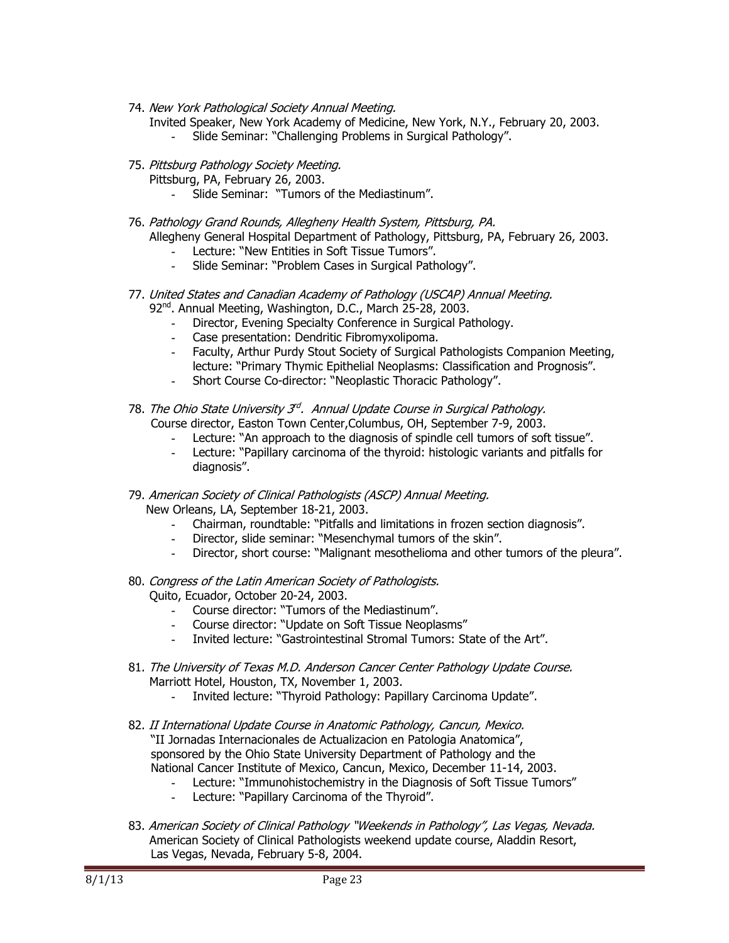- 74. New York Pathological Society Annual Meeting.
	- Invited Speaker, New York Academy of Medicine, New York, N.Y., February 20, 2003.
		- **-** Slide Seminar: "Challenging Problems in Surgical Pathology".
- 75. Pittsburg Pathology Society Meeting.
	- Pittsburg, PA, February 26, 2003.
		- **-** Slide Seminar: "Tumors of the Mediastinum".
- 76. Pathology Grand Rounds, Allegheny Health System, Pittsburg, PA. Allegheny General Hospital Department of Pathology, Pittsburg, PA, February 26, 2003.
	- **-** Lecture: "New Entities in Soft Tissue Tumors".
	- **-** Slide Seminar: "Problem Cases in Surgical Pathology".
- 77. United States and Canadian Academy of Pathology (USCAP) Annual Meeting. 92nd. Annual Meeting, Washington, D.C., March 25-28, 2003.
	- **-** Director, Evening Specialty Conference in Surgical Pathology.
	- **-** Case presentation: Dendritic Fibromyxolipoma.
	- **-** Faculty, Arthur Purdy Stout Society of Surgical Pathologists Companion Meeting, lecture: "Primary Thymic Epithelial Neoplasms: Classification and Prognosis".
	- **-** Short Course Co-director: "Neoplastic Thoracic Pathology".
- 78. The Ohio State University 3<sup>rd</sup>. Annual Update Course in Surgical Pathology. Course director, Easton Town Center,Columbus, OH, September 7-9, 2003.
	- Lecture: "An approach to the diagnosis of spindle cell tumors of soft tissue".
	- **-** Lecture: "Papillary carcinoma of the thyroid: histologic variants and pitfalls for diagnosis".
- 79. American Society of Clinical Pathologists (ASCP) Annual Meeting. New Orleans, LA, September 18-21, 2003.
	- **-** Chairman, roundtable: "Pitfalls and limitations in frozen section diagnosis".
	- **-** Director, slide seminar: "Mesenchymal tumors of the skin".
	- **-** Director, short course: "Malignant mesothelioma and other tumors of the pleura".
- 80. Congress of the Latin American Society of Pathologists. Quito, Ecuador, October 20-24, 2003.
	- **-** Course director: "Tumors of the Mediastinum".
	- **-** Course director: "Update on Soft Tissue Neoplasms"
	- **-** Invited lecture: "Gastrointestinal Stromal Tumors: State of the Art".
- 81. The University of Texas M.D. Anderson Cancer Center Pathology Update Course. Marriott Hotel, Houston, TX, November 1, 2003.
	- **-** Invited lecture: "Thyroid Pathology: Papillary Carcinoma Update".
- 82. II International Update Course in Anatomic Pathology, Cancun, Mexico. "II Jornadas Internacionales de Actualizacion en Patologia Anatomica", sponsored by the Ohio State University Department of Pathology and the National Cancer Institute of Mexico, Cancun, Mexico, December 11-14, 2003.
	- **-** Lecture: "Immunohistochemistry in the Diagnosis of Soft Tissue Tumors"
	- **-** Lecture: "Papillary Carcinoma of the Thyroid".
- 83. American Society of Clinical Pathology "Weekends in Pathology", Las Vegas, Nevada. American Society of Clinical Pathologists weekend update course, Aladdin Resort, Las Vegas, Nevada, February 5-8, 2004.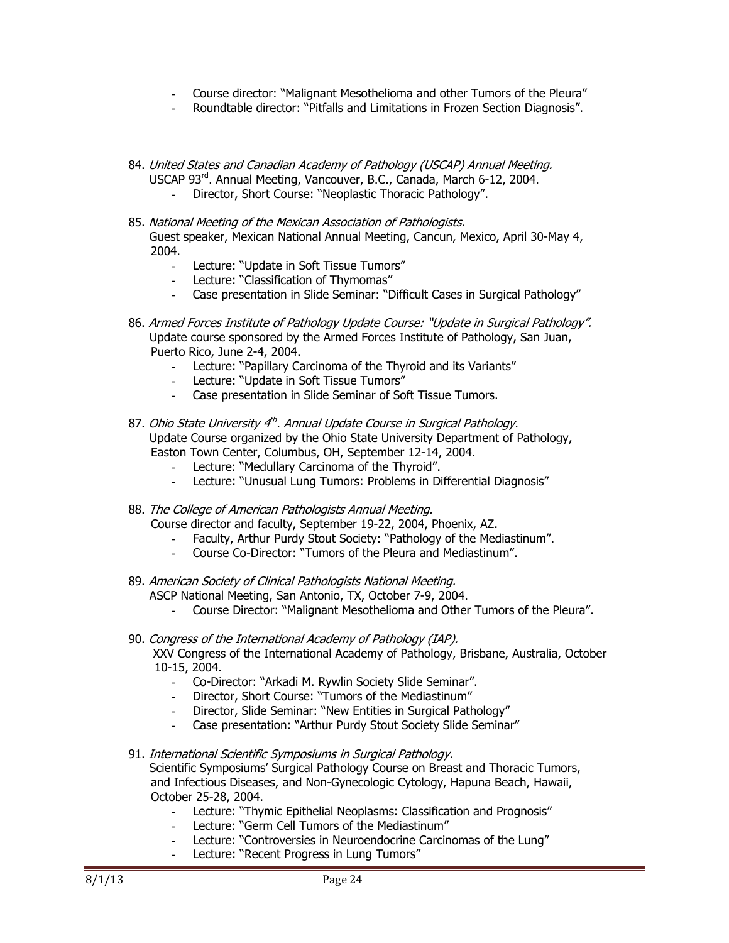- **-** Course director: "Malignant Mesothelioma and other Tumors of the Pleura"
- **-** Roundtable director: "Pitfalls and Limitations in Frozen Section Diagnosis".
- 84. United States and Canadian Academy of Pathology (USCAP) Annual Meeting. USCAP 93rd. Annual Meeting, Vancouver, B.C., Canada, March 6-12, 2004.
	- **-** Director, Short Course: "Neoplastic Thoracic Pathology".
- 85. National Meeting of the Mexican Association of Pathologists. Guest speaker, Mexican National Annual Meeting, Cancun, Mexico, April 30-May 4, 2004.
	- **-** Lecture: "Update in Soft Tissue Tumors"
	- **-** Lecture: "Classification of Thymomas"
	- **-** Case presentation in Slide Seminar: "Difficult Cases in Surgical Pathology"
- 86. Armed Forces Institute of Pathology Update Course: "Update in Surgical Pathology". Update course sponsored by the Armed Forces Institute of Pathology, San Juan, Puerto Rico, June 2-4, 2004.
	- **-** Lecture: "Papillary Carcinoma of the Thyroid and its Variants"
	- **-** Lecture: "Update in Soft Tissue Tumors"
	- **-** Case presentation in Slide Seminar of Soft Tissue Tumors.
- 87. Ohio State University  $4<sup>th</sup>$ . Annual Update Course in Surgical Pathology. Update Course organized by the Ohio State University Department of Pathology, Easton Town Center, Columbus, OH, September 12-14, 2004.
	- **-** Lecture: "Medullary Carcinoma of the Thyroid".
	- **-** Lecture: "Unusual Lung Tumors: Problems in Differential Diagnosis"
- 88. The College of American Pathologists Annual Meeting. Course director and faculty, September 19-22, 2004, Phoenix, AZ.
	- **-** Faculty, Arthur Purdy Stout Society: "Pathology of the Mediastinum".
	- **-** Course Co-Director: "Tumors of the Pleura and Mediastinum".
- 89. American Society of Clinical Pathologists National Meeting. ASCP National Meeting, San Antonio, TX, October 7-9, 2004.
	- **-** Course Director: "Malignant Mesothelioma and Other Tumors of the Pleura".
- 90. Congress of the International Academy of Pathology (IAP). XXV Congress of the International Academy of Pathology, Brisbane, Australia, October 10-15, 2004.
	- **-** Co-Director: "Arkadi M. Rywlin Society Slide Seminar".
	- **-** Director, Short Course: "Tumors of the Mediastinum"
	- **-** Director, Slide Seminar: "New Entities in Surgical Pathology"
	- **-** Case presentation: "Arthur Purdy Stout Society Slide Seminar"
- 91. International Scientific Symposiums in Surgical Pathology. Scientific Symposiums' Surgical Pathology Course on Breast and Thoracic Tumors, and Infectious Diseases, and Non-Gynecologic Cytology, Hapuna Beach, Hawaii, October 25-28, 2004.
	- **-** Lecture: "Thymic Epithelial Neoplasms: Classification and Prognosis"
	- **-** Lecture: "Germ Cell Tumors of the Mediastinum"
	- **-** Lecture: "Controversies in Neuroendocrine Carcinomas of the Lung"
	- Lecture: "Recent Progress in Lung Tumors"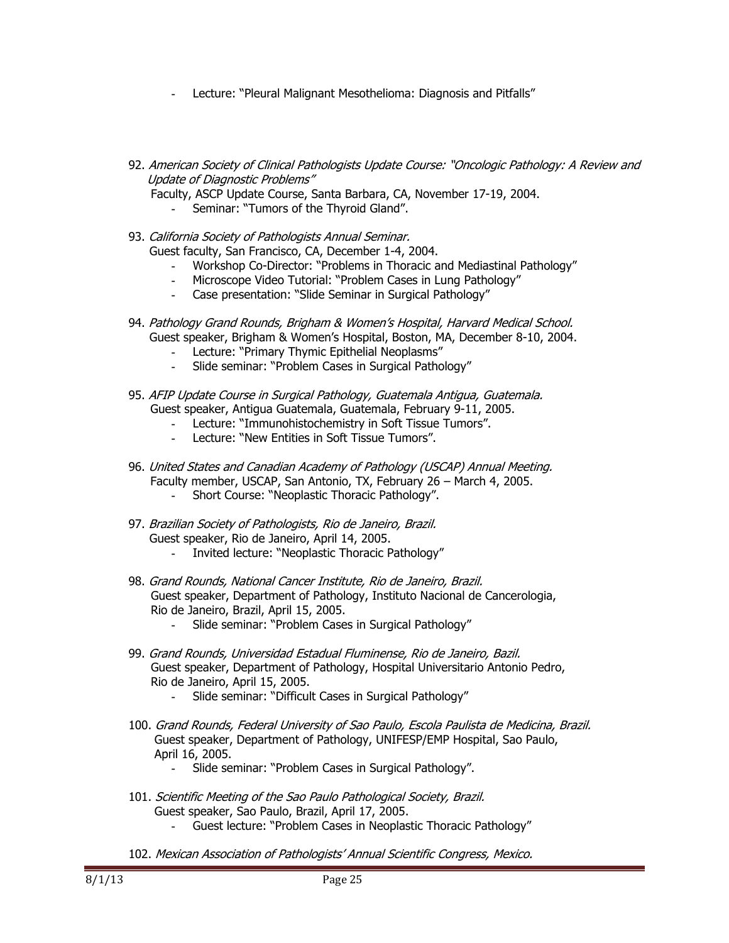- **-** Lecture: "Pleural Malignant Mesothelioma: Diagnosis and Pitfalls"
- 92. American Society of Clinical Pathologists Update Course: "Oncologic Pathology: A Review and Update of Diagnostic Problems"
	- Faculty, ASCP Update Course, Santa Barbara, CA, November 17-19, 2004.
		- **-** Seminar: "Tumors of the Thyroid Gland".
- 93. California Society of Pathologists Annual Seminar. Guest faculty, San Francisco, CA, December 1-4, 2004. **-** Workshop Co-Director: "Problems in Thoracic and Mediastinal Pathology"
	- **-** Microscope Video Tutorial: "Problem Cases in Lung Pathology"
	- **-** Case presentation: "Slide Seminar in Surgical Pathology"
- 94. Pathology Grand Rounds, Brigham & Women's Hospital, Harvard Medical School. Guest speaker, Brigham & Women's Hospital, Boston, MA, December 8-10, 2004.
	- **-** Lecture: "Primary Thymic Epithelial Neoplasms"
	- **-** Slide seminar: "Problem Cases in Surgical Pathology"
- 95. AFIP Update Course in Surgical Pathology, Guatemala Antigua, Guatemala. Guest speaker, Antigua Guatemala, Guatemala, February 9-11, 2005.
	- **-** Lecture: "Immunohistochemistry in Soft Tissue Tumors".
	- **-** Lecture: "New Entities in Soft Tissue Tumors".
- 96. United States and Canadian Academy of Pathology (USCAP) Annual Meeting. Faculty member, USCAP, San Antonio, TX, February 26 – March 4, 2005.
	- **-** Short Course: "Neoplastic Thoracic Pathology".
- 97. Brazilian Society of Pathologists, Rio de Janeiro, Brazil. Guest speaker, Rio de Janeiro, April 14, 2005.
	- **-** Invited lecture: "Neoplastic Thoracic Pathology"
- 98. Grand Rounds, National Cancer Institute, Rio de Janeiro, Brazil. Guest speaker, Department of Pathology, Instituto Nacional de Cancerologia, Rio de Janeiro, Brazil, April 15, 2005.
	- **-** Slide seminar: "Problem Cases in Surgical Pathology"
- 99. Grand Rounds, Universidad Estadual Fluminense, Rio de Janeiro, Bazil. Guest speaker, Department of Pathology, Hospital Universitario Antonio Pedro, Rio de Janeiro, April 15, 2005.
	- **-** Slide seminar: "Difficult Cases in Surgical Pathology"
- 100. Grand Rounds, Federal University of Sao Paulo, Escola Paulista de Medicina, Brazil. Guest speaker, Department of Pathology, UNIFESP/EMP Hospital, Sao Paulo, April 16, 2005.
	- **-** Slide seminar: "Problem Cases in Surgical Pathology".
- 101. Scientific Meeting of the Sao Paulo Pathological Society, Brazil. Guest speaker, Sao Paulo, Brazil, April 17, 2005.
	- **-** Guest lecture: "Problem Cases in Neoplastic Thoracic Pathology"
- 102. Mexican Association of Pathologists' Annual Scientific Congress, Mexico.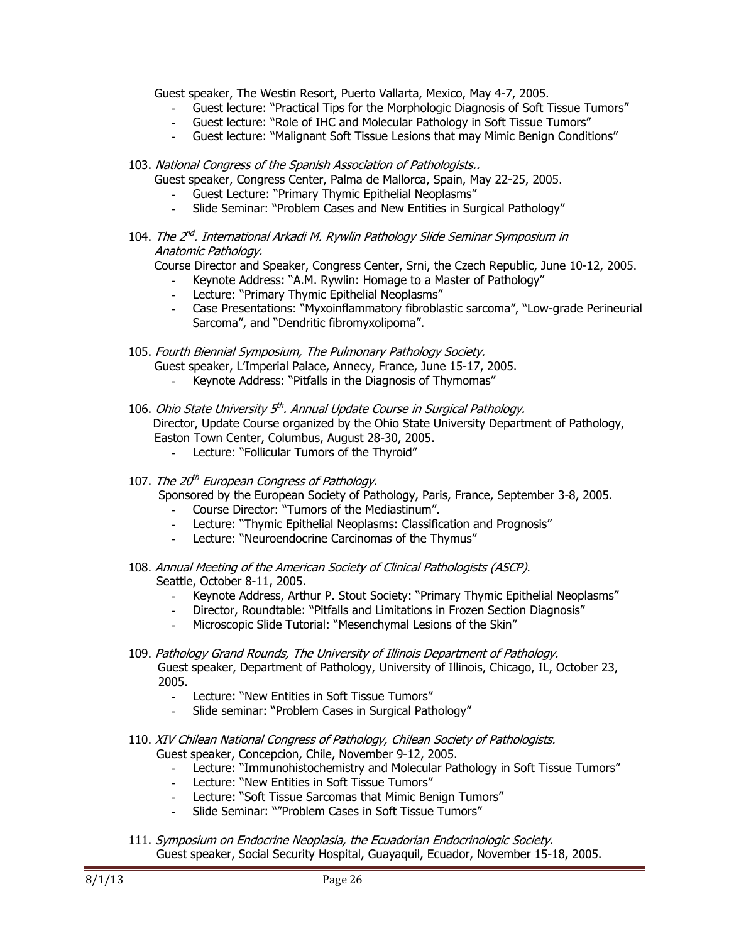Guest speaker, The Westin Resort, Puerto Vallarta, Mexico, May 4-7, 2005.

- **-** Guest lecture: "Practical Tips for the Morphologic Diagnosis of Soft Tissue Tumors"
- **-** Guest lecture: "Role of IHC and Molecular Pathology in Soft Tissue Tumors"
- **-** Guest lecture: "Malignant Soft Tissue Lesions that may Mimic Benign Conditions"
- 103. National Congress of the Spanish Association of Pathologists..

Guest speaker, Congress Center, Palma de Mallorca, Spain, May 22-25, 2005.

- **-** Guest Lecture: "Primary Thymic Epithelial Neoplasms"
- **-** Slide Seminar: "Problem Cases and New Entities in Surgical Pathology"
- 104. The 2<sup>nd</sup>. International Arkadi M. Rywlin Pathology Slide Seminar Symposium in Anatomic Pathology.

Course Director and Speaker, Congress Center, Srni, the Czech Republic, June 10-12, 2005.

- **-** Keynote Address: "A.M. Rywlin: Homage to a Master of Pathology"
- **-** Lecture: "Primary Thymic Epithelial Neoplasms"
- **-** Case Presentations: "Myxoinflammatory fibroblastic sarcoma", "Low-grade Perineurial Sarcoma", and "Dendritic fibromyxolipoma".
- 105. Fourth Biennial Symposium, The Pulmonary Pathology Society.
	- Guest speaker, L'Imperial Palace, Annecy, France, June 15-17, 2005.
		- **-** Keynote Address: "Pitfalls in the Diagnosis of Thymomas"
- 106. Ohio State University 5<sup>th</sup>. Annual Update Course in Surgical Pathology. Director, Update Course organized by the Ohio State University Department of Pathology, Easton Town Center, Columbus, August 28-30, 2005.
	- **-** Lecture: "Follicular Tumors of the Thyroid"
- 107. The 20<sup>th</sup> European Congress of Pathology.

Sponsored by the European Society of Pathology, Paris, France, September 3-8, 2005.

- **-** Course Director: "Tumors of the Mediastinum".
- **-** Lecture: "Thymic Epithelial Neoplasms: Classification and Prognosis"
- **-** Lecture: "Neuroendocrine Carcinomas of the Thymus"
- 108. Annual Meeting of the American Society of Clinical Pathologists (ASCP). Seattle, October 8-11, 2005.
	- **-** Keynote Address, Arthur P. Stout Society: "Primary Thymic Epithelial Neoplasms"
	- **-** Director, Roundtable: "Pitfalls and Limitations in Frozen Section Diagnosis"
	- **-** Microscopic Slide Tutorial: "Mesenchymal Lesions of the Skin"
- 109. Pathology Grand Rounds, The University of Illinois Department of Pathology. Guest speaker, Department of Pathology, University of Illinois, Chicago, IL, October 23, 2005.
	- **-** Lecture: "New Entities in Soft Tissue Tumors"
	- **-** Slide seminar: "Problem Cases in Surgical Pathology"
- 110. XIV Chilean National Congress of Pathology, Chilean Society of Pathologists. Guest speaker, Concepcion, Chile, November 9-12, 2005.
	- **-** Lecture: "Immunohistochemistry and Molecular Pathology in Soft Tissue Tumors"
	- **-** Lecture: "New Entities in Soft Tissue Tumors"
	- **-** Lecture: "Soft Tissue Sarcomas that Mimic Benign Tumors"
	- **-** Slide Seminar: ""Problem Cases in Soft Tissue Tumors"
- 111. Symposium on Endocrine Neoplasia, the Ecuadorian Endocrinologic Society. Guest speaker, Social Security Hospital, Guayaquil, Ecuador, November 15-18, 2005.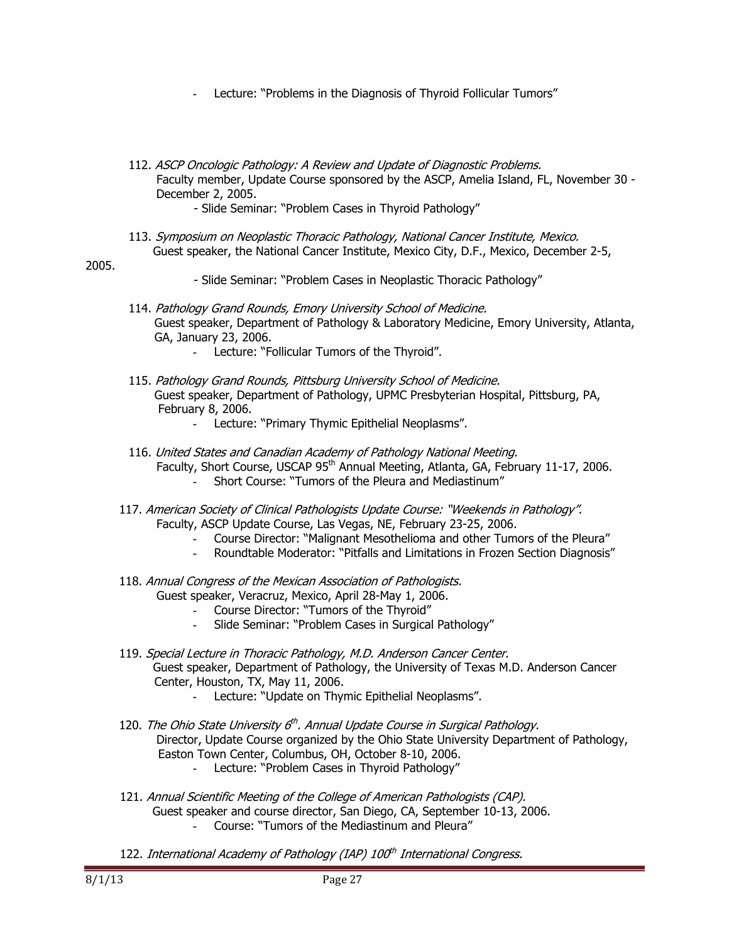- **-** Lecture: "Problems in the Diagnosis of Thyroid Follicular Tumors"
- 112. ASCP Oncologic Pathology: A Review and Update of Diagnostic Problems. Faculty member, Update Course sponsored by the ASCP, Amelia Island, FL, November 30 - December 2, 2005.

- Slide Seminar: "Problem Cases in Thyroid Pathology"

 113. Symposium on Neoplastic Thoracic Pathology, National Cancer Institute, Mexico. Guest speaker, the National Cancer Institute, Mexico City, D.F., Mexico, December 2-5,

### 2005.

- Slide Seminar: "Problem Cases in Neoplastic Thoracic Pathology"
- 114. Pathology Grand Rounds, Emory University School of Medicine. Guest speaker, Department of Pathology & Laboratory Medicine, Emory University, Atlanta, GA, January 23, 2006.
	- **-** Lecture: "Follicular Tumors of the Thyroid".
- 115. Pathology Grand Rounds, Pittsburg University School of Medicine. Guest speaker, Department of Pathology, UPMC Presbyterian Hospital, Pittsburg, PA, February 8, 2006.
	- **-** Lecture: "Primary Thymic Epithelial Neoplasms".
- 116. United States and Canadian Academy of Pathology National Meeting. Faculty, Short Course, USCAP 95<sup>th</sup> Annual Meeting, Atlanta, GA, February 11-17, 2006.
	- **-** Short Course: "Tumors of the Pleura and Mediastinum"
- 117. American Society of Clinical Pathologists Update Course: "Weekends in Pathology". Faculty, ASCP Update Course, Las Vegas, NE, February 23-25, 2006.
	- **-** Course Director: "Malignant Mesothelioma and other Tumors of the Pleura"
	- **-** Roundtable Moderator: "Pitfalls and Limitations in Frozen Section Diagnosis"
- 118. Annual Congress of the Mexican Association of Pathologists. Guest speaker, Veracruz, Mexico, April 28-May 1, 2006.
	- **-** Course Director: "Tumors of the Thyroid"
	- **-** Slide Seminar: "Problem Cases in Surgical Pathology"
- 119. Special Lecture in Thoracic Pathology, M.D. Anderson Cancer Center. Guest speaker, Department of Pathology, the University of Texas M.D. Anderson Cancer Center, Houston, TX, May 11, 2006.
	- **-** Lecture: "Update on Thymic Epithelial Neoplasms".
- 120. The Ohio State University  $6<sup>th</sup>$ . Annual Update Course in Surgical Pathology. Director, Update Course organized by the Ohio State University Department of Pathology, Easton Town Center, Columbus, OH, October 8-10, 2006. **-** Lecture: "Problem Cases in Thyroid Pathology"
- 121. Annual Scientific Meeting of the College of American Pathologists (CAP). Guest speaker and course director, San Diego, CA, September 10-13, 2006. **-** Course: "Tumors of the Mediastinum and Pleura"
- 122. International Academy of Pathology (IAP) 100<sup>th</sup> International Congress.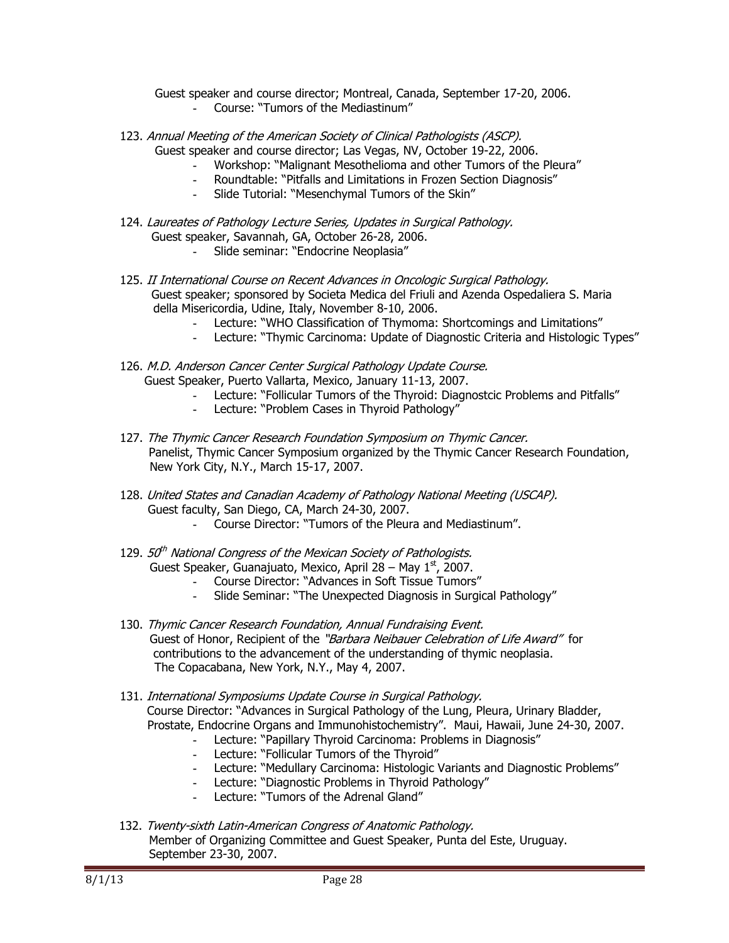Guest speaker and course director; Montreal, Canada, September 17-20, 2006.

- **-** Course: "Tumors of the Mediastinum"
- 123. Annual Meeting of the American Society of Clinical Pathologists (ASCP). Guest speaker and course director; Las Vegas, NV, October 19-22, 2006.
	- **-** Workshop: "Malignant Mesothelioma and other Tumors of the Pleura"
	- **-** Roundtable: "Pitfalls and Limitations in Frozen Section Diagnosis"
	- **-** Slide Tutorial: "Mesenchymal Tumors of the Skin"
- 124. Laureates of Pathology Lecture Series, Updates in Surgical Pathology. Guest speaker, Savannah, GA, October 26-28, 2006. **-** Slide seminar: "Endocrine Neoplasia"
- 125. II International Course on Recent Advances in Oncologic Surgical Pathology. Guest speaker; sponsored by Societa Medica del Friuli and Azenda Ospedaliera S. Maria della Misericordia, Udine, Italy, November 8-10, 2006.
	- **-** Lecture: "WHO Classification of Thymoma: Shortcomings and Limitations"
	- **-** Lecture: "Thymic Carcinoma: Update of Diagnostic Criteria and Histologic Types"
- 126. M.D. Anderson Cancer Center Surgical Pathology Update Course. Guest Speaker, Puerto Vallarta, Mexico, January 11-13, 2007.
	- **-** Lecture: "Follicular Tumors of the Thyroid: Diagnostcic Problems and Pitfalls"
	- **-** Lecture: "Problem Cases in Thyroid Pathology"
- 127. The Thymic Cancer Research Foundation Symposium on Thymic Cancer. Panelist, Thymic Cancer Symposium organized by the Thymic Cancer Research Foundation, New York City, N.Y., March 15-17, 2007.
- 128. United States and Canadian Academy of Pathology National Meeting (USCAP). Guest faculty, San Diego, CA, March 24-30, 2007.
	- **-** Course Director: "Tumors of the Pleura and Mediastinum".
- 129. 50<sup>th</sup> National Congress of the Mexican Society of Pathologists. Guest Speaker, Guanajuato, Mexico, April 28 – May  $1<sup>st</sup>$ , 2007.
	- **-** Course Director: "Advances in Soft Tissue Tumors"
	- **-** Slide Seminar: "The Unexpected Diagnosis in Surgical Pathology"
- 130. Thymic Cancer Research Foundation, Annual Fundraising Event. Guest of Honor, Recipient of the "Barbara Neibauer Celebration of Life Award" for contributions to the advancement of the understanding of thymic neoplasia. The Copacabana, New York, N.Y., May 4, 2007.
- 131. International Symposiums Update Course in Surgical Pathology. Course Director: "Advances in Surgical Pathology of the Lung, Pleura, Urinary Bladder, Prostate, Endocrine Organs and Immunohistochemistry". Maui, Hawaii, June 24-30, 2007.
	- **-** Lecture: "Papillary Thyroid Carcinoma: Problems in Diagnosis"
	- **-** Lecture: "Follicular Tumors of the Thyroid"
	- **-** Lecture: "Medullary Carcinoma: Histologic Variants and Diagnostic Problems"
	- **-** Lecture: "Diagnostic Problems in Thyroid Pathology"
	- **-** Lecture: "Tumors of the Adrenal Gland"
- 132. Twenty-sixth Latin-American Congress of Anatomic Pathology. Member of Organizing Committee and Guest Speaker, Punta del Este, Uruguay. September 23-30, 2007.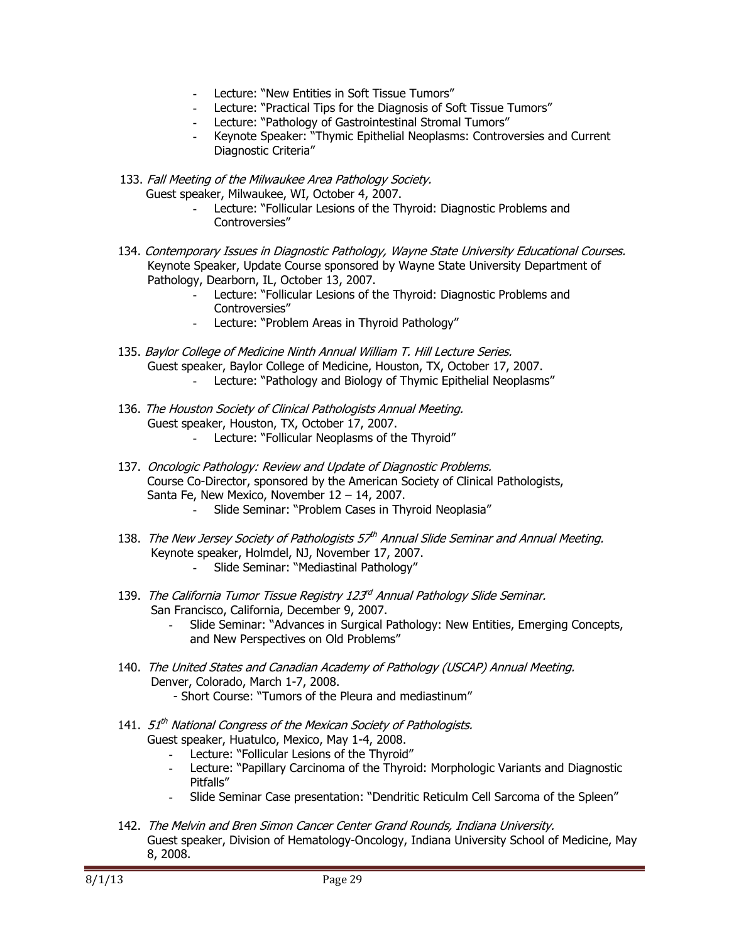- **-** Lecture: "New Entities in Soft Tissue Tumors"
- **-** Lecture: "Practical Tips for the Diagnosis of Soft Tissue Tumors"
- **-** Lecture: "Pathology of Gastrointestinal Stromal Tumors"
- **-** Keynote Speaker: "Thymic Epithelial Neoplasms: Controversies and Current Diagnostic Criteria"

133. Fall Meeting of the Milwaukee Area Pathology Society. Guest speaker, Milwaukee, WI, October 4, 2007.

- **-** Lecture: "Follicular Lesions of the Thyroid: Diagnostic Problems and Controversies"
- 134. Contemporary Issues in Diagnostic Pathology, Wayne State University Educational Courses. Keynote Speaker, Update Course sponsored by Wayne State University Department of Pathology, Dearborn, IL, October 13, 2007.
	- **-** Lecture: "Follicular Lesions of the Thyroid: Diagnostic Problems and Controversies"
	- **-** Lecture: "Problem Areas in Thyroid Pathology"
- 135. Baylor College of Medicine Ninth Annual William T. Hill Lecture Series. Guest speaker, Baylor College of Medicine, Houston, TX, October 17, 2007.
	- **-** Lecture: "Pathology and Biology of Thymic Epithelial Neoplasms"
- 136. The Houston Society of Clinical Pathologists Annual Meeting. Guest speaker, Houston, TX, October 17, 2007.
	- **-** Lecture: "Follicular Neoplasms of the Thyroid"
- 137. Oncologic Pathology: Review and Update of Diagnostic Problems. Course Co-Director, sponsored by the American Society of Clinical Pathologists, Santa Fe, New Mexico, November 12 – 14, 2007.
	- **-** Slide Seminar: "Problem Cases in Thyroid Neoplasia"
- 138. The New Jersey Society of Pathologists 57<sup>th</sup> Annual Slide Seminar and Annual Meeting. Keynote speaker, Holmdel, NJ, November 17, 2007.
	- **-** Slide Seminar: "Mediastinal Pathology"
- 139. The California Tumor Tissue Registry 123<sup>rd</sup> Annual Pathology Slide Seminar. San Francisco, California, December 9, 2007.
	- **-** Slide Seminar: "Advances in Surgical Pathology: New Entities, Emerging Concepts, and New Perspectives on Old Problems"
- 140. The United States and Canadian Academy of Pathology (USCAP) Annual Meeting. Denver, Colorado, March 1-7, 2008. - Short Course: "Tumors of the Pleura and mediastinum"
- 141. 51<sup>th</sup> National Congress of the Mexican Society of Pathologists. Guest speaker, Huatulco, Mexico, May 1-4, 2008.
	- **-** Lecture: "Follicular Lesions of the Thyroid"
	- **-** Lecture: "Papillary Carcinoma of the Thyroid: Morphologic Variants and Diagnostic Pitfalls"
	- **-** Slide Seminar Case presentation: "Dendritic Reticulm Cell Sarcoma of the Spleen"
- 142. The Melvin and Bren Simon Cancer Center Grand Rounds, Indiana University. Guest speaker, Division of Hematology-Oncology, Indiana University School of Medicine, May 8, 2008.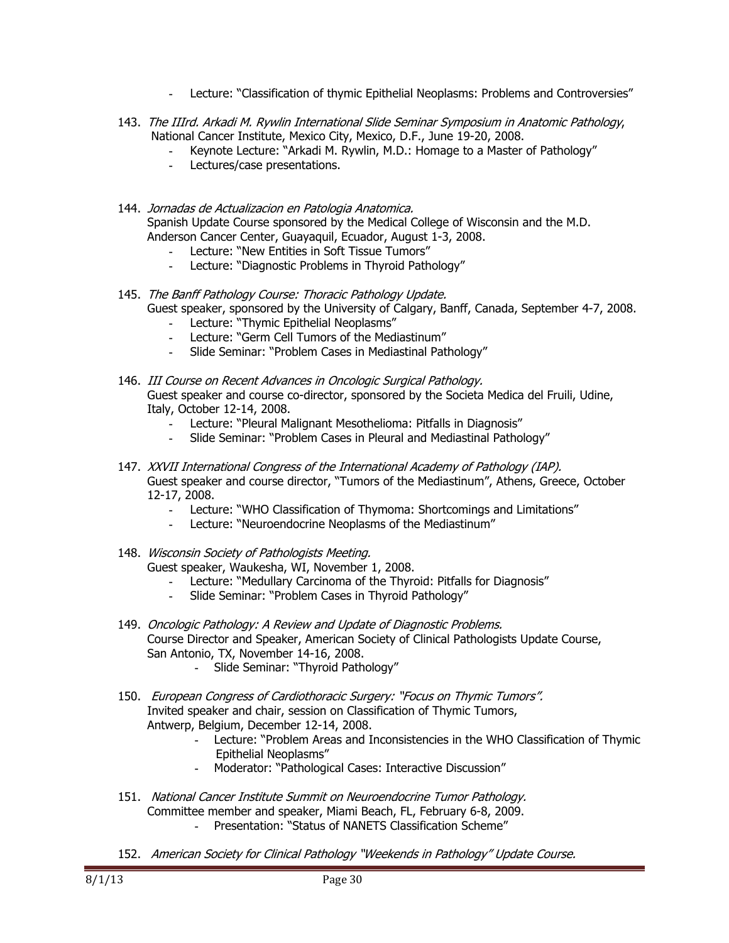- **-** Lecture: "Classification of thymic Epithelial Neoplasms: Problems and Controversies"
- 143. The IIIrd. Arkadi M. Rywlin International Slide Seminar Symposium in Anatomic Pathology, National Cancer Institute, Mexico City, Mexico, D.F., June 19-20, 2008.
	- **-** Keynote Lecture: "Arkadi M. Rywlin, M.D.: Homage to a Master of Pathology"
	- **-** Lectures/case presentations.
- 144. Jornadas de Actualizacion en Patologia Anatomica. Spanish Update Course sponsored by the Medical College of Wisconsin and the M.D. Anderson Cancer Center, Guayaquil, Ecuador, August 1-3, 2008.
	- **-** Lecture: "New Entities in Soft Tissue Tumors"
	- **-** Lecture: "Diagnostic Problems in Thyroid Pathology"
- 145. The Banff Pathology Course: Thoracic Pathology Update. Guest speaker, sponsored by the University of Calgary, Banff, Canada, September 4-7, 2008.
	- **-** Lecture: "Thymic Epithelial Neoplasms"
	- **-** Lecture: "Germ Cell Tumors of the Mediastinum"
	- **-** Slide Seminar: "Problem Cases in Mediastinal Pathology"
- 146. III Course on Recent Advances in Oncologic Surgical Pathology. Guest speaker and course co-director, sponsored by the Societa Medica del Fruili, Udine, Italy, October 12-14, 2008.
	- **-** Lecture: "Pleural Malignant Mesothelioma: Pitfalls in Diagnosis"
	- **-** Slide Seminar: "Problem Cases in Pleural and Mediastinal Pathology"
- 147. XXVII International Congress of the International Academy of Pathology (IAP). Guest speaker and course director, "Tumors of the Mediastinum", Athens, Greece, October 12-17, 2008.
	- **-** Lecture: "WHO Classification of Thymoma: Shortcomings and Limitations"
	- **-** Lecture: "Neuroendocrine Neoplasms of the Mediastinum"

148. Wisconsin Society of Pathologists Meeting. Guest speaker, Waukesha, WI, November 1, 2008.

- **-** Lecture: "Medullary Carcinoma of the Thyroid: Pitfalls for Diagnosis"
- **-** Slide Seminar: "Problem Cases in Thyroid Pathology"
- 149. Oncologic Pathology: A Review and Update of Diagnostic Problems. Course Director and Speaker, American Society of Clinical Pathologists Update Course, San Antonio, TX, November 14-16, 2008.
	- **-** Slide Seminar: "Thyroid Pathology"
- 150. European Congress of Cardiothoracic Surgery: "Focus on Thymic Tumors". Invited speaker and chair, session on Classification of Thymic Tumors, Antwerp, Belgium, December 12-14, 2008.
	- **-** Lecture: "Problem Areas and Inconsistencies in the WHO Classification of Thymic Epithelial Neoplasms"
	- **-** Moderator: "Pathological Cases: Interactive Discussion"
- 151. National Cancer Institute Summit on Neuroendocrine Tumor Pathology. Committee member and speaker, Miami Beach, FL, February 6-8, 2009. **-** Presentation: "Status of NANETS Classification Scheme"
- 152. American Society for Clinical Pathology "Weekends in Pathology" Update Course.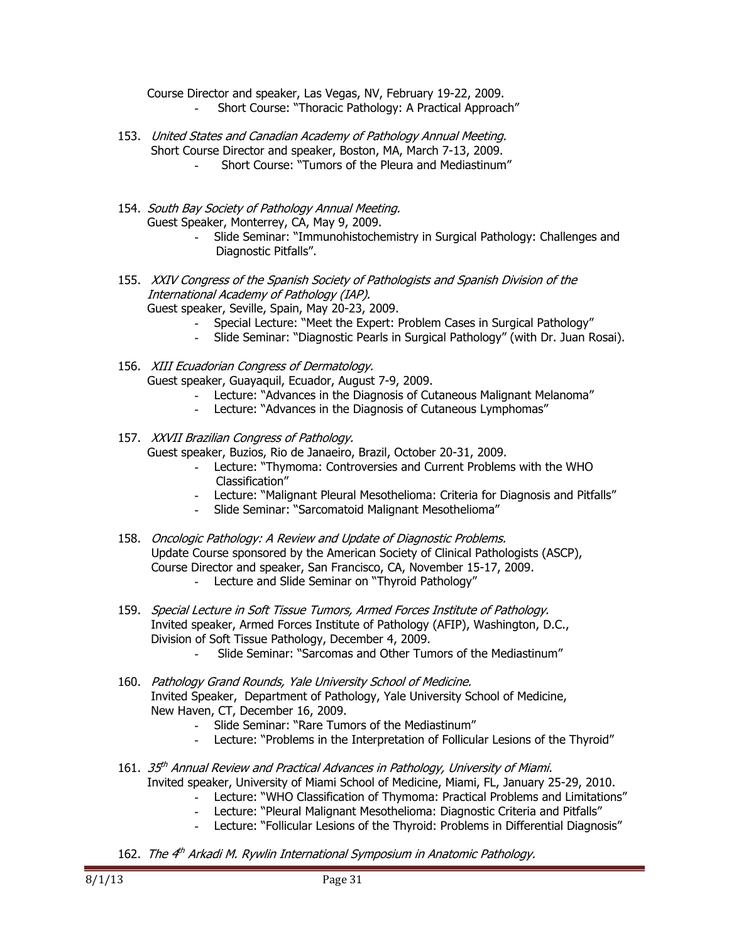Course Director and speaker, Las Vegas, NV, February 19-22, 2009. **-** Short Course: "Thoracic Pathology: A Practical Approach"

- 153. United States and Canadian Academy of Pathology Annual Meeting. Short Course Director and speaker, Boston, MA, March 7-13, 2009.
	- **-** Short Course: "Tumors of the Pleura and Mediastinum"
- 154. South Bay Society of Pathology Annual Meeting. Guest Speaker, Monterrey, CA, May 9, 2009.
	- **-** Slide Seminar: "Immunohistochemistry in Surgical Pathology: Challenges and Diagnostic Pitfalls".
- 155. XXIV Congress of the Spanish Society of Pathologists and Spanish Division of the International Academy of Pathology (IAP). Guest speaker, Seville, Spain, May 20-23, 2009.
	- **-** Special Lecture: "Meet the Expert: Problem Cases in Surgical Pathology"
	- **-** Slide Seminar: "Diagnostic Pearls in Surgical Pathology" (with Dr. Juan Rosai).
- 156. XIII Ecuadorian Congress of Dermatology. Guest speaker, Guayaquil, Ecuador, August 7-9, 2009.
	- **-** Lecture: "Advances in the Diagnosis of Cutaneous Malignant Melanoma"
	- **-** Lecture: "Advances in the Diagnosis of Cutaneous Lymphomas"

### 157. XXVII Brazilian Congress of Pathology.

Guest speaker, Buzios, Rio de Janaeiro, Brazil, October 20-31, 2009.

- **-** Lecture: "Thymoma: Controversies and Current Problems with the WHO Classification"
- **-** Lecture: "Malignant Pleural Mesothelioma: Criteria for Diagnosis and Pitfalls"
- **-** Slide Seminar: "Sarcomatoid Malignant Mesothelioma"
- 158. Oncologic Pathology: A Review and Update of Diagnostic Problems. Update Course sponsored by the American Society of Clinical Pathologists (ASCP), Course Director and speaker, San Francisco, CA, November 15-17, 2009.
	- **-** Lecture and Slide Seminar on "Thyroid Pathology"
- 159. Special Lecture in Soft Tissue Tumors, Armed Forces Institute of Pathology. Invited speaker, Armed Forces Institute of Pathology (AFIP), Washington, D.C., Division of Soft Tissue Pathology, December 4, 2009.
	- **-** Slide Seminar: "Sarcomas and Other Tumors of the Mediastinum"
- 160. Pathology Grand Rounds, Yale University School of Medicine. Invited Speaker, Department of Pathology, Yale University School of Medicine, New Haven, CT, December 16, 2009.
	- **-** Slide Seminar: "Rare Tumors of the Mediastinum"
	- **-** Lecture: "Problems in the Interpretation of Follicular Lesions of the Thyroid"
- 161. 35<sup>th</sup> Annual Review and Practical Advances in Pathology, University of Miami. Invited speaker, University of Miami School of Medicine, Miami, FL, January 25-29, 2010.
	- **-** Lecture: "WHO Classification of Thymoma: Practical Problems and Limitations"
	- **-** Lecture: "Pleural Malignant Mesothelioma: Diagnostic Criteria and Pitfalls"
	- **-** Lecture: "Follicular Lesions of the Thyroid: Problems in Differential Diagnosis"
- 162. The 4<sup>th</sup> Arkadi M. Rywlin International Symposium in Anatomic Pathology.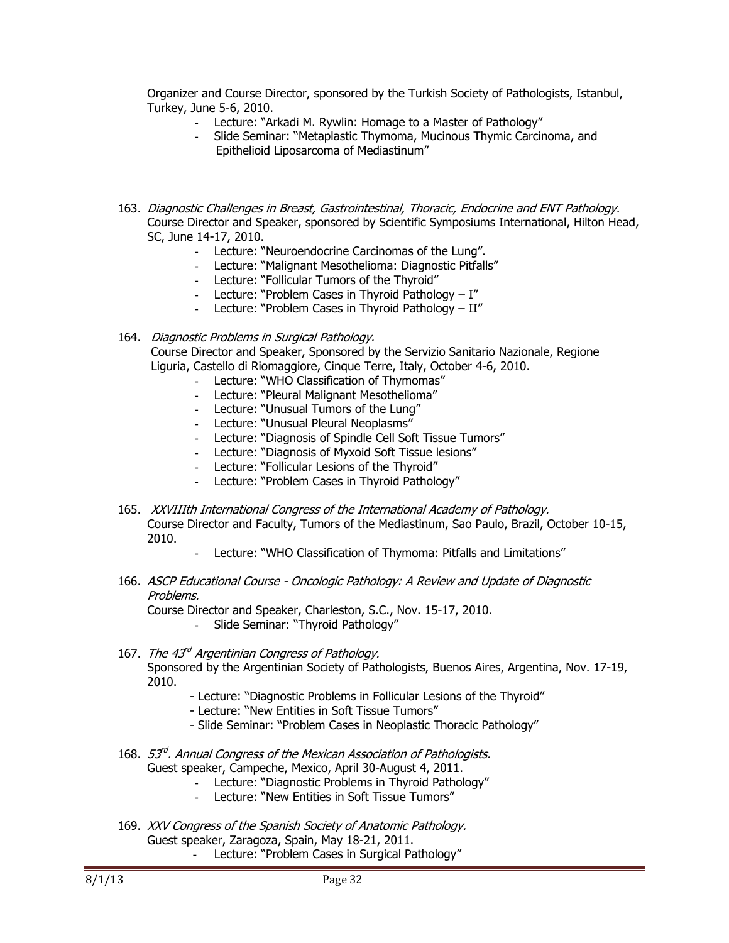Organizer and Course Director, sponsored by the Turkish Society of Pathologists, Istanbul, Turkey, June 5-6, 2010.

- **-** Lecture: "Arkadi M. Rywlin: Homage to a Master of Pathology"
- **-** Slide Seminar: "Metaplastic Thymoma, Mucinous Thymic Carcinoma, and Epithelioid Liposarcoma of Mediastinum"
- 163. Diagnostic Challenges in Breast, Gastrointestinal, Thoracic, Endocrine and ENT Pathology. Course Director and Speaker, sponsored by Scientific Symposiums International, Hilton Head, SC, June 14-17, 2010.
	- **-** Lecture: "Neuroendocrine Carcinomas of the Lung".
	- **-** Lecture: "Malignant Mesothelioma: Diagnostic Pitfalls"
	- **-** Lecture: "Follicular Tumors of the Thyroid"
	- **-** Lecture: "Problem Cases in Thyroid Pathology I"
	- **-** Lecture: "Problem Cases in Thyroid Pathology II"

### 164. Diagnostic Problems in Surgical Pathology.

 Course Director and Speaker, Sponsored by the Servizio Sanitario Nazionale, Regione Liguria, Castello di Riomaggiore, Cinque Terre, Italy, October 4-6, 2010.

- **-** Lecture: "WHO Classification of Thymomas"
- **-** Lecture: "Pleural Malignant Mesothelioma"
- **-** Lecture: "Unusual Tumors of the Lung"
- **-** Lecture: "Unusual Pleural Neoplasms"
- **-** Lecture: "Diagnosis of Spindle Cell Soft Tissue Tumors"
- **-** Lecture: "Diagnosis of Myxoid Soft Tissue lesions"
- **-** Lecture: "Follicular Lesions of the Thyroid"
- **-** Lecture: "Problem Cases in Thyroid Pathology"
- 165. XXVIIIth International Congress of the International Academy of Pathology. Course Director and Faculty, Tumors of the Mediastinum, Sao Paulo, Brazil, October 10-15, 2010.
	- **-** Lecture: "WHO Classification of Thymoma: Pitfalls and Limitations"
- 166. ASCP Educational Course Oncologic Pathology: A Review and Update of Diagnostic Problems.

Course Director and Speaker, Charleston, S.C., Nov. 15-17, 2010.

**-** Slide Seminar: "Thyroid Pathology"

167. The 43<sup>rd</sup> Argentinian Congress of Pathology.

Sponsored by the Argentinian Society of Pathologists, Buenos Aires, Argentina, Nov. 17-19, 2010.

- Lecture: "Diagnostic Problems in Follicular Lesions of the Thyroid"
- Lecture: "New Entities in Soft Tissue Tumors"
- Slide Seminar: "Problem Cases in Neoplastic Thoracic Pathology"
- 168. 53<sup>rd</sup>. Annual Congress of the Mexican Association of Pathologists. Guest speaker, Campeche, Mexico, April 30-August 4, 2011.
	- **-** Lecture: "Diagnostic Problems in Thyroid Pathology"
	- **-** Lecture: "New Entities in Soft Tissue Tumors"
- 169. XXV Congress of the Spanish Society of Anatomic Pathology. Guest speaker, Zaragoza, Spain, May 18-21, 2011.
	- **-** Lecture: "Problem Cases in Surgical Pathology"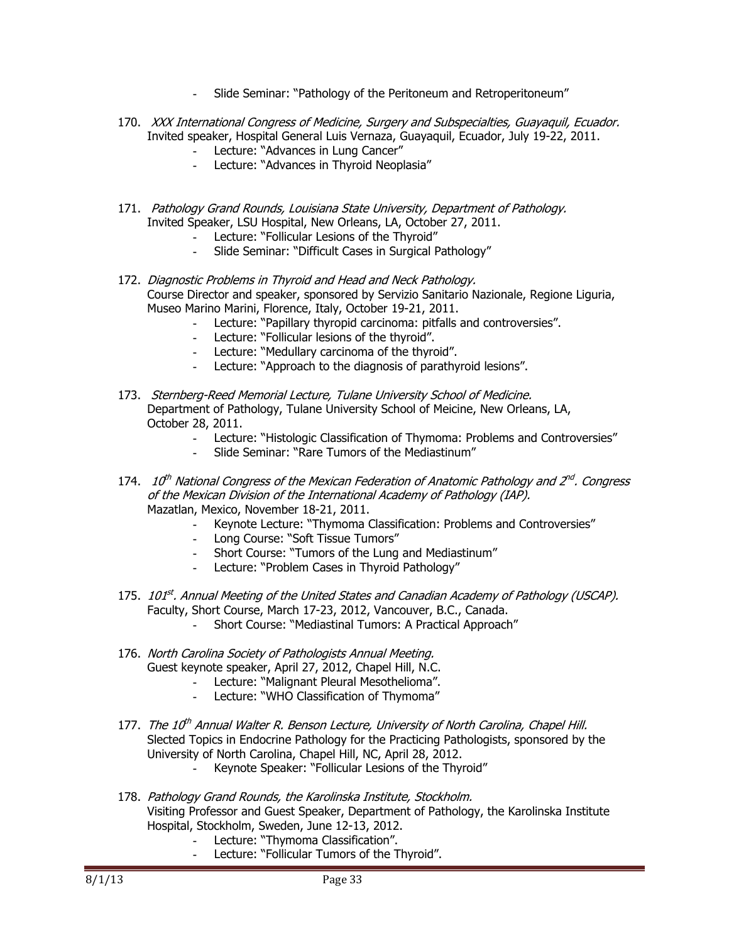- **-** Slide Seminar: "Pathology of the Peritoneum and Retroperitoneum"
- 170. XXX International Congress of Medicine, Surgery and Subspecialties, Guayaquil, Ecuador. Invited speaker, Hospital General Luis Vernaza, Guayaquil, Ecuador, July 19-22, 2011.
	- **-** Lecture: "Advances in Lung Cancer"
	- **-** Lecture: "Advances in Thyroid Neoplasia"
- 171. Pathology Grand Rounds, Louisiana State University, Department of Pathology. Invited Speaker, LSU Hospital, New Orleans, LA, October 27, 2011.
	- **-** Lecture: "Follicular Lesions of the Thyroid"
	- **-** Slide Seminar: "Difficult Cases in Surgical Pathology"
- 172. Diagnostic Problems in Thyroid and Head and Neck Patholoav. Course Director and speaker, sponsored by Servizio Sanitario Nazionale, Regione Liguria, Museo Marino Marini, Florence, Italy, October 19-21, 2011.
	- **-** Lecture: "Papillary thyropid carcinoma: pitfalls and controversies".
	- **-** Lecture: "Follicular lesions of the thyroid".
	- **-** Lecture: "Medullary carcinoma of the thyroid".
	- **-** Lecture: "Approach to the diagnosis of parathyroid lesions".
- 173. Sternberg-Reed Memorial Lecture, Tulane University School of Medicine. Department of Pathology, Tulane University School of Meicine, New Orleans, LA, October 28, 2011.
	- **-** Lecture: "Histologic Classification of Thymoma: Problems and Controversies"
	- **-** Slide Seminar: "Rare Tumors of the Mediastinum"
- 174. 10<sup>th</sup> National Congress of the Mexican Federation of Anatomic Pathology and  $2^{nd}$ . Congress of the Mexican Division of the International Academy of Pathology (IAP). Mazatlan, Mexico, November 18-21, 2011.
	- **-** Keynote Lecture: "Thymoma Classification: Problems and Controversies"
	- **-** Long Course: "Soft Tissue Tumors"
	- **-** Short Course: "Tumors of the Lung and Mediastinum"
	- **-** Lecture: "Problem Cases in Thyroid Pathology"
- 175. 101<sup>st</sup>. Annual Meeting of the United States and Canadian Academy of Pathology (USCAP). Faculty, Short Course, March 17-23, 2012, Vancouver, B.C., Canada. **-** Short Course: "Mediastinal Tumors: A Practical Approach"
- 176. North Carolina Society of Pathologists Annual Meeting. Guest keynote speaker, April 27, 2012, Chapel Hill, N.C.
	- **-** Lecture: "Malignant Pleural Mesothelioma".
	- **-** Lecture: "WHO Classification of Thymoma"
- 177. The 10<sup>th</sup> Annual Walter R. Benson Lecture, University of North Carolina, Chapel Hill. Slected Topics in Endocrine Pathology for the Practicing Pathologists, sponsored by the University of North Carolina, Chapel Hill, NC, April 28, 2012.
	- **-** Keynote Speaker: "Follicular Lesions of the Thyroid"
- 178. Pathology Grand Rounds, the Karolinska Institute, Stockholm. Visiting Professor and Guest Speaker, Department of Pathology, the Karolinska Institute Hospital, Stockholm, Sweden, June 12-13, 2012.
	- **-** Lecture: "Thymoma Classification".
		- **-** Lecture: "Follicular Tumors of the Thyroid".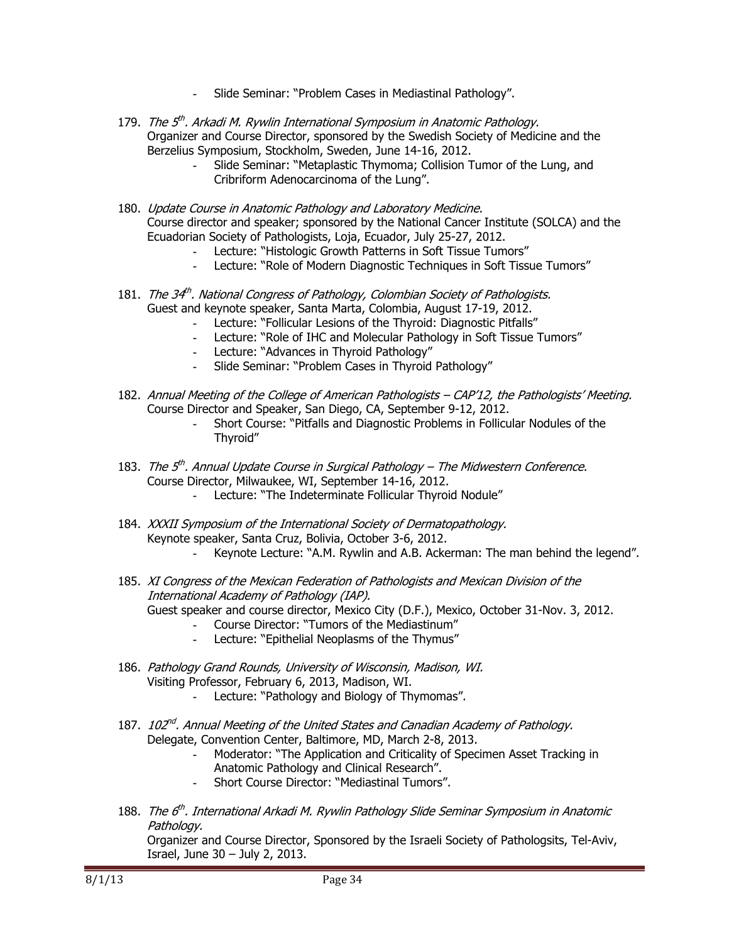- **-** Slide Seminar: "Problem Cases in Mediastinal Pathology".
- 179. The 5<sup>th</sup>. Arkadi M. Rywlin International Symposium in Anatomic Pathology. Organizer and Course Director, sponsored by the Swedish Society of Medicine and the Berzelius Symposium, Stockholm, Sweden, June 14-16, 2012.
	- **-** Slide Seminar: "Metaplastic Thymoma; Collision Tumor of the Lung, and Cribriform Adenocarcinoma of the Lung".
- 180. Update Course in Anatomic Pathology and Laboratory Medicine. Course director and speaker; sponsored by the National Cancer Institute (SOLCA) and the Ecuadorian Society of Pathologists, Loja, Ecuador, July 25-27, 2012.
	- **-** Lecture: "Histologic Growth Patterns in Soft Tissue Tumors"
	- **-** Lecture: "Role of Modern Diagnostic Techniques in Soft Tissue Tumors"
- 181. The 34<sup>th</sup>. National Congress of Pathology, Colombian Society of Pathologists. Guest and keynote speaker, Santa Marta, Colombia, August 17-19, 2012.
	- **-** Lecture: "Follicular Lesions of the Thyroid: Diagnostic Pitfalls"
	- **-** Lecture: "Role of IHC and Molecular Pathology in Soft Tissue Tumors"
	- **-** Lecture: "Advances in Thyroid Pathology"
	- **-** Slide Seminar: "Problem Cases in Thyroid Pathology"
- 182. Annual Meeting of the College of American Pathologists CAP'12, the Pathologists' Meeting. Course Director and Speaker, San Diego, CA, September 9-12, 2012.
	- **-** Short Course: "Pitfalls and Diagnostic Problems in Follicular Nodules of the Thyroid"
- 183. The  $5<sup>th</sup>$ . Annual Update Course in Surgical Pathology The Midwestern Conference. Course Director, Milwaukee, WI, September 14-16, 2012.
	- **-** Lecture: "The Indeterminate Follicular Thyroid Nodule"
- 184. XXXII Symposium of the International Society of Dermatopathology. Keynote speaker, Santa Cruz, Bolivia, October 3-6, 2012.
	- **-** Keynote Lecture: "A.M. Rywlin and A.B. Ackerman: The man behind the legend".
- 185. XI Congress of the Mexican Federation of Pathologists and Mexican Division of the International Academy of Pathology (IAP).

Guest speaker and course director, Mexico City (D.F.), Mexico, October 31-Nov. 3, 2012.

- **-** Course Director: "Tumors of the Mediastinum"
- **-** Lecture: "Epithelial Neoplasms of the Thymus"
- 186. Pathology Grand Rounds, University of Wisconsin, Madison, WI. Visiting Professor, February 6, 2013, Madison, WI.
	- **-** Lecture: "Pathology and Biology of Thymomas".
- 187. 102<sup>nd</sup>. Annual Meeting of the United States and Canadian Academy of Pathology. Delegate, Convention Center, Baltimore, MD, March 2-8, 2013.
	- **-** Moderator: "The Application and Criticality of Specimen Asset Tracking in Anatomic Pathology and Clinical Research".
		- **-** Short Course Director: "Mediastinal Tumors".
- 188. The 6<sup>th</sup>. International Arkadi M. Rywlin Pathology Slide Seminar Symposium in Anatomic Pathology.

Organizer and Course Director, Sponsored by the Israeli Society of Pathologsits, Tel-Aviv, Israel, June 30 – July 2, 2013.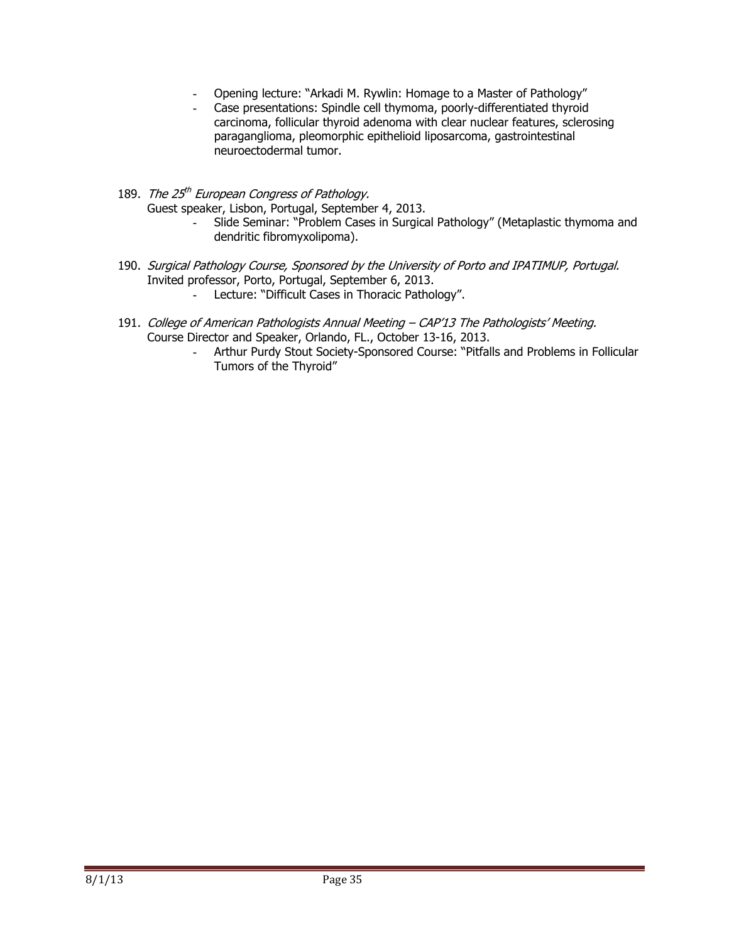- **-** Opening lecture: "Arkadi M. Rywlin: Homage to a Master of Pathology"
- **-** Case presentations: Spindle cell thymoma, poorly-differentiated thyroid carcinoma, follicular thyroid adenoma with clear nuclear features, sclerosing paraganglioma, pleomorphic epithelioid liposarcoma, gastrointestinal neuroectodermal tumor.
- 189. The 25<sup>th</sup> European Congress of Pathology. Guest speaker, Lisbon, Portugal, September 4, 2013.
	- **-** Slide Seminar: "Problem Cases in Surgical Pathology" (Metaplastic thymoma and dendritic fibromyxolipoma).
- 190. Surgical Pathology Course, Sponsored by the University of Porto and IPATIMUP, Portugal. Invited professor, Porto, Portugal, September 6, 2013.
	- Lecture: "Difficult Cases in Thoracic Pathology".
- 191. College of American Pathologists Annual Meeting CAP'13 The Pathologists' Meeting. Course Director and Speaker, Orlando, FL., October 13-16, 2013.
	- **-** Arthur Purdy Stout Society-Sponsored Course: "Pitfalls and Problems in Follicular Tumors of the Thyroid"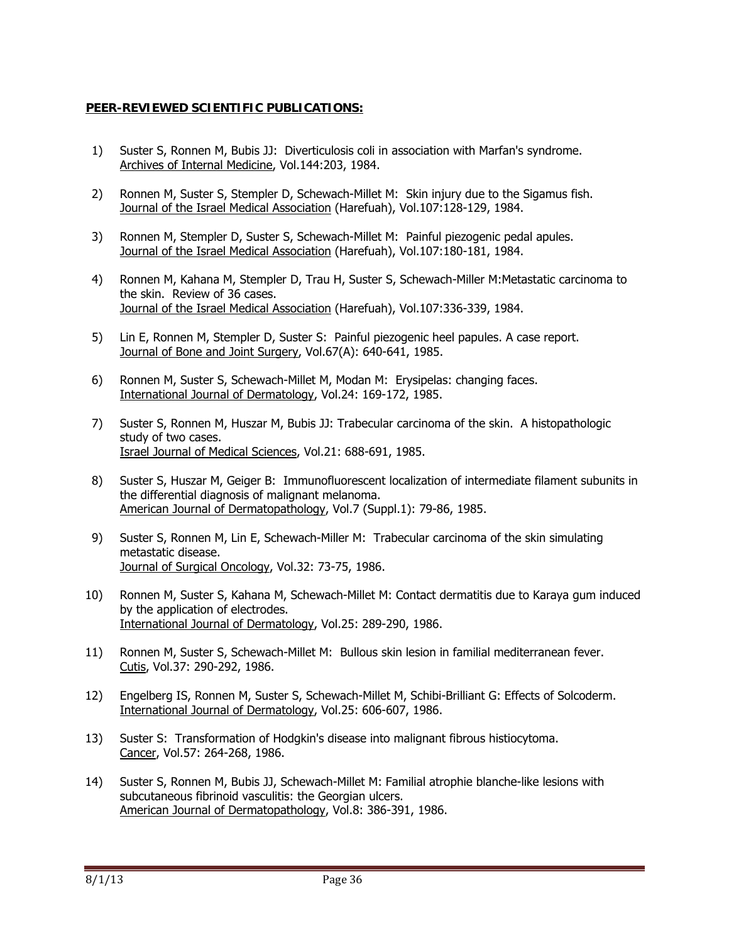## **PEER-REVIEWED SCIENTIFIC PUBLICATIONS:**

- 1) Suster S, Ronnen M, Bubis JJ: Diverticulosis coli in association with Marfan's syndrome. Archives of Internal Medicine, Vol.144:203, 1984.
- 2) Ronnen M, Suster S, Stempler D, Schewach-Millet M: Skin injury due to the Sigamus fish. Journal of the Israel Medical Association (Harefuah), Vol.107:128-129, 1984.
- 3) Ronnen M, Stempler D, Suster S, Schewach-Millet M: Painful piezogenic pedal apules. Journal of the Israel Medical Association (Harefuah), Vol.107:180-181, 1984.
- 4) Ronnen M, Kahana M, Stempler D, Trau H, Suster S, Schewach-Miller M:Metastatic carcinoma to the skin. Review of 36 cases. Journal of the Israel Medical Association (Harefuah), Vol.107:336-339, 1984.
- 5) Lin E, Ronnen M, Stempler D, Suster S: Painful piezogenic heel papules. A case report. Journal of Bone and Joint Surgery, Vol.67(A): 640-641, 1985.
- 6) Ronnen M, Suster S, Schewach-Millet M, Modan M: Erysipelas: changing faces. International Journal of Dermatology, Vol.24: 169-172, 1985.
- 7) Suster S, Ronnen M, Huszar M, Bubis JJ: Trabecular carcinoma of the skin. A histopathologic study of two cases. Israel Journal of Medical Sciences, Vol.21: 688-691, 1985.
- 8) Suster S, Huszar M, Geiger B: Immunofluorescent localization of intermediate filament subunits in the differential diagnosis of malignant melanoma. American Journal of Dermatopathology, Vol.7 (Suppl.1): 79-86, 1985.
- 9) Suster S, Ronnen M, Lin E, Schewach-Miller M: Trabecular carcinoma of the skin simulating metastatic disease. Journal of Surgical Oncology, Vol.32: 73-75, 1986.
- 10) Ronnen M, Suster S, Kahana M, Schewach-Millet M: Contact dermatitis due to Karaya gum induced by the application of electrodes. International Journal of Dermatology, Vol.25: 289-290, 1986.
- 11) Ronnen M, Suster S, Schewach-Millet M: Bullous skin lesion in familial mediterranean fever. Cutis, Vol.37: 290-292, 1986.
- 12) Engelberg IS, Ronnen M, Suster S, Schewach-Millet M, Schibi-Brilliant G: Effects of Solcoderm. International Journal of Dermatology, Vol.25: 606-607, 1986.
- 13) Suster S: Transformation of Hodgkin's disease into malignant fibrous histiocytoma. Cancer, Vol.57: 264-268, 1986.
- 14) Suster S, Ronnen M, Bubis JJ, Schewach-Millet M: Familial atrophie blanche-like lesions with subcutaneous fibrinoid vasculitis: the Georgian ulcers. American Journal of Dermatopathology, Vol.8: 386-391, 1986.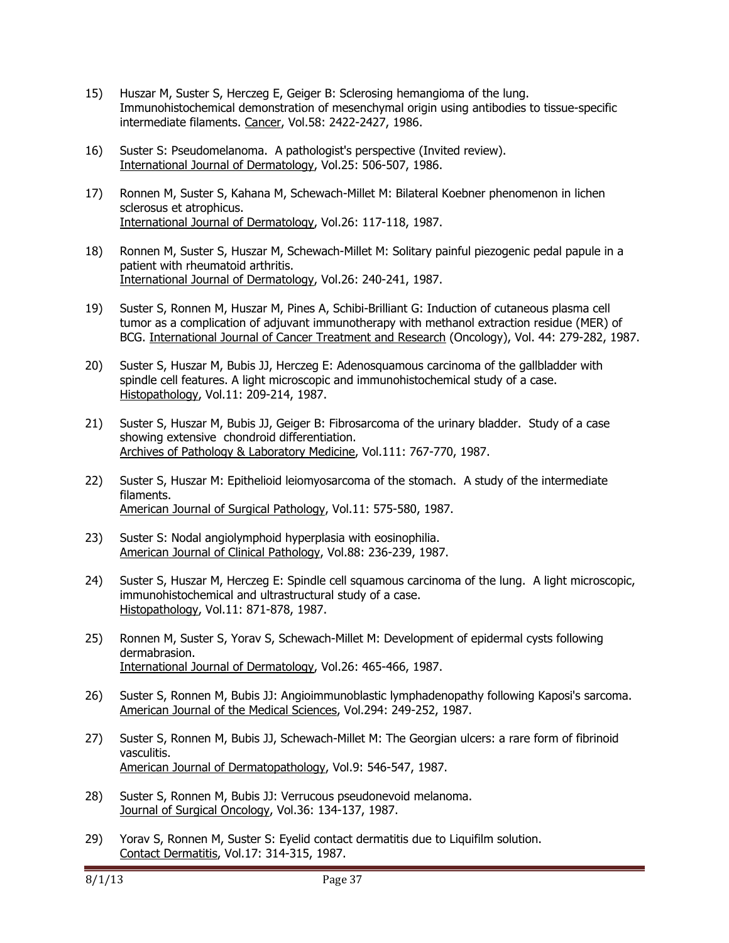- 15) Huszar M, Suster S, Herczeg E, Geiger B: Sclerosing hemangioma of the lung. Immunohistochemical demonstration of mesenchymal origin using antibodies to tissue-specific intermediate filaments. Cancer, Vol.58: 2422-2427, 1986.
- 16) Suster S: Pseudomelanoma. A pathologist's perspective (Invited review). International Journal of Dermatology, Vol.25: 506-507, 1986.
- 17) Ronnen M, Suster S, Kahana M, Schewach-Millet M: Bilateral Koebner phenomenon in lichen sclerosus et atrophicus. International Journal of Dermatology, Vol.26: 117-118, 1987.
- 18) Ronnen M, Suster S, Huszar M, Schewach-Millet M: Solitary painful piezogenic pedal papule in a patient with rheumatoid arthritis. International Journal of Dermatology, Vol.26: 240-241, 1987.
- 19) Suster S, Ronnen M, Huszar M, Pines A, Schibi-Brilliant G: Induction of cutaneous plasma cell tumor as a complication of adjuvant immunotherapy with methanol extraction residue (MER) of BCG. International Journal of Cancer Treatment and Research (Oncology), Vol. 44: 279-282, 1987.
- 20) Suster S, Huszar M, Bubis JJ, Herczeg E: Adenosquamous carcinoma of the gallbladder with spindle cell features. A light microscopic and immunohistochemical study of a case. Histopathology, Vol.11: 209-214, 1987.
- 21) Suster S, Huszar M, Bubis JJ, Geiger B: Fibrosarcoma of the urinary bladder. Study of a case showing extensive chondroid differentiation. Archives of Pathology & Laboratory Medicine, Vol.111: 767-770, 1987.
- 22) Suster S, Huszar M: Epithelioid leiomyosarcoma of the stomach. A study of the intermediate filaments. American Journal of Surgical Pathology, Vol.11: 575-580, 1987.
- 23) Suster S: Nodal angiolymphoid hyperplasia with eosinophilia. American Journal of Clinical Pathology, Vol.88: 236-239, 1987.
- 24) Suster S, Huszar M, Herczeg E: Spindle cell squamous carcinoma of the lung. A light microscopic, immunohistochemical and ultrastructural study of a case. Histopathology, Vol.11: 871-878, 1987.
- 25) Ronnen M, Suster S, Yorav S, Schewach-Millet M: Development of epidermal cysts following dermabrasion. International Journal of Dermatology, Vol.26: 465-466, 1987.
- 26) Suster S, Ronnen M, Bubis JJ: Angioimmunoblastic lymphadenopathy following Kaposi's sarcoma. American Journal of the Medical Sciences, Vol.294: 249-252, 1987.
- 27) Suster S, Ronnen M, Bubis JJ, Schewach-Millet M: The Georgian ulcers: a rare form of fibrinoid vasculitis. American Journal of Dermatopathology, Vol.9: 546-547, 1987.
- 28) Suster S, Ronnen M, Bubis JJ: Verrucous pseudonevoid melanoma. Journal of Surgical Oncology, Vol.36: 134-137, 1987.
- 29) Yorav S, Ronnen M, Suster S: Eyelid contact dermatitis due to Liquifilm solution. Contact Dermatitis, Vol.17: 314-315, 1987.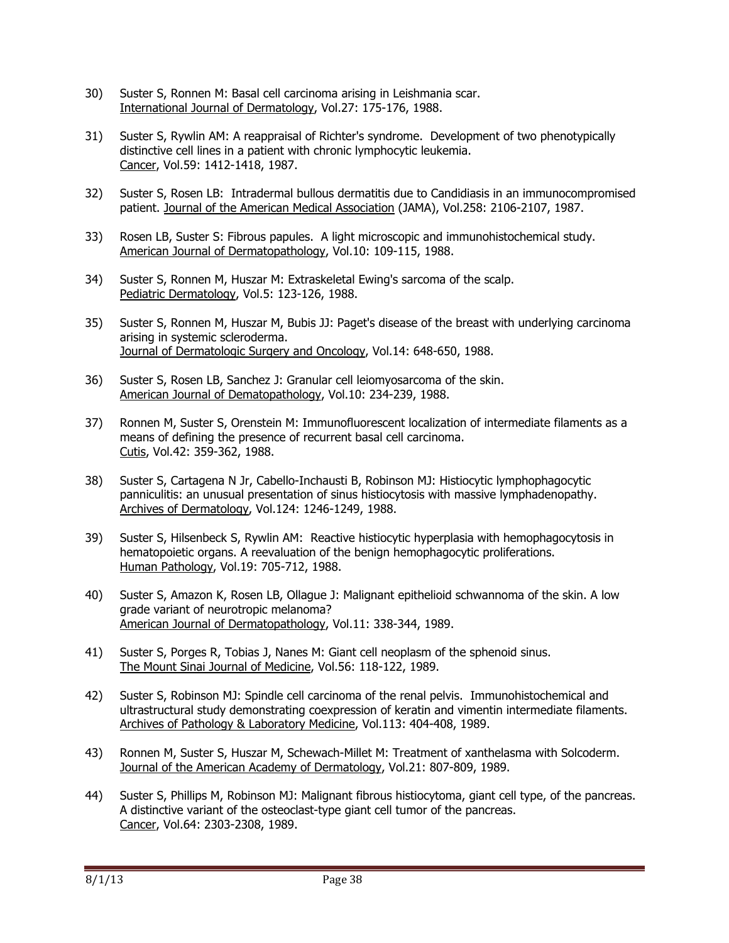- 30) Suster S, Ronnen M: Basal cell carcinoma arising in Leishmania scar. International Journal of Dermatology, Vol.27: 175-176, 1988.
- 31) Suster S, Rywlin AM: A reappraisal of Richter's syndrome. Development of two phenotypically distinctive cell lines in a patient with chronic lymphocytic leukemia. Cancer, Vol.59: 1412-1418, 1987.
- 32) Suster S, Rosen LB: Intradermal bullous dermatitis due to Candidiasis in an immunocompromised patient. Journal of the American Medical Association (JAMA), Vol.258: 2106-2107, 1987.
- 33) Rosen LB, Suster S: Fibrous papules. A light microscopic and immunohistochemical study. American Journal of Dermatopathology, Vol.10: 109-115, 1988.
- 34) Suster S, Ronnen M, Huszar M: Extraskeletal Ewing's sarcoma of the scalp. Pediatric Dermatology, Vol.5: 123-126, 1988.
- 35) Suster S, Ronnen M, Huszar M, Bubis JJ: Paget's disease of the breast with underlying carcinoma arising in systemic scleroderma. Journal of Dermatologic Surgery and Oncology, Vol.14: 648-650, 1988.
- 36) Suster S, Rosen LB, Sanchez J: Granular cell leiomyosarcoma of the skin. American Journal of Dematopathology, Vol.10: 234-239, 1988.
- 37) Ronnen M, Suster S, Orenstein M: Immunofluorescent localization of intermediate filaments as a means of defining the presence of recurrent basal cell carcinoma. Cutis, Vol.42: 359-362, 1988.
- 38) Suster S, Cartagena N Jr, Cabello-Inchausti B, Robinson MJ: Histiocytic lymphophagocytic panniculitis: an unusual presentation of sinus histiocytosis with massive lymphadenopathy. Archives of Dermatology, Vol.124: 1246-1249, 1988.
- 39) Suster S, Hilsenbeck S, Rywlin AM: Reactive histiocytic hyperplasia with hemophagocytosis in hematopoietic organs. A reevaluation of the benign hemophagocytic proliferations. Human Pathology, Vol.19: 705-712, 1988.
- 40) Suster S, Amazon K, Rosen LB, Ollague J: Malignant epithelioid schwannoma of the skin. A low grade variant of neurotropic melanoma? American Journal of Dermatopathology, Vol.11: 338-344, 1989.
- 41) Suster S, Porges R, Tobias J, Nanes M: Giant cell neoplasm of the sphenoid sinus. The Mount Sinai Journal of Medicine, Vol.56: 118-122, 1989.
- 42) Suster S, Robinson MJ: Spindle cell carcinoma of the renal pelvis. Immunohistochemical and ultrastructural study demonstrating coexpression of keratin and vimentin intermediate filaments. Archives of Pathology & Laboratory Medicine, Vol.113: 404-408, 1989.
- 43) Ronnen M, Suster S, Huszar M, Schewach-Millet M: Treatment of xanthelasma with Solcoderm. Journal of the American Academy of Dermatology, Vol.21: 807-809, 1989.
- 44) Suster S, Phillips M, Robinson MJ: Malignant fibrous histiocytoma, giant cell type, of the pancreas. A distinctive variant of the osteoclast-type giant cell tumor of the pancreas. Cancer, Vol.64: 2303-2308, 1989.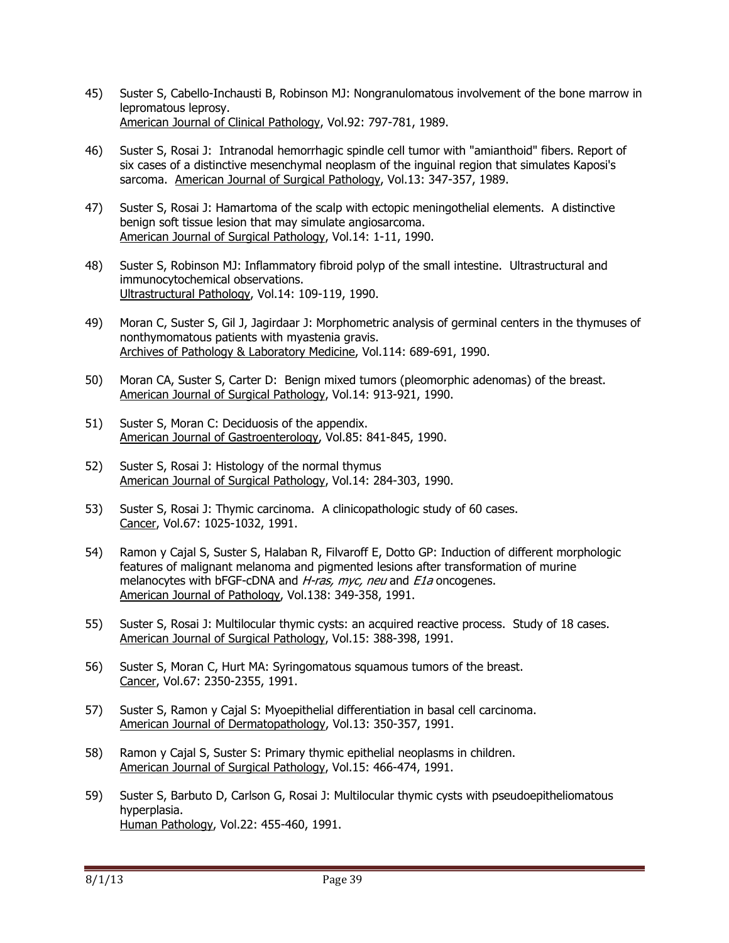- 45) Suster S, Cabello-Inchausti B, Robinson MJ: Nongranulomatous involvement of the bone marrow in lepromatous leprosy. American Journal of Clinical Pathology, Vol.92: 797-781, 1989.
- 46) Suster S, Rosai J: Intranodal hemorrhagic spindle cell tumor with "amianthoid" fibers. Report of six cases of a distinctive mesenchymal neoplasm of the inguinal region that simulates Kaposi's sarcoma. American Journal of Surgical Pathology, Vol.13: 347-357, 1989.
- 47) Suster S, Rosai J: Hamartoma of the scalp with ectopic meningothelial elements. A distinctive benign soft tissue lesion that may simulate angiosarcoma. American Journal of Surgical Pathology, Vol.14: 1-11, 1990.
- 48) Suster S, Robinson MJ: Inflammatory fibroid polyp of the small intestine. Ultrastructural and immunocytochemical observations. Ultrastructural Pathology, Vol.14: 109-119, 1990.
- 49) Moran C, Suster S, Gil J, Jagirdaar J: Morphometric analysis of germinal centers in the thymuses of nonthymomatous patients with myastenia gravis. Archives of Pathology & Laboratory Medicine, Vol.114: 689-691, 1990.
- 50) Moran CA, Suster S, Carter D: Benign mixed tumors (pleomorphic adenomas) of the breast. American Journal of Surgical Pathology, Vol.14: 913-921, 1990.
- 51) Suster S, Moran C: Deciduosis of the appendix. American Journal of Gastroenterology, Vol.85: 841-845, 1990.
- 52) Suster S, Rosai J: Histology of the normal thymus American Journal of Surgical Pathology, Vol.14: 284-303, 1990.
- 53) Suster S, Rosai J: Thymic carcinoma. A clinicopathologic study of 60 cases. Cancer, Vol.67: 1025-1032, 1991.
- 54) Ramon y Cajal S, Suster S, Halaban R, Filvaroff E, Dotto GP: Induction of different morphologic features of malignant melanoma and pigmented lesions after transformation of murine melanocytes with bFGF-cDNA and *H-ras, myc, neu* and *E1a* oncogenes. American Journal of Pathology, Vol.138: 349-358, 1991.
- 55) Suster S, Rosai J: Multilocular thymic cysts: an acquired reactive process. Study of 18 cases. American Journal of Surgical Pathology, Vol.15: 388-398, 1991.
- 56) Suster S, Moran C, Hurt MA: Syringomatous squamous tumors of the breast. Cancer, Vol.67: 2350-2355, 1991.
- 57) Suster S, Ramon y Cajal S: Myoepithelial differentiation in basal cell carcinoma. American Journal of Dermatopathology, Vol.13: 350-357, 1991.
- 58) Ramon y Cajal S, Suster S: Primary thymic epithelial neoplasms in children. American Journal of Surgical Pathology, Vol.15: 466-474, 1991.
- 59) Suster S, Barbuto D, Carlson G, Rosai J: Multilocular thymic cysts with pseudoepitheliomatous hyperplasia. Human Pathology, Vol.22: 455-460, 1991.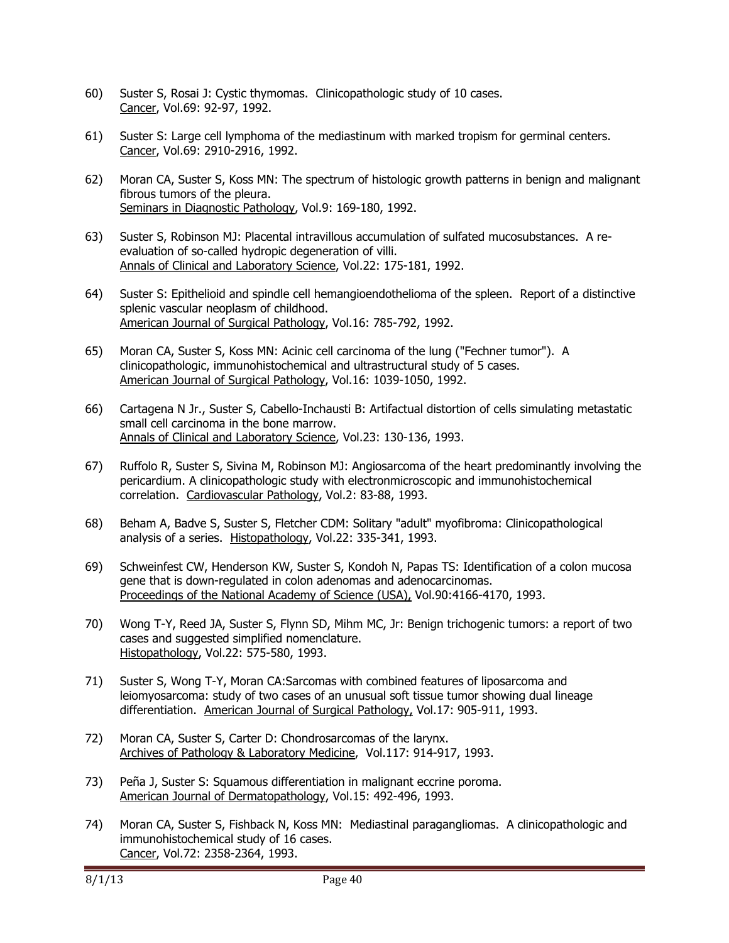- 60) Suster S, Rosai J: Cystic thymomas. Clinicopathologic study of 10 cases. Cancer, Vol.69: 92-97, 1992.
- 61) Suster S: Large cell lymphoma of the mediastinum with marked tropism for germinal centers. Cancer, Vol.69: 2910-2916, 1992.
- 62) Moran CA, Suster S, Koss MN: The spectrum of histologic growth patterns in benign and malignant fibrous tumors of the pleura. Seminars in Diagnostic Pathology, Vol.9: 169-180, 1992.
- 63) Suster S, Robinson MJ: Placental intravillous accumulation of sulfated mucosubstances. A reevaluation of so-called hydropic degeneration of villi. Annals of Clinical and Laboratory Science, Vol.22: 175-181, 1992.
- 64) Suster S: Epithelioid and spindle cell hemangioendothelioma of the spleen. Report of a distinctive splenic vascular neoplasm of childhood. American Journal of Surgical Pathology, Vol.16: 785-792, 1992.
- 65) Moran CA, Suster S, Koss MN: Acinic cell carcinoma of the lung ("Fechner tumor"). A clinicopathologic, immunohistochemical and ultrastructural study of 5 cases. American Journal of Surgical Pathology, Vol.16: 1039-1050, 1992.
- 66) Cartagena N Jr., Suster S, Cabello-Inchausti B: Artifactual distortion of cells simulating metastatic small cell carcinoma in the bone marrow. Annals of Clinical and Laboratory Science, Vol.23: 130-136, 1993.
- 67) Ruffolo R, Suster S, Sivina M, Robinson MJ: Angiosarcoma of the heart predominantly involving the pericardium. A clinicopathologic study with electronmicroscopic and immunohistochemical correlation. Cardiovascular Pathology, Vol.2: 83-88, 1993.
- 68) Beham A, Badve S, Suster S, Fletcher CDM: Solitary "adult" myofibroma: Clinicopathological analysis of a series. Histopathology, Vol.22: 335-341, 1993.
- 69) Schweinfest CW, Henderson KW, Suster S, Kondoh N, Papas TS: Identification of a colon mucosa gene that is down-regulated in colon adenomas and adenocarcinomas. Proceedings of the National Academy of Science (USA), Vol.90:4166-4170, 1993.
- 70) Wong T-Y, Reed JA, Suster S, Flynn SD, Mihm MC, Jr: Benign trichogenic tumors: a report of two cases and suggested simplified nomenclature. Histopathology, Vol.22: 575-580, 1993.
- 71) Suster S, Wong T-Y, Moran CA:Sarcomas with combined features of liposarcoma and leiomyosarcoma: study of two cases of an unusual soft tissue tumor showing dual lineage differentiation. American Journal of Surgical Pathology, Vol.17: 905-911, 1993.
- 72) Moran CA, Suster S, Carter D: Chondrosarcomas of the larynx. Archives of Pathology & Laboratory Medicine, Vol.117: 914-917, 1993.
- 73) Peña J, Suster S: Squamous differentiation in malignant eccrine poroma. American Journal of Dermatopathology, Vol.15: 492-496, 1993.
- 74) Moran CA, Suster S, Fishback N, Koss MN: Mediastinal paragangliomas. A clinicopathologic and immunohistochemical study of 16 cases. Cancer, Vol.72: 2358-2364, 1993.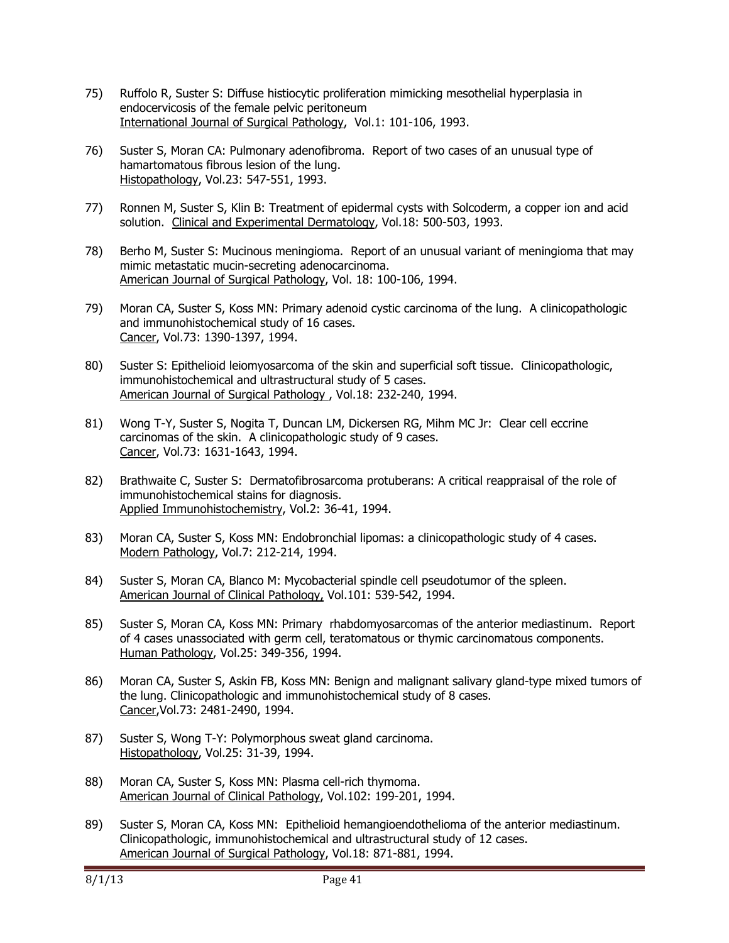- 75) Ruffolo R, Suster S: Diffuse histiocytic proliferation mimicking mesothelial hyperplasia in endocervicosis of the female pelvic peritoneum International Journal of Surgical Pathology, Vol.1: 101-106, 1993.
- 76) Suster S, Moran CA: Pulmonary adenofibroma. Report of two cases of an unusual type of hamartomatous fibrous lesion of the lung. Histopathology, Vol.23: 547-551, 1993.
- 77) Ronnen M, Suster S, Klin B: Treatment of epidermal cysts with Solcoderm, a copper ion and acid solution. Clinical and Experimental Dermatology, Vol.18: 500-503, 1993.
- 78) Berho M, Suster S: Mucinous meningioma. Report of an unusual variant of meningioma that may mimic metastatic mucin-secreting adenocarcinoma. American Journal of Surgical Pathology, Vol. 18: 100-106, 1994.
- 79) Moran CA, Suster S, Koss MN: Primary adenoid cystic carcinoma of the lung. A clinicopathologic and immunohistochemical study of 16 cases. Cancer, Vol.73: 1390-1397, 1994.
- 80) Suster S: Epithelioid leiomyosarcoma of the skin and superficial soft tissue. Clinicopathologic, immunohistochemical and ultrastructural study of 5 cases. American Journal of Surgical Pathology , Vol.18: 232-240, 1994.
- 81) Wong T-Y, Suster S, Nogita T, Duncan LM, Dickersen RG, Mihm MC Jr: Clear cell eccrine carcinomas of the skin. A clinicopathologic study of 9 cases. Cancer, Vol.73: 1631-1643, 1994.
- 82) Brathwaite C, Suster S: Dermatofibrosarcoma protuberans: A critical reappraisal of the role of immunohistochemical stains for diagnosis. Applied Immunohistochemistry, Vol.2: 36-41, 1994.
- 83) Moran CA, Suster S, Koss MN: Endobronchial lipomas: a clinicopathologic study of 4 cases. Modern Pathology, Vol.7: 212-214, 1994.
- 84) Suster S, Moran CA, Blanco M: Mycobacterial spindle cell pseudotumor of the spleen. American Journal of Clinical Pathology, Vol.101: 539-542, 1994.
- 85) Suster S, Moran CA, Koss MN: Primary rhabdomyosarcomas of the anterior mediastinum. Report of 4 cases unassociated with germ cell, teratomatous or thymic carcinomatous components. Human Pathology, Vol.25: 349-356, 1994.
- 86) Moran CA, Suster S, Askin FB, Koss MN: Benign and malignant salivary gland-type mixed tumors of the lung. Clinicopathologic and immunohistochemical study of 8 cases. Cancer,Vol.73: 2481-2490, 1994.
- 87) Suster S, Wong T-Y: Polymorphous sweat gland carcinoma. Histopathology, Vol.25: 31-39, 1994.
- 88) Moran CA, Suster S, Koss MN: Plasma cell-rich thymoma. American Journal of Clinical Pathology, Vol.102: 199-201, 1994.
- 89) Suster S, Moran CA, Koss MN: Epithelioid hemangioendothelioma of the anterior mediastinum. Clinicopathologic, immunohistochemical and ultrastructural study of 12 cases. American Journal of Surgical Pathology, Vol.18: 871-881, 1994.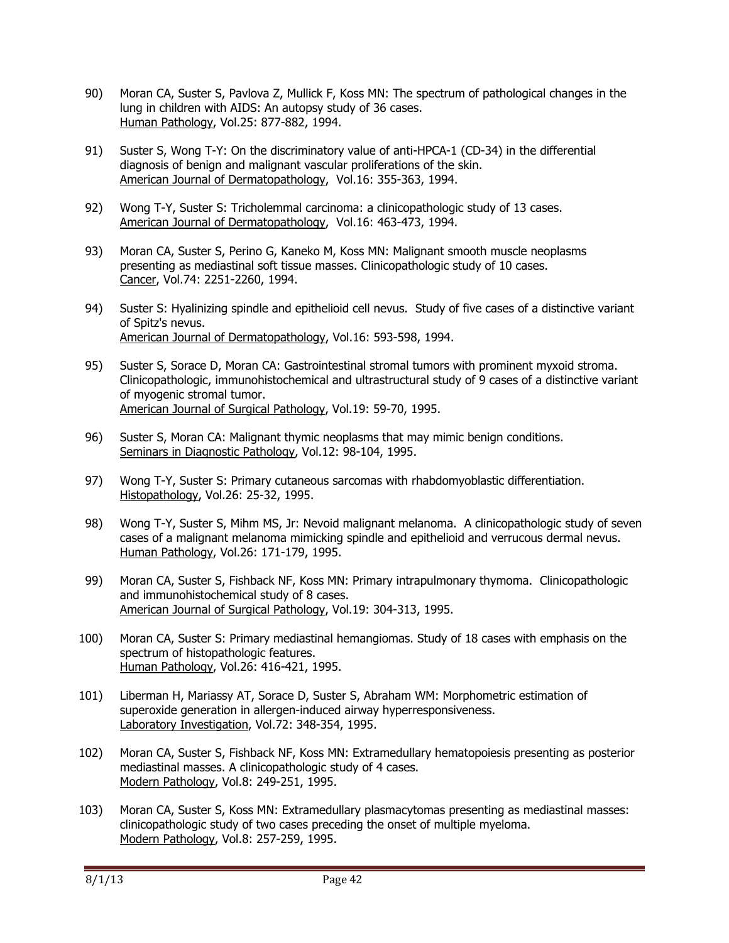- 90) Moran CA, Suster S, Pavlova Z, Mullick F, Koss MN: The spectrum of pathological changes in the lung in children with AIDS: An autopsy study of 36 cases. Human Pathology, Vol.25: 877-882, 1994.
- 91) Suster S, Wong T-Y: On the discriminatory value of anti-HPCA-1 (CD-34) in the differential diagnosis of benign and malignant vascular proliferations of the skin. American Journal of Dermatopathology, Vol.16: 355-363, 1994.
- 92) Wong T-Y, Suster S: Tricholemmal carcinoma: a clinicopathologic study of 13 cases. American Journal of Dermatopathology, Vol.16: 463-473, 1994.
- 93) Moran CA, Suster S, Perino G, Kaneko M, Koss MN: Malignant smooth muscle neoplasms presenting as mediastinal soft tissue masses. Clinicopathologic study of 10 cases. Cancer, Vol.74: 2251-2260, 1994.
- 94) Suster S: Hyalinizing spindle and epithelioid cell nevus. Study of five cases of a distinctive variant of Spitz's nevus. American Journal of Dermatopathology, Vol.16: 593-598, 1994.
- 95) Suster S, Sorace D, Moran CA: Gastrointestinal stromal tumors with prominent myxoid stroma. Clinicopathologic, immunohistochemical and ultrastructural study of 9 cases of a distinctive variant of myogenic stromal tumor. American Journal of Surgical Pathology, Vol.19: 59-70, 1995.
- 96) Suster S, Moran CA: Malignant thymic neoplasms that may mimic benign conditions. Seminars in Diagnostic Pathology, Vol.12: 98-104, 1995.
- 97) Wong T-Y, Suster S: Primary cutaneous sarcomas with rhabdomyoblastic differentiation. Histopathology, Vol.26: 25-32, 1995.
- 98) Wong T-Y, Suster S, Mihm MS, Jr: Nevoid malignant melanoma. A clinicopathologic study of seven cases of a malignant melanoma mimicking spindle and epithelioid and verrucous dermal nevus. Human Pathology, Vol.26: 171-179, 1995.
- 99) Moran CA, Suster S, Fishback NF, Koss MN: Primary intrapulmonary thymoma. Clinicopathologic and immunohistochemical study of 8 cases. American Journal of Surgical Pathology, Vol.19: 304-313, 1995.
- 100) Moran CA, Suster S: Primary mediastinal hemangiomas. Study of 18 cases with emphasis on the spectrum of histopathologic features. Human Pathology, Vol.26: 416-421, 1995.
- 101) Liberman H, Mariassy AT, Sorace D, Suster S, Abraham WM: Morphometric estimation of superoxide generation in allergen-induced airway hyperresponsiveness. Laboratory Investigation, Vol.72: 348-354, 1995.
- 102) Moran CA, Suster S, Fishback NF, Koss MN: Extramedullary hematopoiesis presenting as posterior mediastinal masses. A clinicopathologic study of 4 cases. Modern Pathology, Vol.8: 249-251, 1995.
- 103) Moran CA, Suster S, Koss MN: Extramedullary plasmacytomas presenting as mediastinal masses: clinicopathologic study of two cases preceding the onset of multiple myeloma. Modern Pathology, Vol.8: 257-259, 1995.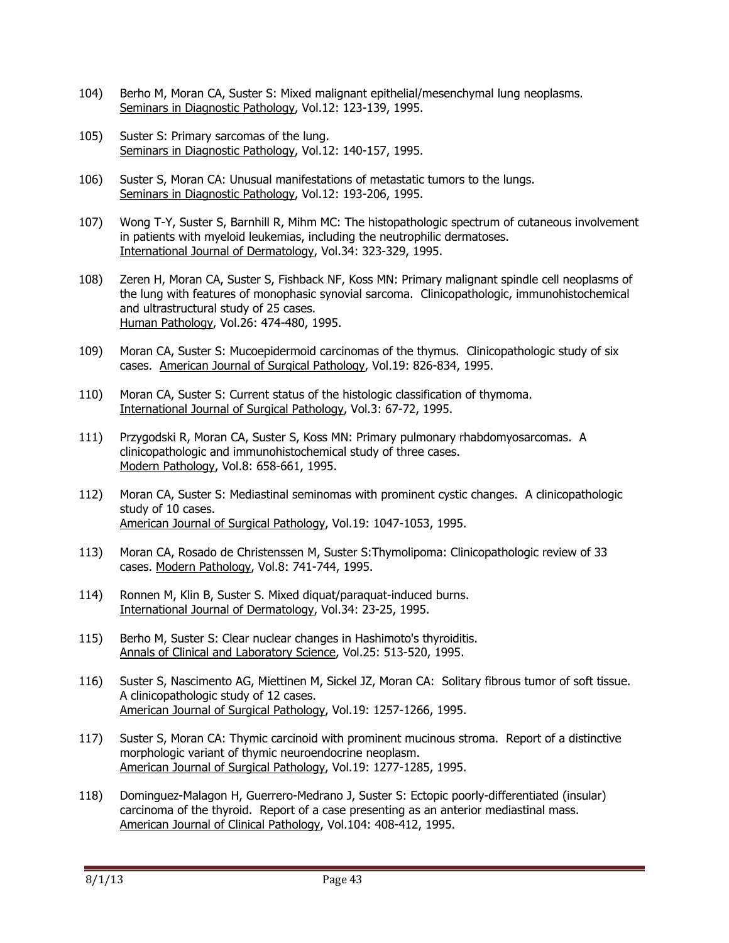- 104) Berho M, Moran CA, Suster S: Mixed malignant epithelial/mesenchymal lung neoplasms. Seminars in Diagnostic Pathology, Vol.12: 123-139, 1995.
- 105) Suster S: Primary sarcomas of the lung. Seminars in Diagnostic Pathology, Vol.12: 140-157, 1995.
- 106) Suster S, Moran CA: Unusual manifestations of metastatic tumors to the lungs. Seminars in Diagnostic Pathology, Vol.12: 193-206, 1995.
- 107) Wong T-Y, Suster S, Barnhill R, Mihm MC: The histopathologic spectrum of cutaneous involvement in patients with myeloid leukemias, including the neutrophilic dermatoses. International Journal of Dermatology, Vol.34: 323-329, 1995.
- 108) Zeren H, Moran CA, Suster S, Fishback NF, Koss MN: Primary malignant spindle cell neoplasms of the lung with features of monophasic synovial sarcoma. Clinicopathologic, immunohistochemical and ultrastructural study of 25 cases. Human Pathology, Vol.26: 474-480, 1995.
- 109) Moran CA, Suster S: Mucoepidermoid carcinomas of the thymus. Clinicopathologic study of six cases. American Journal of Surgical Pathology, Vol.19: 826-834, 1995.
- 110) Moran CA, Suster S: Current status of the histologic classification of thymoma. International Journal of Surgical Pathology, Vol.3: 67-72, 1995.
- 111) Przygodski R, Moran CA, Suster S, Koss MN: Primary pulmonary rhabdomyosarcomas. A clinicopathologic and immunohistochemical study of three cases. Modern Pathology, Vol.8: 658-661, 1995.
- 112) Moran CA, Suster S: Mediastinal seminomas with prominent cystic changes. A clinicopathologic study of 10 cases. American Journal of Surgical Pathology, Vol.19: 1047-1053, 1995.
- 113) Moran CA, Rosado de Christenssen M, Suster S:Thymolipoma: Clinicopathologic review of 33 cases. Modern Pathology, Vol.8: 741-744, 1995.
- 114) Ronnen M, Klin B, Suster S. Mixed diquat/paraquat-induced burns. International Journal of Dermatology, Vol.34: 23-25, 1995.
- 115) Berho M, Suster S: Clear nuclear changes in Hashimoto's thyroiditis. Annals of Clinical and Laboratory Science, Vol.25: 513-520, 1995.
- 116) Suster S, Nascimento AG, Miettinen M, Sickel JZ, Moran CA: Solitary fibrous tumor of soft tissue. A clinicopathologic study of 12 cases. American Journal of Surgical Pathology, Vol.19: 1257-1266, 1995.
- 117) Suster S, Moran CA: Thymic carcinoid with prominent mucinous stroma. Report of a distinctive morphologic variant of thymic neuroendocrine neoplasm. American Journal of Surgical Pathology, Vol.19: 1277-1285, 1995.
- 118) Dominguez-Malagon H, Guerrero-Medrano J, Suster S: Ectopic poorly-differentiated (insular) carcinoma of the thyroid. Report of a case presenting as an anterior mediastinal mass. American Journal of Clinical Pathology, Vol.104: 408-412, 1995.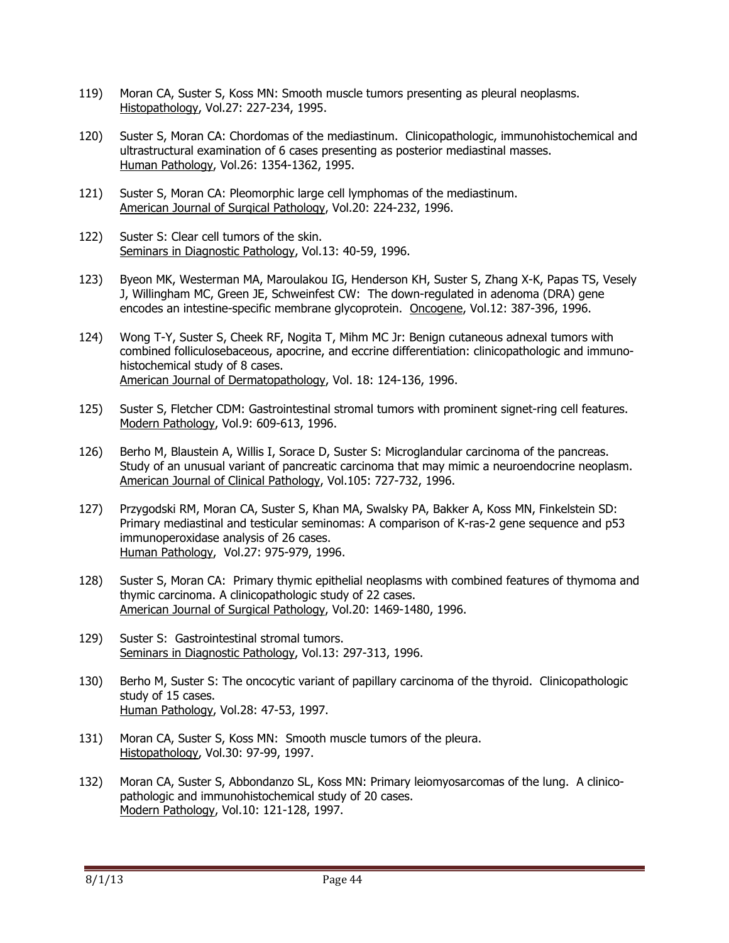- 119) Moran CA, Suster S, Koss MN: Smooth muscle tumors presenting as pleural neoplasms. Histopathology, Vol.27: 227-234, 1995.
- 120) Suster S, Moran CA: Chordomas of the mediastinum. Clinicopathologic, immunohistochemical and ultrastructural examination of 6 cases presenting as posterior mediastinal masses. Human Pathology, Vol.26: 1354-1362, 1995.
- 121) Suster S, Moran CA: Pleomorphic large cell lymphomas of the mediastinum. American Journal of Surgical Pathology, Vol.20: 224-232, 1996.
- 122) Suster S: Clear cell tumors of the skin. Seminars in Diagnostic Pathology, Vol.13: 40-59, 1996.
- 123) Byeon MK, Westerman MA, Maroulakou IG, Henderson KH, Suster S, Zhang X-K, Papas TS, Vesely J, Willingham MC, Green JE, Schweinfest CW: The down-regulated in adenoma (DRA) gene encodes an intestine-specific membrane glycoprotein. Oncogene, Vol.12: 387-396, 1996.
- 124) Wong T-Y, Suster S, Cheek RF, Nogita T, Mihm MC Jr: Benign cutaneous adnexal tumors with combined folliculosebaceous, apocrine, and eccrine differentiation: clinicopathologic and immunohistochemical study of 8 cases. American Journal of Dermatopathology, Vol. 18: 124-136, 1996.
- 125) Suster S, Fletcher CDM: Gastrointestinal stromal tumors with prominent signet-ring cell features. Modern Pathology, Vol.9: 609-613, 1996.
- 126) Berho M, Blaustein A, Willis I, Sorace D, Suster S: Microglandular carcinoma of the pancreas. Study of an unusual variant of pancreatic carcinoma that may mimic a neuroendocrine neoplasm. American Journal of Clinical Pathology, Vol.105: 727-732, 1996.
- 127) Przygodski RM, Moran CA, Suster S, Khan MA, Swalsky PA, Bakker A, Koss MN, Finkelstein SD: Primary mediastinal and testicular seminomas: A comparison of K-ras-2 gene sequence and p53 immunoperoxidase analysis of 26 cases. Human Pathology, Vol.27: 975-979, 1996.
- 128) Suster S, Moran CA: Primary thymic epithelial neoplasms with combined features of thymoma and thymic carcinoma. A clinicopathologic study of 22 cases. American Journal of Surgical Pathology, Vol.20: 1469-1480, 1996.
- 129) Suster S: Gastrointestinal stromal tumors. Seminars in Diagnostic Pathology, Vol.13: 297-313, 1996.
- 130) Berho M, Suster S: The oncocytic variant of papillary carcinoma of the thyroid. Clinicopathologic study of 15 cases. Human Pathology, Vol.28: 47-53, 1997.
- 131) Moran CA, Suster S, Koss MN: Smooth muscle tumors of the pleura. Histopathology, Vol.30: 97-99, 1997.
- 132) Moran CA, Suster S, Abbondanzo SL, Koss MN: Primary leiomyosarcomas of the lung. A clinicopathologic and immunohistochemical study of 20 cases. Modern Pathology, Vol.10: 121-128, 1997.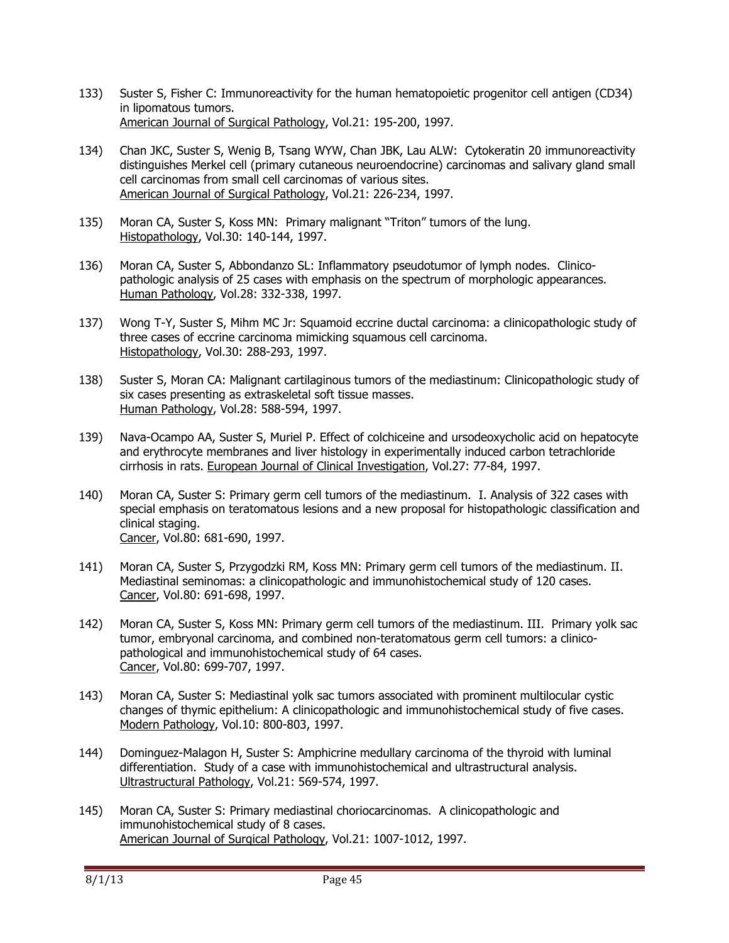- 133) Suster S, Fisher C: Immunoreactivity for the human hematopoietic progenitor cell antigen (CD34) in lipomatous tumors. American Journal of Surgical Pathology, Vol.21: 195-200, 1997.
- 134) Chan JKC, Suster S, Wenig B, Tsang WYW, Chan JBK, Lau ALW: Cytokeratin 20 immunoreactivity distinguishes Merkel cell (primary cutaneous neuroendocrine) carcinomas and salivary gland small cell carcinomas from small cell carcinomas of various sites. American Journal of Surgical Pathology, Vol.21: 226-234, 1997.
- 135) Moran CA, Suster S, Koss MN: Primary malignant "Triton" tumors of the lung. Histopathology, Vol.30: 140-144, 1997.
- 136) Moran CA, Suster S, Abbondanzo SL: Inflammatory pseudotumor of lymph nodes. Clinicopathologic analysis of 25 cases with emphasis on the spectrum of morphologic appearances. Human Pathology, Vol.28: 332-338, 1997.
- 137) Wong T-Y, Suster S, Mihm MC Jr: Squamoid eccrine ductal carcinoma: a clinicopathologic study of three cases of eccrine carcinoma mimicking squamous cell carcinoma. Histopathology, Vol.30: 288-293, 1997.
- 138) Suster S, Moran CA: Malignant cartilaginous tumors of the mediastinum: Clinicopathologic study of six cases presenting as extraskeletal soft tissue masses. Human Pathology, Vol.28: 588-594, 1997.
- 139) Nava-Ocampo AA, Suster S, Muriel P. Effect of colchiceine and ursodeoxycholic acid on hepatocyte and erythrocyte membranes and liver histology in experimentally induced carbon tetrachloride cirrhosis in rats. European Journal of Clinical Investigation, Vol.27: 77-84, 1997.
- 140) Moran CA, Suster S: Primary germ cell tumors of the mediastinum. I. Analysis of 322 cases with special emphasis on teratomatous lesions and a new proposal for histopathologic classification and clinical staging. Cancer, Vol.80: 681-690, 1997.
- 141) Moran CA, Suster S, Przygodzki RM, Koss MN: Primary germ cell tumors of the mediastinum. II. Mediastinal seminomas: a clinicopathologic and immunohistochemical study of 120 cases. Cancer, Vol.80: 691-698, 1997.
- 142) Moran CA, Suster S, Koss MN: Primary germ cell tumors of the mediastinum. III. Primary yolk sac tumor, embryonal carcinoma, and combined non-teratomatous germ cell tumors: a clinicopathological and immunohistochemical study of 64 cases. Cancer, Vol.80: 699-707, 1997.
- 143) Moran CA, Suster S: Mediastinal yolk sac tumors associated with prominent multilocular cystic changes of thymic epithelium: A clinicopathologic and immunohistochemical study of five cases. Modern Pathology, Vol.10: 800-803, 1997.
- 144) Dominguez-Malagon H, Suster S: Amphicrine medullary carcinoma of the thyroid with luminal differentiation. Study of a case with immunohistochemical and ultrastructural analysis. Ultrastructural Pathology, Vol.21: 569-574, 1997.
- 145) Moran CA, Suster S: Primary mediastinal choriocarcinomas. A clinicopathologic and immunohistochemical study of 8 cases. American Journal of Surgical Pathology, Vol.21: 1007-1012, 1997.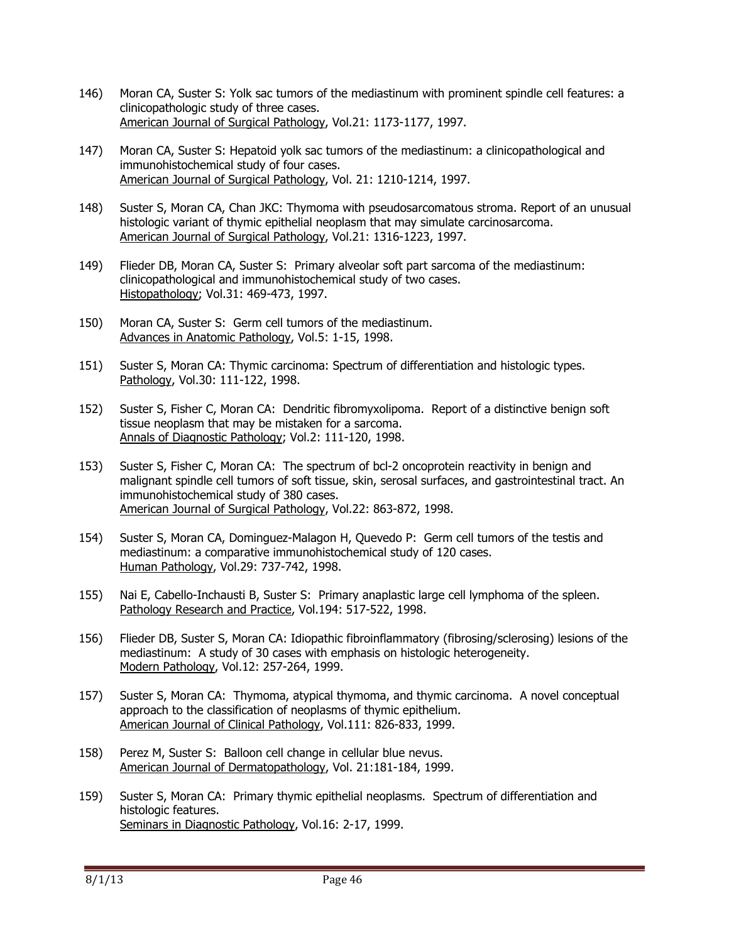- 146) Moran CA, Suster S: Yolk sac tumors of the mediastinum with prominent spindle cell features: a clinicopathologic study of three cases. American Journal of Surgical Pathology, Vol.21: 1173-1177, 1997.
- 147) Moran CA, Suster S: Hepatoid yolk sac tumors of the mediastinum: a clinicopathological and immunohistochemical study of four cases. American Journal of Surgical Pathology, Vol. 21: 1210-1214, 1997.
- 148) Suster S, Moran CA, Chan JKC: Thymoma with pseudosarcomatous stroma. Report of an unusual histologic variant of thymic epithelial neoplasm that may simulate carcinosarcoma. American Journal of Surgical Pathology, Vol.21: 1316-1223, 1997.
- 149) Flieder DB, Moran CA, Suster S: Primary alveolar soft part sarcoma of the mediastinum: clinicopathological and immunohistochemical study of two cases. Histopathology; Vol.31: 469-473, 1997.
- 150) Moran CA, Suster S: Germ cell tumors of the mediastinum. Advances in Anatomic Pathology, Vol.5: 1-15, 1998.
- 151) Suster S, Moran CA: Thymic carcinoma: Spectrum of differentiation and histologic types. Pathology, Vol.30: 111-122, 1998.
- 152) Suster S, Fisher C, Moran CA: Dendritic fibromyxolipoma. Report of a distinctive benign soft tissue neoplasm that may be mistaken for a sarcoma. Annals of Diagnostic Pathology; Vol.2: 111-120, 1998.
- 153) Suster S, Fisher C, Moran CA: The spectrum of bcl-2 oncoprotein reactivity in benign and malignant spindle cell tumors of soft tissue, skin, serosal surfaces, and gastrointestinal tract. An immunohistochemical study of 380 cases. American Journal of Surgical Pathology, Vol.22: 863-872, 1998.
- 154) Suster S, Moran CA, Dominguez-Malagon H, Quevedo P: Germ cell tumors of the testis and mediastinum: a comparative immunohistochemical study of 120 cases. Human Pathology, Vol.29: 737-742, 1998.
- 155) Nai E, Cabello-Inchausti B, Suster S: Primary anaplastic large cell lymphoma of the spleen. Pathology Research and Practice, Vol.194: 517-522, 1998.
- 156) Flieder DB, Suster S, Moran CA: Idiopathic fibroinflammatory (fibrosing/sclerosing) lesions of the mediastinum: A study of 30 cases with emphasis on histologic heterogeneity. Modern Pathology, Vol.12: 257-264, 1999.
- 157) Suster S, Moran CA: Thymoma, atypical thymoma, and thymic carcinoma. A novel conceptual approach to the classification of neoplasms of thymic epithelium. American Journal of Clinical Pathology, Vol.111: 826-833, 1999.
- 158) Perez M, Suster S: Balloon cell change in cellular blue nevus. American Journal of Dermatopathology, Vol. 21:181-184, 1999.
- 159) Suster S, Moran CA: Primary thymic epithelial neoplasms. Spectrum of differentiation and histologic features. Seminars in Diagnostic Pathology, Vol.16: 2-17, 1999.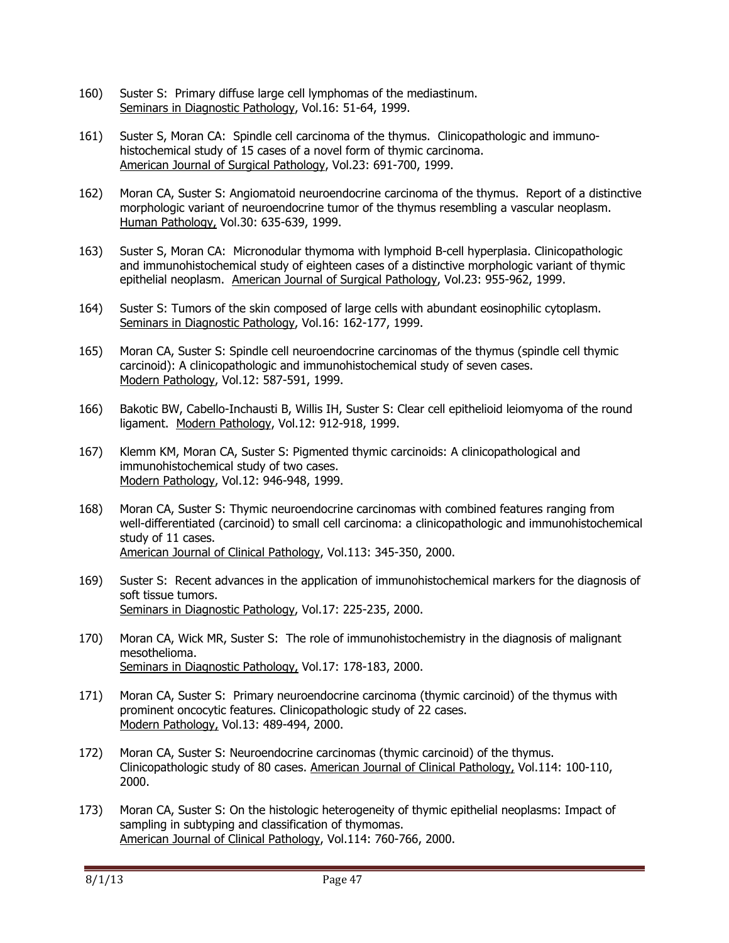- 160) Suster S: Primary diffuse large cell lymphomas of the mediastinum. Seminars in Diagnostic Pathology, Vol.16: 51-64, 1999.
- 161) Suster S, Moran CA: Spindle cell carcinoma of the thymus. Clinicopathologic and immunohistochemical study of 15 cases of a novel form of thymic carcinoma. American Journal of Surgical Pathology, Vol.23: 691-700, 1999.
- 162) Moran CA, Suster S: Angiomatoid neuroendocrine carcinoma of the thymus. Report of a distinctive morphologic variant of neuroendocrine tumor of the thymus resembling a vascular neoplasm. Human Pathology, Vol.30: 635-639, 1999.
- 163) Suster S, Moran CA: Micronodular thymoma with lymphoid B-cell hyperplasia. Clinicopathologic and immunohistochemical study of eighteen cases of a distinctive morphologic variant of thymic epithelial neoplasm. American Journal of Surgical Pathology, Vol.23: 955-962, 1999.
- 164) Suster S: Tumors of the skin composed of large cells with abundant eosinophilic cytoplasm. Seminars in Diagnostic Pathology, Vol.16: 162-177, 1999.
- 165) Moran CA, Suster S: Spindle cell neuroendocrine carcinomas of the thymus (spindle cell thymic carcinoid): A clinicopathologic and immunohistochemical study of seven cases. Modern Pathology, Vol.12: 587-591, 1999.
- 166) Bakotic BW, Cabello-Inchausti B, Willis IH, Suster S: Clear cell epithelioid leiomyoma of the round ligament. Modern Pathology, Vol.12: 912-918, 1999.
- 167) Klemm KM, Moran CA, Suster S: Pigmented thymic carcinoids: A clinicopathological and immunohistochemical study of two cases. Modern Pathology, Vol.12: 946-948, 1999.
- 168) Moran CA, Suster S: Thymic neuroendocrine carcinomas with combined features ranging from well-differentiated (carcinoid) to small cell carcinoma: a clinicopathologic and immunohistochemical study of 11 cases. American Journal of Clinical Pathology, Vol.113: 345-350, 2000.
- 169) Suster S: Recent advances in the application of immunohistochemical markers for the diagnosis of soft tissue tumors. Seminars in Diagnostic Pathology, Vol.17: 225-235, 2000.
- 170) Moran CA, Wick MR, Suster S: The role of immunohistochemistry in the diagnosis of malignant mesothelioma. Seminars in Diagnostic Pathology, Vol.17: 178-183, 2000.
- 171) Moran CA, Suster S: Primary neuroendocrine carcinoma (thymic carcinoid) of the thymus with prominent oncocytic features. Clinicopathologic study of 22 cases. Modern Pathology, Vol.13: 489-494, 2000.
- 172) Moran CA, Suster S: Neuroendocrine carcinomas (thymic carcinoid) of the thymus. Clinicopathologic study of 80 cases. American Journal of Clinical Pathology, Vol.114: 100-110, 2000.
- 173) Moran CA, Suster S: On the histologic heterogeneity of thymic epithelial neoplasms: Impact of sampling in subtyping and classification of thymomas. American Journal of Clinical Pathology, Vol.114: 760-766, 2000.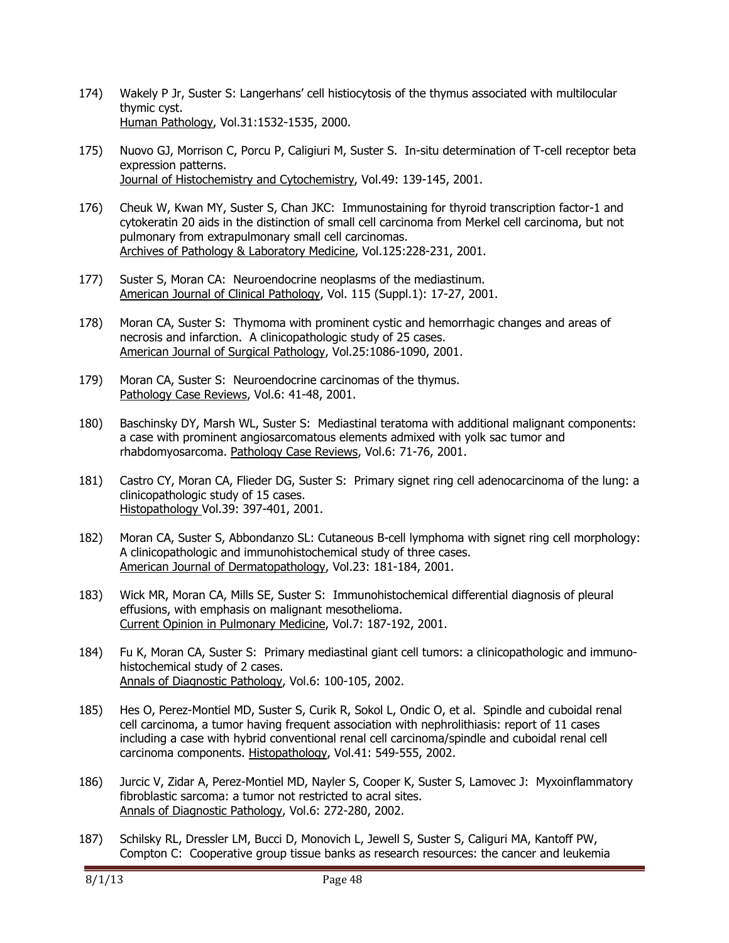- 174) Wakely P Jr, Suster S: Langerhans' cell histiocytosis of the thymus associated with multilocular thymic cyst. Human Pathology, Vol.31:1532-1535, 2000.
- 175) Nuovo GJ, Morrison C, Porcu P, Caligiuri M, Suster S. In-situ determination of T-cell receptor beta expression patterns. Journal of Histochemistry and Cytochemistry, Vol.49: 139-145, 2001.
- 176) Cheuk W, Kwan MY, Suster S, Chan JKC: Immunostaining for thyroid transcription factor-1 and cytokeratin 20 aids in the distinction of small cell carcinoma from Merkel cell carcinoma, but not pulmonary from extrapulmonary small cell carcinomas. Archives of Pathology & Laboratory Medicine, Vol.125:228-231, 2001.
- 177) Suster S, Moran CA: Neuroendocrine neoplasms of the mediastinum. American Journal of Clinical Pathology, Vol. 115 (Suppl.1): 17-27, 2001.
- 178) Moran CA, Suster S: Thymoma with prominent cystic and hemorrhagic changes and areas of necrosis and infarction. A clinicopathologic study of 25 cases. American Journal of Surgical Pathology, Vol.25:1086-1090, 2001.
- 179) Moran CA, Suster S: Neuroendocrine carcinomas of the thymus. Pathology Case Reviews, Vol.6: 41-48, 2001.
- 180) Baschinsky DY, Marsh WL, Suster S: Mediastinal teratoma with additional malignant components: a case with prominent angiosarcomatous elements admixed with yolk sac tumor and rhabdomyosarcoma. Pathology Case Reviews, Vol.6: 71-76, 2001.
- 181) Castro CY, Moran CA, Flieder DG, Suster S: Primary signet ring cell adenocarcinoma of the lung: a clinicopathologic study of 15 cases. Histopathology Vol.39: 397-401, 2001.
- 182) Moran CA, Suster S, Abbondanzo SL: Cutaneous B-cell lymphoma with signet ring cell morphology: A clinicopathologic and immunohistochemical study of three cases. American Journal of Dermatopathology, Vol.23: 181-184, 2001.
- 183) Wick MR, Moran CA, Mills SE, Suster S: Immunohistochemical differential diagnosis of pleural effusions, with emphasis on malignant mesothelioma. Current Opinion in Pulmonary Medicine, Vol.7: 187-192, 2001.
- 184) Fu K, Moran CA, Suster S: Primary mediastinal giant cell tumors: a clinicopathologic and immunohistochemical study of 2 cases. Annals of Diagnostic Pathology, Vol.6: 100-105, 2002.
- 185) Hes O, Perez-Montiel MD, Suster S, Curik R, Sokol L, Ondic O, et al. Spindle and cuboidal renal cell carcinoma, a tumor having frequent association with nephrolithiasis: report of 11 cases including a case with hybrid conventional renal cell carcinoma/spindle and cuboidal renal cell carcinoma components. Histopathology, Vol.41: 549-555, 2002.
- 186) Jurcic V, Zidar A, Perez-Montiel MD, Nayler S, Cooper K, Suster S, Lamovec J: Myxoinflammatory fibroblastic sarcoma: a tumor not restricted to acral sites. Annals of Diagnostic Pathology, Vol.6: 272-280, 2002.
- 187) Schilsky RL, Dressler LM, Bucci D, Monovich L, Jewell S, Suster S, Caliguri MA, Kantoff PW, Compton C: Cooperative group tissue banks as research resources: the cancer and leukemia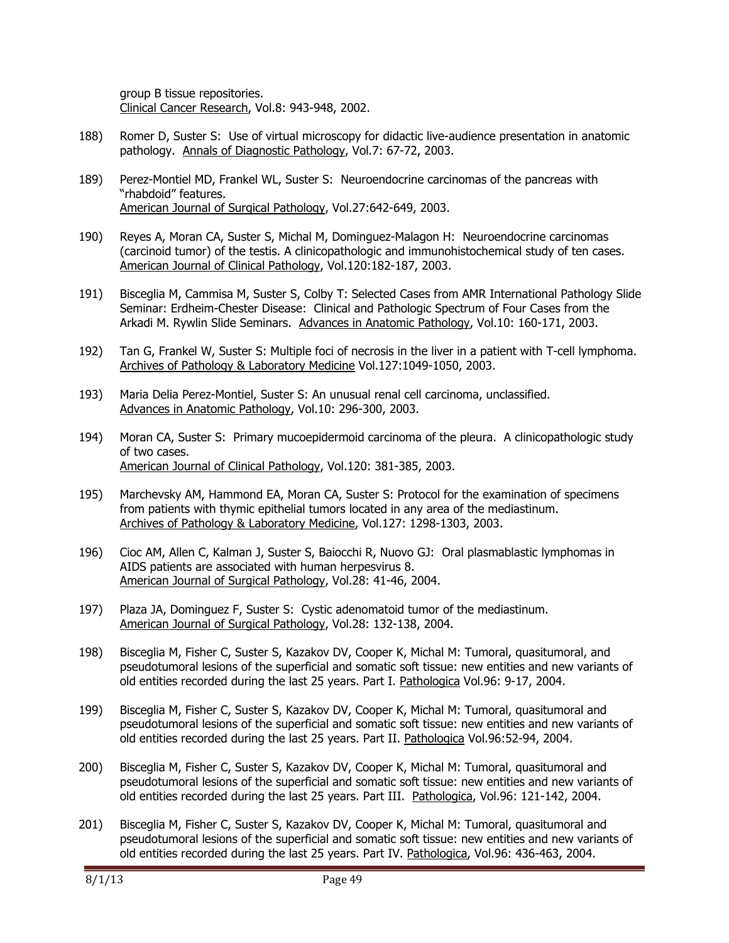group B tissue repositories. Clinical Cancer Research, Vol.8: 943-948, 2002.

- 188) Romer D, Suster S: Use of virtual microscopy for didactic live-audience presentation in anatomic pathology. Annals of Diagnostic Pathology, Vol.7: 67-72, 2003.
- 189) Perez-Montiel MD, Frankel WL, Suster S: Neuroendocrine carcinomas of the pancreas with "rhabdoid" features. American Journal of Surgical Pathology, Vol.27:642-649, 2003.
- 190) Reyes A, Moran CA, Suster S, Michal M, Dominguez-Malagon H: Neuroendocrine carcinomas (carcinoid tumor) of the testis. A clinicopathologic and immunohistochemical study of ten cases. American Journal of Clinical Pathology, Vol.120:182-187, 2003.
- 191) Bisceglia M, Cammisa M, Suster S, Colby T: Selected Cases from AMR International Pathology Slide Seminar: Erdheim-Chester Disease: Clinical and Pathologic Spectrum of Four Cases from the Arkadi M. Rywlin Slide Seminars. Advances in Anatomic Pathology, Vol.10: 160-171, 2003.
- 192) Tan G, Frankel W, Suster S: Multiple foci of necrosis in the liver in a patient with T-cell lymphoma. Archives of Pathology & Laboratory Medicine Vol.127:1049-1050, 2003.
- 193) Maria Delia Perez-Montiel, Suster S: An unusual renal cell carcinoma, unclassified. Advances in Anatomic Pathology, Vol.10: 296-300, 2003.
- 194) Moran CA, Suster S: Primary mucoepidermoid carcinoma of the pleura. A clinicopathologic study of two cases. American Journal of Clinical Pathology, Vol.120: 381-385, 2003.
- 195) Marchevsky AM, Hammond EA, Moran CA, Suster S: Protocol for the examination of specimens from patients with thymic epithelial tumors located in any area of the mediastinum. Archives of Pathology & Laboratory Medicine, Vol.127: 1298-1303, 2003.
- 196) Cioc AM, Allen C, Kalman J, Suster S, Baiocchi R, Nuovo GJ: Oral plasmablastic lymphomas in AIDS patients are associated with human herpesvirus 8. American Journal of Surgical Pathology, Vol.28: 41-46, 2004.
- 197) Plaza JA, Dominguez F, Suster S: Cystic adenomatoid tumor of the mediastinum. American Journal of Surgical Pathology, Vol.28: 132-138, 2004.
- 198) Bisceglia M, Fisher C, Suster S, Kazakov DV, Cooper K, Michal M: Tumoral, quasitumoral, and pseudotumoral lesions of the superficial and somatic soft tissue: new entities and new variants of old entities recorded during the last 25 years. Part I. Pathologica Vol.96: 9-17, 2004.
- 199) Bisceglia M, Fisher C, Suster S, Kazakov DV, Cooper K, Michal M: Tumoral, quasitumoral and pseudotumoral lesions of the superficial and somatic soft tissue: new entities and new variants of old entities recorded during the last 25 years. Part II. Pathologica Vol.96:52-94, 2004.
- 200) Bisceglia M, Fisher C, Suster S, Kazakov DV, Cooper K, Michal M: Tumoral, quasitumoral and pseudotumoral lesions of the superficial and somatic soft tissue: new entities and new variants of old entities recorded during the last 25 years. Part III. Pathologica, Vol.96: 121-142, 2004.
- 201) Bisceglia M, Fisher C, Suster S, Kazakov DV, Cooper K, Michal M: Tumoral, quasitumoral and pseudotumoral lesions of the superficial and somatic soft tissue: new entities and new variants of old entities recorded during the last 25 years. Part IV. Pathologica, Vol.96: 436-463, 2004.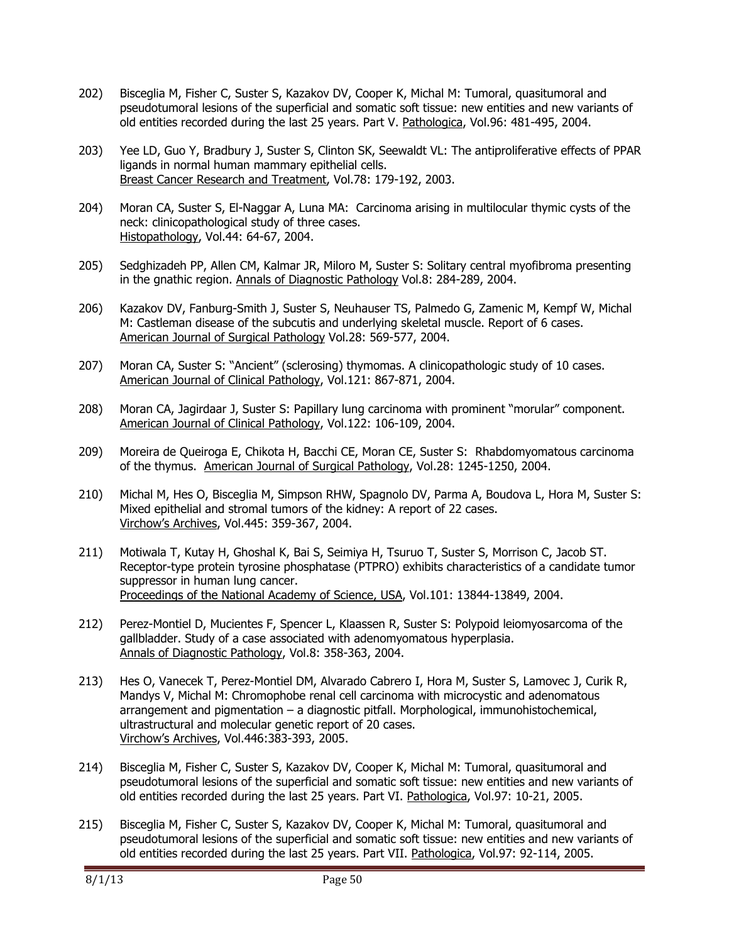- 202) Bisceglia M, Fisher C, Suster S, Kazakov DV, Cooper K, Michal M: Tumoral, quasitumoral and pseudotumoral lesions of the superficial and somatic soft tissue: new entities and new variants of old entities recorded during the last 25 years. Part V. Pathologica, Vol.96: 481-495, 2004.
- 203) Yee LD, Guo Y, Bradbury J, Suster S, Clinton SK, Seewaldt VL: The antiproliferative effects of PPAR ligands in normal human mammary epithelial cells. Breast Cancer Research and Treatment, Vol.78: 179-192, 2003.
- 204) Moran CA, Suster S, El-Naggar A, Luna MA: Carcinoma arising in multilocular thymic cysts of the neck: clinicopathological study of three cases. Histopathology, Vol.44: 64-67, 2004.
- 205) Sedghizadeh PP, Allen CM, Kalmar JR, Miloro M, Suster S: Solitary central myofibroma presenting in the gnathic region. Annals of Diagnostic Pathology Vol.8: 284-289, 2004.
- 206) Kazakov DV, Fanburg-Smith J, Suster S, Neuhauser TS, Palmedo G, Zamenic M, Kempf W, Michal M: Castleman disease of the subcutis and underlying skeletal muscle. Report of 6 cases. American Journal of Surgical Pathology Vol.28: 569-577, 2004.
- 207) Moran CA, Suster S: "Ancient" (sclerosing) thymomas. A clinicopathologic study of 10 cases. American Journal of Clinical Pathology, Vol.121: 867-871, 2004.
- 208) Moran CA, Jagirdaar J, Suster S: Papillary lung carcinoma with prominent "morular" component. American Journal of Clinical Pathology, Vol.122: 106-109, 2004.
- 209) Moreira de Queiroga E, Chikota H, Bacchi CE, Moran CE, Suster S: Rhabdomyomatous carcinoma of the thymus. American Journal of Surgical Pathology, Vol.28: 1245-1250, 2004.
- 210) Michal M, Hes O, Bisceglia M, Simpson RHW, Spagnolo DV, Parma A, Boudova L, Hora M, Suster S: Mixed epithelial and stromal tumors of the kidney: A report of 22 cases. Virchow's Archives, Vol.445: 359-367, 2004.
- 211) Motiwala T, Kutay H, Ghoshal K, Bai S, Seimiya H, Tsuruo T, Suster S, Morrison C, Jacob ST. Receptor-type protein tyrosine phosphatase (PTPRO) exhibits characteristics of a candidate tumor suppressor in human lung cancer. Proceedings of the National Academy of Science, USA, Vol.101: 13844-13849, 2004.
- 212) Perez-Montiel D, Mucientes F, Spencer L, Klaassen R, Suster S: Polypoid leiomyosarcoma of the gallbladder. Study of a case associated with adenomyomatous hyperplasia. Annals of Diagnostic Pathology, Vol.8: 358-363, 2004.
- 213) Hes O, Vanecek T, Perez-Montiel DM, Alvarado Cabrero I, Hora M, Suster S, Lamovec J, Curik R, Mandys V, Michal M: Chromophobe renal cell carcinoma with microcystic and adenomatous arrangement and pigmentation – a diagnostic pitfall. Morphological, immunohistochemical, ultrastructural and molecular genetic report of 20 cases. Virchow's Archives, Vol.446:383-393, 2005.
- 214) Bisceglia M, Fisher C, Suster S, Kazakov DV, Cooper K, Michal M: Tumoral, quasitumoral and pseudotumoral lesions of the superficial and somatic soft tissue: new entities and new variants of old entities recorded during the last 25 years. Part VI. Pathologica, Vol.97: 10-21, 2005.
- 215) Bisceglia M, Fisher C, Suster S, Kazakov DV, Cooper K, Michal M: Tumoral, quasitumoral and pseudotumoral lesions of the superficial and somatic soft tissue: new entities and new variants of old entities recorded during the last 25 years. Part VII. Pathologica, Vol.97: 92-114, 2005.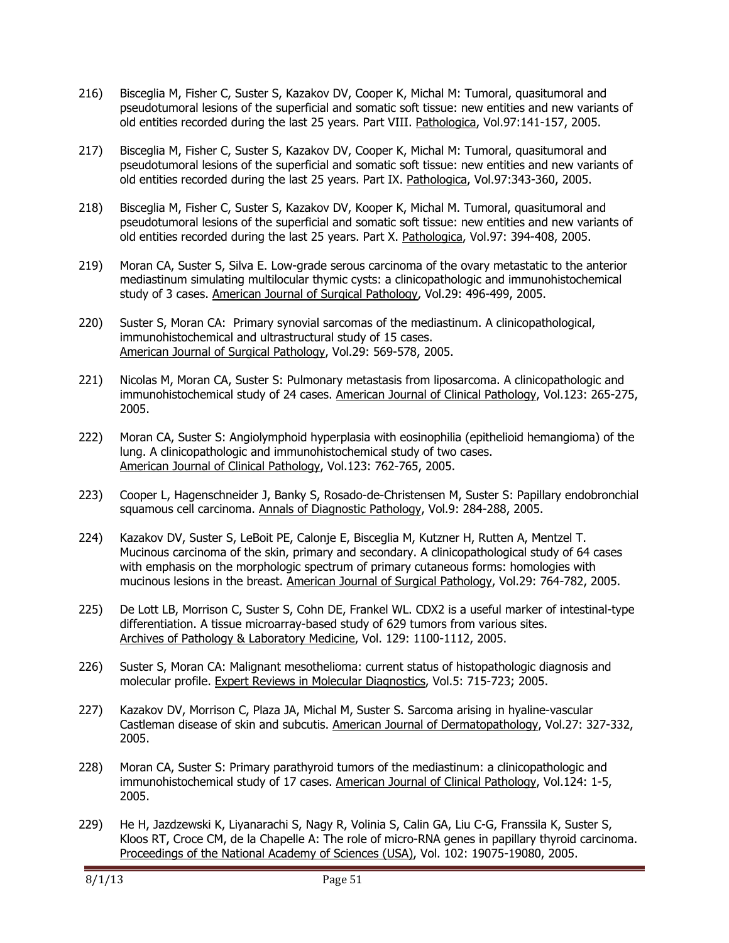- 216) Bisceglia M, Fisher C, Suster S, Kazakov DV, Cooper K, Michal M: Tumoral, quasitumoral and pseudotumoral lesions of the superficial and somatic soft tissue: new entities and new variants of old entities recorded during the last 25 years. Part VIII. Pathologica, Vol.97:141-157, 2005.
- 217) Bisceglia M, Fisher C, Suster S, Kazakov DV, Cooper K, Michal M: Tumoral, quasitumoral and pseudotumoral lesions of the superficial and somatic soft tissue: new entities and new variants of old entities recorded during the last 25 years. Part IX. Pathologica, Vol.97:343-360, 2005.
- 218) Bisceglia M, Fisher C, Suster S, Kazakov DV, Kooper K, Michal M. Tumoral, quasitumoral and pseudotumoral lesions of the superficial and somatic soft tissue: new entities and new variants of old entities recorded during the last 25 years. Part X. Pathologica, Vol.97: 394-408, 2005.
- 219) Moran CA, Suster S, Silva E. Low-grade serous carcinoma of the ovary metastatic to the anterior mediastinum simulating multilocular thymic cysts: a clinicopathologic and immunohistochemical study of 3 cases. American Journal of Surgical Pathology, Vol.29: 496-499, 2005.
- 220) Suster S, Moran CA: Primary synovial sarcomas of the mediastinum. A clinicopathological, immunohistochemical and ultrastructural study of 15 cases. American Journal of Surgical Pathology, Vol.29: 569-578, 2005.
- 221) Nicolas M, Moran CA, Suster S: Pulmonary metastasis from liposarcoma. A clinicopathologic and immunohistochemical study of 24 cases. American Journal of Clinical Pathology, Vol.123: 265-275, 2005.
- 222) Moran CA, Suster S: Angiolymphoid hyperplasia with eosinophilia (epithelioid hemangioma) of the lung. A clinicopathologic and immunohistochemical study of two cases. American Journal of Clinical Pathology, Vol.123: 762-765, 2005.
- 223) Cooper L, Hagenschneider J, Banky S, Rosado-de-Christensen M, Suster S: Papillary endobronchial squamous cell carcinoma. Annals of Diagnostic Pathology, Vol.9: 284-288, 2005.
- 224) Kazakov DV, Suster S, LeBoit PE, Calonje E, Bisceglia M, Kutzner H, Rutten A, Mentzel T. Mucinous carcinoma of the skin, primary and secondary. A clinicopathological study of 64 cases with emphasis on the morphologic spectrum of primary cutaneous forms: homologies with mucinous lesions in the breast. American Journal of Surgical Pathology, Vol.29: 764-782, 2005.
- 225) De Lott LB, Morrison C, Suster S, Cohn DE, Frankel WL. CDX2 is a useful marker of intestinal-type differentiation. A tissue microarray-based study of 629 tumors from various sites. Archives of Pathology & Laboratory Medicine, Vol. 129: 1100-1112, 2005.
- 226) Suster S, Moran CA: Malignant mesothelioma: current status of histopathologic diagnosis and molecular profile. Expert Reviews in Molecular Diagnostics, Vol.5: 715-723; 2005.
- 227) Kazakov DV, Morrison C, Plaza JA, Michal M, Suster S. Sarcoma arising in hyaline-vascular Castleman disease of skin and subcutis. American Journal of Dermatopathology, Vol.27: 327-332, 2005.
- 228) Moran CA, Suster S: Primary parathyroid tumors of the mediastinum: a clinicopathologic and immunohistochemical study of 17 cases. American Journal of Clinical Pathology, Vol.124: 1-5, 2005.
- 229) He H, Jazdzewski K, Liyanarachi S, Nagy R, Volinia S, Calin GA, Liu C-G, Franssila K, Suster S, Kloos RT, Croce CM, de la Chapelle A: The role of micro-RNA genes in papillary thyroid carcinoma. Proceedings of the National Academy of Sciences (USA), Vol. 102: 19075-19080, 2005.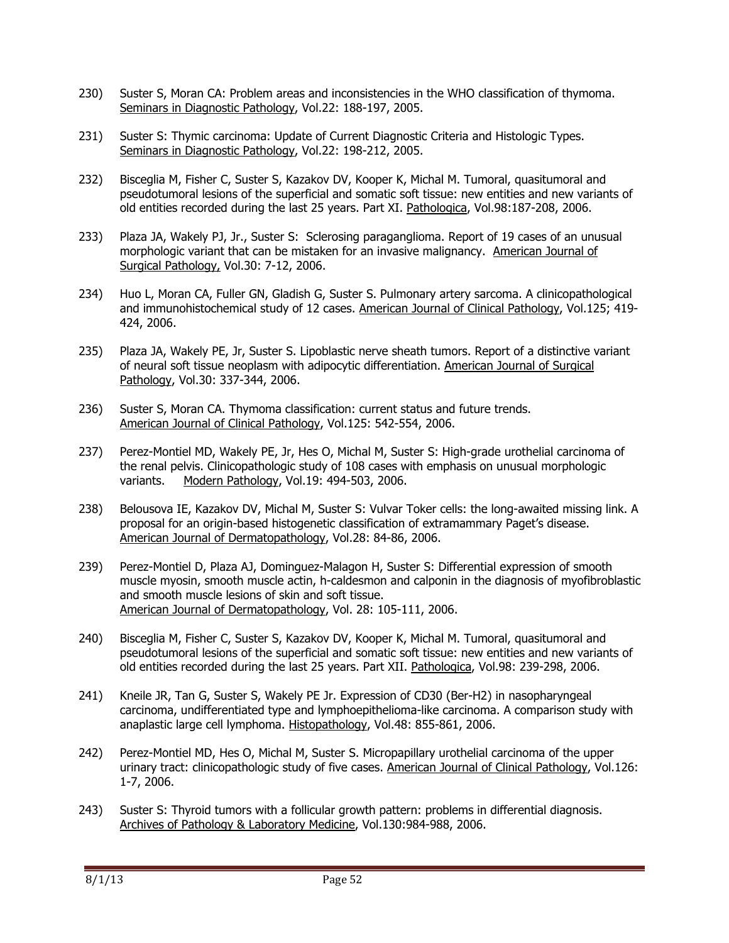- 230) Suster S, Moran CA: Problem areas and inconsistencies in the WHO classification of thymoma. Seminars in Diagnostic Pathology, Vol.22: 188-197, 2005.
- 231) Suster S: Thymic carcinoma: Update of Current Diagnostic Criteria and Histologic Types. Seminars in Diagnostic Pathology, Vol.22: 198-212, 2005.
- 232) Bisceglia M, Fisher C, Suster S, Kazakov DV, Kooper K, Michal M. Tumoral, quasitumoral and pseudotumoral lesions of the superficial and somatic soft tissue: new entities and new variants of old entities recorded during the last 25 years. Part XI. Pathologica, Vol.98:187-208, 2006.
- 233) Plaza JA, Wakely PJ, Jr., Suster S: Sclerosing paraganglioma. Report of 19 cases of an unusual morphologic variant that can be mistaken for an invasive malignancy. American Journal of Surgical Pathology, Vol.30: 7-12, 2006.
- 234) Huo L, Moran CA, Fuller GN, Gladish G, Suster S. Pulmonary artery sarcoma. A clinicopathological and immunohistochemical study of 12 cases. American Journal of Clinical Pathology, Vol.125; 419- 424, 2006.
- 235) Plaza JA, Wakely PE, Jr, Suster S. Lipoblastic nerve sheath tumors. Report of a distinctive variant of neural soft tissue neoplasm with adipocytic differentiation. American Journal of Surgical Pathology, Vol.30: 337-344, 2006.
- 236) Suster S, Moran CA. Thymoma classification: current status and future trends. American Journal of Clinical Pathology, Vol.125: 542-554, 2006.
- 237) Perez-Montiel MD, Wakely PE, Jr, Hes O, Michal M, Suster S: High-grade urothelial carcinoma of the renal pelvis. Clinicopathologic study of 108 cases with emphasis on unusual morphologic variants. Modern Pathology, Vol.19: 494-503, 2006.
- 238) Belousova IE, Kazakov DV, Michal M, Suster S: Vulvar Toker cells: the long-awaited missing link. A proposal for an origin-based histogenetic classification of extramammary Paget's disease. American Journal of Dermatopathology, Vol.28: 84-86, 2006.
- 239) Perez-Montiel D, Plaza AJ, Dominguez-Malagon H, Suster S: Differential expression of smooth muscle myosin, smooth muscle actin, h-caldesmon and calponin in the diagnosis of myofibroblastic and smooth muscle lesions of skin and soft tissue. American Journal of Dermatopathology, Vol. 28: 105-111, 2006.
- 240) Bisceglia M, Fisher C, Suster S, Kazakov DV, Kooper K, Michal M. Tumoral, quasitumoral and pseudotumoral lesions of the superficial and somatic soft tissue: new entities and new variants of old entities recorded during the last 25 years. Part XII. Pathologica, Vol.98: 239-298, 2006.
- 241) Kneile JR, Tan G, Suster S, Wakely PE Jr. Expression of CD30 (Ber-H2) in nasopharyngeal carcinoma, undifferentiated type and lymphoepithelioma-like carcinoma. A comparison study with anaplastic large cell lymphoma. Histopathology, Vol.48: 855-861, 2006.
- 242) Perez-Montiel MD, Hes O, Michal M, Suster S. Micropapillary urothelial carcinoma of the upper urinary tract: clinicopathologic study of five cases. American Journal of Clinical Pathology, Vol.126: 1-7, 2006.
- 243) Suster S: Thyroid tumors with a follicular growth pattern: problems in differential diagnosis. Archives of Pathology & Laboratory Medicine, Vol.130:984-988, 2006.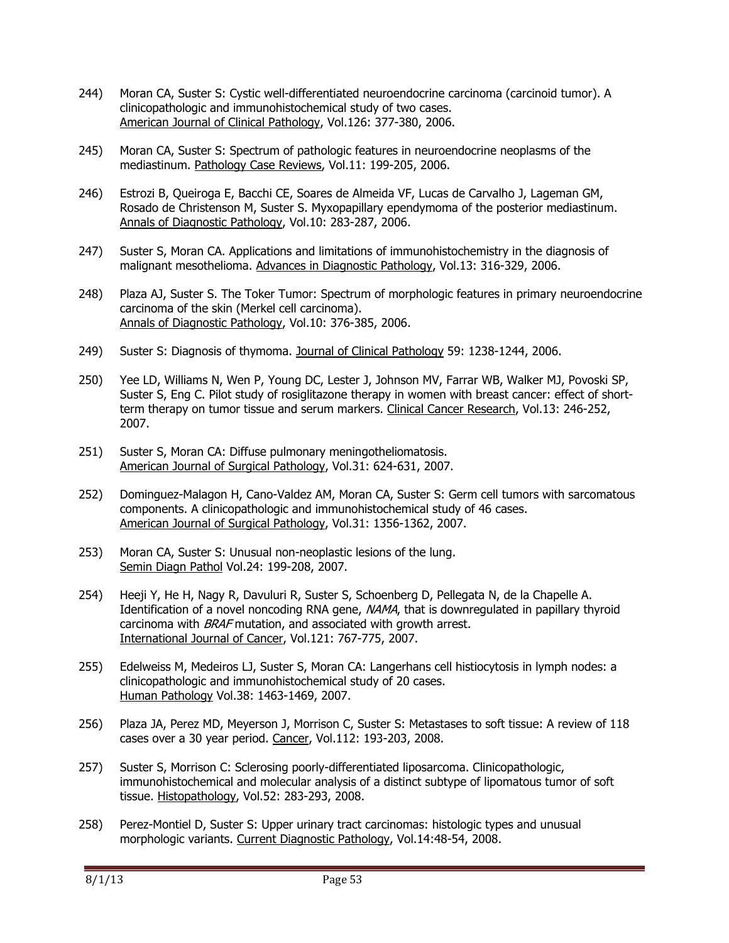- 244) Moran CA, Suster S: Cystic well-differentiated neuroendocrine carcinoma (carcinoid tumor). A clinicopathologic and immunohistochemical study of two cases. American Journal of Clinical Pathology, Vol.126: 377-380, 2006.
- 245) Moran CA, Suster S: Spectrum of pathologic features in neuroendocrine neoplasms of the mediastinum. Pathology Case Reviews, Vol.11: 199-205, 2006.
- 246) Estrozi B, Queiroga E, Bacchi CE, Soares de Almeida VF, Lucas de Carvalho J, Lageman GM, Rosado de Christenson M, Suster S. Myxopapillary ependymoma of the posterior mediastinum. Annals of Diagnostic Pathology, Vol.10: 283-287, 2006.
- 247) Suster S, Moran CA. Applications and limitations of immunohistochemistry in the diagnosis of malignant mesothelioma. Advances in Diagnostic Pathology, Vol.13: 316-329, 2006.
- 248) Plaza AJ, Suster S. The Toker Tumor: Spectrum of morphologic features in primary neuroendocrine carcinoma of the skin (Merkel cell carcinoma). Annals of Diagnostic Pathology, Vol.10: 376-385, 2006.
- 249) Suster S: Diagnosis of thymoma. Journal of Clinical Pathology 59: 1238-1244, 2006.
- 250) Yee LD, Williams N, Wen P, Young DC, Lester J, Johnson MV, Farrar WB, Walker MJ, Povoski SP, Suster S, Eng C. Pilot study of rosiglitazone therapy in women with breast cancer: effect of shortterm therapy on tumor tissue and serum markers. Clinical Cancer Research, Vol.13: 246-252, 2007.
- 251) Suster S, Moran CA: Diffuse pulmonary meningotheliomatosis. American Journal of Surgical Pathology, Vol.31: 624-631, 2007.
- 252) Dominguez-Malagon H, Cano-Valdez AM, Moran CA, Suster S: Germ cell tumors with sarcomatous components. A clinicopathologic and immunohistochemical study of 46 cases. American Journal of Surgical Pathology, Vol.31: 1356-1362, 2007.
- 253) Moran CA, Suster S: Unusual non-neoplastic lesions of the lung. Semin Diagn Pathol Vol.24: 199-208, 2007.
- 254) Heeji Y, He H, Nagy R, Davuluri R, Suster S, Schoenberg D, Pellegata N, de la Chapelle A. Identification of a novel noncoding RNA gene, NAMA, that is downregulated in papillary thyroid carcinoma with BRAF mutation, and associated with growth arrest. International Journal of Cancer, Vol.121: 767-775, 2007.
- 255) Edelweiss M, Medeiros LJ, Suster S, Moran CA: Langerhans cell histiocytosis in lymph nodes: a clinicopathologic and immunohistochemical study of 20 cases. Human Pathology Vol.38: 1463-1469, 2007.
- 256) Plaza JA, Perez MD, Meyerson J, Morrison C, Suster S: Metastases to soft tissue: A review of 118 cases over a 30 year period. Cancer, Vol.112: 193-203, 2008.
- 257) Suster S, Morrison C: Sclerosing poorly-differentiated liposarcoma. Clinicopathologic, immunohistochemical and molecular analysis of a distinct subtype of lipomatous tumor of soft tissue. Histopathology, Vol.52: 283-293, 2008.
- 258) Perez-Montiel D, Suster S: Upper urinary tract carcinomas: histologic types and unusual morphologic variants. Current Diagnostic Pathology, Vol.14:48-54, 2008.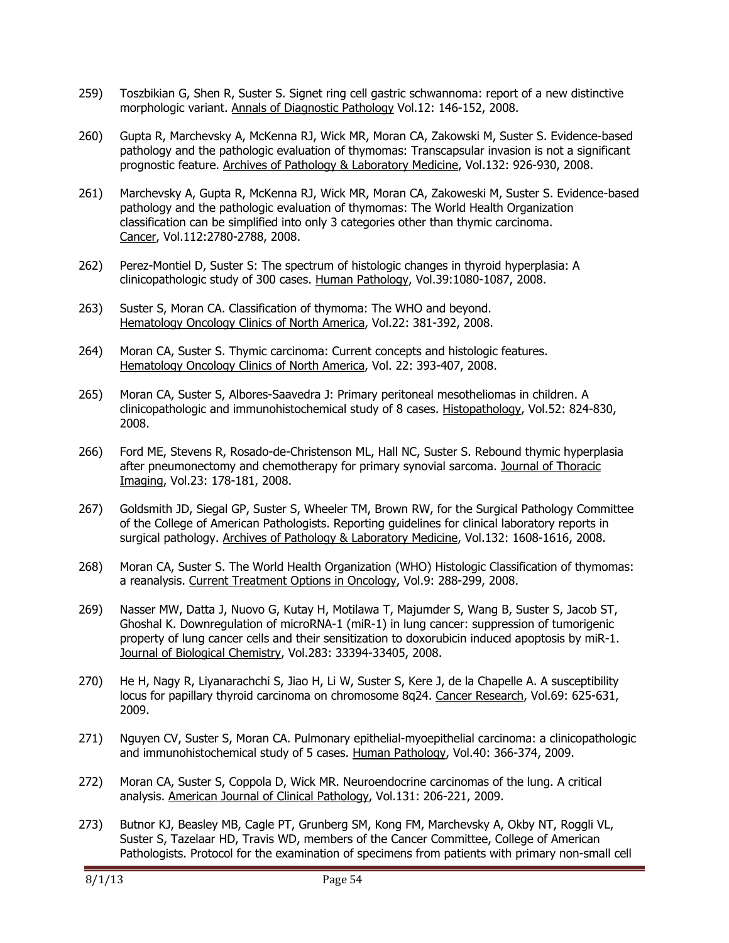- 259) Toszbikian G, Shen R, Suster S. Signet ring cell gastric schwannoma: report of a new distinctive morphologic variant. Annals of Diagnostic Pathology Vol.12: 146-152, 2008.
- 260) Gupta R, Marchevsky A, McKenna RJ, Wick MR, Moran CA, Zakowski M, Suster S. Evidence-based pathology and the pathologic evaluation of thymomas: Transcapsular invasion is not a significant prognostic feature. Archives of Pathology & Laboratory Medicine, Vol.132: 926-930, 2008.
- 261) Marchevsky A, Gupta R, McKenna RJ, Wick MR, Moran CA, Zakoweski M, Suster S. Evidence-based pathology and the pathologic evaluation of thymomas: The World Health Organization classification can be simplified into only 3 categories other than thymic carcinoma. Cancer, Vol.112:2780-2788, 2008.
- 262) Perez-Montiel D, Suster S: The spectrum of histologic changes in thyroid hyperplasia: A clinicopathologic study of 300 cases. Human Pathology, Vol.39:1080-1087, 2008.
- 263) Suster S, Moran CA. Classification of thymoma: The WHO and beyond. Hematology Oncology Clinics of North America, Vol.22: 381-392, 2008.
- 264) Moran CA, Suster S. Thymic carcinoma: Current concepts and histologic features. Hematology Oncology Clinics of North America, Vol. 22: 393-407, 2008.
- 265) Moran CA, Suster S, Albores-Saavedra J: Primary peritoneal mesotheliomas in children. A clinicopathologic and immunohistochemical study of 8 cases. Histopathology, Vol.52: 824-830, 2008.
- 266) Ford ME, Stevens R, Rosado-de-Christenson ML, Hall NC, Suster S. Rebound thymic hyperplasia after pneumonectomy and chemotherapy for primary synovial sarcoma. Journal of Thoracic Imaging, Vol.23: 178-181, 2008.
- 267) Goldsmith JD, Siegal GP, Suster S, Wheeler TM, Brown RW, for the Surgical Pathology Committee of the College of American Pathologists. Reporting guidelines for clinical laboratory reports in surgical pathology. Archives of Pathology & Laboratory Medicine, Vol.132: 1608-1616, 2008.
- 268) Moran CA, Suster S. The World Health Organization (WHO) Histologic Classification of thymomas: a reanalysis. Current Treatment Options in Oncology, Vol.9: 288-299, 2008.
- 269) Nasser MW, Datta J, Nuovo G, Kutay H, Motilawa T, Majumder S, Wang B, Suster S, Jacob ST, Ghoshal K. Downregulation of microRNA-1 (miR-1) in lung cancer: suppression of tumorigenic property of lung cancer cells and their sensitization to doxorubicin induced apoptosis by miR-1. Journal of Biological Chemistry, Vol.283: 33394-33405, 2008.
- 270) He H, Nagy R, Liyanarachchi S, Jiao H, Li W, Suster S, Kere J, de la Chapelle A. A susceptibility locus for papillary thyroid carcinoma on chromosome 8q24. Cancer Research, Vol.69: 625-631, 2009.
- 271) Nguyen CV, Suster S, Moran CA. Pulmonary epithelial-myoepithelial carcinoma: a clinicopathologic and immunohistochemical study of 5 cases. Human Pathology, Vol.40: 366-374, 2009.
- 272) Moran CA, Suster S, Coppola D, Wick MR. Neuroendocrine carcinomas of the lung. A critical analysis. American Journal of Clinical Pathology, Vol.131: 206-221, 2009.
- 273) Butnor KJ, Beasley MB, Cagle PT, Grunberg SM, Kong FM, Marchevsky A, Okby NT, Roggli VL, Suster S, Tazelaar HD, Travis WD, members of the Cancer Committee, College of American Pathologists. Protocol for the examination of specimens from patients with primary non-small cell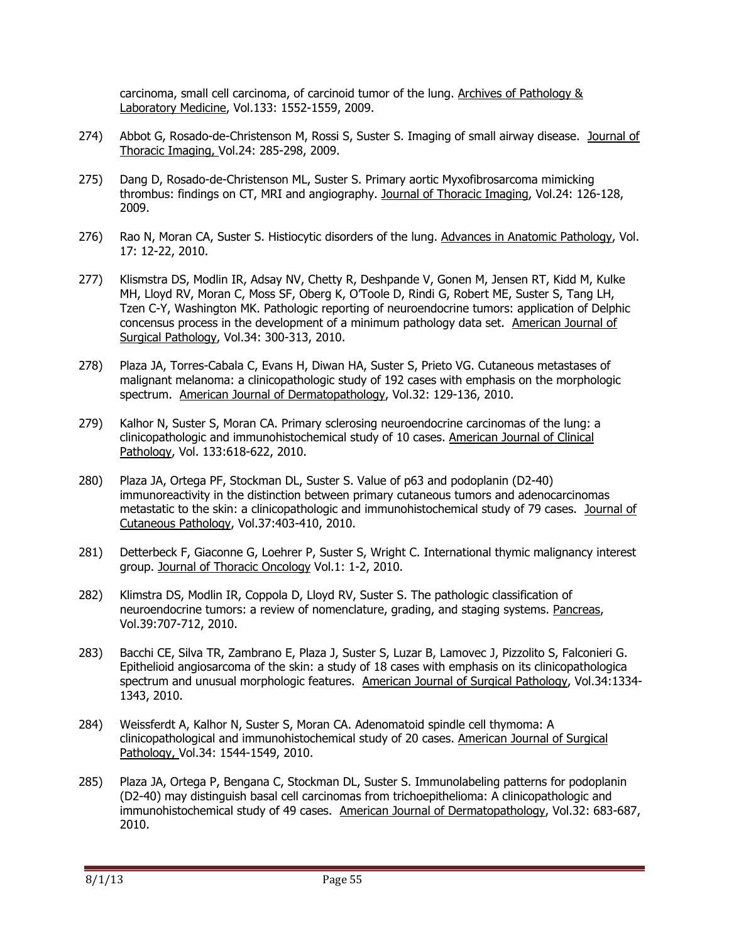carcinoma, small cell carcinoma, of carcinoid tumor of the lung. Archives of Pathology & Laboratory Medicine, Vol.133: 1552-1559, 2009.

- 274) Abbot G, Rosado-de-Christenson M, Rossi S, Suster S. Imaging of small airway disease. Journal of Thoracic Imaging, Vol.24: 285-298, 2009.
- 275) Dang D, Rosado-de-Christenson ML, Suster S. Primary aortic Myxofibrosarcoma mimicking thrombus: findings on CT, MRI and angiography. Journal of Thoracic Imaging, Vol.24: 126-128, 2009.
- 276) Rao N, Moran CA, Suster S. Histiocytic disorders of the lung. Advances in Anatomic Pathology, Vol. 17: 12-22, 2010.
- 277) Klismstra DS, Modlin IR, Adsay NV, Chetty R, Deshpande V, Gonen M, Jensen RT, Kidd M, Kulke MH, Lloyd RV, Moran C, Moss SF, Oberg K, O'Toole D, Rindi G, Robert ME, Suster S, Tang LH, Tzen C-Y, Washington MK. Pathologic reporting of neuroendocrine tumors: application of Delphic concensus process in the development of a minimum pathology data set. American Journal of Surgical Pathology, Vol.34: 300-313, 2010.
- 278) Plaza JA, Torres-Cabala C, Evans H, Diwan HA, Suster S, Prieto VG. Cutaneous metastases of malignant melanoma: a clinicopathologic study of 192 cases with emphasis on the morphologic spectrum. American Journal of Dermatopathology, Vol.32: 129-136, 2010.
- 279) Kalhor N, Suster S, Moran CA. Primary sclerosing neuroendocrine carcinomas of the lung: a clinicopathologic and immunohistochemical study of 10 cases. American Journal of Clinical Pathology, Vol. 133:618-622, 2010.
- 280) Plaza JA, Ortega PF, Stockman DL, Suster S. Value of p63 and podoplanin (D2-40) immunoreactivity in the distinction between primary cutaneous tumors and adenocarcinomas metastatic to the skin: a clinicopathologic and immunohistochemical study of 79 cases. Journal of Cutaneous Pathology, Vol.37:403-410, 2010.
- 281) Detterbeck F, Giaconne G, Loehrer P, Suster S, Wright C. International thymic malignancy interest group. Journal of Thoracic Oncology Vol.1: 1-2, 2010.
- 282) Klimstra DS, Modlin IR, Coppola D, Lloyd RV, Suster S. The pathologic classification of neuroendocrine tumors: a review of nomenclature, grading, and staging systems. Pancreas, Vol.39:707-712, 2010.
- 283) Bacchi CE, Silva TR, Zambrano E, Plaza J, Suster S, Luzar B, Lamovec J, Pizzolito S, Falconieri G. Epithelioid angiosarcoma of the skin: a study of 18 cases with emphasis on its clinicopathologica spectrum and unusual morphologic features. American Journal of Surgical Pathology, Vol.34:1334- 1343, 2010.
- 284) Weissferdt A, Kalhor N, Suster S, Moran CA. Adenomatoid spindle cell thymoma: A clinicopathological and immunohistochemical study of 20 cases. American Journal of Surgical Pathology, Vol.34: 1544-1549, 2010.
- 285) Plaza JA, Ortega P, Bengana C, Stockman DL, Suster S. Immunolabeling patterns for podoplanin (D2-40) may distinguish basal cell carcinomas from trichoepithelioma: A clinicopathologic and immunohistochemical study of 49 cases. American Journal of Dermatopathology, Vol.32: 683-687, 2010.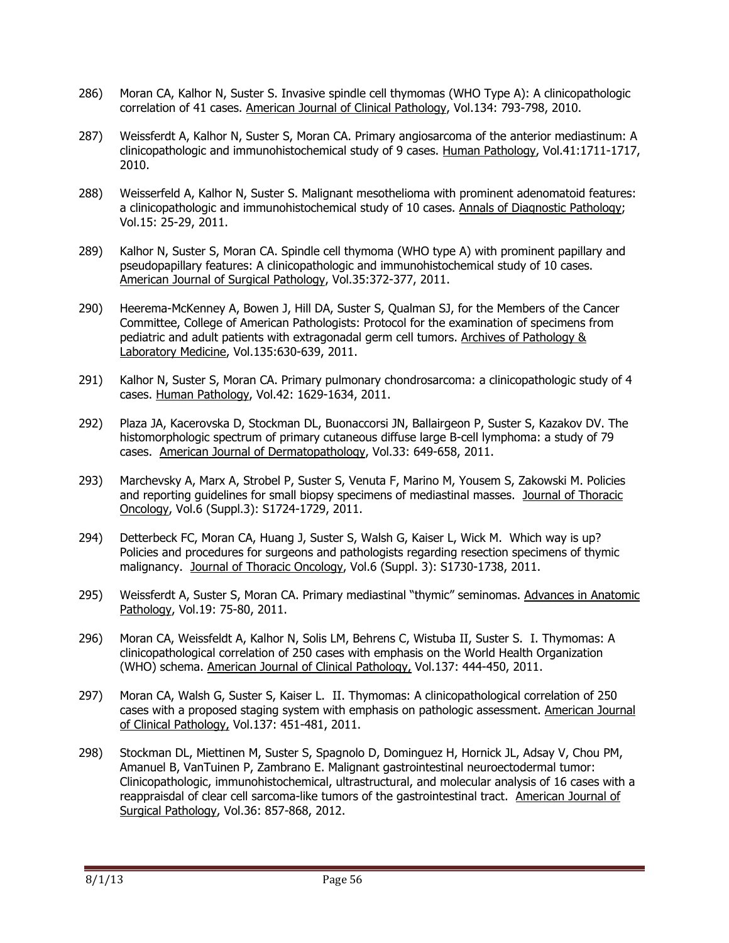- 286) Moran CA, Kalhor N, Suster S. Invasive spindle cell thymomas (WHO Type A): A clinicopathologic correlation of 41 cases. American Journal of Clinical Pathology, Vol.134: 793-798, 2010.
- 287) Weissferdt A, Kalhor N, Suster S, Moran CA. Primary angiosarcoma of the anterior mediastinum: A clinicopathologic and immunohistochemical study of 9 cases. Human Pathology, Vol.41:1711-1717, 2010.
- 288) Weisserfeld A, Kalhor N, Suster S. Malignant mesothelioma with prominent adenomatoid features: a clinicopathologic and immunohistochemical study of 10 cases. Annals of Diagnostic Pathology; Vol.15: 25-29, 2011.
- 289) Kalhor N, Suster S, Moran CA. Spindle cell thymoma (WHO type A) with prominent papillary and pseudopapillary features: A clinicopathologic and immunohistochemical study of 10 cases. American Journal of Surgical Pathology, Vol.35:372-377, 2011.
- 290) Heerema-McKenney A, Bowen J, Hill DA, Suster S, Qualman SJ, for the Members of the Cancer Committee, College of American Pathologists: Protocol for the examination of specimens from pediatric and adult patients with extragonadal germ cell tumors. Archives of Pathology & Laboratory Medicine, Vol.135:630-639, 2011.
- 291) Kalhor N, Suster S, Moran CA. Primary pulmonary chondrosarcoma: a clinicopathologic study of 4 cases. Human Pathology, Vol.42: 1629-1634, 2011.
- 292) Plaza JA, Kacerovska D, Stockman DL, Buonaccorsi JN, Ballairgeon P, Suster S, Kazakov DV. The histomorphologic spectrum of primary cutaneous diffuse large B-cell lymphoma: a study of 79 cases. American Journal of Dermatopathology, Vol.33: 649-658, 2011.
- 293) Marchevsky A, Marx A, Strobel P, Suster S, Venuta F, Marino M, Yousem S, Zakowski M. Policies and reporting guidelines for small biopsy specimens of mediastinal masses. Journal of Thoracic Oncology, Vol.6 (Suppl.3): S1724-1729, 2011.
- 294) Detterbeck FC, Moran CA, Huang J, Suster S, Walsh G, Kaiser L, Wick M. Which way is up? Policies and procedures for surgeons and pathologists regarding resection specimens of thymic malignancy. Journal of Thoracic Oncology, Vol.6 (Suppl. 3): S1730-1738, 2011.
- 295) Weissferdt A, Suster S, Moran CA. Primary mediastinal "thymic" seminomas. Advances in Anatomic Pathology, Vol.19: 75-80, 2011.
- 296) Moran CA, Weissfeldt A, Kalhor N, Solis LM, Behrens C, Wistuba II, Suster S. I. Thymomas: A clinicopathological correlation of 250 cases with emphasis on the World Health Organization (WHO) schema. American Journal of Clinical Pathology, Vol.137: 444-450, 2011.
- 297) Moran CA, Walsh G, Suster S, Kaiser L. II. Thymomas: A clinicopathological correlation of 250 cases with a proposed staging system with emphasis on pathologic assessment. American Journal of Clinical Pathology, Vol.137: 451-481, 2011.
- 298) Stockman DL, Miettinen M, Suster S, Spagnolo D, Dominguez H, Hornick JL, Adsay V, Chou PM, Amanuel B, VanTuinen P, Zambrano E. Malignant gastrointestinal neuroectodermal tumor: Clinicopathologic, immunohistochemical, ultrastructural, and molecular analysis of 16 cases with a reappraisdal of clear cell sarcoma-like tumors of the gastrointestinal tract. American Journal of Surgical Pathology, Vol.36: 857-868, 2012.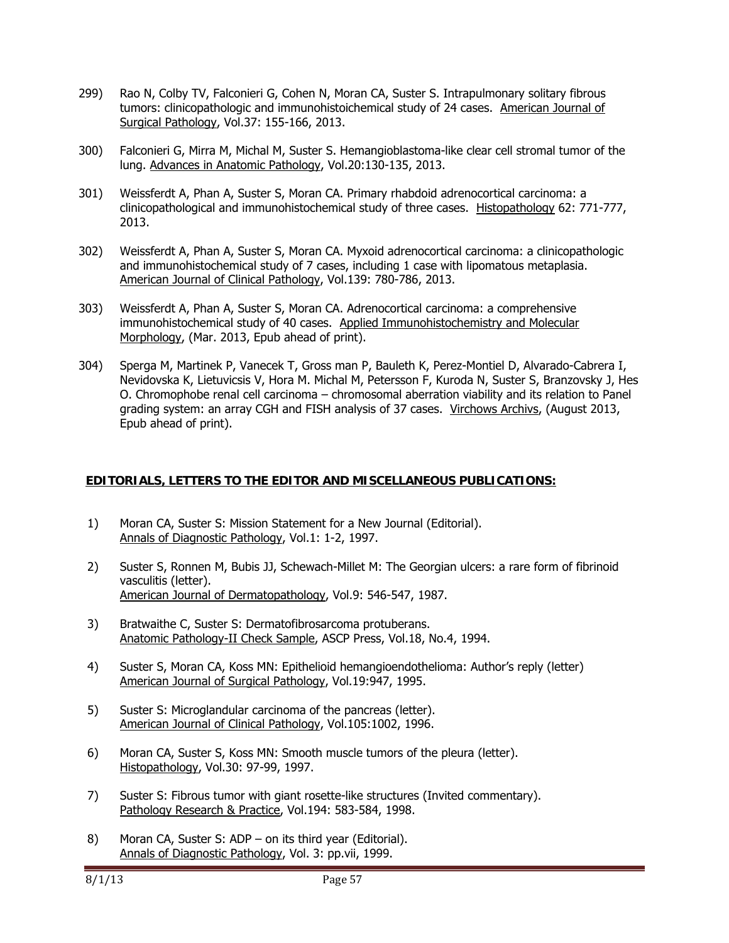- 299) Rao N, Colby TV, Falconieri G, Cohen N, Moran CA, Suster S. Intrapulmonary solitary fibrous tumors: clinicopathologic and immunohistoichemical study of 24 cases. American Journal of Surgical Pathology, Vol.37: 155-166, 2013.
- 300) Falconieri G, Mirra M, Michal M, Suster S. Hemangioblastoma-like clear cell stromal tumor of the lung. Advances in Anatomic Pathology, Vol.20:130-135, 2013.
- 301) Weissferdt A, Phan A, Suster S, Moran CA. Primary rhabdoid adrenocortical carcinoma: a clinicopathological and immunohistochemical study of three cases. Histopathology 62: 771-777, 2013.
- 302) Weissferdt A, Phan A, Suster S, Moran CA. Myxoid adrenocortical carcinoma: a clinicopathologic and immunohistochemical study of 7 cases, including 1 case with lipomatous metaplasia. American Journal of Clinical Pathology, Vol.139: 780-786, 2013.
- 303) Weissferdt A, Phan A, Suster S, Moran CA. Adrenocortical carcinoma: a comprehensive immunohistochemical study of 40 cases. Applied Immunohistochemistry and Molecular Morphology, (Mar. 2013, Epub ahead of print).
- 304) Sperga M, Martinek P, Vanecek T, Gross man P, Bauleth K, Perez-Montiel D, Alvarado-Cabrera I, Nevidovska K, Lietuvicsis V, Hora M. Michal M, Petersson F, Kuroda N, Suster S, Branzovsky J, Hes O. Chromophobe renal cell carcinoma – chromosomal aberration viability and its relation to Panel grading system: an array CGH and FISH analysis of 37 cases. Virchows Archivs, (August 2013, Epub ahead of print).

### **EDITORIALS, LETTERS TO THE EDITOR AND MISCELLANEOUS PUBLICATIONS:**

- 1) Moran CA, Suster S: Mission Statement for a New Journal (Editorial). Annals of Diagnostic Pathology, Vol.1: 1-2, 1997.
- 2) Suster S, Ronnen M, Bubis JJ, Schewach-Millet M: The Georgian ulcers: a rare form of fibrinoid vasculitis (letter). American Journal of Dermatopathology, Vol.9: 546-547, 1987.
- 3) Bratwaithe C, Suster S: Dermatofibrosarcoma protuberans. Anatomic Pathology-II Check Sample, ASCP Press, Vol.18, No.4, 1994.
- 4) Suster S, Moran CA, Koss MN: Epithelioid hemangioendothelioma: Author's reply (letter) American Journal of Surgical Pathology, Vol.19:947, 1995.
- 5) Suster S: Microglandular carcinoma of the pancreas (letter). American Journal of Clinical Pathology, Vol.105:1002, 1996.
- 6) Moran CA, Suster S, Koss MN: Smooth muscle tumors of the pleura (letter). Histopathology, Vol.30: 97-99, 1997.
- 7) Suster S: Fibrous tumor with giant rosette-like structures (Invited commentary). Pathology Research & Practice, Vol.194: 583-584, 1998.
- 8) Moran CA, Suster S: ADP on its third year (Editorial). Annals of Diagnostic Pathology, Vol. 3: pp.vii, 1999.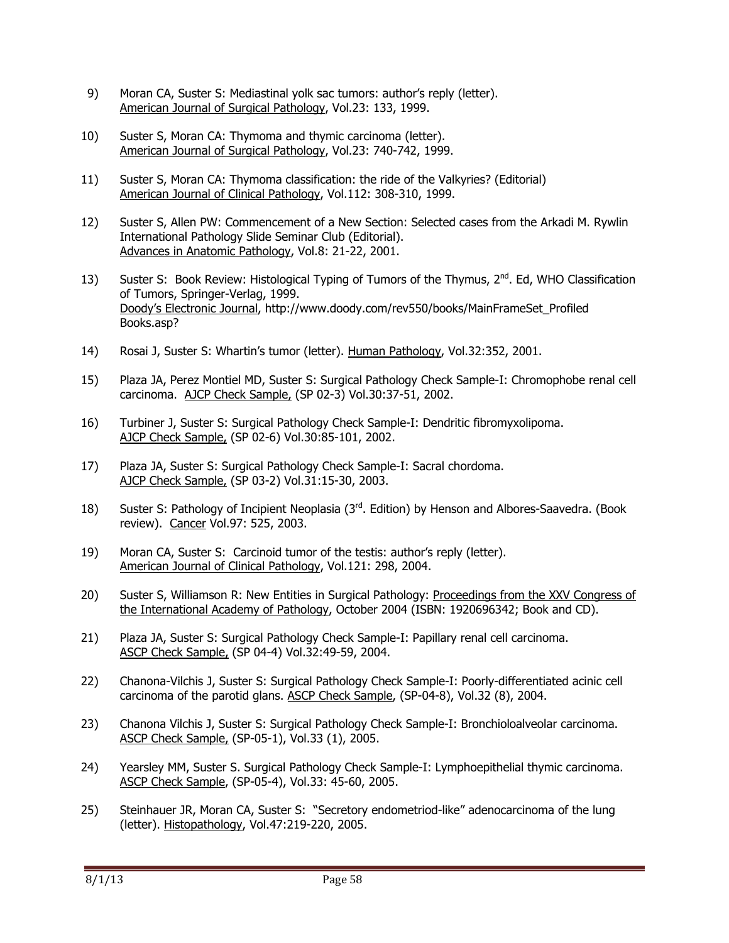- 9) Moran CA, Suster S: Mediastinal yolk sac tumors: author's reply (letter). American Journal of Surgical Pathology, Vol.23: 133, 1999.
- 10) Suster S, Moran CA: Thymoma and thymic carcinoma (letter). American Journal of Surgical Pathology, Vol.23: 740-742, 1999.
- 11) Suster S, Moran CA: Thymoma classification: the ride of the Valkyries? (Editorial) American Journal of Clinical Pathology, Vol.112: 308-310, 1999.
- 12) Suster S, Allen PW: Commencement of a New Section: Selected cases from the Arkadi M. Rywlin International Pathology Slide Seminar Club (Editorial). Advances in Anatomic Pathology, Vol.8: 21-22, 2001.
- 13) Suster S: Book Review: Histological Typing of Tumors of the Thymus, 2<sup>nd</sup>. Ed, WHO Classification of Tumors, Springer-Verlag, 1999. Doody's Electronic Journal, http://www.doody.com/rev550/books/MainFrameSet\_Profiled Books.asp?
- 14) Rosai J, Suster S: Whartin's tumor (letter). Human Pathology, Vol.32:352, 2001.
- 15) Plaza JA, Perez Montiel MD, Suster S: Surgical Pathology Check Sample-I: Chromophobe renal cell carcinoma. AJCP Check Sample, (SP 02-3) Vol.30:37-51, 2002.
- 16) Turbiner J, Suster S: Surgical Pathology Check Sample-I: Dendritic fibromyxolipoma. AJCP Check Sample, (SP 02-6) Vol.30:85-101, 2002.
- 17) Plaza JA, Suster S: Surgical Pathology Check Sample-I: Sacral chordoma. AJCP Check Sample, (SP 03-2) Vol.31:15-30, 2003.
- 18) Suster S: Pathology of Incipient Neoplasia (3<sup>rd</sup>. Edition) by Henson and Albores-Saavedra. (Book review). Cancer Vol.97: 525, 2003.
- 19) Moran CA, Suster S: Carcinoid tumor of the testis: author's reply (letter). American Journal of Clinical Pathology, Vol.121: 298, 2004.
- 20) Suster S, Williamson R: New Entities in Surgical Pathology: Proceedings from the XXV Congress of the International Academy of Pathology, October 2004 (ISBN: 1920696342; Book and CD).
- 21) Plaza JA, Suster S: Surgical Pathology Check Sample-I: Papillary renal cell carcinoma. ASCP Check Sample, (SP 04-4) Vol.32:49-59, 2004.
- 22) Chanona-Vilchis J, Suster S: Surgical Pathology Check Sample-I: Poorly-differentiated acinic cell carcinoma of the parotid glans. ASCP Check Sample, (SP-04-8), Vol.32 (8), 2004.
- 23) Chanona Vilchis J, Suster S: Surgical Pathology Check Sample-I: Bronchioloalveolar carcinoma. ASCP Check Sample, (SP-05-1), Vol.33 (1), 2005.
- 24) Yearsley MM, Suster S. Surgical Pathology Check Sample-I: Lymphoepithelial thymic carcinoma. ASCP Check Sample, (SP-05-4), Vol.33: 45-60, 2005.
- 25) Steinhauer JR, Moran CA, Suster S: "Secretory endometriod-like" adenocarcinoma of the lung (letter). Histopathology, Vol.47:219-220, 2005.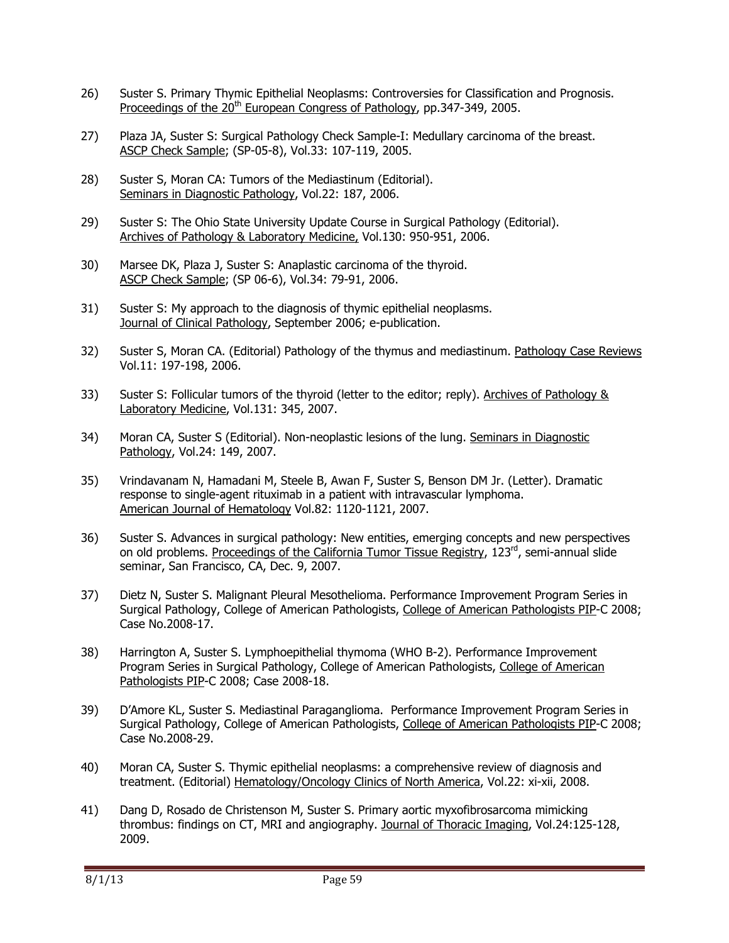- 26) Suster S. Primary Thymic Epithelial Neoplasms: Controversies for Classification and Prognosis. Proceedings of the 20<sup>th</sup> European Congress of Pathology, pp.347-349, 2005.
- 27) Plaza JA, Suster S: Surgical Pathology Check Sample-I: Medullary carcinoma of the breast. ASCP Check Sample; (SP-05-8), Vol.33: 107-119, 2005.
- 28) Suster S, Moran CA: Tumors of the Mediastinum (Editorial). Seminars in Diagnostic Pathology, Vol.22: 187, 2006.
- 29) Suster S: The Ohio State University Update Course in Surgical Pathology (Editorial). Archives of Pathology & Laboratory Medicine, Vol.130: 950-951, 2006.
- 30) Marsee DK, Plaza J, Suster S: Anaplastic carcinoma of the thyroid. ASCP Check Sample; (SP 06-6), Vol.34: 79-91, 2006.
- 31) Suster S: My approach to the diagnosis of thymic epithelial neoplasms. Journal of Clinical Pathology, September 2006; e-publication.
- 32) Suster S, Moran CA. (Editorial) Pathology of the thymus and mediastinum. Pathology Case Reviews Vol.11: 197-198, 2006.
- 33) Suster S: Follicular tumors of the thyroid (letter to the editor; reply). Archives of Pathology & Laboratory Medicine, Vol.131: 345, 2007.
- 34) Moran CA, Suster S (Editorial). Non-neoplastic lesions of the lung. Seminars in Diagnostic Pathology, Vol.24: 149, 2007.
- 35) Vrindavanam N, Hamadani M, Steele B, Awan F, Suster S, Benson DM Jr. (Letter). Dramatic response to single-agent rituximab in a patient with intravascular lymphoma. American Journal of Hematology Vol.82: 1120-1121, 2007.
- 36) Suster S. Advances in surgical pathology: New entities, emerging concepts and new perspectives on old problems. Proceedings of the California Tumor Tissue Registry,  $123<sup>rd</sup>$ , semi-annual slide seminar, San Francisco, CA, Dec. 9, 2007.
- 37) Dietz N, Suster S. Malignant Pleural Mesothelioma. Performance Improvement Program Series in Surgical Pathology, College of American Pathologists, College of American Pathologists PIP-C 2008; Case No.2008-17.
- 38) Harrington A, Suster S. Lymphoepithelial thymoma (WHO B-2). Performance Improvement Program Series in Surgical Pathology, College of American Pathologists, College of American Pathologists PIP-C 2008; Case 2008-18.
- 39) D'Amore KL, Suster S. Mediastinal Paraganglioma. Performance Improvement Program Series in Surgical Pathology, College of American Pathologists, College of American Pathologists PIP-C 2008; Case No.2008-29.
- 40) Moran CA, Suster S. Thymic epithelial neoplasms: a comprehensive review of diagnosis and treatment. (Editorial) Hematology/Oncology Clinics of North America, Vol.22: xi-xii, 2008.
- 41) Dang D, Rosado de Christenson M, Suster S. Primary aortic myxofibrosarcoma mimicking thrombus: findings on CT, MRI and angiography. Journal of Thoracic Imaging, Vol.24:125-128, 2009.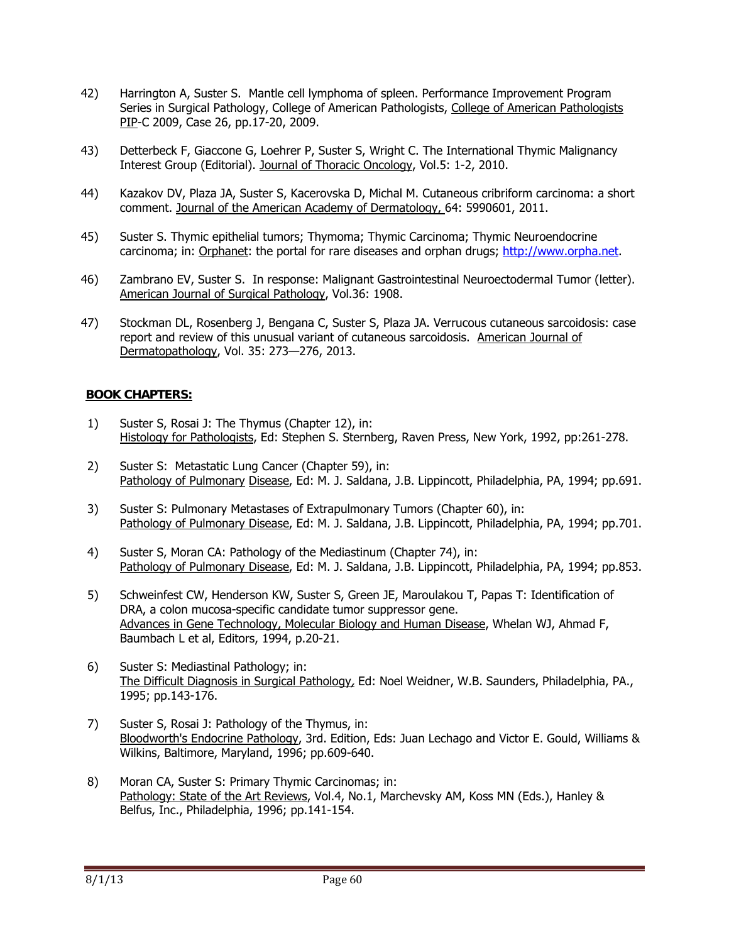- 42) Harrington A, Suster S. Mantle cell lymphoma of spleen. Performance Improvement Program Series in Surgical Pathology, College of American Pathologists, College of American Pathologists PIP-C 2009, Case 26, pp.17-20, 2009.
- 43) Detterbeck F, Giaccone G, Loehrer P, Suster S, Wright C. The International Thymic Malignancy Interest Group (Editorial). Journal of Thoracic Oncology, Vol.5: 1-2, 2010.
- 44) Kazakov DV, Plaza JA, Suster S, Kacerovska D, Michal M. Cutaneous cribriform carcinoma: a short comment. Journal of the American Academy of Dermatology, 64: 5990601, 2011.
- 45) Suster S. Thymic epithelial tumors; Thymoma; Thymic Carcinoma; Thymic Neuroendocrine carcinoma; in: Orphanet: the portal for rare diseases and orphan drugs; http://www.orpha.net.
- 46) Zambrano EV, Suster S. In response: Malignant Gastrointestinal Neuroectodermal Tumor (letter). American Journal of Surgical Pathology, Vol.36: 1908.
- 47) Stockman DL, Rosenberg J, Bengana C, Suster S, Plaza JA. Verrucous cutaneous sarcoidosis: case report and review of this unusual variant of cutaneous sarcoidosis. American Journal of Dermatopathology, Vol. 35: 273—276, 2013.

## **BOOK CHAPTERS:**

- 1) Suster S, Rosai J: The Thymus (Chapter 12), in: Histology for Pathologists, Ed: Stephen S. Sternberg, Raven Press, New York, 1992, pp:261-278.
- 2) Suster S: Metastatic Lung Cancer (Chapter 59), in: Pathology of Pulmonary Disease, Ed: M. J. Saldana, J.B. Lippincott, Philadelphia, PA, 1994; pp.691.
- 3) Suster S: Pulmonary Metastases of Extrapulmonary Tumors (Chapter 60), in: Pathology of Pulmonary Disease, Ed: M. J. Saldana, J.B. Lippincott, Philadelphia, PA, 1994; pp.701.
- 4) Suster S, Moran CA: Pathology of the Mediastinum (Chapter 74), in: Pathology of Pulmonary Disease, Ed: M. J. Saldana, J.B. Lippincott, Philadelphia, PA, 1994; pp.853.
- 5) Schweinfest CW, Henderson KW, Suster S, Green JE, Maroulakou T, Papas T: Identification of DRA, a colon mucosa-specific candidate tumor suppressor gene. Advances in Gene Technology, Molecular Biology and Human Disease, Whelan WJ, Ahmad F, Baumbach L et al, Editors, 1994, p.20-21.
- 6) Suster S: Mediastinal Pathology; in: The Difficult Diagnosis in Surgical Pathology, Ed: Noel Weidner, W.B. Saunders, Philadelphia, PA., 1995; pp.143-176.
- 7) Suster S, Rosai J: Pathology of the Thymus, in: Bloodworth's Endocrine Pathology, 3rd. Edition, Eds: Juan Lechago and Victor E. Gould, Williams & Wilkins, Baltimore, Maryland, 1996; pp.609-640.
- 8) Moran CA, Suster S: Primary Thymic Carcinomas; in: Pathology: State of the Art Reviews, Vol.4, No.1, Marchevsky AM, Koss MN (Eds.), Hanley & Belfus, Inc., Philadelphia, 1996; pp.141-154.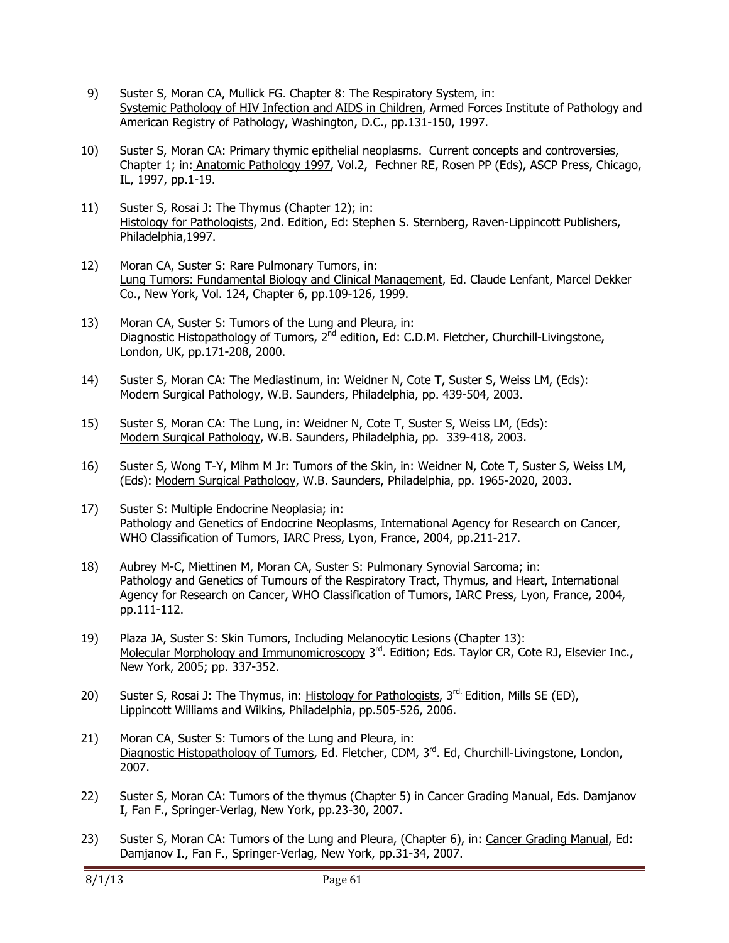- 9) Suster S, Moran CA, Mullick FG. Chapter 8: The Respiratory System, in: Systemic Pathology of HIV Infection and AIDS in Children, Armed Forces Institute of Pathology and American Registry of Pathology, Washington, D.C., pp.131-150, 1997.
- 10) Suster S, Moran CA: Primary thymic epithelial neoplasms. Current concepts and controversies, Chapter 1; in: Anatomic Pathology 1997, Vol.2, Fechner RE, Rosen PP (Eds), ASCP Press, Chicago, IL, 1997, pp.1-19.
- 11) Suster S, Rosai J: The Thymus (Chapter 12); in: Histology for Pathologists, 2nd. Edition, Ed: Stephen S. Sternberg, Raven-Lippincott Publishers, Philadelphia,1997.
- 12) Moran CA, Suster S: Rare Pulmonary Tumors, in: Lung Tumors: Fundamental Biology and Clinical Management, Ed. Claude Lenfant, Marcel Dekker Co., New York, Vol. 124, Chapter 6, pp.109-126, 1999.
- 13) Moran CA, Suster S: Tumors of the Lung and Pleura, in: Diagnostic Histopathology of Tumors, 2<sup>nd</sup> edition, Ed: C.D.M. Fletcher, Churchill-Livingstone, London, UK, pp.171-208, 2000.
- 14) Suster S, Moran CA: The Mediastinum, in: Weidner N, Cote T, Suster S, Weiss LM, (Eds): Modern Surgical Pathology, W.B. Saunders, Philadelphia, pp. 439-504, 2003.
- 15) Suster S, Moran CA: The Lung, in: Weidner N, Cote T, Suster S, Weiss LM, (Eds): Modern Surgical Pathology, W.B. Saunders, Philadelphia, pp. 339-418, 2003.
- 16) Suster S, Wong T-Y, Mihm M Jr: Tumors of the Skin, in: Weidner N, Cote T, Suster S, Weiss LM, (Eds): Modern Surgical Pathology, W.B. Saunders, Philadelphia, pp. 1965-2020, 2003.
- 17) Suster S: Multiple Endocrine Neoplasia; in: Pathology and Genetics of Endocrine Neoplasms, International Agency for Research on Cancer, WHO Classification of Tumors, IARC Press, Lyon, France, 2004, pp.211-217.
- 18) Aubrey M-C, Miettinen M, Moran CA, Suster S: Pulmonary Synovial Sarcoma; in: Pathology and Genetics of Tumours of the Respiratory Tract, Thymus, and Heart, International Agency for Research on Cancer, WHO Classification of Tumors, IARC Press, Lyon, France, 2004, pp.111-112.
- 19) Plaza JA, Suster S: Skin Tumors, Including Melanocytic Lesions (Chapter 13): Molecular Morphology and Immunomicroscopy 3<sup>rd</sup>. Edition; Eds. Taylor CR, Cote RJ, Elsevier Inc., New York, 2005; pp. 337-352.
- 20) Suster S, Rosai J: The Thymus, in: Histology for Pathologists,  $3<sup>rd</sup>$  Edition, Mills SE (ED), Lippincott Williams and Wilkins, Philadelphia, pp.505-526, 2006.
- 21) Moran CA, Suster S: Tumors of the Lung and Pleura, in: Diagnostic Histopathology of Tumors, Ed. Fletcher, CDM, 3<sup>rd</sup>. Ed, Churchill-Livingstone, London, 2007.
- 22) Suster S, Moran CA: Tumors of the thymus (Chapter 5) in Cancer Grading Manual, Eds. Damjanov I, Fan F., Springer-Verlag, New York, pp.23-30, 2007.
- 23) Suster S, Moran CA: Tumors of the Lung and Pleura, (Chapter 6), in: Cancer Grading Manual, Ed: Damjanov I., Fan F., Springer-Verlag, New York, pp.31-34, 2007.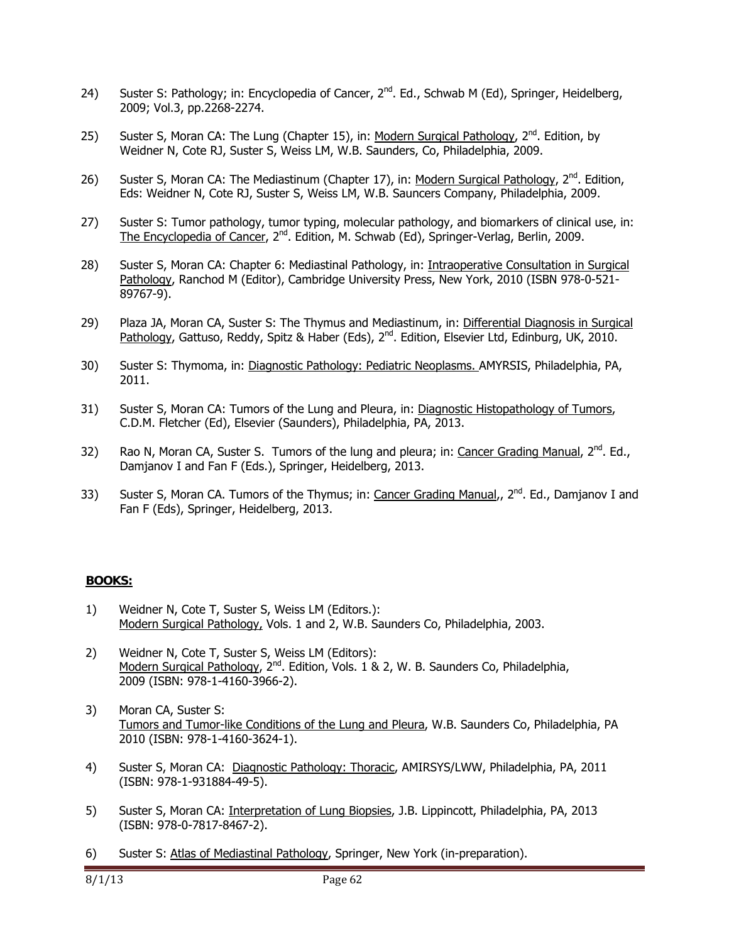- 24) Suster S: Pathology; in: Encyclopedia of Cancer, 2<sup>nd</sup>. Ed., Schwab M (Ed), Springer, Heidelberg, 2009; Vol.3, pp.2268-2274.
- 25) Suster S, Moran CA: The Lung (Chapter 15), in: Modern Surgical Pathology, 2<sup>nd</sup>. Edition, by Weidner N, Cote RJ, Suster S, Weiss LM, W.B. Saunders, Co, Philadelphia, 2009.
- 26) Suster S, Moran CA: The Mediastinum (Chapter 17), in: Modern Surgical Pathology,  $2^{nd}$ . Edition, Eds: Weidner N, Cote RJ, Suster S, Weiss LM, W.B. Sauncers Company, Philadelphia, 2009.
- 27) Suster S: Tumor pathology, tumor typing, molecular pathology, and biomarkers of clinical use, in: The Encyclopedia of Cancer, 2<sup>nd</sup>. Edition, M. Schwab (Ed), Springer-Verlag, Berlin, 2009.
- 28) Suster S, Moran CA: Chapter 6: Mediastinal Pathology, in: Intraoperative Consultation in Surgical Pathology, Ranchod M (Editor), Cambridge University Press, New York, 2010 (ISBN 978-0-521- 89767-9).
- 29) Plaza JA, Moran CA, Suster S: The Thymus and Mediastinum, in: Differential Diagnosis in Surgical Pathology, Gattuso, Reddy, Spitz & Haber (Eds), 2<sup>nd</sup>. Edition, Elsevier Ltd, Edinburg, UK, 2010.
- 30) Suster S: Thymoma, in: Diagnostic Pathology: Pediatric Neoplasms. AMYRSIS, Philadelphia, PA, 2011.
- 31) Suster S, Moran CA: Tumors of the Lung and Pleura, in: Diagnostic Histopathology of Tumors, C.D.M. Fletcher (Ed), Elsevier (Saunders), Philadelphia, PA, 2013.
- 32) Rao N, Moran CA, Suster S. Tumors of the lung and pleura; in: Cancer Grading Manual,  $2^{nd}$ . Ed., Damjanov I and Fan F (Eds.), Springer, Heidelberg, 2013.
- 33) Suster S, Moran CA. Tumors of the Thymus; in: Cancer Grading Manual,,  $2^{nd}$ . Ed., Damjanov I and Fan F (Eds), Springer, Heidelberg, 2013.

### **BOOKS:**

- 1) Weidner N, Cote T, Suster S, Weiss LM (Editors.): Modern Surgical Pathology, Vols. 1 and 2, W.B. Saunders Co, Philadelphia, 2003.
- 2) Weidner N, Cote T, Suster S, Weiss LM (Editors): Modern Surgical Pathology,  $2^{nd}$ . Edition, Vols. 1 & 2, W. B. Saunders Co, Philadelphia, 2009 (ISBN: 978-1-4160-3966-2).
- 3) Moran CA, Suster S: Tumors and Tumor-like Conditions of the Lung and Pleura, W.B. Saunders Co, Philadelphia, PA 2010 (ISBN: 978-1-4160-3624-1).
- 4) Suster S, Moran CA: Diagnostic Pathology: Thoracic, AMIRSYS/LWW, Philadelphia, PA, 2011 (ISBN: 978-1-931884-49-5).
- 5) Suster S, Moran CA: Interpretation of Lung Biopsies, J.B. Lippincott, Philadelphia, PA, 2013 (ISBN: 978-0-7817-8467-2).
- 6) Suster S: Atlas of Mediastinal Pathology, Springer, New York (in-preparation).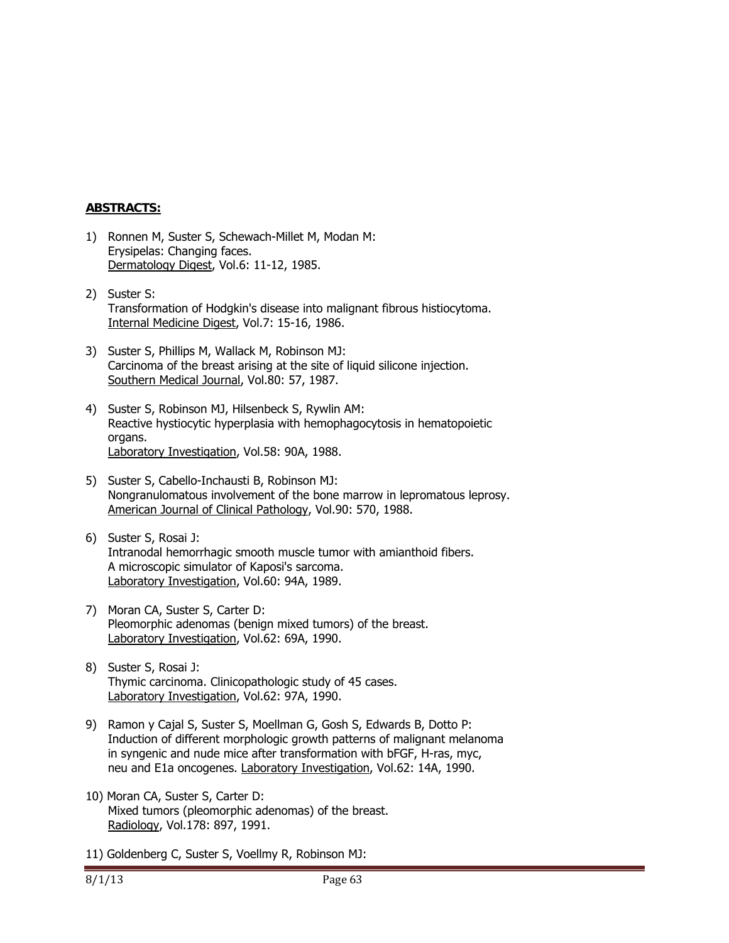### **ABSTRACTS:**

- 1) Ronnen M, Suster S, Schewach-Millet M, Modan M: Erysipelas: Changing faces. Dermatology Digest, Vol.6: 11-12, 1985.
- 2) Suster S: Transformation of Hodgkin's disease into malignant fibrous histiocytoma. Internal Medicine Digest, Vol.7: 15-16, 1986.
- 3) Suster S, Phillips M, Wallack M, Robinson MJ: Carcinoma of the breast arising at the site of liquid silicone injection. Southern Medical Journal, Vol.80: 57, 1987.
- 4) Suster S, Robinson MJ, Hilsenbeck S, Rywlin AM: Reactive hystiocytic hyperplasia with hemophagocytosis in hematopoietic organs. Laboratory Investigation, Vol.58: 90A, 1988.
- 5) Suster S, Cabello-Inchausti B, Robinson MJ: Nongranulomatous involvement of the bone marrow in lepromatous leprosy. American Journal of Clinical Pathology, Vol.90: 570, 1988.
- 6) Suster S, Rosai J: Intranodal hemorrhagic smooth muscle tumor with amianthoid fibers. A microscopic simulator of Kaposi's sarcoma. Laboratory Investigation, Vol.60: 94A, 1989.
- 7) Moran CA, Suster S, Carter D: Pleomorphic adenomas (benign mixed tumors) of the breast. Laboratory Investigation, Vol.62: 69A, 1990.
- 8) Suster S, Rosai J: Thymic carcinoma. Clinicopathologic study of 45 cases. Laboratory Investigation, Vol.62: 97A, 1990.
- 9) Ramon y Cajal S, Suster S, Moellman G, Gosh S, Edwards B, Dotto P: Induction of different morphologic growth patterns of malignant melanoma in syngenic and nude mice after transformation with bFGF, H-ras, myc, neu and E1a oncogenes. Laboratory Investigation, Vol.62: 14A, 1990.
- 10) Moran CA, Suster S, Carter D: Mixed tumors (pleomorphic adenomas) of the breast. Radiology, Vol.178: 897, 1991.
- 11) Goldenberg C, Suster S, Voellmy R, Robinson MJ: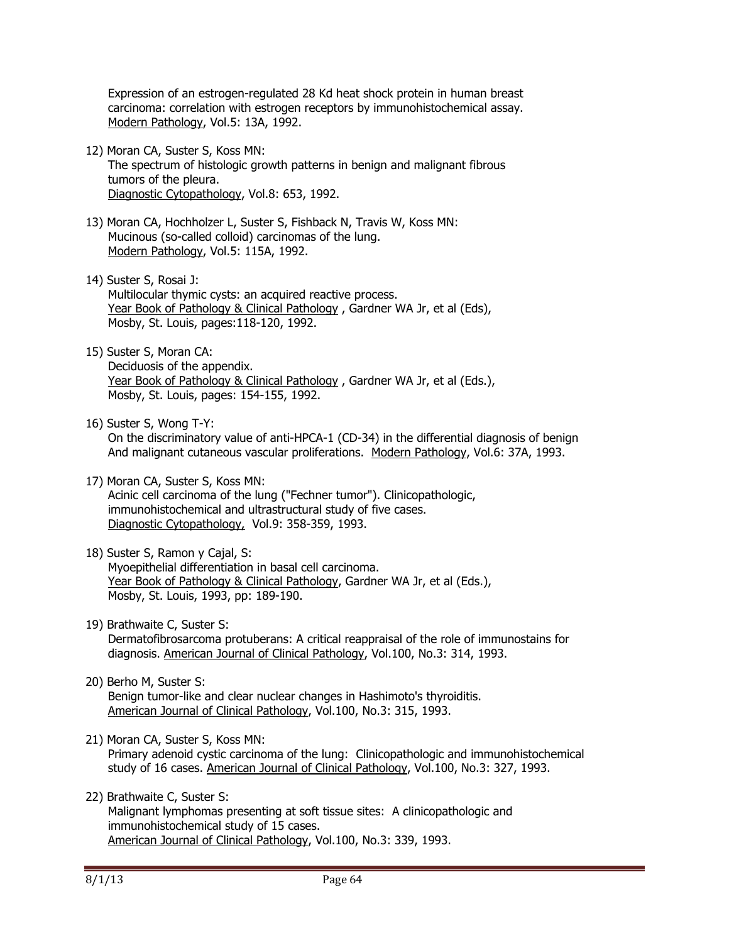Expression of an estrogen-regulated 28 Kd heat shock protein in human breast carcinoma: correlation with estrogen receptors by immunohistochemical assay. Modern Pathology, Vol.5: 13A, 1992.

- 12) Moran CA, Suster S, Koss MN: The spectrum of histologic growth patterns in benign and malignant fibrous tumors of the pleura. Diagnostic Cytopathology, Vol.8: 653, 1992.
- 13) Moran CA, Hochholzer L, Suster S, Fishback N, Travis W, Koss MN: Mucinous (so-called colloid) carcinomas of the lung. Modern Pathology, Vol.5: 115A, 1992.
- 14) Suster S, Rosai J: Multilocular thymic cysts: an acquired reactive process. Year Book of Pathology & Clinical Pathology, Gardner WA Jr, et al (Eds), Mosby, St. Louis, pages:118-120, 1992.
- 15) Suster S, Moran CA: Deciduosis of the appendix. Year Book of Pathology & Clinical Pathology , Gardner WA Jr, et al (Eds.), Mosby, St. Louis, pages: 154-155, 1992.
- 16) Suster S, Wong T-Y:

 On the discriminatory value of anti-HPCA-1 (CD-34) in the differential diagnosis of benign And malignant cutaneous vascular proliferations. Modern Pathology, Vol.6: 37A, 1993.

- 17) Moran CA, Suster S, Koss MN: Acinic cell carcinoma of the lung ("Fechner tumor"). Clinicopathologic, immunohistochemical and ultrastructural study of five cases. Diagnostic Cytopathology, Vol.9: 358-359, 1993.
- 18) Suster S, Ramon y Cajal, S: Myoepithelial differentiation in basal cell carcinoma. Year Book of Pathology & Clinical Pathology, Gardner WA Jr, et al (Eds.), Mosby, St. Louis, 1993, pp: 189-190.
- 19) Brathwaite C, Suster S: Dermatofibrosarcoma protuberans: A critical reappraisal of the role of immunostains for diagnosis. American Journal of Clinical Pathology, Vol.100, No.3: 314, 1993.
- 20) Berho M, Suster S: Benign tumor-like and clear nuclear changes in Hashimoto's thyroiditis. American Journal of Clinical Pathology, Vol.100, No.3: 315, 1993.
- 21) Moran CA, Suster S, Koss MN: Primary adenoid cystic carcinoma of the lung: Clinicopathologic and immunohistochemical study of 16 cases. American Journal of Clinical Pathology, Vol.100, No.3: 327, 1993.
- 22) Brathwaite C, Suster S: Malignant lymphomas presenting at soft tissue sites: A clinicopathologic and immunohistochemical study of 15 cases. American Journal of Clinical Pathology, Vol.100, No.3: 339, 1993.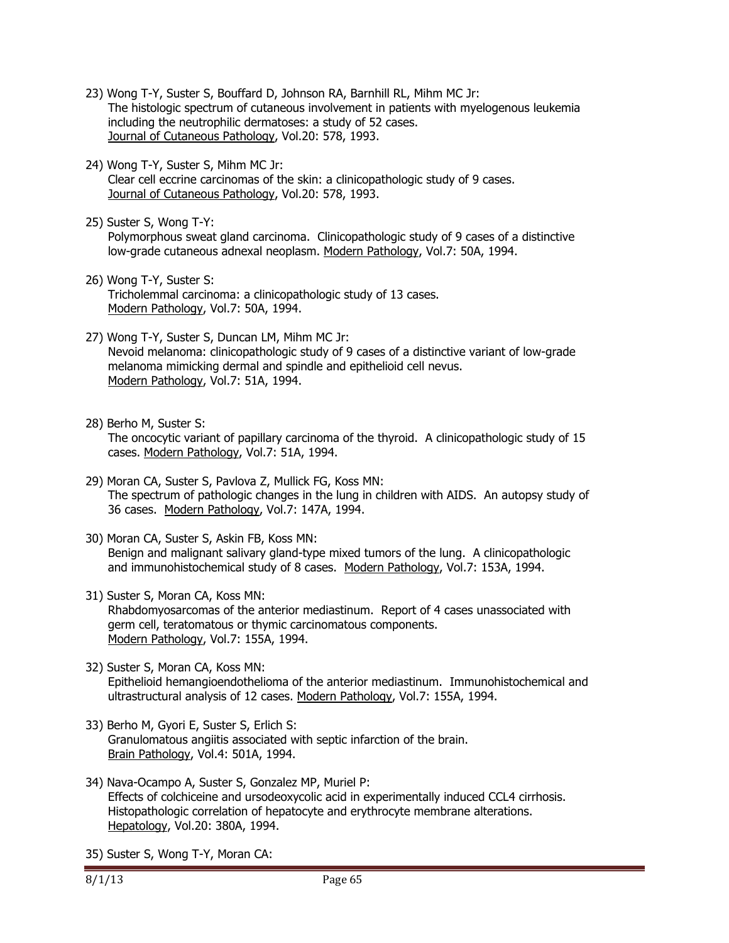- 23) Wong T-Y, Suster S, Bouffard D, Johnson RA, Barnhill RL, Mihm MC Jr: The histologic spectrum of cutaneous involvement in patients with myelogenous leukemia including the neutrophilic dermatoses: a study of 52 cases. Journal of Cutaneous Pathology, Vol.20: 578, 1993.
- 24) Wong T-Y, Suster S, Mihm MC Jr: Clear cell eccrine carcinomas of the skin: a clinicopathologic study of 9 cases. Journal of Cutaneous Pathology, Vol.20: 578, 1993.
- 25) Suster S, Wong T-Y: Polymorphous sweat gland carcinoma. Clinicopathologic study of 9 cases of a distinctive low-grade cutaneous adnexal neoplasm. Modern Pathology, Vol.7: 50A, 1994.
- 26) Wong T-Y, Suster S: Tricholemmal carcinoma: a clinicopathologic study of 13 cases. Modern Pathology, Vol.7: 50A, 1994.
- 27) Wong T-Y, Suster S, Duncan LM, Mihm MC Jr: Nevoid melanoma: clinicopathologic study of 9 cases of a distinctive variant of low-grade melanoma mimicking dermal and spindle and epithelioid cell nevus. Modern Pathology, Vol.7: 51A, 1994.
- 28) Berho M, Suster S:

 The oncocytic variant of papillary carcinoma of the thyroid. A clinicopathologic study of 15 cases. Modern Pathology, Vol.7: 51A, 1994.

- 29) Moran CA, Suster S, Pavlova Z, Mullick FG, Koss MN: The spectrum of pathologic changes in the lung in children with AIDS. An autopsy study of 36 cases. Modern Pathology, Vol.7: 147A, 1994.
- 30) Moran CA, Suster S, Askin FB, Koss MN: Benign and malignant salivary gland-type mixed tumors of the lung. A clinicopathologic and immunohistochemical study of 8 cases. Modern Pathology, Vol.7: 153A, 1994.
- 31) Suster S, Moran CA, Koss MN: Rhabdomyosarcomas of the anterior mediastinum. Report of 4 cases unassociated with germ cell, teratomatous or thymic carcinomatous components. Modern Pathology, Vol.7: 155A, 1994.
- 32) Suster S, Moran CA, Koss MN: Epithelioid hemangioendothelioma of the anterior mediastinum. Immunohistochemical and ultrastructural analysis of 12 cases. Modern Pathology, Vol.7: 155A, 1994.
- 33) Berho M, Gyori E, Suster S, Erlich S: Granulomatous angiitis associated with septic infarction of the brain. Brain Pathology, Vol.4: 501A, 1994.
- 34) Nava-Ocampo A, Suster S, Gonzalez MP, Muriel P: Effects of colchiceine and ursodeoxycolic acid in experimentally induced CCL4 cirrhosis. Histopathologic correlation of hepatocyte and erythrocyte membrane alterations. Hepatology, Vol.20: 380A, 1994.
- 35) Suster S, Wong T-Y, Moran CA: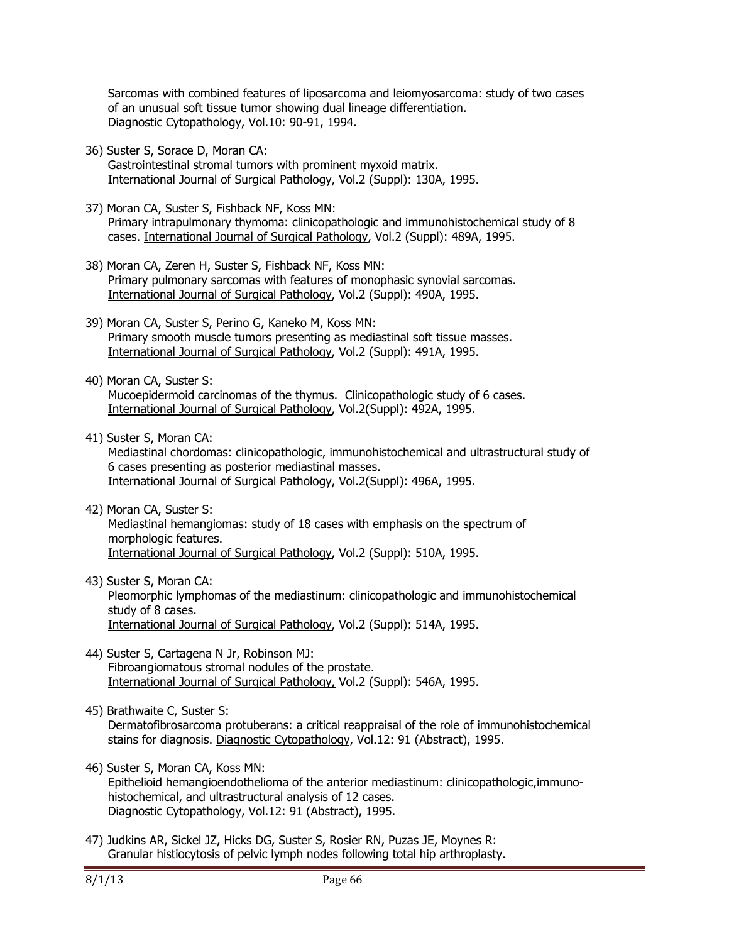Sarcomas with combined features of liposarcoma and leiomyosarcoma: study of two cases of an unusual soft tissue tumor showing dual lineage differentiation. Diagnostic Cytopathology, Vol.10: 90-91, 1994.

36) Suster S, Sorace D, Moran CA:

 Gastrointestinal stromal tumors with prominent myxoid matrix. International Journal of Surgical Pathology, Vol.2 (Suppl): 130A, 1995.

- 37) Moran CA, Suster S, Fishback NF, Koss MN: Primary intrapulmonary thymoma: clinicopathologic and immunohistochemical study of 8 cases. International Journal of Surgical Pathology, Vol.2 (Suppl): 489A, 1995.
- 38) Moran CA, Zeren H, Suster S, Fishback NF, Koss MN: Primary pulmonary sarcomas with features of monophasic synovial sarcomas. International Journal of Surgical Pathology, Vol.2 (Suppl): 490A, 1995.
- 39) Moran CA, Suster S, Perino G, Kaneko M, Koss MN: Primary smooth muscle tumors presenting as mediastinal soft tissue masses. International Journal of Surgical Pathology, Vol.2 (Suppl): 491A, 1995.
- 40) Moran CA, Suster S: Mucoepidermoid carcinomas of the thymus. Clinicopathologic study of 6 cases. International Journal of Surgical Pathology, Vol.2(Suppl): 492A, 1995.
- 41) Suster S, Moran CA:

 Mediastinal chordomas: clinicopathologic, immunohistochemical and ultrastructural study of 6 cases presenting as posterior mediastinal masses. International Journal of Surgical Pathology, Vol.2(Suppl): 496A, 1995.

- 42) Moran CA, Suster S: Mediastinal hemangiomas: study of 18 cases with emphasis on the spectrum of morphologic features. International Journal of Surgical Pathology, Vol.2 (Suppl): 510A, 1995.
- 43) Suster S, Moran CA: Pleomorphic lymphomas of the mediastinum: clinicopathologic and immunohistochemical study of 8 cases. International Journal of Surgical Pathology, Vol.2 (Suppl): 514A, 1995.
- 44) Suster S, Cartagena N Jr, Robinson MJ: Fibroangiomatous stromal nodules of the prostate. International Journal of Surgical Pathology, Vol.2 (Suppl): 546A, 1995.
- 45) Brathwaite C, Suster S:

 Dermatofibrosarcoma protuberans: a critical reappraisal of the role of immunohistochemical stains for diagnosis. Diagnostic Cytopathology, Vol.12: 91 (Abstract), 1995.

46) Suster S, Moran CA, Koss MN:

 Epithelioid hemangioendothelioma of the anterior mediastinum: clinicopathologic,immuno histochemical, and ultrastructural analysis of 12 cases. Diagnostic Cytopathology, Vol.12: 91 (Abstract), 1995.

47) Judkins AR, Sickel JZ, Hicks DG, Suster S, Rosier RN, Puzas JE, Moynes R: Granular histiocytosis of pelvic lymph nodes following total hip arthroplasty.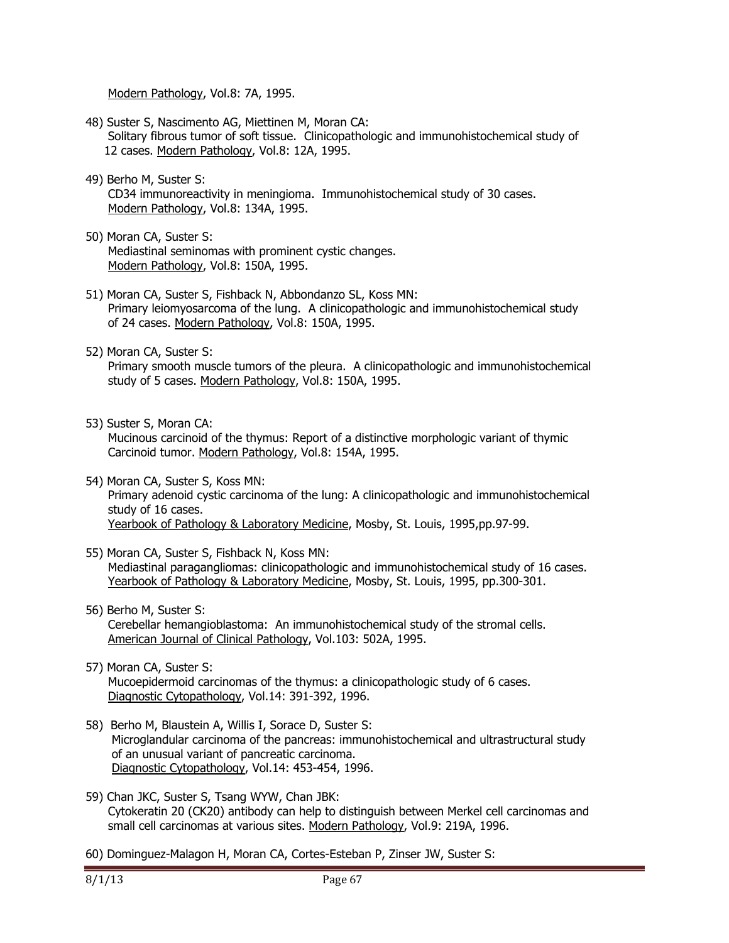Modern Pathology, Vol.8: 7A, 1995.

- 48) Suster S, Nascimento AG, Miettinen M, Moran CA: Solitary fibrous tumor of soft tissue. Clinicopathologic and immunohistochemical study of 12 cases. Modern Pathology, Vol.8: 12A, 1995.
- 49) Berho M, Suster S: CD34 immunoreactivity in meningioma. Immunohistochemical study of 30 cases. Modern Pathology, Vol.8: 134A, 1995.
- 50) Moran CA, Suster S: Mediastinal seminomas with prominent cystic changes. Modern Pathology, Vol.8: 150A, 1995.
- 51) Moran CA, Suster S, Fishback N, Abbondanzo SL, Koss MN: Primary leiomyosarcoma of the lung. A clinicopathologic and immunohistochemical study of 24 cases. Modern Pathology, Vol.8: 150A, 1995.
- 52) Moran CA, Suster S: Primary smooth muscle tumors of the pleura. A clinicopathologic and immunohistochemical study of 5 cases. Modern Pathology, Vol.8: 150A, 1995.
- 53) Suster S, Moran CA:

 Mucinous carcinoid of the thymus: Report of a distinctive morphologic variant of thymic Carcinoid tumor. Modern Pathology, Vol.8: 154A, 1995.

- 54) Moran CA, Suster S, Koss MN: Primary adenoid cystic carcinoma of the lung: A clinicopathologic and immunohistochemical study of 16 cases. Yearbook of Pathology & Laboratory Medicine, Mosby, St. Louis, 1995,pp.97-99.
- 55) Moran CA, Suster S, Fishback N, Koss MN: Mediastinal paragangliomas: clinicopathologic and immunohistochemical study of 16 cases. Yearbook of Pathology & Laboratory Medicine, Mosby, St. Louis, 1995, pp.300-301.
- 56) Berho M, Suster S: Cerebellar hemangioblastoma: An immunohistochemical study of the stromal cells. American Journal of Clinical Pathology, Vol.103: 502A, 1995.
- 57) Moran CA, Suster S: Mucoepidermoid carcinomas of the thymus: a clinicopathologic study of 6 cases. Diagnostic Cytopathology, Vol.14: 391-392, 1996.
- 58) Berho M, Blaustein A, Willis I, Sorace D, Suster S: Microglandular carcinoma of the pancreas: immunohistochemical and ultrastructural study of an unusual variant of pancreatic carcinoma. Diagnostic Cytopathology, Vol.14: 453-454, 1996.
- 59) Chan JKC, Suster S, Tsang WYW, Chan JBK: Cytokeratin 20 (CK20) antibody can help to distinguish between Merkel cell carcinomas and small cell carcinomas at various sites. Modern Pathology, Vol.9: 219A, 1996.
- 60) Dominguez-Malagon H, Moran CA, Cortes-Esteban P, Zinser JW, Suster S: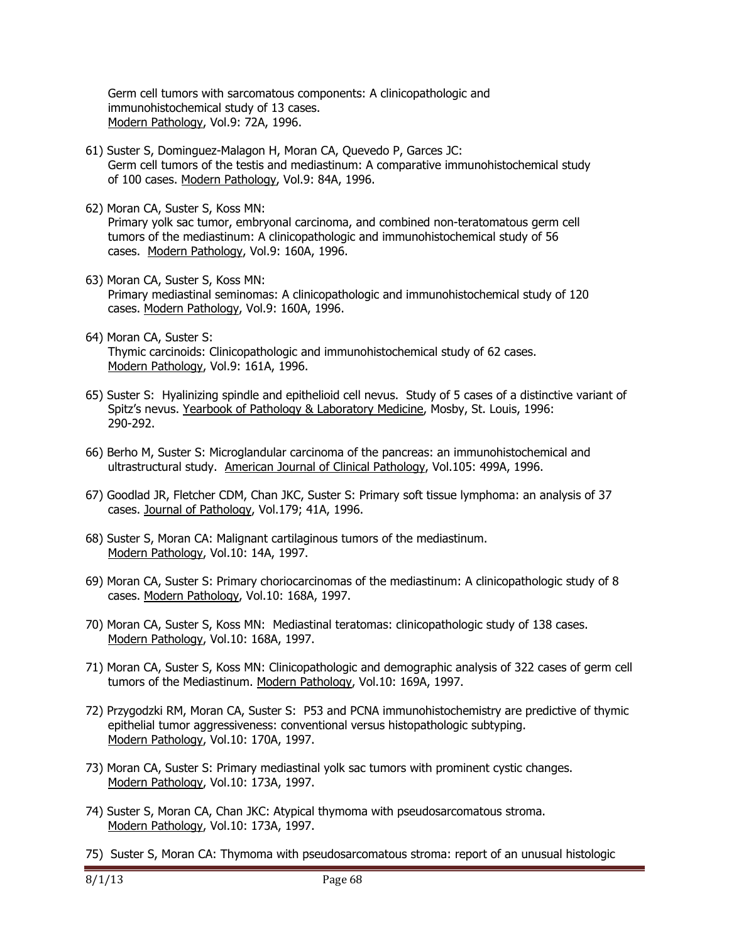Germ cell tumors with sarcomatous components: A clinicopathologic and immunohistochemical study of 13 cases. Modern Pathology, Vol.9: 72A, 1996.

- 61) Suster S, Dominguez-Malagon H, Moran CA, Quevedo P, Garces JC: Germ cell tumors of the testis and mediastinum: A comparative immunohistochemical study of 100 cases. Modern Pathology, Vol.9: 84A, 1996.
- 62) Moran CA, Suster S, Koss MN:

 Primary yolk sac tumor, embryonal carcinoma, and combined non-teratomatous germ cell tumors of the mediastinum: A clinicopathologic and immunohistochemical study of 56 cases. Modern Pathology, Vol.9: 160A, 1996.

- 63) Moran CA, Suster S, Koss MN: Primary mediastinal seminomas: A clinicopathologic and immunohistochemical study of 120 cases. Modern Pathology, Vol.9: 160A, 1996.
- 64) Moran CA, Suster S: Thymic carcinoids: Clinicopathologic and immunohistochemical study of 62 cases. Modern Pathology, Vol.9: 161A, 1996.
- 65) Suster S: Hyalinizing spindle and epithelioid cell nevus. Study of 5 cases of a distinctive variant of Spitz's nevus. Yearbook of Pathology & Laboratory Medicine, Mosby, St. Louis, 1996: 290-292.
- 66) Berho M, Suster S: Microglandular carcinoma of the pancreas: an immunohistochemical and ultrastructural study. American Journal of Clinical Pathology, Vol.105: 499A, 1996.
- 67) Goodlad JR, Fletcher CDM, Chan JKC, Suster S: Primary soft tissue lymphoma: an analysis of 37 cases. Journal of Pathology, Vol.179; 41A, 1996.
- 68) Suster S, Moran CA: Malignant cartilaginous tumors of the mediastinum. Modern Pathology, Vol.10: 14A, 1997.
- 69) Moran CA, Suster S: Primary choriocarcinomas of the mediastinum: A clinicopathologic study of 8 cases. Modern Pathology, Vol.10: 168A, 1997.
- 70) Moran CA, Suster S, Koss MN: Mediastinal teratomas: clinicopathologic study of 138 cases. Modern Pathology, Vol.10: 168A, 1997.
- 71) Moran CA, Suster S, Koss MN: Clinicopathologic and demographic analysis of 322 cases of germ cell tumors of the Mediastinum. Modern Pathology, Vol.10: 169A, 1997.
- 72) Przygodzki RM, Moran CA, Suster S: P53 and PCNA immunohistochemistry are predictive of thymic epithelial tumor aggressiveness: conventional versus histopathologic subtyping. Modern Pathology, Vol.10: 170A, 1997.
- 73) Moran CA, Suster S: Primary mediastinal yolk sac tumors with prominent cystic changes. Modern Pathology, Vol.10: 173A, 1997.
- 74) Suster S, Moran CA, Chan JKC: Atypical thymoma with pseudosarcomatous stroma. Modern Pathology, Vol.10: 173A, 1997.
- 75) Suster S, Moran CA: Thymoma with pseudosarcomatous stroma: report of an unusual histologic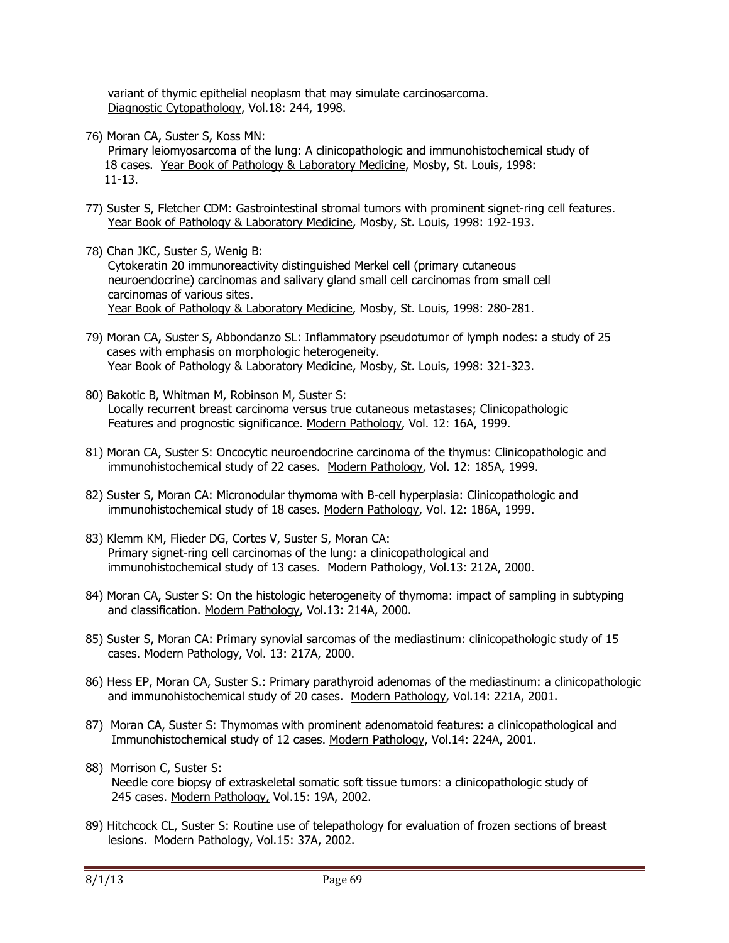variant of thymic epithelial neoplasm that may simulate carcinosarcoma. Diagnostic Cytopathology, Vol.18: 244, 1998.

76) Moran CA, Suster S, Koss MN:

 Primary leiomyosarcoma of the lung: A clinicopathologic and immunohistochemical study of 18 cases. Year Book of Pathology & Laboratory Medicine, Mosby, St. Louis, 1998: 11-13.

- 77) Suster S, Fletcher CDM: Gastrointestinal stromal tumors with prominent signet-ring cell features. Year Book of Pathology & Laboratory Medicine, Mosby, St. Louis, 1998: 192-193.
- 78) Chan JKC, Suster S, Wenig B: Cytokeratin 20 immunoreactivity distinguished Merkel cell (primary cutaneous neuroendocrine) carcinomas and salivary gland small cell carcinomas from small cell carcinomas of various sites. Year Book of Pathology & Laboratory Medicine, Mosby, St. Louis, 1998: 280-281.
- 79) Moran CA, Suster S, Abbondanzo SL: Inflammatory pseudotumor of lymph nodes: a study of 25 cases with emphasis on morphologic heterogeneity. Year Book of Pathology & Laboratory Medicine, Mosby, St. Louis, 1998: 321-323.
- 80) Bakotic B, Whitman M, Robinson M, Suster S: Locally recurrent breast carcinoma versus true cutaneous metastases; Clinicopathologic Features and prognostic significance. Modern Pathology, Vol. 12: 16A, 1999.
- 81) Moran CA, Suster S: Oncocytic neuroendocrine carcinoma of the thymus: Clinicopathologic and immunohistochemical study of 22 cases. Modern Pathology, Vol. 12: 185A, 1999.
- 82) Suster S, Moran CA: Micronodular thymoma with B-cell hyperplasia: Clinicopathologic and immunohistochemical study of 18 cases. Modern Pathology, Vol. 12: 186A, 1999.
- 83) Klemm KM, Flieder DG, Cortes V, Suster S, Moran CA: Primary signet-ring cell carcinomas of the lung: a clinicopathological and immunohistochemical study of 13 cases. Modern Pathology, Vol.13: 212A, 2000.
- 84) Moran CA, Suster S: On the histologic heterogeneity of thymoma: impact of sampling in subtyping and classification. Modern Pathology, Vol.13: 214A, 2000.
- 85) Suster S, Moran CA: Primary synovial sarcomas of the mediastinum: clinicopathologic study of 15 cases. Modern Pathology, Vol. 13: 217A, 2000.
- 86) Hess EP, Moran CA, Suster S.: Primary parathyroid adenomas of the mediastinum: a clinicopathologic and immunohistochemical study of 20 cases. Modern Pathology, Vol.14: 221A, 2001.
- 87) Moran CA, Suster S: Thymomas with prominent adenomatoid features: a clinicopathological and Immunohistochemical study of 12 cases. Modern Pathology, Vol.14: 224A, 2001.
- 88) Morrison C, Suster S: Needle core biopsy of extraskeletal somatic soft tissue tumors: a clinicopathologic study of 245 cases. Modern Pathology, Vol.15: 19A, 2002.
- 89) Hitchcock CL, Suster S: Routine use of telepathology for evaluation of frozen sections of breast lesions. Modern Pathology, Vol.15: 37A, 2002.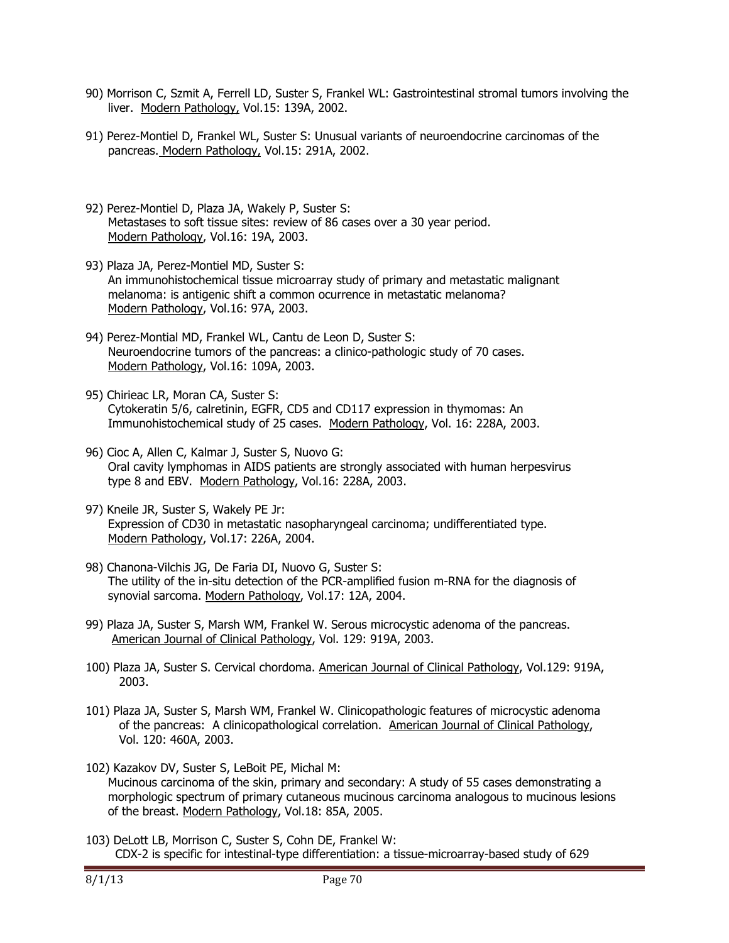- 90) Morrison C, Szmit A, Ferrell LD, Suster S, Frankel WL: Gastrointestinal stromal tumors involving the liver. Modern Pathology, Vol.15: 139A, 2002.
- 91) Perez-Montiel D, Frankel WL, Suster S: Unusual variants of neuroendocrine carcinomas of the pancreas. Modern Pathology, Vol.15: 291A, 2002.
- 92) Perez-Montiel D, Plaza JA, Wakely P, Suster S: Metastases to soft tissue sites: review of 86 cases over a 30 year period. Modern Pathology, Vol.16: 19A, 2003.
- 93) Plaza JA, Perez-Montiel MD, Suster S: An immunohistochemical tissue microarray study of primary and metastatic malignant melanoma: is antigenic shift a common ocurrence in metastatic melanoma? Modern Pathology, Vol.16: 97A, 2003.
- 94) Perez-Montial MD, Frankel WL, Cantu de Leon D, Suster S: Neuroendocrine tumors of the pancreas: a clinico-pathologic study of 70 cases. Modern Pathology, Vol.16: 109A, 2003.
- 95) Chirieac LR, Moran CA, Suster S: Cytokeratin 5/6, calretinin, EGFR, CD5 and CD117 expression in thymomas: An Immunohistochemical study of 25 cases. Modern Pathology, Vol. 16: 228A, 2003.
- 96) Cioc A, Allen C, Kalmar J, Suster S, Nuovo G: Oral cavity lymphomas in AIDS patients are strongly associated with human herpesvirus type 8 and EBV. Modern Pathology, Vol.16: 228A, 2003.
- 97) Kneile JR, Suster S, Wakely PE Jr: Expression of CD30 in metastatic nasopharyngeal carcinoma; undifferentiated type. Modern Pathology, Vol.17: 226A, 2004.
- 98) Chanona-Vilchis JG, De Faria DI, Nuovo G, Suster S: The utility of the in-situ detection of the PCR-amplified fusion m-RNA for the diagnosis of synovial sarcoma. Modern Pathology, Vol.17: 12A, 2004.
- 99) Plaza JA, Suster S, Marsh WM, Frankel W. Serous microcystic adenoma of the pancreas. American Journal of Clinical Pathology, Vol. 129: 919A, 2003.
- 100) Plaza JA, Suster S. Cervical chordoma. American Journal of Clinical Pathology, Vol.129: 919A, 2003.
- 101) Plaza JA, Suster S, Marsh WM, Frankel W. Clinicopathologic features of microcystic adenoma of the pancreas: A clinicopathological correlation. American Journal of Clinical Pathology, Vol. 120: 460A, 2003.
- 102) Kazakov DV, Suster S, LeBoit PE, Michal M: Mucinous carcinoma of the skin, primary and secondary: A study of 55 cases demonstrating a morphologic spectrum of primary cutaneous mucinous carcinoma analogous to mucinous lesions of the breast. Modern Pathology, Vol.18: 85A, 2005.
- 103) DeLott LB, Morrison C, Suster S, Cohn DE, Frankel W: CDX-2 is specific for intestinal-type differentiation: a tissue-microarray-based study of 629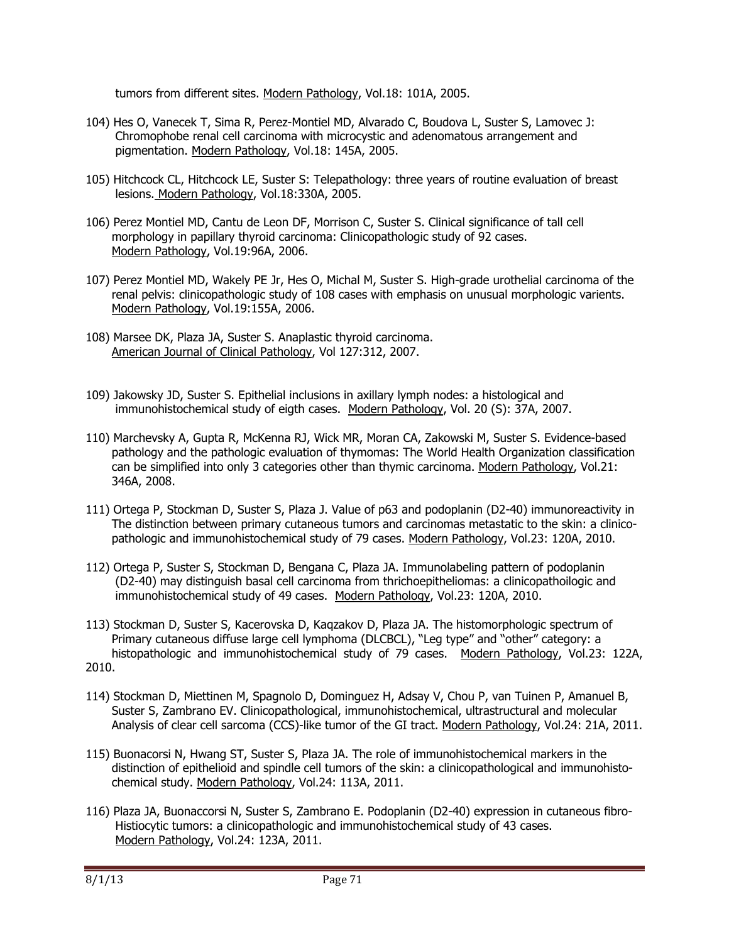tumors from different sites. Modern Pathology, Vol.18: 101A, 2005.

- 104) Hes O, Vanecek T, Sima R, Perez-Montiel MD, Alvarado C, Boudova L, Suster S, Lamovec J: Chromophobe renal cell carcinoma with microcystic and adenomatous arrangement and pigmentation. Modern Pathology, Vol.18: 145A, 2005.
- 105) Hitchcock CL, Hitchcock LE, Suster S: Telepathology: three years of routine evaluation of breast lesions. Modern Pathology, Vol.18:330A, 2005.
- 106) Perez Montiel MD, Cantu de Leon DF, Morrison C, Suster S. Clinical significance of tall cell morphology in papillary thyroid carcinoma: Clinicopathologic study of 92 cases. Modern Pathology, Vol.19:96A, 2006.
- 107) Perez Montiel MD, Wakely PE Jr, Hes O, Michal M, Suster S. High-grade urothelial carcinoma of the renal pelvis: clinicopathologic study of 108 cases with emphasis on unusual morphologic varients. Modern Pathology, Vol.19:155A, 2006.
- 108) Marsee DK, Plaza JA, Suster S. Anaplastic thyroid carcinoma. American Journal of Clinical Pathology, Vol 127:312, 2007.
- 109) Jakowsky JD, Suster S. Epithelial inclusions in axillary lymph nodes: a histological and immunohistochemical study of eigth cases. Modern Pathology, Vol. 20 (S): 37A, 2007.
- 110) Marchevsky A, Gupta R, McKenna RJ, Wick MR, Moran CA, Zakowski M, Suster S. Evidence-based pathology and the pathologic evaluation of thymomas: The World Health Organization classification can be simplified into only 3 categories other than thymic carcinoma. Modern Pathology, Vol.21: 346A, 2008.
- 111) Ortega P, Stockman D, Suster S, Plaza J. Value of p63 and podoplanin (D2-40) immunoreactivity in The distinction between primary cutaneous tumors and carcinomas metastatic to the skin: a clinico pathologic and immunohistochemical study of 79 cases. Modern Pathology, Vol.23: 120A, 2010.
- 112) Ortega P, Suster S, Stockman D, Bengana C, Plaza JA. Immunolabeling pattern of podoplanin (D2-40) may distinguish basal cell carcinoma from thrichoepitheliomas: a clinicopathoilogic and immunohistochemical study of 49 cases. Modern Pathology, Vol.23: 120A, 2010.
- 113) Stockman D, Suster S, Kacerovska D, Kaqzakov D, Plaza JA. The histomorphologic spectrum of Primary cutaneous diffuse large cell lymphoma (DLCBCL), "Leg type" and "other" category: a histopathologic and immunohistochemical study of 79 cases. Modern Pathology, Vol.23: 122A, 2010.
- 114) Stockman D, Miettinen M, Spagnolo D, Dominguez H, Adsay V, Chou P, van Tuinen P, Amanuel B, Suster S, Zambrano EV. Clinicopathological, immunohistochemical, ultrastructural and molecular Analysis of clear cell sarcoma (CCS)-like tumor of the GI tract. Modern Pathology, Vol.24: 21A, 2011.
- 115) Buonacorsi N, Hwang ST, Suster S, Plaza JA. The role of immunohistochemical markers in the distinction of epithelioid and spindle cell tumors of the skin: a clinicopathological and immunohisto chemical study. Modern Pathology, Vol.24: 113A, 2011.
- 116) Plaza JA, Buonaccorsi N, Suster S, Zambrano E. Podoplanin (D2-40) expression in cutaneous fibro- Histiocytic tumors: a clinicopathologic and immunohistochemical study of 43 cases. Modern Pathology, Vol.24: 123A, 2011.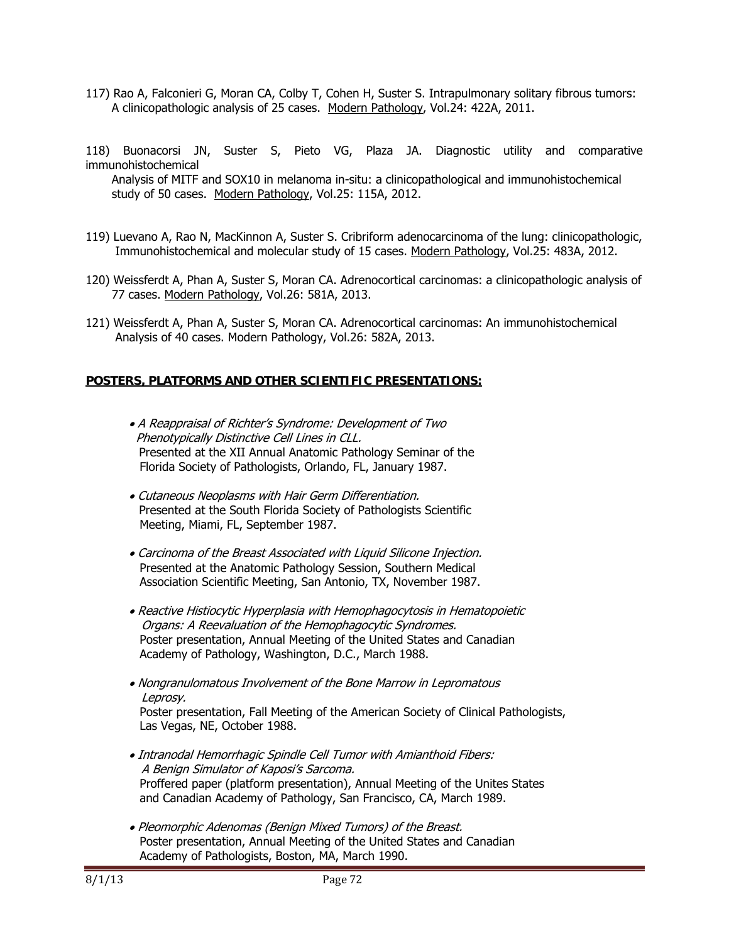117) Rao A, Falconieri G, Moran CA, Colby T, Cohen H, Suster S. Intrapulmonary solitary fibrous tumors: A clinicopathologic analysis of 25 cases. Modern Pathology, Vol.24: 422A, 2011.

118) Buonacorsi JN, Suster S, Pieto VG, Plaza JA. Diagnostic utility and comparative immunohistochemical

 Analysis of MITF and SOX10 in melanoma in-situ: a clinicopathological and immunohistochemical study of 50 cases. Modern Pathology, Vol.25: 115A, 2012.

- 119) Luevano A, Rao N, MacKinnon A, Suster S. Cribriform adenocarcinoma of the lung: clinicopathologic, Immunohistochemical and molecular study of 15 cases. Modern Pathology, Vol.25: 483A, 2012.
- 120) Weissferdt A, Phan A, Suster S, Moran CA. Adrenocortical carcinomas: a clinicopathologic analysis of 77 cases. Modern Pathology, Vol.26: 581A, 2013.
- 121) Weissferdt A, Phan A, Suster S, Moran CA. Adrenocortical carcinomas: An immunohistochemical Analysis of 40 cases. Modern Pathology, Vol.26: 582A, 2013.

# **POSTERS, PLATFORMS AND OTHER SCIENTIFIC PRESENTATIONS:**

- A Reappraisal of Richter's Syndrome: Development of Two Phenotypically Distinctive Cell Lines in CLL. Presented at the XII Annual Anatomic Pathology Seminar of the Florida Society of Pathologists, Orlando, FL, January 1987.
- Cutaneous Neoplasms with Hair Germ Differentiation. Presented at the South Florida Society of Pathologists Scientific Meeting, Miami, FL, September 1987.
- Carcinoma of the Breast Associated with Liquid Silicone Injection. Presented at the Anatomic Pathology Session, Southern Medical Association Scientific Meeting, San Antonio, TX, November 1987.
- Reactive Histiocytic Hyperplasia with Hemophagocytosis in Hematopoietic Organs: A Reevaluation of the Hemophagocytic Syndromes. Poster presentation, Annual Meeting of the United States and Canadian Academy of Pathology, Washington, D.C., March 1988.
- Nongranulomatous Involvement of the Bone Marrow in Lepromatous Leprosy.

 Poster presentation, Fall Meeting of the American Society of Clinical Pathologists, Las Vegas, NE, October 1988.

- Intranodal Hemorrhagic Spindle Cell Tumor with Amianthoid Fibers: A Benign Simulator of Kaposi's Sarcoma. Proffered paper (platform presentation), Annual Meeting of the Unites States and Canadian Academy of Pathology, San Francisco, CA, March 1989.
- Pleomorphic Adenomas (Benign Mixed Tumors) of the Breast. Poster presentation, Annual Meeting of the United States and Canadian Academy of Pathologists, Boston, MA, March 1990.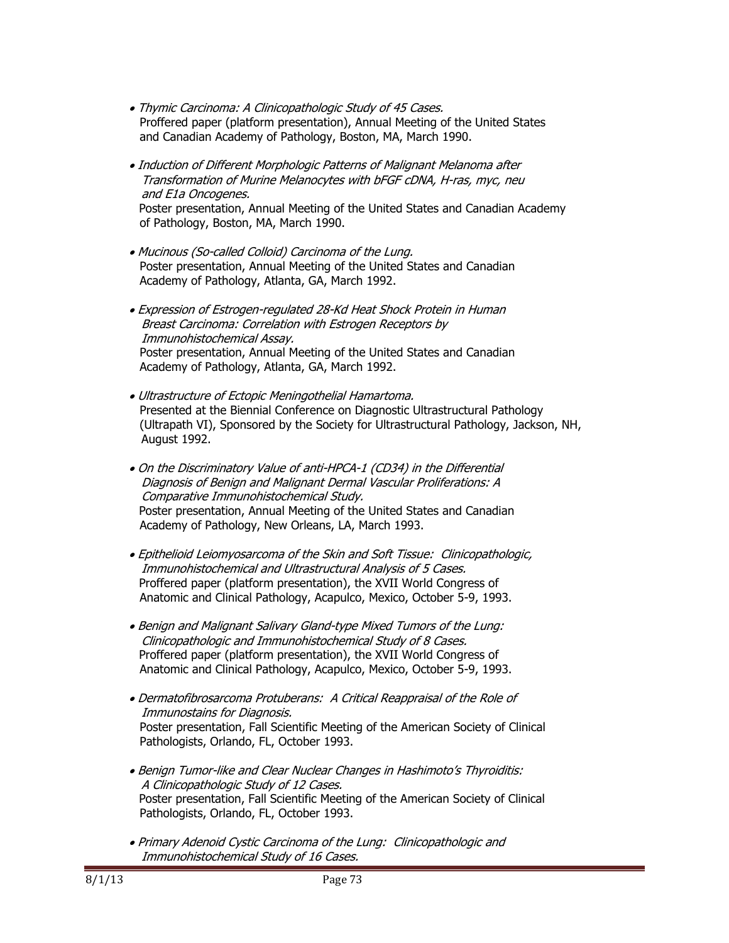- Thymic Carcinoma: A Clinicopathologic Study of 45 Cases. Proffered paper (platform presentation), Annual Meeting of the United States and Canadian Academy of Pathology, Boston, MA, March 1990.
- Induction of Different Morphologic Patterns of Malignant Melanoma after Transformation of Murine Melanocytes with bFGF cDNA, H-ras, myc, neu and E1a Oncogenes. Poster presentation, Annual Meeting of the United States and Canadian Academy of Pathology, Boston, MA, March 1990.
- Mucinous (So-called Colloid) Carcinoma of the Lung. Poster presentation, Annual Meeting of the United States and Canadian Academy of Pathology, Atlanta, GA, March 1992.
- Expression of Estrogen-regulated 28-Kd Heat Shock Protein in Human Breast Carcinoma: Correlation with Estrogen Receptors by Immunohistochemical Assay. Poster presentation, Annual Meeting of the United States and Canadian Academy of Pathology, Atlanta, GA, March 1992.
- Ultrastructure of Ectopic Meningothelial Hamartoma. Presented at the Biennial Conference on Diagnostic Ultrastructural Pathology (Ultrapath VI), Sponsored by the Society for Ultrastructural Pathology, Jackson, NH, August 1992.
- On the Discriminatory Value of anti-HPCA-1 (CD34) in the Differential Diagnosis of Benign and Malignant Dermal Vascular Proliferations: A Comparative Immunohistochemical Study. Poster presentation, Annual Meeting of the United States and Canadian Academy of Pathology, New Orleans, LA, March 1993.
- Epithelioid Leiomyosarcoma of the Skin and Soft Tissue: Clinicopathologic, Immunohistochemical and Ultrastructural Analysis of 5 Cases. Proffered paper (platform presentation), the XVII World Congress of Anatomic and Clinical Pathology, Acapulco, Mexico, October 5-9, 1993.
- Benign and Malignant Salivary Gland-type Mixed Tumors of the Lung: Clinicopathologic and Immunohistochemical Study of 8 Cases. Proffered paper (platform presentation), the XVII World Congress of Anatomic and Clinical Pathology, Acapulco, Mexico, October 5-9, 1993.
- Dermatofibrosarcoma Protuberans: A Critical Reappraisal of the Role of Immunostains for Diagnosis. Poster presentation, Fall Scientific Meeting of the American Society of Clinical Pathologists, Orlando, FL, October 1993.
- Benign Tumor-like and Clear Nuclear Changes in Hashimoto's Thyroiditis: A Clinicopathologic Study of 12 Cases. Poster presentation, Fall Scientific Meeting of the American Society of Clinical Pathologists, Orlando, FL, October 1993.
- Primary Adenoid Cystic Carcinoma of the Lung: Clinicopathologic and Immunohistochemical Study of 16 Cases.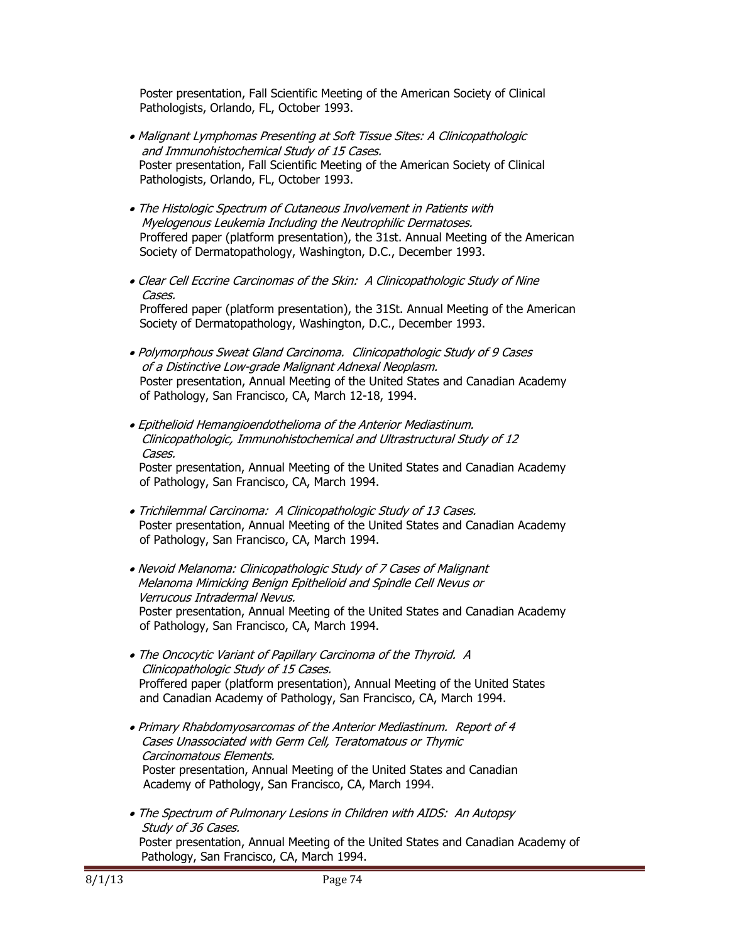Poster presentation, Fall Scientific Meeting of the American Society of Clinical Pathologists, Orlando, FL, October 1993.

- Malignant Lymphomas Presenting at Soft Tissue Sites: A Clinicopathologic and Immunohistochemical Study of 15 Cases. Poster presentation, Fall Scientific Meeting of the American Society of Clinical Pathologists, Orlando, FL, October 1993.
- The Histologic Spectrum of Cutaneous Involvement in Patients with Myelogenous Leukemia Including the Neutrophilic Dermatoses. Proffered paper (platform presentation), the 31st. Annual Meeting of the American Society of Dermatopathology, Washington, D.C., December 1993.
- Clear Cell Eccrine Carcinomas of the Skin: A Clinicopathologic Study of Nine Cases. Proffered paper (platform presentation), the 31St. Annual Meeting of the American Society of Dermatopathology, Washington, D.C., December 1993.
- Polymorphous Sweat Gland Carcinoma. Clinicopathologic Study of 9 Cases of a Distinctive Low-grade Malignant Adnexal Neoplasm. Poster presentation, Annual Meeting of the United States and Canadian Academy of Pathology, San Francisco, CA, March 12-18, 1994.
- Epithelioid Hemangioendothelioma of the Anterior Mediastinum. Clinicopathologic, Immunohistochemical and Ultrastructural Study of 12 Cases. Poster presentation, Annual Meeting of the United States and Canadian Academy of Pathology, San Francisco, CA, March 1994.
- Trichilemmal Carcinoma: A Clinicopathologic Study of 13 Cases. Poster presentation, Annual Meeting of the United States and Canadian Academy of Pathology, San Francisco, CA, March 1994.
- Nevoid Melanoma: Clinicopathologic Study of 7 Cases of Malignant Melanoma Mimicking Benign Epithelioid and Spindle Cell Nevus or Verrucous Intradermal Nevus. Poster presentation, Annual Meeting of the United States and Canadian Academy of Pathology, San Francisco, CA, March 1994.
- The Oncocytic Variant of Papillary Carcinoma of the Thyroid. A Clinicopathologic Study of 15 Cases. Proffered paper (platform presentation), Annual Meeting of the United States and Canadian Academy of Pathology, San Francisco, CA, March 1994.
- Primary Rhabdomyosarcomas of the Anterior Mediastinum. Report of 4 Cases Unassociated with Germ Cell, Teratomatous or Thymic Carcinomatous Elements. Poster presentation, Annual Meeting of the United States and Canadian Academy of Pathology, San Francisco, CA, March 1994.
- The Spectrum of Pulmonary Lesions in Children with AIDS: An Autopsy Study of 36 Cases. Poster presentation, Annual Meeting of the United States and Canadian Academy of Pathology, San Francisco, CA, March 1994.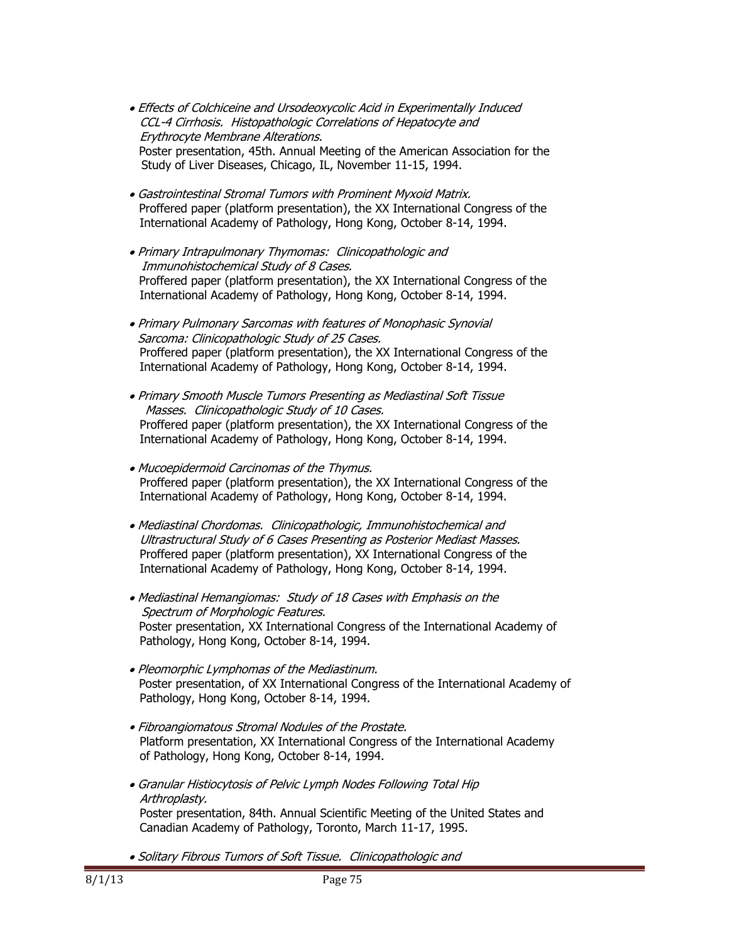- Effects of Colchiceine and Ursodeoxycolic Acid in Experimentally Induced CCL-4 Cirrhosis. Histopathologic Correlations of Hepatocyte and Erythrocyte Membrane Alterations. Poster presentation, 45th. Annual Meeting of the American Association for the Study of Liver Diseases, Chicago, IL, November 11-15, 1994.
- Gastrointestinal Stromal Tumors with Prominent Myxoid Matrix. Proffered paper (platform presentation), the XX International Congress of the International Academy of Pathology, Hong Kong, October 8-14, 1994.
- Primary Intrapulmonary Thymomas: Clinicopathologic and Immunohistochemical Study of 8 Cases. Proffered paper (platform presentation), the XX International Congress of the International Academy of Pathology, Hong Kong, October 8-14, 1994.
- Primary Pulmonary Sarcomas with features of Monophasic Synovial Sarcoma: Clinicopathologic Study of 25 Cases. Proffered paper (platform presentation), the XX International Congress of the International Academy of Pathology, Hong Kong, October 8-14, 1994.
- Primary Smooth Muscle Tumors Presenting as Mediastinal Soft Tissue Masses. Clinicopathologic Study of 10 Cases. Proffered paper (platform presentation), the XX International Congress of the International Academy of Pathology, Hong Kong, October 8-14, 1994.
- Mucoepidermoid Carcinomas of the Thymus. Proffered paper (platform presentation), the XX International Congress of the International Academy of Pathology, Hong Kong, October 8-14, 1994.
- Mediastinal Chordomas. Clinicopathologic, Immunohistochemical and Ultrastructural Study of 6 Cases Presenting as Posterior Mediast Masses. Proffered paper (platform presentation), XX International Congress of the International Academy of Pathology, Hong Kong, October 8-14, 1994.
- Mediastinal Hemangiomas: Study of 18 Cases with Emphasis on the Spectrum of Morphologic Features. Poster presentation, XX International Congress of the International Academy of Pathology, Hong Kong, October 8-14, 1994.
- Pleomorphic Lymphomas of the Mediastinum. Poster presentation, of XX International Congress of the International Academy of Pathology, Hong Kong, October 8-14, 1994.
- Fibroangiomatous Stromal Nodules of the Prostate. Platform presentation, XX International Congress of the International Academy of Pathology, Hong Kong, October 8-14, 1994.
- Granular Histiocytosis of Pelvic Lymph Nodes Following Total Hip Arthroplasty. Poster presentation, 84th. Annual Scientific Meeting of the United States and Canadian Academy of Pathology, Toronto, March 11-17, 1995.
- Solitary Fibrous Tumors of Soft Tissue. Clinicopathologic and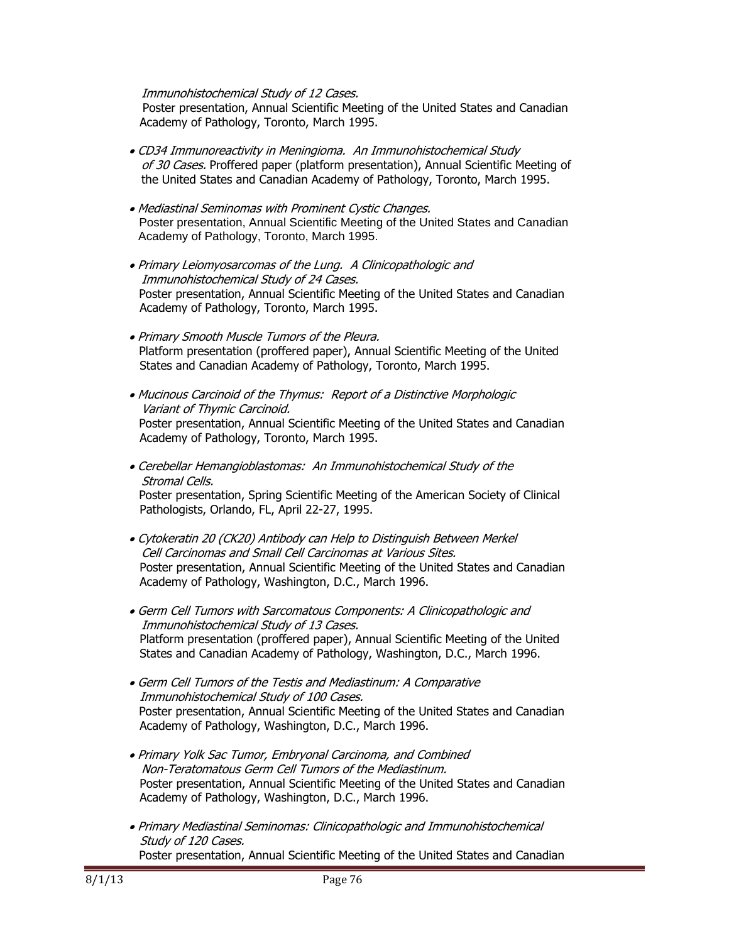## Immunohistochemical Study of 12 Cases.

Poster presentation, Annual Scientific Meeting of the United States and Canadian Academy of Pathology, Toronto, March 1995.

- CD34 Immunoreactivity in Meningioma. An Immunohistochemical Study of 30 Cases. Proffered paper (platform presentation), Annual Scientific Meeting of the United States and Canadian Academy of Pathology, Toronto, March 1995.
- Mediastinal Seminomas with Prominent Cystic Changes. Poster presentation, Annual Scientific Meeting of the United States and Canadian Academy of Pathology, Toronto, March 1995.
- Primary Leiomyosarcomas of the Lung. A Clinicopathologic and Immunohistochemical Study of 24 Cases. Poster presentation, Annual Scientific Meeting of the United States and Canadian Academy of Pathology, Toronto, March 1995.
- Primary Smooth Muscle Tumors of the Pleura. Platform presentation (proffered paper), Annual Scientific Meeting of the United States and Canadian Academy of Pathology, Toronto, March 1995.
- Mucinous Carcinoid of the Thymus: Report of a Distinctive Morphologic Variant of Thymic Carcinoid. Poster presentation, Annual Scientific Meeting of the United States and Canadian Academy of Pathology, Toronto, March 1995.
- Cerebellar Hemangioblastomas: An Immunohistochemical Study of the Stromal Cells. Poster presentation, Spring Scientific Meeting of the American Society of Clinical Pathologists, Orlando, FL, April 22-27, 1995.
- Cytokeratin 20 (CK20) Antibody can Help to Distinguish Between Merkel Cell Carcinomas and Small Cell Carcinomas at Various Sites. Poster presentation, Annual Scientific Meeting of the United States and Canadian Academy of Pathology, Washington, D.C., March 1996.
- Germ Cell Tumors with Sarcomatous Components: A Clinicopathologic and Immunohistochemical Study of 13 Cases. Platform presentation (proffered paper), Annual Scientific Meeting of the United States and Canadian Academy of Pathology, Washington, D.C., March 1996.
- Germ Cell Tumors of the Testis and Mediastinum: A Comparative Immunohistochemical Study of 100 Cases. Poster presentation, Annual Scientific Meeting of the United States and Canadian Academy of Pathology, Washington, D.C., March 1996.
- Primary Yolk Sac Tumor, Embryonal Carcinoma, and Combined Non-Teratomatous Germ Cell Tumors of the Mediastinum. Poster presentation, Annual Scientific Meeting of the United States and Canadian Academy of Pathology, Washington, D.C., March 1996.
- Primary Mediastinal Seminomas: Clinicopathologic and Immunohistochemical Study of 120 Cases. Poster presentation, Annual Scientific Meeting of the United States and Canadian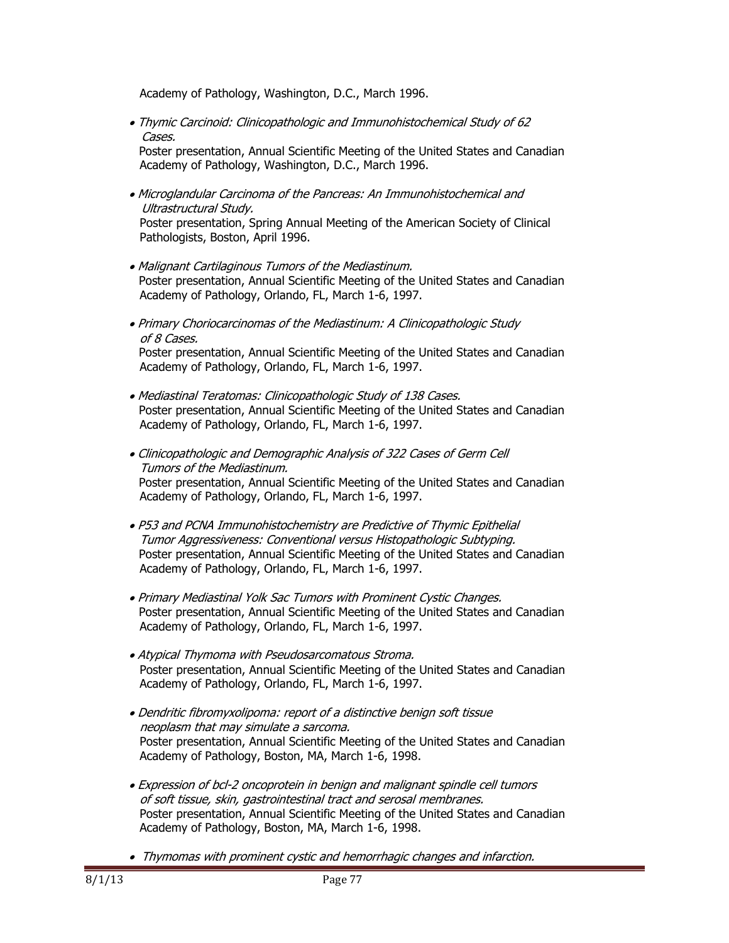Academy of Pathology, Washington, D.C., March 1996.

 Thymic Carcinoid: Clinicopathologic and Immunohistochemical Study of 62 Cases.

Poster presentation, Annual Scientific Meeting of the United States and Canadian Academy of Pathology, Washington, D.C., March 1996.

 Microglandular Carcinoma of the Pancreas: An Immunohistochemical and Ultrastructural Study.

 Poster presentation, Spring Annual Meeting of the American Society of Clinical Pathologists, Boston, April 1996.

- Malignant Cartilaginous Tumors of the Mediastinum. Poster presentation, Annual Scientific Meeting of the United States and Canadian Academy of Pathology, Orlando, FL, March 1-6, 1997.
- Primary Choriocarcinomas of the Mediastinum: A Clinicopathologic Study of 8 Cases. Poster presentation, Annual Scientific Meeting of the United States and Canadian Academy of Pathology, Orlando, FL, March 1-6, 1997.
- Mediastinal Teratomas: Clinicopathologic Study of 138 Cases. Poster presentation, Annual Scientific Meeting of the United States and Canadian Academy of Pathology, Orlando, FL, March 1-6, 1997.
- Clinicopathologic and Demographic Analysis of 322 Cases of Germ Cell Tumors of the Mediastinum. Poster presentation, Annual Scientific Meeting of the United States and Canadian Academy of Pathology, Orlando, FL, March 1-6, 1997.
- P53 and PCNA Immunohistochemistry are Predictive of Thymic Epithelial Tumor Aggressiveness: Conventional versus Histopathologic Subtyping. Poster presentation, Annual Scientific Meeting of the United States and Canadian Academy of Pathology, Orlando, FL, March 1-6, 1997.
- Primary Mediastinal Yolk Sac Tumors with Prominent Cystic Changes. Poster presentation, Annual Scientific Meeting of the United States and Canadian Academy of Pathology, Orlando, FL, March 1-6, 1997.
- Atypical Thymoma with Pseudosarcomatous Stroma. Poster presentation, Annual Scientific Meeting of the United States and Canadian Academy of Pathology, Orlando, FL, March 1-6, 1997.
- Dendritic fibromyxolipoma: report of a distinctive benign soft tissue neoplasm that may simulate a sarcoma. Poster presentation, Annual Scientific Meeting of the United States and Canadian Academy of Pathology, Boston, MA, March 1-6, 1998.
- Expression of bcl-2 oncoprotein in benign and malignant spindle cell tumors of soft tissue, skin, gastrointestinal tract and serosal membranes. Poster presentation, Annual Scientific Meeting of the United States and Canadian Academy of Pathology, Boston, MA, March 1-6, 1998.
- Thymomas with prominent cystic and hemorrhagic changes and infarction.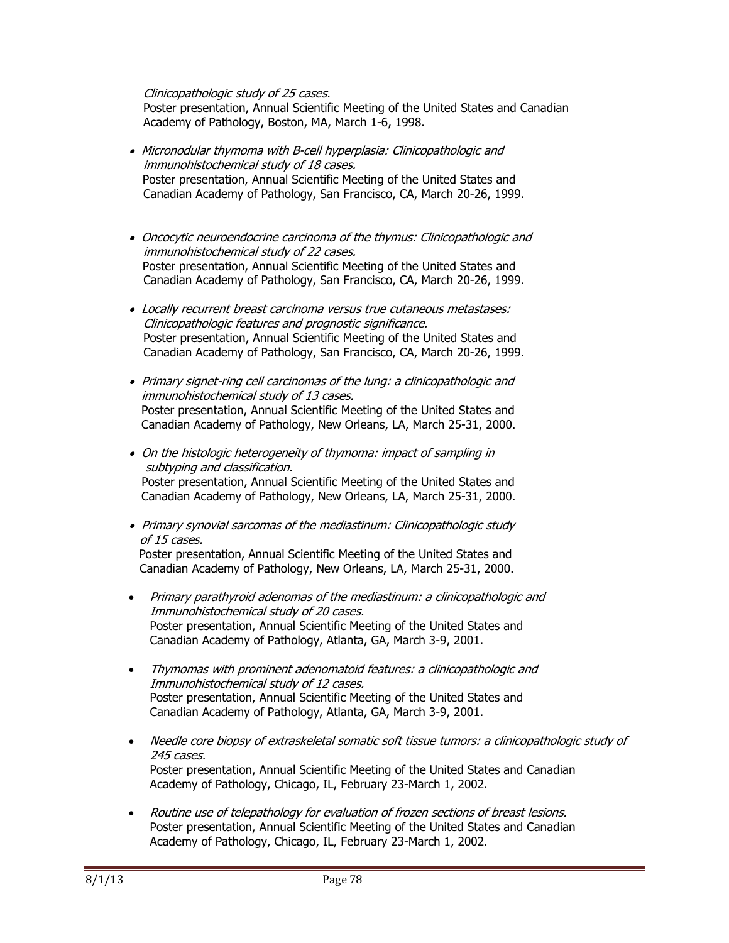Clinicopathologic study of 25 cases.

 Poster presentation, Annual Scientific Meeting of the United States and Canadian Academy of Pathology, Boston, MA, March 1-6, 1998.

- Micronodular thymoma with B-cell hyperplasia: Clinicopathologic and immunohistochemical study of 18 cases. Poster presentation, Annual Scientific Meeting of the United States and Canadian Academy of Pathology, San Francisco, CA, March 20-26, 1999.
- Oncocytic neuroendocrine carcinoma of the thymus: Clinicopathologic and immunohistochemical study of 22 cases. Poster presentation, Annual Scientific Meeting of the United States and Canadian Academy of Pathology, San Francisco, CA, March 20-26, 1999.
- Locally recurrent breast carcinoma versus true cutaneous metastases: Clinicopathologic features and prognostic significance. Poster presentation, Annual Scientific Meeting of the United States and Canadian Academy of Pathology, San Francisco, CA, March 20-26, 1999.
- Primary signet-ring cell carcinomas of the lung: a clinicopathologic and immunohistochemical study of 13 cases. Poster presentation, Annual Scientific Meeting of the United States and Canadian Academy of Pathology, New Orleans, LA, March 25-31, 2000.
- On the histologic heterogeneity of thymoma: impact of sampling in subtyping and classification. Poster presentation, Annual Scientific Meeting of the United States and Canadian Academy of Pathology, New Orleans, LA, March 25-31, 2000.
- Primary synovial sarcomas of the mediastinum: Clinicopathologic study of 15 cases.

Poster presentation, Annual Scientific Meeting of the United States and Canadian Academy of Pathology, New Orleans, LA, March 25-31, 2000.

- Primary parathyroid adenomas of the mediastinum: a clinicopathologic and Immunohistochemical study of 20 cases. Poster presentation, Annual Scientific Meeting of the United States and Canadian Academy of Pathology, Atlanta, GA, March 3-9, 2001.
- Thymomas with prominent adenomatoid features: a clinicopathologic and Immunohistochemical study of 12 cases. Poster presentation, Annual Scientific Meeting of the United States and Canadian Academy of Pathology, Atlanta, GA, March 3-9, 2001.
- Needle core biopsy of extraskeletal somatic soft tissue tumors: a clinicopathologic study of 245 cases. Poster presentation, Annual Scientific Meeting of the United States and Canadian Academy of Pathology, Chicago, IL, February 23-March 1, 2002.
- Routine use of telepathology for evaluation of frozen sections of breast lesions. Poster presentation, Annual Scientific Meeting of the United States and Canadian Academy of Pathology, Chicago, IL, February 23-March 1, 2002.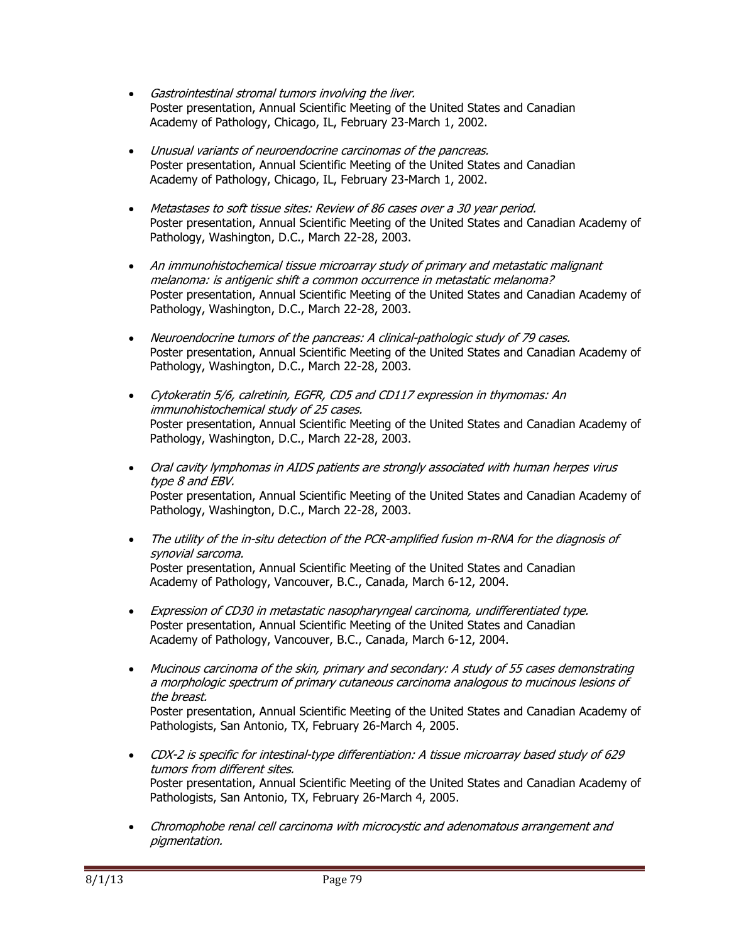- Gastrointestinal stromal tumors involving the liver. Poster presentation, Annual Scientific Meeting of the United States and Canadian Academy of Pathology, Chicago, IL, February 23-March 1, 2002.
- Unusual variants of neuroendocrine carcinomas of the pancreas. Poster presentation, Annual Scientific Meeting of the United States and Canadian Academy of Pathology, Chicago, IL, February 23-March 1, 2002.
- Metastases to soft tissue sites: Review of 86 cases over a 30 year period. Poster presentation, Annual Scientific Meeting of the United States and Canadian Academy of Pathology, Washington, D.C., March 22-28, 2003.
- An immunohistochemical tissue microarray study of primary and metastatic malignant melanoma: is antigenic shift a common occurrence in metastatic melanoma? Poster presentation, Annual Scientific Meeting of the United States and Canadian Academy of Pathology, Washington, D.C., March 22-28, 2003.
- Neuroendocrine tumors of the pancreas: A clinical-pathologic study of 79 cases. Poster presentation, Annual Scientific Meeting of the United States and Canadian Academy of Pathology, Washington, D.C., March 22-28, 2003.
- Cytokeratin 5/6, calretinin, EGFR, CD5 and CD117 expression in thymomas: An immunohistochemical study of 25 cases. Poster presentation, Annual Scientific Meeting of the United States and Canadian Academy of Pathology, Washington, D.C., March 22-28, 2003.
- Oral cavity lymphomas in AIDS patients are strongly associated with human herpes virus type 8 and EBV. Poster presentation, Annual Scientific Meeting of the United States and Canadian Academy of Pathology, Washington, D.C., March 22-28, 2003.
- The utility of the in-situ detection of the PCR-amplified fusion m-RNA for the diagnosis of synovial sarcoma. Poster presentation, Annual Scientific Meeting of the United States and Canadian Academy of Pathology, Vancouver, B.C., Canada, March 6-12, 2004.
- Expression of CD30 in metastatic nasopharyngeal carcinoma, undifferentiated type. Poster presentation, Annual Scientific Meeting of the United States and Canadian Academy of Pathology, Vancouver, B.C., Canada, March 6-12, 2004.
- Mucinous carcinoma of the skin, primary and secondary: A study of 55 cases demonstrating a morphologic spectrum of primary cutaneous carcinoma analogous to mucinous lesions of the breast. Poster presentation, Annual Scientific Meeting of the United States and Canadian Academy of Pathologists, San Antonio, TX, February 26-March 4, 2005.
- CDX-2 is specific for intestinal-type differentiation: A tissue microarray based study of 629 tumors from different sites. Poster presentation, Annual Scientific Meeting of the United States and Canadian Academy of Pathologists, San Antonio, TX, February 26-March 4, 2005.
- Chromophobe renal cell carcinoma with microcystic and adenomatous arrangement and pigmentation.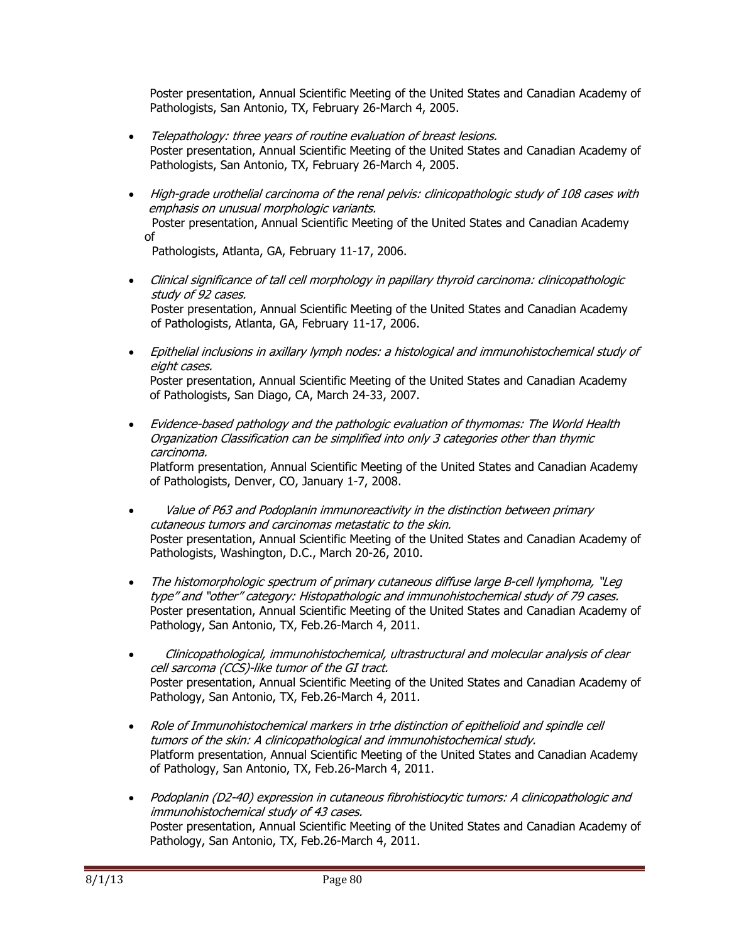Poster presentation, Annual Scientific Meeting of the United States and Canadian Academy of Pathologists, San Antonio, TX, February 26-March 4, 2005.

- Telepathology: three years of routine evaluation of breast lesions. Poster presentation, Annual Scientific Meeting of the United States and Canadian Academy of Pathologists, San Antonio, TX, February 26-March 4, 2005.
- High-grade urothelial carcinoma of the renal pelvis: clinicopathologic study of 108 cases with emphasis on unusual morphologic variants. Poster presentation, Annual Scientific Meeting of the United States and Canadian Academy of

Pathologists, Atlanta, GA, February 11-17, 2006.

- Clinical significance of tall cell morphology in papillary thyroid carcinoma: clinicopathologic study of 92 cases. Poster presentation, Annual Scientific Meeting of the United States and Canadian Academy of Pathologists, Atlanta, GA, February 11-17, 2006.
- Epithelial inclusions in axillary lymph nodes: a histological and immunohistochemical study of eight cases. Poster presentation, Annual Scientific Meeting of the United States and Canadian Academy of Pathologists, San Diago, CA, March 24-33, 2007.
- Evidence-based pathology and the pathologic evaluation of thymomas: The World Health Organization Classification can be simplified into only 3 categories other than thymic carcinoma. Platform presentation, Annual Scientific Meeting of the United States and Canadian Academy of Pathologists, Denver, CO, January 1-7, 2008.
- Value of P63 and Podoplanin immunoreactivity in the distinction between primary cutaneous tumors and carcinomas metastatic to the skin. Poster presentation, Annual Scientific Meeting of the United States and Canadian Academy of Pathologists, Washington, D.C., March 20-26, 2010.
- The histomorphologic spectrum of primary cutaneous diffuse large B-cell lymphoma, "Leg type" and "other" category: Histopathologic and immunohistochemical study of 79 cases. Poster presentation, Annual Scientific Meeting of the United States and Canadian Academy of Pathology, San Antonio, TX, Feb.26-March 4, 2011.
- Clinicopathological, immunohistochemical, ultrastructural and molecular analysis of clear cell sarcoma (CCS)-like tumor of the GI tract. Poster presentation, Annual Scientific Meeting of the United States and Canadian Academy of Pathology, San Antonio, TX, Feb.26-March 4, 2011.
- Role of Immunohistochemical markers in trhe distinction of epithelioid and spindle cell tumors of the skin: A clinicopathological and immunohistochemical study. Platform presentation, Annual Scientific Meeting of the United States and Canadian Academy of Pathology, San Antonio, TX, Feb.26-March 4, 2011.
- Podoplanin (D2-40) expression in cutaneous fibrohistiocytic tumors: A clinicopathologic and immunohistochemical study of 43 cases. Poster presentation, Annual Scientific Meeting of the United States and Canadian Academy of Pathology, San Antonio, TX, Feb.26-March 4, 2011.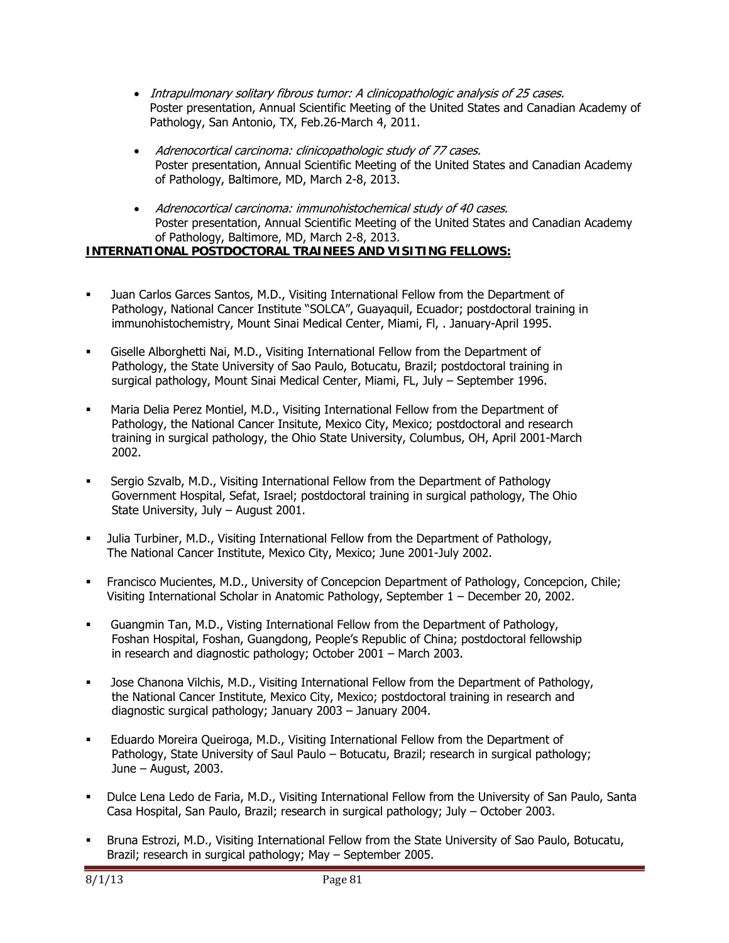- Intrapulmonary solitary fibrous tumor: A clinicopathologic analysis of 25 cases. Poster presentation, Annual Scientific Meeting of the United States and Canadian Academy of Pathology, San Antonio, TX, Feb.26-March 4, 2011.
- Adrenocortical carcinoma: clinicopathologic study of 77 cases. Poster presentation, Annual Scientific Meeting of the United States and Canadian Academy of Pathology, Baltimore, MD, March 2-8, 2013.
- Adrenocortical carcinoma: immunohistochemical study of 40 cases. Poster presentation, Annual Scientific Meeting of the United States and Canadian Academy of Pathology, Baltimore, MD, March 2-8, 2013.

## **INTERNATIONAL POSTDOCTORAL TRAINEES AND VISITING FELLOWS:**

- Juan Carlos Garces Santos, M.D., Visiting International Fellow from the Department of Pathology, National Cancer Institute "SOLCA", Guayaquil, Ecuador; postdoctoral training in immunohistochemistry, Mount Sinai Medical Center, Miami, Fl, . January-April 1995.
- Giselle Alborghetti Nai, M.D., Visiting International Fellow from the Department of Pathology, the State University of Sao Paulo, Botucatu, Brazil; postdoctoral training in surgical pathology, Mount Sinai Medical Center, Miami, FL, July – September 1996.
- Maria Delia Perez Montiel, M.D., Visiting International Fellow from the Department of Pathology, the National Cancer Insitute, Mexico City, Mexico; postdoctoral and research training in surgical pathology, the Ohio State University, Columbus, OH, April 2001-March 2002.
- Sergio Szvalb, M.D., Visiting International Fellow from the Department of Pathology Government Hospital, Sefat, Israel; postdoctoral training in surgical pathology, The Ohio State University, July – August 2001.
- Julia Turbiner, M.D., Visiting International Fellow from the Department of Pathology, The National Cancer Institute, Mexico City, Mexico; June 2001-July 2002.
- Francisco Mucientes, M.D., University of Concepcion Department of Pathology, Concepcion, Chile; Visiting International Scholar in Anatomic Pathology, September 1 – December 20, 2002.
- Guangmin Tan, M.D., Visting International Fellow from the Department of Pathology, Foshan Hospital, Foshan, Guangdong, People's Republic of China; postdoctoral fellowship in research and diagnostic pathology; October 2001 – March 2003.
- Jose Chanona Vilchis, M.D., Visiting International Fellow from the Department of Pathology, the National Cancer Institute, Mexico City, Mexico; postdoctoral training in research and diagnostic surgical pathology; January 2003 – January 2004.
- Eduardo Moreira Queiroga, M.D., Visiting International Fellow from the Department of Pathology, State University of Saul Paulo - Botucatu, Brazil; research in surgical pathology; June – August, 2003.
- Dulce Lena Ledo de Faria, M.D., Visiting International Fellow from the University of San Paulo, Santa Casa Hospital, San Paulo, Brazil; research in surgical pathology; July – October 2003.
- Bruna Estrozi, M.D., Visiting International Fellow from the State University of Sao Paulo, Botucatu, Brazil; research in surgical pathology; May – September 2005.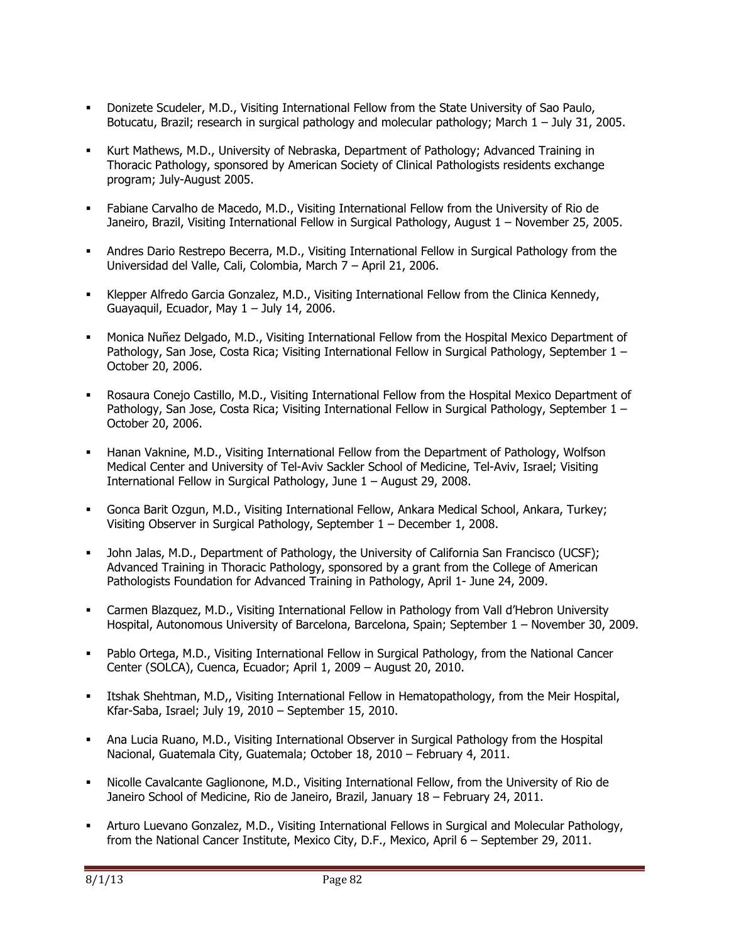- Donizete Scudeler, M.D., Visiting International Fellow from the State University of Sao Paulo, Botucatu, Brazil; research in surgical pathology and molecular pathology; March 1 – July 31, 2005.
- Kurt Mathews, M.D., University of Nebraska, Department of Pathology; Advanced Training in Thoracic Pathology, sponsored by American Society of Clinical Pathologists residents exchange program; July-August 2005.
- Fabiane Carvalho de Macedo, M.D., Visiting International Fellow from the University of Rio de Janeiro, Brazil, Visiting International Fellow in Surgical Pathology, August 1 – November 25, 2005.
- Andres Dario Restrepo Becerra, M.D., Visiting International Fellow in Surgical Pathology from the Universidad del Valle, Cali, Colombia, March 7 – April 21, 2006.
- Klepper Alfredo Garcia Gonzalez, M.D., Visiting International Fellow from the Clinica Kennedy, Guayaquil, Ecuador, May  $1 -$  July 14, 2006.
- Monica Nuñez Delgado, M.D., Visiting International Fellow from the Hospital Mexico Department of Pathology, San Jose, Costa Rica; Visiting International Fellow in Surgical Pathology, September 1 – October 20, 2006.
- Rosaura Conejo Castillo, M.D., Visiting International Fellow from the Hospital Mexico Department of Pathology, San Jose, Costa Rica; Visiting International Fellow in Surgical Pathology, September 1 – October 20, 2006.
- Hanan Vaknine, M.D., Visiting International Fellow from the Department of Pathology, Wolfson Medical Center and University of Tel-Aviv Sackler School of Medicine, Tel-Aviv, Israel; Visiting International Fellow in Surgical Pathology, June 1 – August 29, 2008.
- Gonca Barit Ozgun, M.D., Visiting International Fellow, Ankara Medical School, Ankara, Turkey; Visiting Observer in Surgical Pathology, September 1 – December 1, 2008.
- John Jalas, M.D., Department of Pathology, the University of California San Francisco (UCSF); Advanced Training in Thoracic Pathology, sponsored by a grant from the College of American Pathologists Foundation for Advanced Training in Pathology, April 1- June 24, 2009.
- Carmen Blazquez, M.D., Visiting International Fellow in Pathology from Vall d'Hebron University Hospital, Autonomous University of Barcelona, Barcelona, Spain; September 1 – November 30, 2009.
- Pablo Ortega, M.D., Visiting International Fellow in Surgical Pathology, from the National Cancer Center (SOLCA), Cuenca, Ecuador; April 1, 2009 – August 20, 2010.
- Itshak Shehtman, M.D,, Visiting International Fellow in Hematopathology, from the Meir Hospital, Kfar-Saba, Israel; July 19, 2010 – September 15, 2010.
- Ana Lucia Ruano, M.D., Visiting International Observer in Surgical Pathology from the Hospital Nacional, Guatemala City, Guatemala; October 18, 2010 – February 4, 2011.
- Nicolle Cavalcante Gaglionone, M.D., Visiting International Fellow, from the University of Rio de Janeiro School of Medicine, Rio de Janeiro, Brazil, January 18 – February 24, 2011.
- Arturo Luevano Gonzalez, M.D., Visiting International Fellows in Surgical and Molecular Pathology, from the National Cancer Institute, Mexico City, D.F., Mexico, April 6 – September 29, 2011.